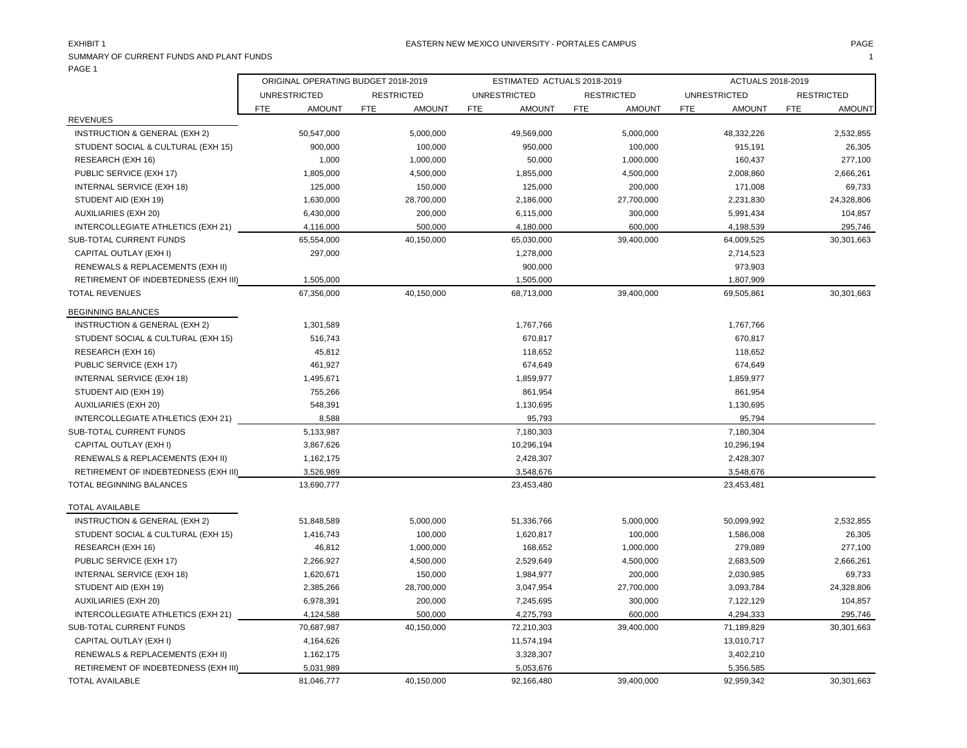| SUMMARY OF CURRENT FUNDS AND PLANT FUNDS<br>PAGE 1 |            |                                     |            |                   |            |                             |            |                   |            |                     |            |                   |
|----------------------------------------------------|------------|-------------------------------------|------------|-------------------|------------|-----------------------------|------------|-------------------|------------|---------------------|------------|-------------------|
|                                                    |            | ORIGINAL OPERATING BUDGET 2018-2019 |            |                   |            | ESTIMATED ACTUALS 2018-2019 |            |                   |            | ACTUALS 2018-2019   |            |                   |
|                                                    |            | <b>UNRESTRICTED</b>                 |            | <b>RESTRICTED</b> |            | <b>UNRESTRICTED</b>         |            | <b>RESTRICTED</b> |            | <b>UNRESTRICTED</b> |            | <b>RESTRICTED</b> |
|                                                    | <b>FTE</b> | <b>AMOUNT</b>                       | <b>FTE</b> | <b>AMOUNT</b>     | <b>FTE</b> | <b>AMOUNT</b>               | <b>FTE</b> | <b>AMOUNT</b>     | <b>FTE</b> | <b>AMOUNT</b>       | <b>FTE</b> | <b>AMOUNT</b>     |
| <b>REVENUES</b>                                    |            |                                     |            |                   |            |                             |            |                   |            |                     |            |                   |
| INSTRUCTION & GENERAL (EXH 2)                      |            | 50,547,000                          |            | 5,000,000         |            | 49,569,000                  |            | 5,000,000         |            | 48,332,226          |            | 2,532,855         |
| STUDENT SOCIAL & CULTURAL (EXH 15)                 |            | 900,000                             |            | 100,000           |            | 950,000                     |            | 100,000           |            | 915,191             |            | 26,305            |
| RESEARCH (EXH 16)                                  |            | 1,000                               |            | 1,000,000         |            | 50,000                      |            | 1,000,000         |            | 160,437             |            | 277,100           |
| PUBLIC SERVICE (EXH 17)                            |            | 1,805,000                           |            | 4,500,000         |            | 1,855,000                   |            | 4,500,000         |            | 2,008,860           |            | 2,666,261         |
| INTERNAL SERVICE (EXH 18)                          |            | 125,000                             |            | 150,000           |            | 125,000                     |            | 200,000           |            | 171,008             |            | 69,733            |
| STUDENT AID (EXH 19)                               |            | 1,630,000                           |            | 28,700,000        |            | 2,186,000                   |            | 27,700,000        |            | 2,231,830           |            | 24,328,806        |
| <b>AUXILIARIES (EXH 20)</b>                        |            | 6,430,000                           |            | 200,000           |            | 6,115,000                   |            | 300,000           |            | 5,991,434           |            | 104,857           |
| INTERCOLLEGIATE ATHLETICS (EXH 21)                 |            | 4,116,000                           |            | 500,000           |            | 4,180,000                   |            | 600,000           |            | 4,198,539           |            | 295,746           |
| SUB-TOTAL CURRENT FUNDS                            |            | 65,554,000                          |            | 40,150,000        |            | 65,030,000                  |            | 39,400,000        |            | 64,009,525          |            | 30,301,663        |
| CAPITAL OUTLAY (EXH I)                             |            | 297,000                             |            |                   |            | 1,278,000                   |            |                   |            | 2,714,523           |            |                   |
| RENEWALS & REPLACEMENTS (EXH II)                   |            |                                     |            |                   |            | 900,000                     |            |                   |            | 973,903             |            |                   |
| RETIREMENT OF INDEBTEDNESS (EXH III)               |            | 1,505,000                           |            |                   |            | 1,505,000                   |            |                   |            | 1,807,909           |            |                   |
| <b>TOTAL REVENUES</b>                              |            | 67,356,000                          |            | 40,150,000        |            | 68,713,000                  |            | 39,400,000        |            | 69,505,861          |            | 30,301,663        |
| <b>BEGINNING BALANCES</b>                          |            |                                     |            |                   |            |                             |            |                   |            |                     |            |                   |
| INSTRUCTION & GENERAL (EXH 2)                      |            | 1,301,589                           |            |                   |            | 1,767,766                   |            |                   |            | 1,767,766           |            |                   |
| STUDENT SOCIAL & CULTURAL (EXH 15)                 |            | 516,743                             |            |                   |            | 670,817                     |            |                   |            | 670,817             |            |                   |
| RESEARCH (EXH 16)                                  |            | 45,812                              |            |                   |            | 118,652                     |            |                   |            | 118,652             |            |                   |
| PUBLIC SERVICE (EXH 17)                            |            | 461,927                             |            |                   |            | 674,649                     |            |                   |            | 674,649             |            |                   |
| INTERNAL SERVICE (EXH 18)                          |            | 1,495,671                           |            |                   |            | 1,859,977                   |            |                   |            | 1,859,977           |            |                   |
| STUDENT AID (EXH 19)                               |            | 755,266                             |            |                   |            | 861,954                     |            |                   |            | 861,954             |            |                   |
| <b>AUXILIARIES (EXH 20)</b>                        |            | 548,391                             |            |                   |            | 1,130,695                   |            |                   |            | 1,130,695           |            |                   |
| INTERCOLLEGIATE ATHLETICS (EXH 21)                 |            | 8,588                               |            |                   |            | 95,793                      |            |                   |            | 95,794              |            |                   |
| SUB-TOTAL CURRENT FUNDS                            |            | 5,133,987                           |            |                   |            | 7,180,303                   |            |                   |            | 7,180,304           |            |                   |
| CAPITAL OUTLAY (EXH I)                             |            | 3,867,626                           |            |                   |            | 10,296,194                  |            |                   |            | 10,296,194          |            |                   |
| RENEWALS & REPLACEMENTS (EXH II)                   |            | 1,162,175                           |            |                   |            | 2,428,307                   |            |                   |            | 2,428,307           |            |                   |
| RETIREMENT OF INDEBTEDNESS (EXH III)               |            | 3,526,989                           |            |                   |            | 3,548,676                   |            |                   |            | 3,548,676           |            |                   |
| TOTAL BEGINNING BALANCES                           |            | 13,690,777                          |            |                   |            | 23,453,480                  |            |                   |            | 23,453,481          |            |                   |
|                                                    |            |                                     |            |                   |            |                             |            |                   |            |                     |            |                   |

| TOTAL AVAILABLE                      |            |            |            |            |            |            |
|--------------------------------------|------------|------------|------------|------------|------------|------------|
| INSTRUCTION & GENERAL (EXH 2)        | 51,848,589 | 5,000,000  | 51,336,766 | 5,000,000  | 50,099,992 | 2,532,855  |
| STUDENT SOCIAL & CULTURAL (EXH 15)   | 1,416,743  | 100,000    | 1,620,817  | 100,000    | 1,586,008  | 26,305     |
| RESEARCH (EXH 16)                    | 46,812     | 1,000,000  | 168,652    | 1,000,000  | 279,089    | 277,100    |
| PUBLIC SERVICE (EXH 17)              | 2,266,927  | 4,500,000  | 2,529,649  | 4,500,000  | 2,683,509  | 2,666,261  |
| INTERNAL SERVICE (EXH 18)            | 1,620,671  | 150,000    | 1,984,977  | 200,000    | 2,030,985  | 69,733     |
| STUDENT AID (EXH 19)                 | 2,385,266  | 28,700,000 | 3,047,954  | 27,700,000 | 3,093,784  | 24,328,806 |
| AUXILIARIES (EXH 20)                 | 6,978,391  | 200,000    | 7,245,695  | 300,000    | 7,122,129  | 104,857    |
| INTERCOLLEGIATE ATHLETICS (EXH 21)   | 4,124,588  | 500,000    | 4,275,793  | 600,000    | 4,294,333  | 295,746    |
| SUB-TOTAL CURRENT FUNDS              | 70,687,987 | 40,150,000 | 72,210,303 | 39.400.000 | 71,189,829 | 30,301,663 |
| CAPITAL OUTLAY (EXH I)               | 4,164,626  |            | 11,574,194 |            | 13,010,717 |            |
| RENEWALS & REPLACEMENTS (EXH II)     | 1,162,175  |            | 3,328,307  |            | 3,402,210  |            |
| RETIREMENT OF INDEBTEDNESS (EXH III) | 5,031,989  |            | 5,053,676  |            | 5,356,585  |            |
| TOTAL AVAILABLE                      | 81,046,777 | 40,150,000 | 92,166,480 | 39,400,000 | 92,959,342 | 30,301,663 |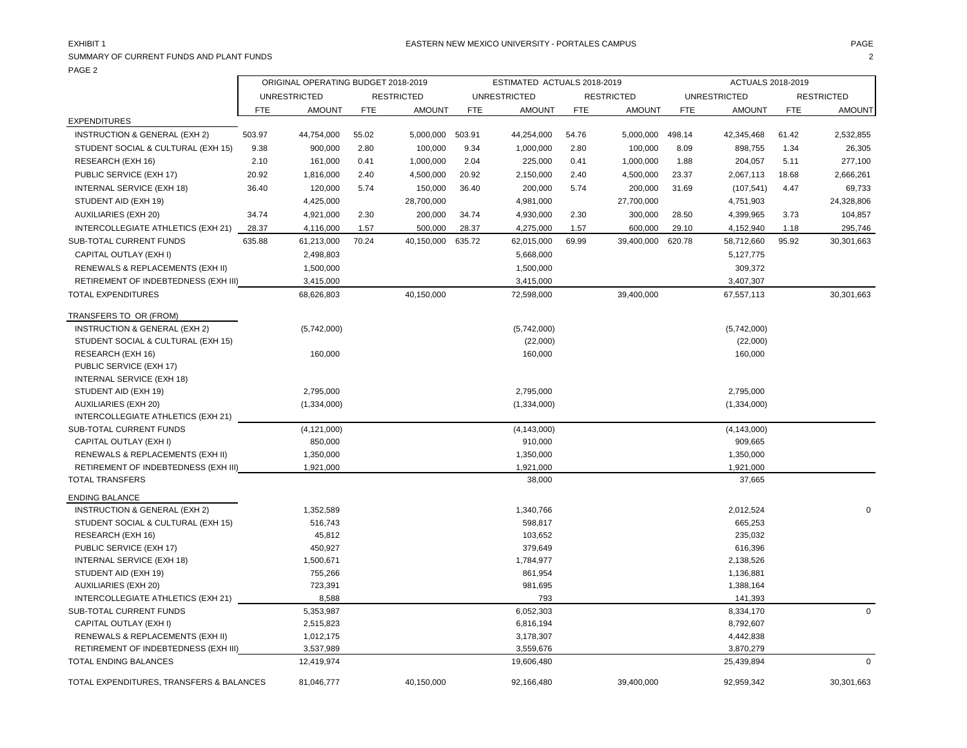PAGE 2

| 1 A J L 2                                                     |                                     |                         |            |                   |                             |                         |            |                   |                   |                         |            |                   |
|---------------------------------------------------------------|-------------------------------------|-------------------------|------------|-------------------|-----------------------------|-------------------------|------------|-------------------|-------------------|-------------------------|------------|-------------------|
|                                                               | ORIGINAL OPERATING BUDGET 2018-2019 |                         |            |                   | ESTIMATED ACTUALS 2018-2019 |                         |            |                   | ACTUALS 2018-2019 |                         |            |                   |
|                                                               |                                     | <b>UNRESTRICTED</b>     |            | <b>RESTRICTED</b> |                             | <b>UNRESTRICTED</b>     |            | <b>RESTRICTED</b> |                   | <b>UNRESTRICTED</b>     |            | <b>RESTRICTED</b> |
|                                                               | FTE                                 | <b>AMOUNT</b>           | <b>FTE</b> | <b>AMOUNT</b>     | <b>FTE</b>                  | <b>AMOUNT</b>           | <b>FTE</b> | <b>AMOUNT</b>     | <b>FTE</b>        | <b>AMOUNT</b>           | <b>FTE</b> | <b>AMOUNT</b>     |
| <b>EXPENDITURES</b>                                           |                                     |                         |            |                   |                             |                         |            |                   |                   |                         |            |                   |
| <b>INSTRUCTION &amp; GENERAL (EXH 2)</b>                      | 503.97                              | 44,754,000              | 55.02      | 5,000,000         | 503.91                      | 44,254,000              | 54.76      | 5,000,000         | 498.14            | 42,345,468              | 61.42      | 2,532,855         |
| STUDENT SOCIAL & CULTURAL (EXH 15)                            | 9.38                                | 900,000                 | 2.80       | 100,000           | 9.34                        | 1,000,000               | 2.80       | 100,000           | 8.09              | 898,755                 | 1.34       | 26,305            |
| RESEARCH (EXH 16)                                             | 2.10                                | 161,000                 | 0.41       | 1,000,000         | 2.04                        | 225,000                 | 0.41       | 1,000,000         | 1.88              | 204,057                 | 5.11       | 277,100           |
| PUBLIC SERVICE (EXH 17)                                       | 20.92                               | 1,816,000               | 2.40       | 4,500,000         | 20.92                       | 2,150,000               | 2.40       | 4,500,000         | 23.37             | 2,067,113               | 18.68      | 2,666,261         |
| INTERNAL SERVICE (EXH 18)                                     | 36.40                               | 120,000                 | 5.74       | 150,000           | 36.40                       | 200,000                 | 5.74       | 200,000           | 31.69             | (107, 541)              | 4.47       | 69,733            |
| STUDENT AID (EXH 19)                                          |                                     | 4,425,000               |            | 28,700,000        |                             | 4,981,000               |            | 27,700,000        |                   | 4,751,903               |            | 24,328,806        |
| AUXILIARIES (EXH 20)                                          | 34.74                               | 4,921,000               | 2.30       | 200,000           | 34.74                       | 4,930,000               | 2.30       | 300,000           | 28.50             | 4,399,965               | 3.73       | 104,857           |
| INTERCOLLEGIATE ATHLETICS (EXH 21)                            | 28.37                               | 4,116,000               | 1.57       | 500,000           | 28.37                       | 4,275,000               | 1.57       | 600,000           | 29.10             | 4,152,940               | 1.18       | 295,746           |
| <b>SUB-TOTAL CURRENT FUNDS</b>                                | 635.88                              | 61,213,000              | 70.24      | 40,150,000        | 635.72                      | 62,015,000              | 69.99      | 39,400,000        | 620.78            | 58,712,660              | 95.92      | 30,301,663        |
| CAPITAL OUTLAY (EXH I)                                        |                                     | 2,498,803               |            |                   |                             | 5,668,000               |            |                   |                   | 5,127,775               |            |                   |
| RENEWALS & REPLACEMENTS (EXH II)                              |                                     | 1,500,000               |            |                   |                             | 1,500,000               |            |                   |                   | 309,372                 |            |                   |
| RETIREMENT OF INDEBTEDNESS (EXH III)                          |                                     | 3,415,000               |            |                   |                             | 3,415,000               |            |                   |                   | 3,407,307               |            |                   |
| <b>TOTAL EXPENDITURES</b>                                     |                                     | 68,626,803              |            | 40,150,000        |                             | 72,598,000              |            | 39,400,000        |                   | 67,557,113              |            | 30,301,663        |
| TRANSFERS TO OR (FROM)                                        |                                     |                         |            |                   |                             |                         |            |                   |                   |                         |            |                   |
| INSTRUCTION & GENERAL (EXH 2)                                 |                                     | (5,742,000)             |            |                   |                             | (5,742,000)             |            |                   |                   | (5,742,000)             |            |                   |
| STUDENT SOCIAL & CULTURAL (EXH 15)                            |                                     |                         |            |                   |                             | (22,000)                |            |                   |                   | (22,000)                |            |                   |
| RESEARCH (EXH 16)                                             |                                     | 160,000                 |            |                   |                             | 160,000                 |            |                   |                   | 160,000                 |            |                   |
| PUBLIC SERVICE (EXH 17)                                       |                                     |                         |            |                   |                             |                         |            |                   |                   |                         |            |                   |
| INTERNAL SERVICE (EXH 18)                                     |                                     |                         |            |                   |                             |                         |            |                   |                   |                         |            |                   |
| STUDENT AID (EXH 19)                                          |                                     | 2,795,000               |            |                   |                             | 2,795,000               |            |                   |                   | 2,795,000               |            |                   |
| <b>AUXILIARIES (EXH 20)</b>                                   |                                     | (1,334,000)             |            |                   |                             | (1, 334, 000)           |            |                   |                   | (1,334,000)             |            |                   |
| INTERCOLLEGIATE ATHLETICS (EXH 21)                            |                                     |                         |            |                   |                             |                         |            |                   |                   |                         |            |                   |
| SUB-TOTAL CURRENT FUNDS                                       |                                     | (4, 121, 000)           |            |                   |                             | (4, 143, 000)           |            |                   |                   | (4, 143, 000)           |            |                   |
| CAPITAL OUTLAY (EXH I)                                        |                                     | 850,000                 |            |                   |                             | 910,000                 |            |                   |                   | 909,665                 |            |                   |
| RENEWALS & REPLACEMENTS (EXH II)                              |                                     | 1,350,000               |            |                   |                             | 1,350,000               |            |                   |                   | 1,350,000               |            |                   |
| RETIREMENT OF INDEBTEDNESS (EXH III)                          |                                     | 1,921,000               |            |                   |                             | 1,921,000               |            |                   |                   | 1,921,000               |            |                   |
| <b>TOTAL TRANSFERS</b>                                        |                                     |                         |            |                   |                             | 38,000                  |            |                   |                   | 37,665                  |            |                   |
| <b>ENDING BALANCE</b>                                         |                                     |                         |            |                   |                             |                         |            |                   |                   |                         |            |                   |
| INSTRUCTION & GENERAL (EXH 2)                                 |                                     | 1,352,589               |            |                   |                             | 1,340,766               |            |                   |                   | 2,012,524               |            | $\mathbf 0$       |
| STUDENT SOCIAL & CULTURAL (EXH 15)                            |                                     | 516,743                 |            |                   |                             | 598,817                 |            |                   |                   | 665,253                 |            |                   |
| RESEARCH (EXH 16)                                             |                                     | 45,812                  |            |                   |                             | 103,652                 |            |                   |                   | 235,032                 |            |                   |
| PUBLIC SERVICE (EXH 17)                                       |                                     | 450,927                 |            |                   |                             | 379,649                 |            |                   |                   | 616,396                 |            |                   |
| INTERNAL SERVICE (EXH 18)                                     |                                     | 1,500,671               |            |                   |                             | 1,784,977               |            |                   |                   | 2,138,526               |            |                   |
| STUDENT AID (EXH 19)                                          |                                     | 755,266                 |            |                   |                             | 861,954                 |            |                   |                   | 1,136,881               |            |                   |
| <b>AUXILIARIES (EXH 20)</b>                                   |                                     | 723,391                 |            |                   |                             | 981,695                 |            |                   |                   | 1,388,164               |            |                   |
| INTERCOLLEGIATE ATHLETICS (EXH 21)                            |                                     | 8,588                   |            |                   |                             | 793                     |            |                   |                   | 141,393                 |            |                   |
| <b>SUB-TOTAL CURRENT FUNDS</b>                                |                                     | 5,353,987               |            |                   |                             | 6,052,303               |            |                   |                   | 8,334,170               |            | $\mathbf 0$       |
| CAPITAL OUTLAY (EXH I)                                        |                                     | 2,515,823               |            |                   |                             | 6,816,194               |            |                   |                   | 8,792,607               |            |                   |
| RENEWALS & REPLACEMENTS (EXH II)                              |                                     | 1,012,175               |            |                   |                             | 3,178,307               |            |                   |                   | 4,442,838               |            |                   |
| RETIREMENT OF INDEBTEDNESS (EXH III)<br>TOTAL ENDING BALANCES |                                     | 3,537,989<br>12,419,974 |            |                   |                             | 3,559,676<br>19,606,480 |            |                   |                   | 3,870,279<br>25,439,894 |            | $\mathbf 0$       |
|                                                               |                                     |                         |            |                   |                             |                         |            |                   |                   |                         |            |                   |
| TOTAL EXPENDITURES, TRANSFERS & BALANCES                      |                                     | 81,046,777              |            | 40,150,000        |                             | 92,166,480              |            | 39,400,000        |                   | 92,959,342              |            | 30,301,663        |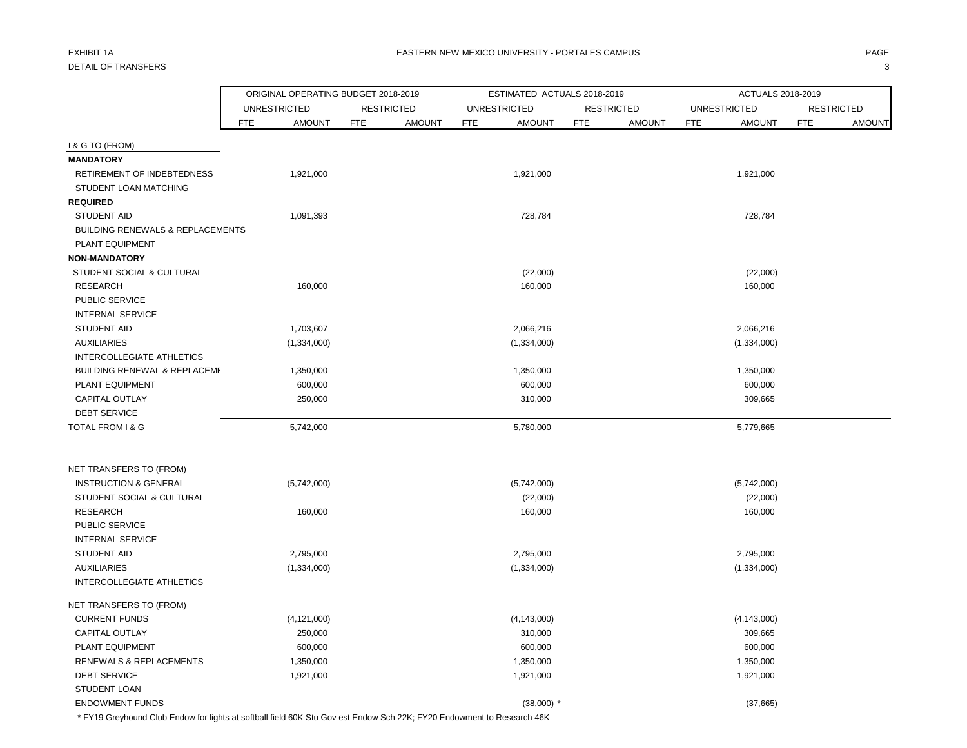# DETAIL OF TRANSFERS 3

|                                                             | ORIGINAL OPERATING BUDGET 2018-2019 |               |            |                   |            | ESTIMATED ACTUALS 2018-2019 |            |                   |            | ACTUALS 2018-2019   |            |                   |
|-------------------------------------------------------------|-------------------------------------|---------------|------------|-------------------|------------|-----------------------------|------------|-------------------|------------|---------------------|------------|-------------------|
|                                                             | <b>UNRESTRICTED</b>                 |               |            | <b>RESTRICTED</b> |            | <b>UNRESTRICTED</b>         |            | <b>RESTRICTED</b> |            | <b>UNRESTRICTED</b> |            | <b>RESTRICTED</b> |
|                                                             | <b>FTE</b>                          | <b>AMOUNT</b> | <b>FTE</b> | <b>AMOUNT</b>     | <b>FTE</b> | <b>AMOUNT</b>               | <b>FTE</b> | <b>AMOUNT</b>     | <b>FTE</b> | <b>AMOUNT</b>       | <b>FTE</b> | <b>AMOUNT</b>     |
| <b>I &amp; G TO (FROM)</b>                                  |                                     |               |            |                   |            |                             |            |                   |            |                     |            |                   |
| <b>MANDATORY</b>                                            |                                     |               |            |                   |            |                             |            |                   |            |                     |            |                   |
| RETIREMENT OF INDEBTEDNESS                                  | 1,921,000                           |               |            |                   |            | 1,921,000                   |            |                   |            | 1,921,000           |            |                   |
| STUDENT LOAN MATCHING                                       |                                     |               |            |                   |            |                             |            |                   |            |                     |            |                   |
| <b>REQUIRED</b>                                             |                                     |               |            |                   |            |                             |            |                   |            |                     |            |                   |
| <b>STUDENT AID</b>                                          | 1,091,393                           |               |            |                   |            | 728,784                     |            |                   |            | 728,784             |            |                   |
| <b>BUILDING RENEWALS &amp; REPLACEMENTS</b>                 |                                     |               |            |                   |            |                             |            |                   |            |                     |            |                   |
| <b>PLANT EQUIPMENT</b>                                      |                                     |               |            |                   |            |                             |            |                   |            |                     |            |                   |
| <b>NON-MANDATORY</b>                                        |                                     |               |            |                   |            |                             |            |                   |            |                     |            |                   |
| STUDENT SOCIAL & CULTURAL                                   |                                     |               |            |                   |            | (22,000)                    |            |                   |            | (22,000)            |            |                   |
| <b>RESEARCH</b>                                             |                                     | 160,000       |            |                   |            | 160,000                     |            |                   |            | 160,000             |            |                   |
| PUBLIC SERVICE                                              |                                     |               |            |                   |            |                             |            |                   |            |                     |            |                   |
| <b>INTERNAL SERVICE</b>                                     |                                     |               |            |                   |            |                             |            |                   |            |                     |            |                   |
| <b>STUDENT AID</b>                                          | 1,703,607                           |               |            |                   |            | 2,066,216                   |            |                   |            | 2,066,216           |            |                   |
| <b>AUXILIARIES</b>                                          | (1,334,000)                         |               |            |                   |            | (1,334,000)                 |            |                   |            | (1,334,000)         |            |                   |
| <b>INTERCOLLEGIATE ATHLETICS</b>                            |                                     |               |            |                   |            |                             |            |                   |            |                     |            |                   |
| <b>BUILDING RENEWAL &amp; REPLACEME</b>                     | 1,350,000                           |               |            |                   |            | 1,350,000                   |            |                   |            | 1,350,000           |            |                   |
| PLANT EQUIPMENT                                             |                                     | 600,000       |            |                   |            | 600,000                     |            |                   |            | 600,000             |            |                   |
| CAPITAL OUTLAY                                              |                                     | 250,000       |            |                   |            | 310,000                     |            |                   |            | 309,665             |            |                   |
| <b>DEBT SERVICE</b>                                         |                                     |               |            |                   |            |                             |            |                   |            |                     |            |                   |
| TOTAL FROM I & G                                            | 5,742,000                           |               |            |                   |            | 5,780,000                   |            |                   |            | 5,779,665           |            |                   |
|                                                             |                                     |               |            |                   |            |                             |            |                   |            |                     |            |                   |
| NET TRANSFERS TO (FROM)<br><b>INSTRUCTION &amp; GENERAL</b> | (5,742,000)                         |               |            |                   |            | (5,742,000)                 |            |                   |            | (5,742,000)         |            |                   |
| STUDENT SOCIAL & CULTURAL                                   |                                     |               |            |                   |            | (22,000)                    |            |                   |            | (22,000)            |            |                   |
| <b>RESEARCH</b>                                             |                                     | 160,000       |            |                   |            | 160,000                     |            |                   |            | 160,000             |            |                   |
| PUBLIC SERVICE                                              |                                     |               |            |                   |            |                             |            |                   |            |                     |            |                   |
| <b>INTERNAL SERVICE</b>                                     |                                     |               |            |                   |            |                             |            |                   |            |                     |            |                   |
| <b>STUDENT AID</b>                                          | 2,795,000                           |               |            |                   |            | 2,795,000                   |            |                   |            | 2,795,000           |            |                   |
| <b>AUXILIARIES</b>                                          | (1,334,000)                         |               |            |                   |            | (1,334,000)                 |            |                   |            | (1,334,000)         |            |                   |
| INTERCOLLEGIATE ATHLETICS                                   |                                     |               |            |                   |            |                             |            |                   |            |                     |            |                   |
| NET TRANSFERS TO (FROM)                                     |                                     |               |            |                   |            |                             |            |                   |            |                     |            |                   |
| <b>CURRENT FUNDS</b>                                        | (4, 121, 000)                       |               |            |                   |            | (4, 143, 000)               |            |                   |            | (4, 143, 000)       |            |                   |
| <b>CAPITAL OUTLAY</b>                                       |                                     | 250,000       |            |                   |            | 310,000                     |            |                   |            | 309,665             |            |                   |
| PLANT EQUIPMENT                                             |                                     | 600,000       |            |                   |            | 600,000                     |            |                   |            | 600,000             |            |                   |
| <b>RENEWALS &amp; REPLACEMENTS</b>                          | 1,350,000                           |               |            |                   |            | 1,350,000                   |            |                   |            | 1,350,000           |            |                   |
| <b>DEBT SERVICE</b>                                         | 1,921,000                           |               |            |                   |            | 1,921,000                   |            |                   |            | 1,921,000           |            |                   |
| <b>STUDENT LOAN</b>                                         |                                     |               |            |                   |            |                             |            |                   |            |                     |            |                   |
| <b>ENDOWMENT FUNDS</b>                                      |                                     |               |            |                   |            | $(38,000)$ *                |            |                   |            | (37,665)            |            |                   |

\* FY19 Greyhound Club Endow for lights at softball field 60K Stu Gov est Endow Sch 22K; FY20 Endowment to Research 46K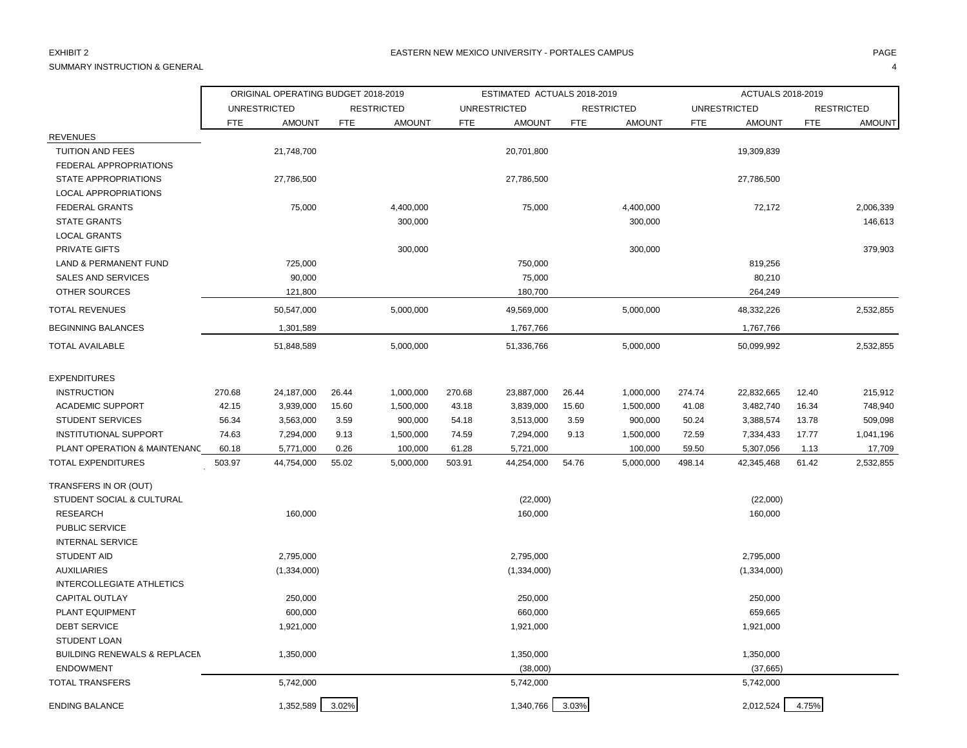# SUMMARY INSTRUCTION & GENERAL 4

|                                         |            | ORIGINAL OPERATING BUDGET 2018-2019 |            |                   |            | ESTIMATED ACTUALS 2018-2019 |            |                   |            | ACTUALS 2018-2019   |            |                   |
|-----------------------------------------|------------|-------------------------------------|------------|-------------------|------------|-----------------------------|------------|-------------------|------------|---------------------|------------|-------------------|
|                                         |            | <b>UNRESTRICTED</b>                 |            | <b>RESTRICTED</b> |            | <b>UNRESTRICTED</b>         |            | <b>RESTRICTED</b> |            | <b>UNRESTRICTED</b> |            | <b>RESTRICTED</b> |
|                                         | <b>FTE</b> | <b>AMOUNT</b>                       | <b>FTE</b> | <b>AMOUNT</b>     | <b>FTE</b> | <b>AMOUNT</b>               | <b>FTE</b> | <b>AMOUNT</b>     | <b>FTE</b> | <b>AMOUNT</b>       | <b>FTE</b> | <b>AMOUNT</b>     |
| <b>REVENUES</b>                         |            |                                     |            |                   |            |                             |            |                   |            |                     |            |                   |
| TUITION AND FEES                        |            | 21,748,700                          |            |                   |            | 20,701,800                  |            |                   |            | 19,309,839          |            |                   |
| FEDERAL APPROPRIATIONS                  |            |                                     |            |                   |            |                             |            |                   |            |                     |            |                   |
| <b>STATE APPROPRIATIONS</b>             |            | 27,786,500                          |            |                   |            | 27,786,500                  |            |                   |            | 27,786,500          |            |                   |
| LOCAL APPROPRIATIONS                    |            |                                     |            |                   |            |                             |            |                   |            |                     |            |                   |
| <b>FEDERAL GRANTS</b>                   |            | 75,000                              |            | 4,400,000         |            | 75,000                      |            | 4,400,000         |            | 72,172              |            | 2,006,339         |
| <b>STATE GRANTS</b>                     |            |                                     |            | 300,000           |            |                             |            | 300,000           |            |                     |            | 146,613           |
| <b>LOCAL GRANTS</b>                     |            |                                     |            |                   |            |                             |            |                   |            |                     |            |                   |
| PRIVATE GIFTS                           |            |                                     |            | 300,000           |            |                             |            | 300,000           |            |                     |            | 379,903           |
| <b>LAND &amp; PERMANENT FUND</b>        |            | 725,000                             |            |                   |            | 750,000                     |            |                   |            | 819,256             |            |                   |
| SALES AND SERVICES                      |            | 90,000                              |            |                   |            | 75,000                      |            |                   |            | 80,210              |            |                   |
| OTHER SOURCES                           |            | 121,800                             |            |                   |            | 180,700                     |            |                   |            | 264,249             |            |                   |
| <b>TOTAL REVENUES</b>                   |            | 50,547,000                          |            | 5,000,000         |            | 49,569,000                  |            | 5,000,000         |            | 48,332,226          |            | 2,532,855         |
| <b>BEGINNING BALANCES</b>               |            | 1,301,589                           |            |                   |            | 1,767,766                   |            |                   |            | 1,767,766           |            |                   |
| <b>TOTAL AVAILABLE</b>                  |            | 51,848,589                          |            | 5,000,000         |            | 51,336,766                  |            | 5,000,000         |            | 50,099,992          |            | 2,532,855         |
| <b>EXPENDITURES</b>                     |            |                                     |            |                   |            |                             |            |                   |            |                     |            |                   |
| <b>INSTRUCTION</b>                      | 270.68     | 24,187,000                          | 26.44      | 1,000,000         | 270.68     | 23,887,000                  | 26.44      | 1,000,000         | 274.74     | 22,832,665          | 12.40      | 215,912           |
| <b>ACADEMIC SUPPORT</b>                 | 42.15      | 3,939,000                           | 15.60      | 1,500,000         | 43.18      | 3,839,000                   | 15.60      | 1,500,000         | 41.08      | 3,482,740           | 16.34      | 748,940           |
| <b>STUDENT SERVICES</b>                 | 56.34      | 3,563,000                           | 3.59       | 900,000           | 54.18      | 3,513,000                   | 3.59       | 900,000           | 50.24      | 3,388,574           | 13.78      | 509,098           |
| <b>INSTITUTIONAL SUPPORT</b>            | 74.63      | 7,294,000                           | 9.13       | 1,500,000         | 74.59      | 7,294,000                   | 9.13       | 1,500,000         | 72.59      | 7,334,433           | 17.77      | 1,041,196         |
| PLANT OPERATION & MAINTENANC            | 60.18      | 5,771,000                           | 0.26       | 100,000           | 61.28      | 5,721,000                   |            | 100,000           | 59.50      | 5,307,056           | 1.13       | 17,709            |
| <b>TOTAL EXPENDITURES</b>               | 503.97     | 44,754,000                          | 55.02      | 5,000,000         | 503.91     | 44,254,000                  | 54.76      | 5,000,000         | 498.14     | 42,345,468          | 61.42      | 2,532,855         |
| TRANSFERS IN OR (OUT)                   |            |                                     |            |                   |            |                             |            |                   |            |                     |            |                   |
| STUDENT SOCIAL & CULTURAL               |            |                                     |            |                   |            | (22,000)                    |            |                   |            | (22,000)            |            |                   |
| <b>RESEARCH</b>                         |            | 160,000                             |            |                   |            | 160,000                     |            |                   |            | 160,000             |            |                   |
| <b>PUBLIC SERVICE</b>                   |            |                                     |            |                   |            |                             |            |                   |            |                     |            |                   |
| <b>INTERNAL SERVICE</b>                 |            |                                     |            |                   |            |                             |            |                   |            |                     |            |                   |
| <b>STUDENT AID</b>                      |            | 2,795,000                           |            |                   |            | 2,795,000                   |            |                   |            | 2,795,000           |            |                   |
| <b>AUXILIARIES</b>                      |            | (1,334,000)                         |            |                   |            | (1,334,000)                 |            |                   |            | (1,334,000)         |            |                   |
| INTERCOLLEGIATE ATHLETICS               |            |                                     |            |                   |            |                             |            |                   |            |                     |            |                   |
| <b>CAPITAL OUTLAY</b>                   |            | 250,000                             |            |                   |            | 250,000                     |            |                   |            | 250,000             |            |                   |
| PLANT EQUIPMENT                         |            | 600,000                             |            |                   |            | 660,000                     |            |                   |            | 659,665             |            |                   |
| <b>DEBT SERVICE</b>                     |            | 1,921,000                           |            |                   |            | 1,921,000                   |            |                   |            | 1,921,000           |            |                   |
| <b>STUDENT LOAN</b>                     |            |                                     |            |                   |            |                             |            |                   |            |                     |            |                   |
| <b>BUILDING RENEWALS &amp; REPLACEM</b> |            | 1,350,000                           |            |                   |            | 1,350,000                   |            |                   |            | 1,350,000           |            |                   |
| <b>ENDOWMENT</b>                        |            |                                     |            |                   |            | (38,000)                    |            |                   |            | (37,665)            |            |                   |
| <b>TOTAL TRANSFERS</b>                  |            | 5,742,000                           |            |                   |            | 5,742,000                   |            |                   |            | 5,742,000           |            |                   |
| <b>ENDING BALANCE</b>                   |            | 1,352,589                           | 3.02%      |                   |            | 1,340,766                   | 3.03%      |                   |            | 2,012,524           | 4.75%      |                   |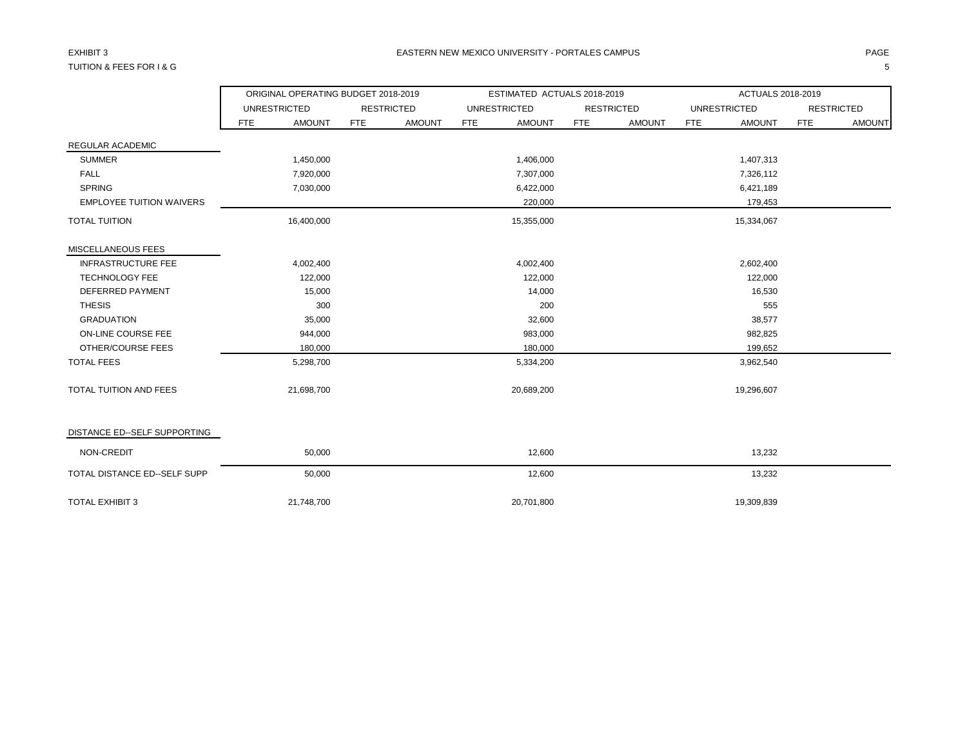# TUITION & FEES FOR I & G 5

|                                 |     | ORIGINAL OPERATING BUDGET 2018-2019 |            |                   |            | ESTIMATED ACTUALS 2018-2019 |            |                   |     | ACTUALS 2018-2019   |            |                   |
|---------------------------------|-----|-------------------------------------|------------|-------------------|------------|-----------------------------|------------|-------------------|-----|---------------------|------------|-------------------|
|                                 |     | <b>UNRESTRICTED</b>                 |            | <b>RESTRICTED</b> |            | <b>UNRESTRICTED</b>         |            | <b>RESTRICTED</b> |     | <b>UNRESTRICTED</b> |            | <b>RESTRICTED</b> |
|                                 | FTE | <b>AMOUNT</b>                       | <b>FTE</b> | <b>AMOUNT</b>     | <b>FTE</b> | <b>AMOUNT</b>               | <b>FTE</b> | <b>AMOUNT</b>     | FTE | <b>AMOUNT</b>       | <b>FTE</b> | <b>AMOUNT</b>     |
| REGULAR ACADEMIC                |     |                                     |            |                   |            |                             |            |                   |     |                     |            |                   |
| <b>SUMMER</b>                   |     | 1,450,000                           |            |                   |            | 1,406,000                   |            |                   |     | 1,407,313           |            |                   |
| <b>FALL</b>                     |     | 7,920,000                           |            |                   |            | 7,307,000                   |            |                   |     | 7,326,112           |            |                   |
| <b>SPRING</b>                   |     | 7,030,000                           |            |                   |            | 6,422,000                   |            |                   |     | 6,421,189           |            |                   |
| <b>EMPLOYEE TUITION WAIVERS</b> |     |                                     |            |                   |            | 220,000                     |            |                   |     | 179,453             |            |                   |
| <b>TOTAL TUITION</b>            |     | 16,400,000                          |            |                   |            | 15,355,000                  |            |                   |     | 15,334,067          |            |                   |
| MISCELLANEOUS FEES              |     |                                     |            |                   |            |                             |            |                   |     |                     |            |                   |
| <b>INFRASTRUCTURE FEE</b>       |     | 4,002,400                           |            |                   |            | 4,002,400                   |            |                   |     | 2,602,400           |            |                   |
| <b>TECHNOLOGY FEE</b>           |     | 122,000                             |            |                   |            | 122,000                     |            |                   |     | 122,000             |            |                   |
| DEFERRED PAYMENT                |     | 15,000                              |            |                   |            | 14,000                      |            |                   |     | 16,530              |            |                   |
| <b>THESIS</b>                   |     | 300                                 |            |                   |            | 200                         |            |                   |     | 555                 |            |                   |
| <b>GRADUATION</b>               |     | 35,000                              |            |                   |            | 32,600                      |            |                   |     | 38,577              |            |                   |
| ON-LINE COURSE FEE              |     | 944,000                             |            |                   |            | 983,000                     |            |                   |     | 982,825             |            |                   |
| OTHER/COURSE FEES               |     | 180,000                             |            |                   |            | 180,000                     |            |                   |     | 199,652             |            |                   |
| <b>TOTAL FEES</b>               |     | 5,298,700                           |            |                   |            | 5,334,200                   |            |                   |     | 3,962,540           |            |                   |
| <b>TOTAL TUITION AND FEES</b>   |     | 21,698,700                          |            |                   |            | 20,689,200                  |            |                   |     | 19,296,607          |            |                   |
| DISTANCE ED--SELF SUPPORTING    |     |                                     |            |                   |            |                             |            |                   |     |                     |            |                   |
| NON-CREDIT                      |     | 50,000                              |            |                   |            | 12,600                      |            |                   |     | 13,232              |            |                   |
| TOTAL DISTANCE ED--SELF SUPP    |     | 50,000                              |            |                   |            | 12,600                      |            |                   |     | 13,232              |            |                   |
| <b>TOTAL EXHIBIT 3</b>          |     | 21,748,700                          |            |                   |            | 20,701,800                  |            |                   |     | 19,309,839          |            |                   |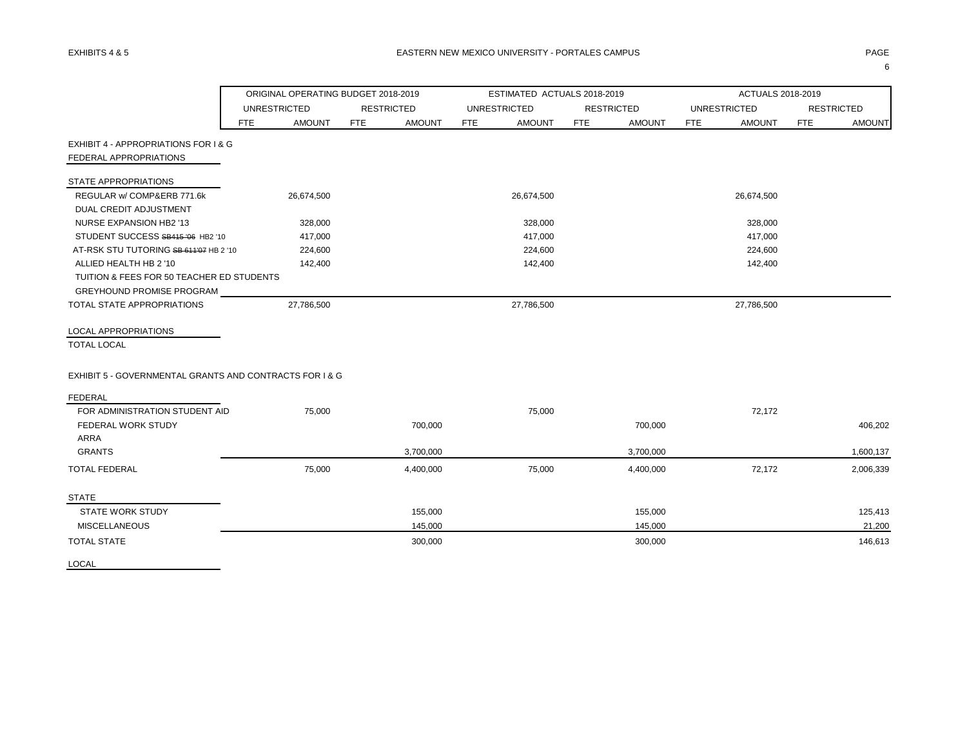|                                                         |     | ORIGINAL OPERATING BUDGET 2018-2019 |            |                   |     | ESTIMATED ACTUALS 2018-2019 |            |                   |            | ACTUALS 2018-2019   |            |                   |
|---------------------------------------------------------|-----|-------------------------------------|------------|-------------------|-----|-----------------------------|------------|-------------------|------------|---------------------|------------|-------------------|
|                                                         |     | <b>UNRESTRICTED</b>                 |            | <b>RESTRICTED</b> |     | <b>UNRESTRICTED</b>         |            | <b>RESTRICTED</b> |            | <b>UNRESTRICTED</b> |            | <b>RESTRICTED</b> |
|                                                         | FTE | <b>AMOUNT</b>                       | <b>FTE</b> | <b>AMOUNT</b>     | FTE | <b>AMOUNT</b>               | <b>FTE</b> | <b>AMOUNT</b>     | <b>FTE</b> | <b>AMOUNT</b>       | <b>FTE</b> | <b>AMOUNT</b>     |
| EXHIBIT 4 - APPROPRIATIONS FOR I & G                    |     |                                     |            |                   |     |                             |            |                   |            |                     |            |                   |
| FEDERAL APPROPRIATIONS                                  |     |                                     |            |                   |     |                             |            |                   |            |                     |            |                   |
| STATE APPROPRIATIONS                                    |     |                                     |            |                   |     |                             |            |                   |            |                     |            |                   |
| REGULAR w/ COMP&ERB 771.6k                              |     | 26,674,500                          |            |                   |     | 26,674,500                  |            |                   |            | 26,674,500          |            |                   |
| DUAL CREDIT ADJUSTMENT                                  |     |                                     |            |                   |     |                             |            |                   |            |                     |            |                   |
| NURSE EXPANSION HB2 '13                                 |     | 328,000                             |            |                   |     | 328,000                     |            |                   |            | 328,000             |            |                   |
| STUDENT SUCCESS SB415 '06 HB2 '10                       |     | 417,000                             |            |                   |     | 417,000                     |            |                   |            | 417,000             |            |                   |
| AT-RSK STU TUTORING SB-611'07 HB 2 '10                  |     | 224,600                             |            |                   |     | 224,600                     |            |                   |            | 224,600             |            |                   |
| ALLIED HEALTH HB 2 '10                                  |     | 142,400                             |            |                   |     | 142,400                     |            |                   |            | 142,400             |            |                   |
| TUITION & FEES FOR 50 TEACHER ED STUDENTS               |     |                                     |            |                   |     |                             |            |                   |            |                     |            |                   |
| GREYHOUND PROMISE PROGRAM                               |     |                                     |            |                   |     |                             |            |                   |            |                     |            |                   |
| TOTAL STATE APPROPRIATIONS                              |     | 27.786.500                          |            |                   |     | 27,786,500                  |            |                   |            | 27,786,500          |            |                   |
| <b>LOCAL APPROPRIATIONS</b>                             |     |                                     |            |                   |     |                             |            |                   |            |                     |            |                   |
| <b>TOTAL LOCAL</b>                                      |     |                                     |            |                   |     |                             |            |                   |            |                     |            |                   |
| EXHIBIT 5 - GOVERNMENTAL GRANTS AND CONTRACTS FOR 1 & G |     |                                     |            |                   |     |                             |            |                   |            |                     |            |                   |
| <b>FEDERAL</b>                                          |     |                                     |            |                   |     |                             |            |                   |            |                     |            |                   |
| FOR ADMINISTRATION STUDENT AID                          |     | 75,000                              |            |                   |     | 75,000                      |            |                   |            | 72,172              |            |                   |
| FEDERAL WORK STUDY                                      |     |                                     |            | 700,000           |     |                             |            | 700,000           |            |                     |            | 406,202           |
| <b>ARRA</b>                                             |     |                                     |            |                   |     |                             |            |                   |            |                     |            |                   |
| <b>GRANTS</b>                                           |     |                                     |            | 3,700,000         |     |                             |            | 3,700,000         |            |                     |            | 1,600,137         |
| <b>TOTAL FEDERAL</b>                                    |     | 75,000                              |            | 4,400,000         |     | 75,000                      |            | 4,400,000         |            | 72,172              |            | 2,006,339         |
| <b>STATE</b>                                            |     |                                     |            |                   |     |                             |            |                   |            |                     |            |                   |
| <b>STATE WORK STUDY</b>                                 |     |                                     |            | 155,000           |     |                             |            | 155,000           |            |                     |            | 125,413           |
| <b>MISCELLANEOUS</b>                                    |     |                                     |            | 145,000           |     |                             |            | 145,000           |            |                     |            | 21,200            |
| <b>TOTAL STATE</b>                                      |     |                                     |            | 300,000           |     |                             |            | 300,000           |            |                     |            | 146,613           |

LOCAL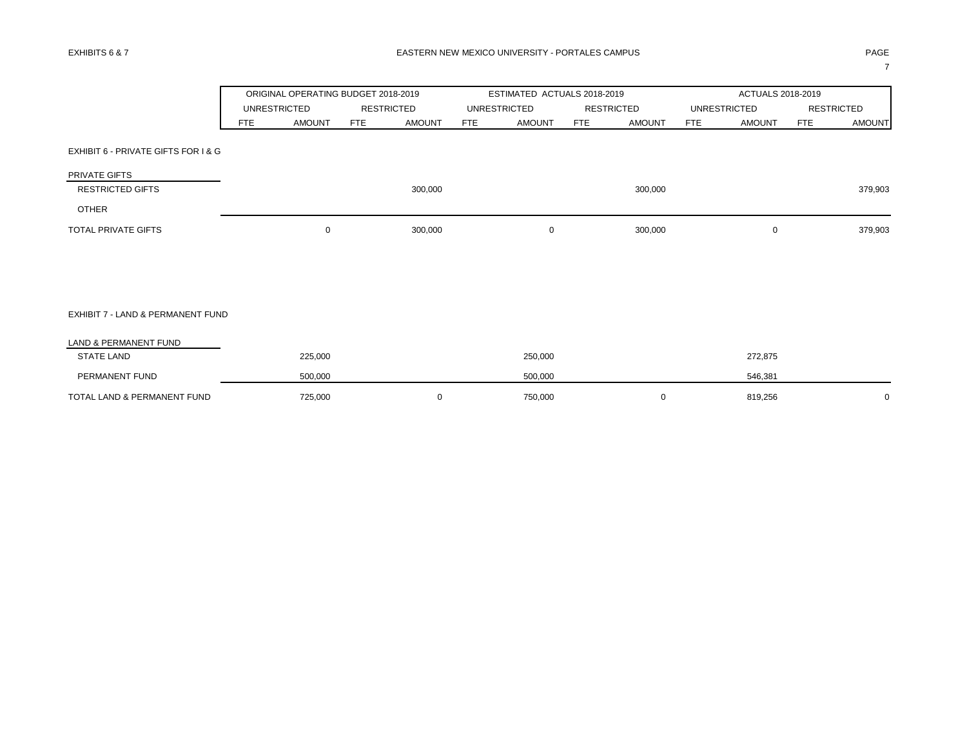|                                     |            | ORIGINAL OPERATING BUDGET 2018-2019 |                   |               |     | ESTIMATED ACTUALS 2018-2019 |            |                   |                     | ACTUALS 2018-2019 |            |                   |
|-------------------------------------|------------|-------------------------------------|-------------------|---------------|-----|-----------------------------|------------|-------------------|---------------------|-------------------|------------|-------------------|
|                                     |            | <b>UNRESTRICTED</b>                 | <b>RESTRICTED</b> |               |     | <b>UNRESTRICTED</b>         |            | <b>RESTRICTED</b> | <b>UNRESTRICTED</b> |                   |            | <b>RESTRICTED</b> |
|                                     | <b>FTE</b> | <b>AMOUNT</b>                       | <b>FTE</b>        | <b>AMOUNT</b> | FTE | <b>AMOUNT</b>               | <b>FTE</b> | <b>AMOUNT</b>     | <b>FTE</b>          | <b>AMOUNT</b>     | <b>FTE</b> | <b>AMOUNT</b>     |
| EXHIBIT 6 - PRIVATE GIFTS FOR I & G |            |                                     |                   |               |     |                             |            |                   |                     |                   |            |                   |
| PRIVATE GIFTS                       |            |                                     |                   |               |     |                             |            |                   |                     |                   |            |                   |
| <b>RESTRICTED GIFTS</b>             |            |                                     |                   | 300,000       |     |                             |            | 300,000           |                     |                   |            | 379,903           |
| <b>OTHER</b>                        |            |                                     |                   |               |     |                             |            |                   |                     |                   |            |                   |
| TOTAL PRIVATE GIFTS                 |            | $\mathbf 0$                         |                   | 300,000       |     | 0                           |            | 300,000           |                     | $\mathbf 0$       |            | 379,903           |
|                                     |            |                                     |                   |               |     |                             |            |                   |                     |                   |            |                   |
| EXHIBIT 7 - LAND & PERMANENT FUND   |            |                                     |                   |               |     |                             |            |                   |                     |                   |            |                   |
| LAND & PERMANENT FUND               |            |                                     |                   |               |     |                             |            |                   |                     |                   |            |                   |
| <b>STATE LAND</b>                   |            | 225,000                             |                   |               |     | 250,000                     |            |                   |                     | 272,875           |            |                   |
| PERMANENT FUND                      |            | 500,000                             |                   |               |     | 500,000                     |            |                   |                     | 546,381           |            |                   |
| TOTAL LAND & PERMANENT FUND         |            | 725,000                             |                   | 0             |     | 750,000                     |            | 0                 |                     | 819,256           |            | 0                 |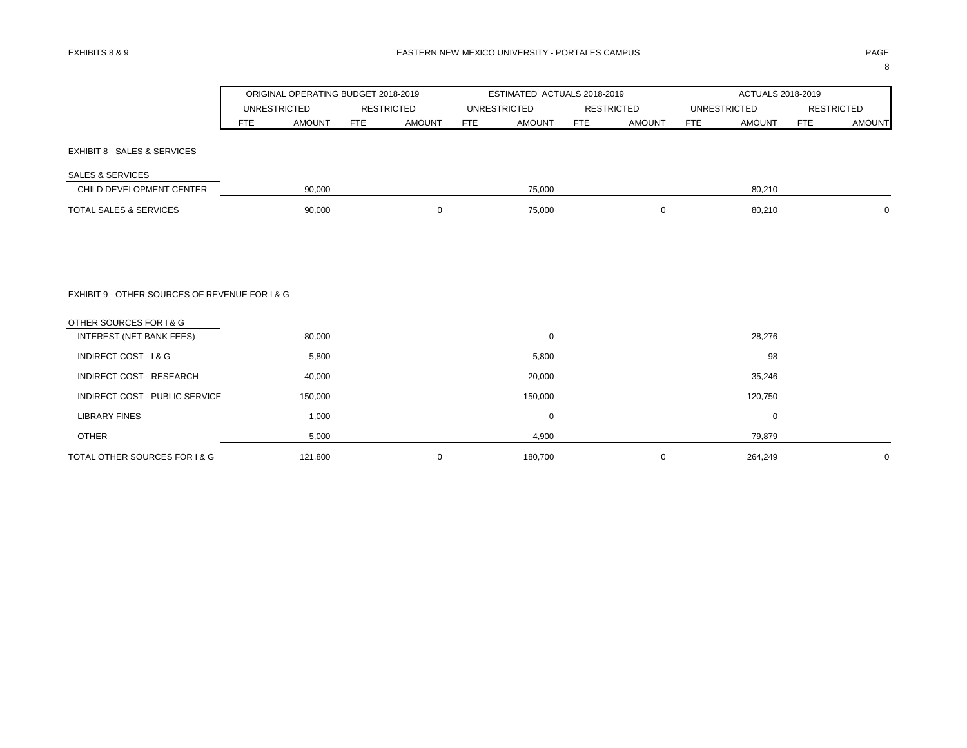8

|                                                |                     | ORIGINAL OPERATING BUDGET 2018-2019 |                   |               |            | ESTIMATED ACTUALS 2018-2019 |            |                   |                     | ACTUALS 2018-2019 |                   |               |
|------------------------------------------------|---------------------|-------------------------------------|-------------------|---------------|------------|-----------------------------|------------|-------------------|---------------------|-------------------|-------------------|---------------|
|                                                | <b>UNRESTRICTED</b> |                                     | <b>RESTRICTED</b> |               |            | <b>UNRESTRICTED</b>         |            | <b>RESTRICTED</b> | <b>UNRESTRICTED</b> |                   | <b>RESTRICTED</b> |               |
|                                                | <b>FTE</b>          | <b>AMOUNT</b>                       | <b>FTE</b>        | <b>AMOUNT</b> | <b>FTE</b> | <b>AMOUNT</b>               | <b>FTE</b> | <b>AMOUNT</b>     | <b>FTE</b>          | <b>AMOUNT</b>     | <b>FTE</b>        | <b>AMOUNT</b> |
| EXHIBIT 8 - SALES & SERVICES                   |                     |                                     |                   |               |            |                             |            |                   |                     |                   |                   |               |
| <b>SALES &amp; SERVICES</b>                    |                     |                                     |                   |               |            |                             |            |                   |                     |                   |                   |               |
| CHILD DEVELOPMENT CENTER                       |                     | 90,000                              |                   |               |            | 75,000                      |            |                   |                     | 80,210            |                   |               |
| TOTAL SALES & SERVICES                         |                     | 90,000                              |                   | $\mathbf 0$   |            | 75,000                      |            | 0                 |                     | 80,210            |                   | 0             |
|                                                |                     |                                     |                   |               |            |                             |            |                   |                     |                   |                   |               |
|                                                |                     |                                     |                   |               |            |                             |            |                   |                     |                   |                   |               |
|                                                |                     |                                     |                   |               |            |                             |            |                   |                     |                   |                   |               |
| EXHIBIT 9 - OTHER SOURCES OF REVENUE FOR I & G |                     |                                     |                   |               |            |                             |            |                   |                     |                   |                   |               |
| OTHER SOURCES FOR I & G                        |                     |                                     |                   |               |            |                             |            |                   |                     |                   |                   |               |
| <b>INTEREST (NET BANK FEES)</b>                |                     | $-80,000$                           |                   |               |            | 0                           |            |                   |                     | 28,276            |                   |               |
| INDIRECT COST - I & G                          |                     | 5,800                               |                   |               |            | 5,800                       |            |                   |                     | 98                |                   |               |
| INDIRECT COST - RESEARCH                       |                     | 40,000                              |                   |               |            | 20,000                      |            |                   |                     | 35,246            |                   |               |
| INDIRECT COST - PUBLIC SERVICE                 |                     | 150,000                             |                   |               |            | 150,000                     |            |                   |                     | 120,750           |                   |               |
| <b>LIBRARY FINES</b>                           |                     | 1,000                               |                   |               |            | $\mathbf 0$                 |            |                   |                     | $\pmb{0}$         |                   |               |
| <b>OTHER</b>                                   |                     | 5,000                               |                   |               |            | 4,900                       |            |                   |                     | 79,879            |                   |               |
| TOTAL OTHER SOURCES FOR I & G                  |                     | 121,800                             |                   | 0             |            | 180,700                     |            | 0                 |                     | 264,249           |                   | $\mathbf 0$   |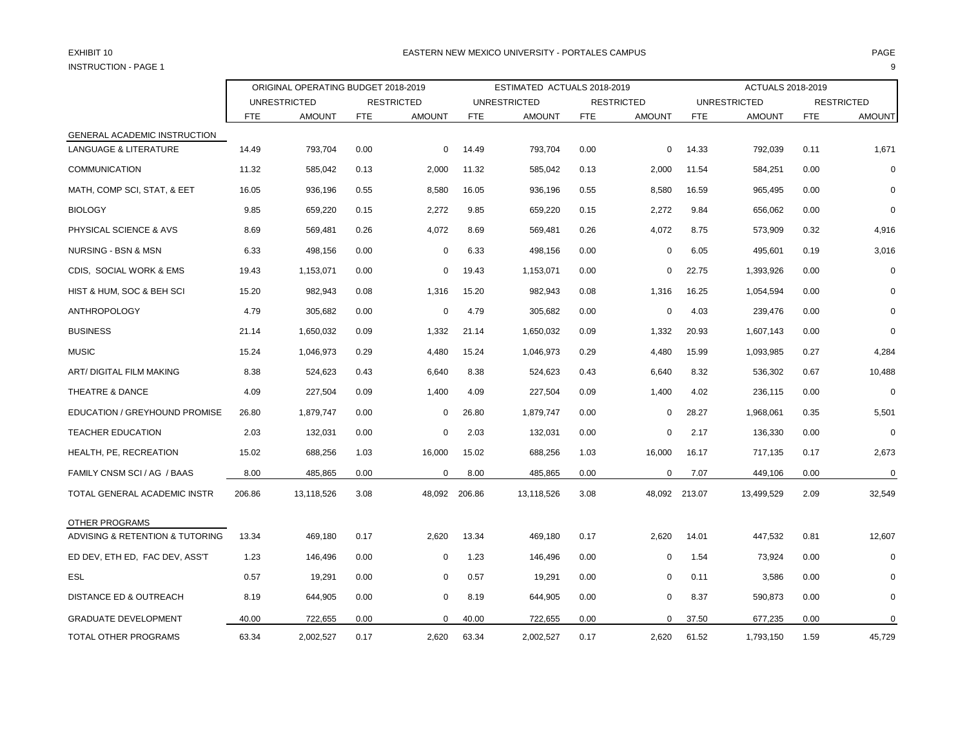# INSTRUCTION - PAGE 1 9

### EXHIBIT 10 PAGE PAGE IN THE SERVICE OF THE SERVICE OF THE SERVICE OF THE SERVICE OF THE SERVICE OF THE SERVICE OF THE SERVICE OF THE SERVICE OF THE SERVICE OF THE SERVICE OF THE SERVICE OF THE SERVICE OF THE SERVICE OF THE

|                                   | ORIGINAL OPERATING BUDGET 2018-2019 |                     |            |                   |            | ESTIMATED ACTUALS 2018-2019 |            |                   |               | ACTUALS 2018-2019   |            |                   |
|-----------------------------------|-------------------------------------|---------------------|------------|-------------------|------------|-----------------------------|------------|-------------------|---------------|---------------------|------------|-------------------|
|                                   |                                     | <b>UNRESTRICTED</b> |            | <b>RESTRICTED</b> |            | <b>UNRESTRICTED</b>         |            | <b>RESTRICTED</b> |               | <b>UNRESTRICTED</b> |            | <b>RESTRICTED</b> |
|                                   | FTE                                 | <b>AMOUNT</b>       | <b>FTE</b> | <b>AMOUNT</b>     | <b>FTE</b> | <b>AMOUNT</b>               | <b>FTE</b> | <b>AMOUNT</b>     | <b>FTE</b>    | <b>AMOUNT</b>       | <b>FTE</b> | <b>AMOUNT</b>     |
| GENERAL ACADEMIC INSTRUCTION      |                                     |                     |            |                   |            |                             |            |                   |               |                     |            |                   |
| <b>LANGUAGE &amp; LITERATURE</b>  | 14.49                               | 793,704             | 0.00       | 0                 | 14.49      | 793,704                     | 0.00       | $\mathbf 0$       | 14.33         | 792,039             | 0.11       | 1,671             |
| <b>COMMUNICATION</b>              | 11.32                               | 585,042             | 0.13       | 2,000             | 11.32      | 585,042                     | 0.13       | 2,000             | 11.54         | 584,251             | 0.00       | 0                 |
| MATH, COMP SCI, STAT, & EET       | 16.05                               | 936,196             | 0.55       | 8,580             | 16.05      | 936,196                     | 0.55       | 8,580             | 16.59         | 965,495             | 0.00       | $\Omega$          |
| <b>BIOLOGY</b>                    | 9.85                                | 659,220             | 0.15       | 2,272             | 9.85       | 659,220                     | 0.15       | 2,272             | 9.84          | 656,062             | 0.00       | 0                 |
| PHYSICAL SCIENCE & AVS            | 8.69                                | 569,481             | 0.26       | 4,072             | 8.69       | 569,481                     | 0.26       | 4,072             | 8.75          | 573,909             | 0.32       | 4,916             |
| NURSING - BSN & MSN               | 6.33                                | 498,156             | 0.00       | 0                 | 6.33       | 498,156                     | 0.00       | 0                 | 6.05          | 495,601             | 0.19       | 3,016             |
| CDIS, SOCIAL WORK & EMS           | 19.43                               | 1,153,071           | 0.00       | $\mathbf 0$       | 19.43      | 1,153,071                   | 0.00       | $\mathbf 0$       | 22.75         | 1,393,926           | 0.00       | $\mathbf 0$       |
| HIST & HUM, SOC & BEH SCI         | 15.20                               | 982,943             | 0.08       | 1,316             | 15.20      | 982,943                     | 0.08       | 1,316             | 16.25         | 1,054,594           | 0.00       | 0                 |
| <b>ANTHROPOLOGY</b>               | 4.79                                | 305,682             | 0.00       | $\mathbf 0$       | 4.79       | 305,682                     | 0.00       | $\mathbf 0$       | 4.03          | 239,476             | 0.00       | $\mathbf 0$       |
| <b>BUSINESS</b>                   | 21.14                               | 1,650,032           | 0.09       | 1,332             | 21.14      | 1,650,032                   | 0.09       | 1,332             | 20.93         | 1,607,143           | 0.00       | 0                 |
| <b>MUSIC</b>                      | 15.24                               | 1,046,973           | 0.29       | 4,480             | 15.24      | 1,046,973                   | 0.29       | 4,480             | 15.99         | 1,093,985           | 0.27       | 4,284             |
| ART/ DIGITAL FILM MAKING          | 8.38                                | 524,623             | 0.43       | 6,640             | 8.38       | 524,623                     | 0.43       | 6,640             | 8.32          | 536,302             | 0.67       | 10,488            |
| THEATRE & DANCE                   | 4.09                                | 227,504             | 0.09       | 1,400             | 4.09       | 227,504                     | 0.09       | 1,400             | 4.02          | 236,115             | 0.00       | $\pmb{0}$         |
| EDUCATION / GREYHOUND PROMISE     | 26.80                               | 1,879,747           | 0.00       | $\Omega$          | 26.80      | 1,879,747                   | 0.00       | $\mathbf 0$       | 28.27         | 1,968,061           | 0.35       | 5,501             |
| <b>TEACHER EDUCATION</b>          | 2.03                                | 132,031             | 0.00       | $\Omega$          | 2.03       | 132,031                     | 0.00       | 0                 | 2.17          | 136,330             | 0.00       | $\mathbf 0$       |
| HEALTH, PE, RECREATION            | 15.02                               | 688,256             | 1.03       | 16,000            | 15.02      | 688,256                     | 1.03       | 16,000            | 16.17         | 717,135             | 0.17       | 2,673             |
| FAMILY CNSM SCI / AG / BAAS       | 8.00                                | 485,865             | 0.00       | 0                 | 8.00       | 485,865                     | 0.00       | $\mathbf 0$       | 7.07          | 449,106             | 0.00       | $\mathbf 0$       |
| TOTAL GENERAL ACADEMIC INSTR      | 206.86                              | 13,118,526          | 3.08       | 48,092            | 206.86     | 13,118,526                  | 3.08       |                   | 48,092 213.07 | 13,499,529          | 2.09       | 32,549            |
| OTHER PROGRAMS                    |                                     |                     |            |                   |            |                             |            |                   |               |                     |            |                   |
| ADVISING & RETENTION & TUTORING   | 13.34                               | 469,180             | 0.17       | 2,620             | 13.34      | 469,180                     | 0.17       | 2,620             | 14.01         | 447,532             | 0.81       | 12,607            |
| ED DEV, ETH ED, FAC DEV, ASS'T    | 1.23                                | 146,496             | 0.00       | $\Omega$          | 1.23       | 146,496                     | 0.00       | 0                 | 1.54          | 73,924              | 0.00       | $\mathbf 0$       |
| <b>ESL</b>                        | 0.57                                | 19,291              | 0.00       | $\Omega$          | 0.57       | 19,291                      | 0.00       | $\mathbf 0$       | 0.11          | 3,586               | 0.00       | 0                 |
| <b>DISTANCE ED &amp; OUTREACH</b> | 8.19                                | 644,905             | 0.00       | $\mathbf 0$       | 8.19       | 644,905                     | 0.00       | $\mathbf 0$       | 8.37          | 590,873             | 0.00       | $\mathbf 0$       |
| <b>GRADUATE DEVELOPMENT</b>       | 40.00                               | 722,655             | 0.00       | $\Omega$          | 40.00      | 722,655                     | 0.00       | $\Omega$          | 37.50         | 677,235             | 0.00       | $\mathbf 0$       |
| TOTAL OTHER PROGRAMS              | 63.34                               | 2,002,527           | 0.17       | 2,620             | 63.34      | 2,002,527                   | 0.17       | 2,620             | 61.52         | 1,793,150           | 1.59       | 45,729            |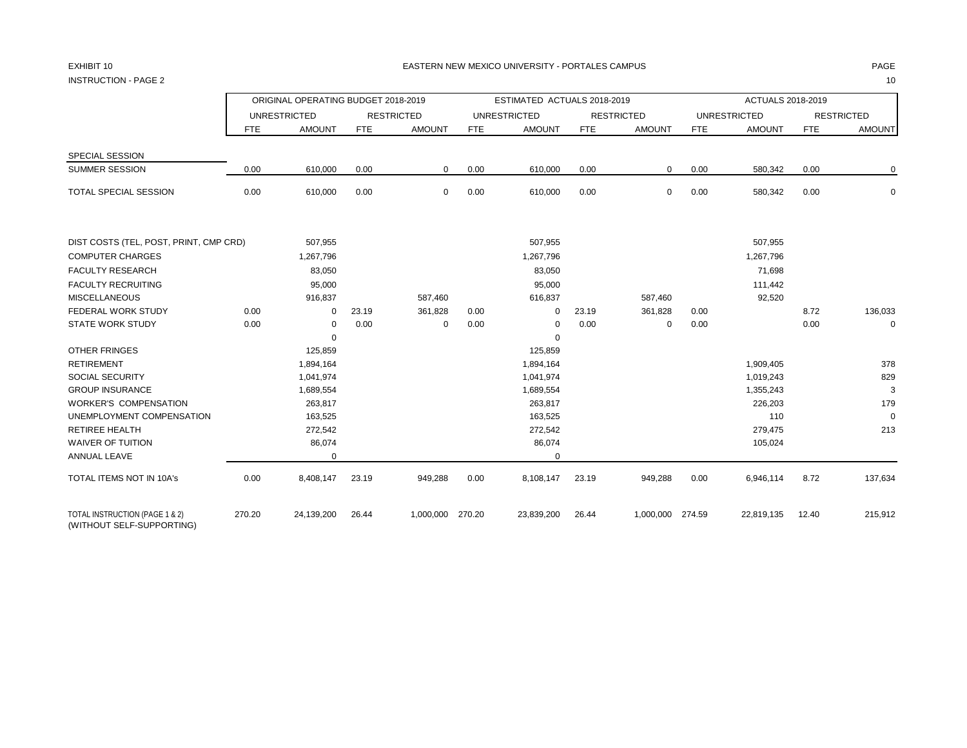INSTRUCTION - PAGE 2 10

|                                                                   |        | ORIGINAL OPERATING BUDGET 2018-2019 |            |                   |        | ESTIMATED ACTUALS 2018-2019 |            |                   |        | ACTUALS 2018-2019    |            |                   |
|-------------------------------------------------------------------|--------|-------------------------------------|------------|-------------------|--------|-----------------------------|------------|-------------------|--------|----------------------|------------|-------------------|
|                                                                   |        | <b>UNRESTRICTED</b>                 |            | <b>RESTRICTED</b> |        | <b>UNRESTRICTED</b>         |            | <b>RESTRICTED</b> |        | <b>UNRESTRICTED</b>  |            | <b>RESTRICTED</b> |
|                                                                   | FTE    | <b>AMOUNT</b>                       | <b>FTE</b> | <b>AMOUNT</b>     | FTE    | <b>AMOUNT</b>               | <b>FTE</b> | <b>AMOUNT</b>     | FTE    | <b>AMOUNT</b>        | <b>FTE</b> | <b>AMOUNT</b>     |
| SPECIAL SESSION                                                   |        |                                     |            |                   |        |                             |            |                   |        |                      |            |                   |
| <b>SUMMER SESSION</b>                                             | 0.00   | 610,000                             | 0.00       | $\mathbf{0}$      | 0.00   | 610,000                     | 0.00       | $\mathbf{0}$      | 0.00   | 580,342              | 0.00       | 0                 |
| TOTAL SPECIAL SESSION                                             | 0.00   | 610,000                             | 0.00       | $\mathbf 0$       | 0.00   | 610,000                     | 0.00       | $\mathbf 0$       | 0.00   | 580,342              | 0.00       | $\mathbf 0$       |
|                                                                   |        |                                     |            |                   |        |                             |            |                   |        |                      |            |                   |
| DIST COSTS (TEL, POST, PRINT, CMP CRD)<br><b>COMPUTER CHARGES</b> |        | 507,955<br>1,267,796                |            |                   |        | 507,955<br>1,267,796        |            |                   |        | 507,955<br>1,267,796 |            |                   |
| <b>FACULTY RESEARCH</b>                                           |        |                                     |            |                   |        |                             |            |                   |        |                      |            |                   |
| <b>FACULTY RECRUITING</b>                                         |        | 83,050                              |            |                   |        | 83,050                      |            |                   |        | 71,698               |            |                   |
| <b>MISCELLANEOUS</b>                                              |        | 95,000<br>916,837                   |            | 587,460           |        | 95,000<br>616,837           |            | 587,460           |        | 111,442<br>92,520    |            |                   |
| <b>FEDERAL WORK STUDY</b>                                         | 0.00   | $\mathbf 0$                         | 23.19      | 361,828           | 0.00   | $\mathbf 0$                 | 23.19      | 361,828           | 0.00   |                      | 8.72       | 136,033           |
| <b>STATE WORK STUDY</b>                                           | 0.00   | 0                                   | 0.00       | $\pmb{0}$         | 0.00   | 0                           | 0.00       | 0                 | 0.00   |                      | 0.00       | $\mathbf 0$       |
|                                                                   |        | $\mathbf 0$                         |            |                   |        | $\mathbf 0$                 |            |                   |        |                      |            |                   |
| <b>OTHER FRINGES</b>                                              |        | 125,859                             |            |                   |        | 125,859                     |            |                   |        |                      |            |                   |
| <b>RETIREMENT</b>                                                 |        | 1,894,164                           |            |                   |        | 1,894,164                   |            |                   |        | 1,909,405            |            | 378               |
| <b>SOCIAL SECURITY</b>                                            |        | 1,041,974                           |            |                   |        | 1,041,974                   |            |                   |        | 1,019,243            |            | 829               |
| <b>GROUP INSURANCE</b>                                            |        | 1,689,554                           |            |                   |        | 1,689,554                   |            |                   |        | 1,355,243            |            | 3                 |
| <b>WORKER'S COMPENSATION</b>                                      |        | 263,817                             |            |                   |        | 263,817                     |            |                   |        | 226,203              |            | 179               |
| UNEMPLOYMENT COMPENSATION                                         |        | 163,525                             |            |                   |        | 163,525                     |            |                   |        | 110                  |            | $\mathbf 0$       |
| <b>RETIREE HEALTH</b>                                             |        | 272,542                             |            |                   |        | 272,542                     |            |                   |        | 279,475              |            | 213               |
| <b>WAIVER OF TUITION</b>                                          |        | 86,074                              |            |                   |        | 86,074                      |            |                   |        | 105,024              |            |                   |
| ANNUAL LEAVE                                                      |        | $\mathbf 0$                         |            |                   |        | 0                           |            |                   |        |                      |            |                   |
| TOTAL ITEMS NOT IN 10A's                                          | 0.00   | 8,408,147                           | 23.19      | 949,288           | 0.00   | 8,108,147                   | 23.19      | 949,288           | 0.00   | 6,946,114            | 8.72       | 137,634           |
| TOTAL INSTRUCTION (PAGE 1 & 2)<br>(WITHOUT SELF-SUPPORTING)       | 270.20 | 24,139,200                          | 26.44      | 1,000,000         | 270.20 | 23,839,200                  | 26.44      | 1,000,000         | 274.59 | 22,819,135           | 12.40      | 215,912           |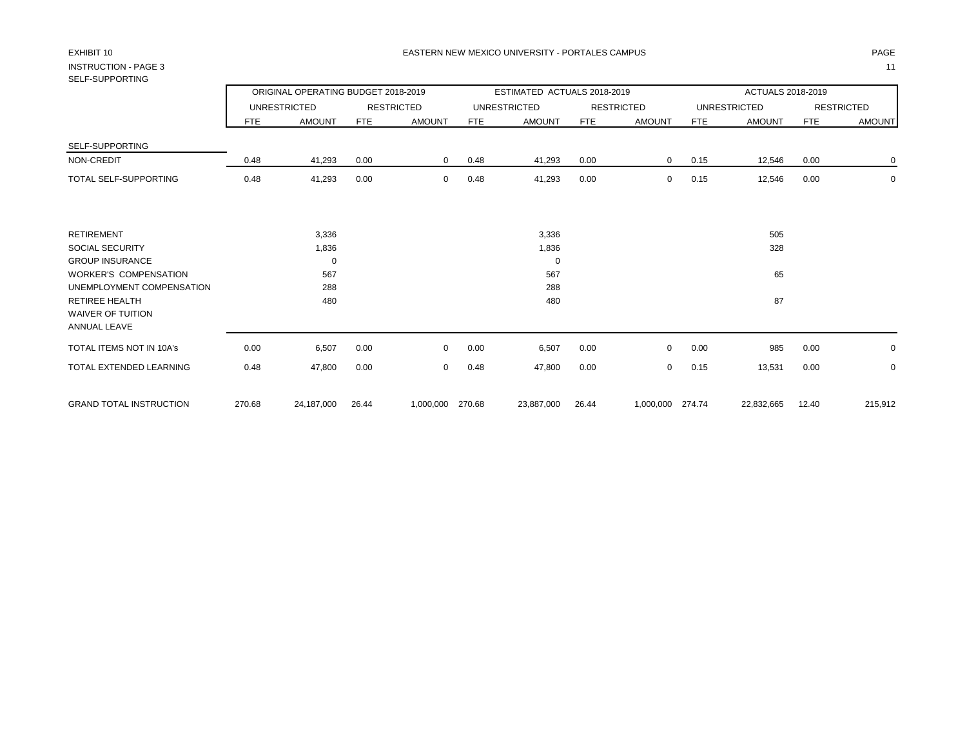# INSTRUCTION - PAGE 3 11 SELF-SUPPORTING

| טווווט ווטט־ובט                          |        |                                     |       |                   |      |                             |            |                   |      |                     |            |                   |
|------------------------------------------|--------|-------------------------------------|-------|-------------------|------|-----------------------------|------------|-------------------|------|---------------------|------------|-------------------|
|                                          |        | ORIGINAL OPERATING BUDGET 2018-2019 |       |                   |      | ESTIMATED ACTUALS 2018-2019 |            |                   |      | ACTUALS 2018-2019   |            |                   |
|                                          |        | <b>UNRESTRICTED</b>                 |       | <b>RESTRICTED</b> |      | <b>UNRESTRICTED</b>         |            | <b>RESTRICTED</b> |      | <b>UNRESTRICTED</b> |            | <b>RESTRICTED</b> |
|                                          | FTE    | <b>AMOUNT</b>                       | FTE   | <b>AMOUNT</b>     | FTE  | <b>AMOUNT</b>               | <b>FTE</b> | <b>AMOUNT</b>     | FTE  | <b>AMOUNT</b>       | <b>FTE</b> | <b>AMOUNT</b>     |
| SELF-SUPPORTING                          |        |                                     |       |                   |      |                             |            |                   |      |                     |            |                   |
| <b>NON-CREDIT</b>                        | 0.48   | 41,293                              | 0.00  | $\mathbf{0}$      | 0.48 | 41,293                      | 0.00       | $\mathbf{0}$      | 0.15 | 12,546              | 0.00       | 0                 |
| TOTAL SELF-SUPPORTING                    | 0.48   | 41,293                              | 0.00  | $\mathbf{0}$      | 0.48 | 41,293                      | 0.00       | $\mathbf 0$       | 0.15 | 12,546              | 0.00       | $\mathbf 0$       |
|                                          |        |                                     |       |                   |      |                             |            |                   |      |                     |            |                   |
| <b>RETIREMENT</b>                        |        | 3,336                               |       |                   |      | 3,336                       |            |                   |      | 505                 |            |                   |
| SOCIAL SECURITY                          |        | 1,836                               |       |                   |      | 1,836                       |            |                   |      | 328                 |            |                   |
| <b>GROUP INSURANCE</b>                   |        | $\Omega$                            |       |                   |      | $\mathbf 0$                 |            |                   |      |                     |            |                   |
| WORKER'S COMPENSATION                    |        | 567                                 |       |                   |      | 567                         |            |                   |      | 65                  |            |                   |
| UNEMPLOYMENT COMPENSATION                |        | 288                                 |       |                   |      | 288                         |            |                   |      |                     |            |                   |
| RETIREE HEALTH                           |        | 480                                 |       |                   |      | 480                         |            |                   |      | 87                  |            |                   |
| WAIVER OF TUITION<br><b>ANNUAL LEAVE</b> |        |                                     |       |                   |      |                             |            |                   |      |                     |            |                   |
| TOTAL ITEMS NOT IN 10A's                 | 0.00   | 6,507                               | 0.00  | $\Omega$          | 0.00 | 6,507                       | 0.00       | $\Omega$          | 0.00 | 985                 | 0.00       | 0                 |
| TOTAL EXTENDED LEARNING                  | 0.48   | 47,800                              | 0.00  | $\Omega$          | 0.48 | 47,800                      | 0.00       | $\mathbf 0$       | 0.15 | 13,531              | 0.00       | $\mathbf 0$       |
| <b>GRAND TOTAL INSTRUCTION</b>           | 270.68 | 24,187,000                          | 26.44 | 1,000,000 270.68  |      | 23,887,000                  | 26.44      | 1,000,000 274.74  |      | 22,832,665          | 12.40      | 215,912           |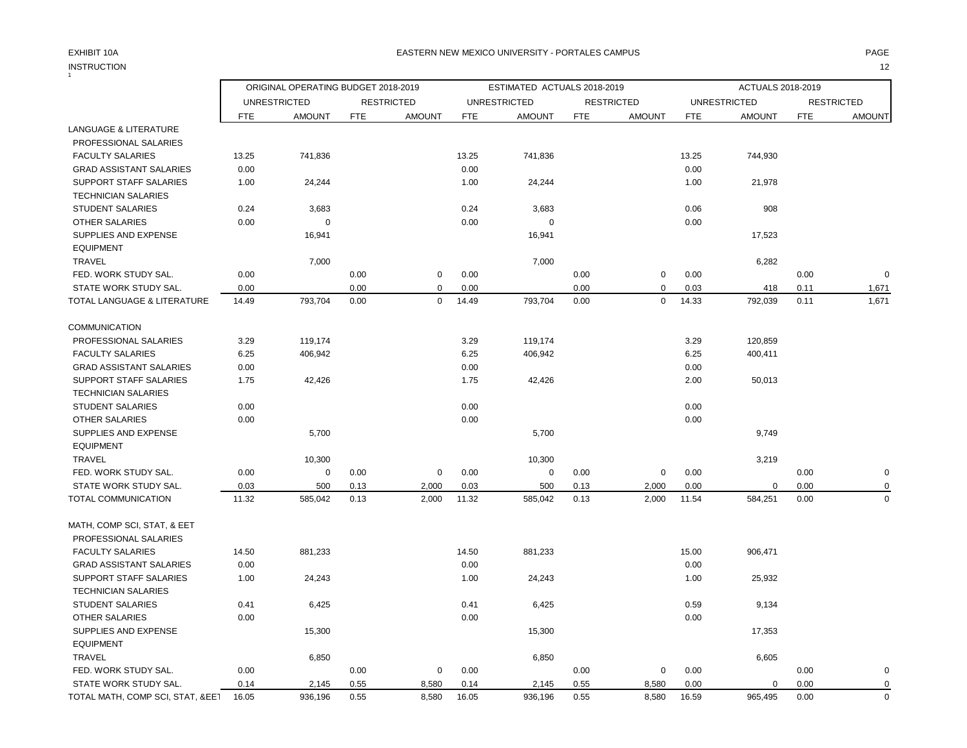# INSTRUCTION 12 INSTRUCTION

## EXHIBIT 10A PAGE EASTERN NEW MEXICO UNIVERSITY - PORTALES CAMPUS

|                                  |               | ORIGINAL OPERATING BUDGET 2018-2019 |              |                   |               | ESTIMATED ACTUALS 2018-2019 |            |                   |               | ACTUALS 2018-2019   |              |                   |
|----------------------------------|---------------|-------------------------------------|--------------|-------------------|---------------|-----------------------------|------------|-------------------|---------------|---------------------|--------------|-------------------|
|                                  |               | <b>UNRESTRICTED</b>                 |              | <b>RESTRICTED</b> |               | <b>UNRESTRICTED</b>         |            | <b>RESTRICTED</b> |               | <b>UNRESTRICTED</b> |              | <b>RESTRICTED</b> |
|                                  | <b>FTE</b>    | <b>AMOUNT</b>                       | <b>FTE</b>   | <b>AMOUNT</b>     | <b>FTE</b>    | <b>AMOUNT</b>               | <b>FTE</b> | <b>AMOUNT</b>     | <b>FTE</b>    | <b>AMOUNT</b>       | <b>FTE</b>   | <b>AMOUNT</b>     |
| LANGUAGE & LITERATURE            |               |                                     |              |                   |               |                             |            |                   |               |                     |              |                   |
| PROFESSIONAL SALARIES            |               |                                     |              |                   |               |                             |            |                   |               |                     |              |                   |
| <b>FACULTY SALARIES</b>          | 13.25         | 741,836                             |              |                   | 13.25         | 741,836                     |            |                   | 13.25         | 744,930             |              |                   |
| <b>GRAD ASSISTANT SALARIES</b>   | 0.00          |                                     |              |                   | 0.00          |                             |            |                   | 0.00          |                     |              |                   |
| SUPPORT STAFF SALARIES           | 1.00          | 24,244                              |              |                   | 1.00          | 24,244                      |            |                   | 1.00          | 21,978              |              |                   |
| <b>TECHNICIAN SALARIES</b>       |               |                                     |              |                   |               |                             |            |                   |               |                     |              |                   |
| STUDENT SALARIES                 | 0.24          | 3,683                               |              |                   | 0.24          | 3,683                       |            |                   | 0.06          | 908                 |              |                   |
| <b>OTHER SALARIES</b>            | 0.00          | $\mathbf 0$                         |              |                   | 0.00          | $\mathbf 0$                 |            |                   | 0.00          |                     |              |                   |
| <b>SUPPLIES AND EXPENSE</b>      |               | 16,941                              |              |                   |               | 16,941                      |            |                   |               | 17,523              |              |                   |
| <b>EQUIPMENT</b>                 |               |                                     |              |                   |               |                             |            |                   |               |                     |              |                   |
| <b>TRAVEL</b>                    |               | 7,000                               |              |                   |               | 7,000                       |            |                   |               | 6,282               |              |                   |
| FED. WORK STUDY SAL.             | 0.00          |                                     | 0.00         | $\mathbf 0$       | 0.00          |                             | 0.00       | 0                 | 0.00          |                     | 0.00         | $\mathbf 0$       |
| STATE WORK STUDY SAL.            | 0.00          |                                     | 0.00         | $\mathbf 0$       | 0.00          |                             | 0.00       | $\mathsf 0$       | 0.03          | 418                 | 0.11         | 1,671             |
| TOTAL LANGUAGE & LITERATURE      | 14.49         | 793,704                             | 0.00         | $\mathbf 0$       | 14.49         | 793,704                     | 0.00       | $\mathbf 0$       | 14.33         | 792,039             | 0.11         | 1,671             |
| <b>COMMUNICATION</b>             |               |                                     |              |                   |               |                             |            |                   |               |                     |              |                   |
| PROFESSIONAL SALARIES            | 3.29          | 119,174                             |              |                   | 3.29          | 119,174                     |            |                   | 3.29          | 120,859             |              |                   |
| <b>FACULTY SALARIES</b>          | 6.25          | 406,942                             |              |                   | 6.25          | 406,942                     |            |                   | 6.25          | 400,411             |              |                   |
| <b>GRAD ASSISTANT SALARIES</b>   | 0.00          |                                     |              |                   | 0.00          |                             |            |                   | 0.00          |                     |              |                   |
| SUPPORT STAFF SALARIES           |               |                                     |              |                   |               |                             |            |                   | 2.00          | 50,013              |              |                   |
| <b>TECHNICIAN SALARIES</b>       | 1.75          | 42,426                              |              |                   | 1.75          | 42,426                      |            |                   |               |                     |              |                   |
|                                  |               |                                     |              |                   |               |                             |            |                   |               |                     |              |                   |
| <b>STUDENT SALARIES</b>          | 0.00          |                                     |              |                   | 0.00          |                             |            |                   | 0.00          |                     |              |                   |
| <b>OTHER SALARIES</b>            | 0.00          |                                     |              |                   | 0.00          |                             |            |                   | 0.00          |                     |              |                   |
| SUPPLIES AND EXPENSE             |               | 5,700                               |              |                   |               | 5,700                       |            |                   |               | 9,749               |              |                   |
| <b>EQUIPMENT</b>                 |               |                                     |              |                   |               |                             |            |                   |               |                     |              |                   |
| TRAVEL                           |               | 10,300                              |              |                   |               | 10,300                      |            |                   |               | 3,219               |              |                   |
| FED. WORK STUDY SAL.             | 0.00          | $\mathbf 0$                         | 0.00         | $\mathbf 0$       | 0.00          | $\mathbf 0$                 | 0.00       | $\mathbf 0$       | 0.00          |                     | 0.00         | $\mathbf 0$       |
| STATE WORK STUDY SAL.            | 0.03<br>11.32 | 500<br>585,042                      | 0.13<br>0.13 | 2,000<br>2,000    | 0.03<br>11.32 | 500                         | 0.13       | 2,000<br>2,000    | 0.00<br>11.54 | $\mathbf 0$         | 0.00<br>0.00 | 0<br>$\mathbf 0$  |
| TOTAL COMMUNICATION              |               |                                     |              |                   |               | 585,042                     | 0.13       |                   |               | 584,251             |              |                   |
| MATH, COMP SCI, STAT, & EET      |               |                                     |              |                   |               |                             |            |                   |               |                     |              |                   |
| PROFESSIONAL SALARIES            |               |                                     |              |                   |               |                             |            |                   |               |                     |              |                   |
| <b>FACULTY SALARIES</b>          | 14.50         | 881,233                             |              |                   | 14.50         | 881,233                     |            |                   | 15.00         | 906,471             |              |                   |
| <b>GRAD ASSISTANT SALARIES</b>   | 0.00          |                                     |              |                   | 0.00          |                             |            |                   | 0.00          |                     |              |                   |
| SUPPORT STAFF SALARIES           | 1.00          | 24,243                              |              |                   | 1.00          | 24,243                      |            |                   | 1.00          | 25,932              |              |                   |
| <b>TECHNICIAN SALARIES</b>       |               |                                     |              |                   |               |                             |            |                   |               |                     |              |                   |
| <b>STUDENT SALARIES</b>          | 0.41          | 6,425                               |              |                   | 0.41          | 6,425                       |            |                   | 0.59          | 9,134               |              |                   |
| <b>OTHER SALARIES</b>            | 0.00          |                                     |              |                   | 0.00          |                             |            |                   | 0.00          |                     |              |                   |
| SUPPLIES AND EXPENSE             |               | 15,300                              |              |                   |               | 15,300                      |            |                   |               | 17,353              |              |                   |
| <b>EQUIPMENT</b>                 |               |                                     |              |                   |               |                             |            |                   |               |                     |              |                   |
| <b>TRAVEL</b>                    |               | 6,850                               |              |                   |               | 6,850                       |            |                   |               | 6,605               |              |                   |
| FED. WORK STUDY SAL.             | 0.00          |                                     | 0.00         | $\mathbf 0$       | 0.00          |                             | 0.00       | $\mathbf 0$       | 0.00          |                     | 0.00         | $\mathbf 0$       |
| STATE WORK STUDY SAL.            | 0.14          | 2,145                               | 0.55         | 8,580             | 0.14          | 2,145                       | 0.55       | 8,580             | 0.00          | $\mathbf 0$         | 0.00         | $\mathbf 0$       |
| TOTAL MATH, COMP SCI, STAT, &EE1 | 16.05         | 936,196                             | 0.55         | 8,580             | 16.05         | 936,196                     | 0.55       | 8,580             | 16.59         | 965,495             | 0.00         | $\mathbf 0$       |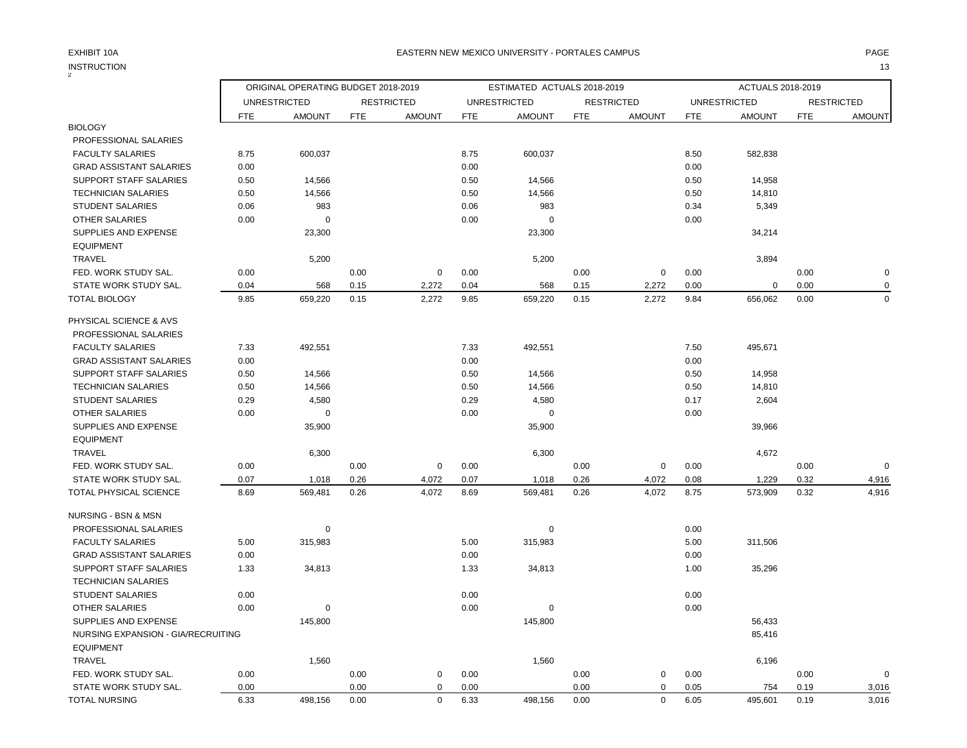# INSTRUCTION 13

|                                    | ORIGINAL OPERATING BUDGET 2018-2019 |                     |            |                   | ESTIMATED ACTUALS 2018-2019 |                     |            |                   | ACTUALS 2018-2019 |                     |            |                   |
|------------------------------------|-------------------------------------|---------------------|------------|-------------------|-----------------------------|---------------------|------------|-------------------|-------------------|---------------------|------------|-------------------|
|                                    |                                     |                     |            |                   |                             |                     |            |                   |                   |                     |            |                   |
|                                    |                                     | <b>UNRESTRICTED</b> |            | <b>RESTRICTED</b> |                             | <b>UNRESTRICTED</b> |            | <b>RESTRICTED</b> |                   | <b>UNRESTRICTED</b> |            | <b>RESTRICTED</b> |
| <b>BIOLOGY</b>                     | <b>FTE</b>                          | <b>AMOUNT</b>       | <b>FTE</b> | <b>AMOUNT</b>     | <b>FTE</b>                  | <b>AMOUNT</b>       | <b>FTE</b> | <b>AMOUNT</b>     | <b>FTE</b>        | <b>AMOUNT</b>       | <b>FTE</b> | <b>AMOUNT</b>     |
| PROFESSIONAL SALARIES              |                                     |                     |            |                   |                             |                     |            |                   |                   |                     |            |                   |
| <b>FACULTY SALARIES</b>            | 8.75                                | 600,037             |            |                   | 8.75                        | 600,037             |            |                   | 8.50              | 582,838             |            |                   |
| <b>GRAD ASSISTANT SALARIES</b>     | 0.00                                |                     |            |                   | 0.00                        |                     |            |                   | 0.00              |                     |            |                   |
| <b>SUPPORT STAFF SALARIES</b>      | 0.50                                | 14,566              |            |                   | 0.50                        | 14,566              |            |                   | 0.50              | 14,958              |            |                   |
| <b>TECHNICIAN SALARIES</b>         | 0.50                                | 14,566              |            |                   | 0.50                        | 14,566              |            |                   | 0.50              | 14,810              |            |                   |
| <b>STUDENT SALARIES</b>            | 0.06                                | 983                 |            |                   | 0.06                        | 983                 |            |                   | 0.34              | 5,349               |            |                   |
| <b>OTHER SALARIES</b>              | 0.00                                | $\mathbf 0$         |            |                   | 0.00                        | $\mathbf 0$         |            |                   | 0.00              |                     |            |                   |
| SUPPLIES AND EXPENSE               |                                     | 23,300              |            |                   |                             | 23,300              |            |                   |                   | 34,214              |            |                   |
| <b>EQUIPMENT</b>                   |                                     |                     |            |                   |                             |                     |            |                   |                   |                     |            |                   |
| <b>TRAVEL</b>                      |                                     | 5,200               |            |                   |                             | 5,200               |            |                   |                   | 3,894               |            |                   |
| FED. WORK STUDY SAL.               | 0.00                                |                     | 0.00       | $\mathbf 0$       | 0.00                        |                     | 0.00       | $\mathbf 0$       | 0.00              |                     | 0.00       | 0                 |
| STATE WORK STUDY SAL.              | 0.04                                | 568                 | 0.15       | 2,272             | 0.04                        | 568                 | 0.15       | 2,272             | 0.00              | 0                   | 0.00       | 0                 |
| <b>TOTAL BIOLOGY</b>               | 9.85                                | 659,220             | 0.15       | 2,272             | 9.85                        | 659,220             | 0.15       | 2,272             | 9.84              | 656,062             | 0.00       | $\mathbf 0$       |
|                                    |                                     |                     |            |                   |                             |                     |            |                   |                   |                     |            |                   |
| PHYSICAL SCIENCE & AVS             |                                     |                     |            |                   |                             |                     |            |                   |                   |                     |            |                   |
| PROFESSIONAL SALARIES              |                                     |                     |            |                   |                             |                     |            |                   |                   |                     |            |                   |
| <b>FACULTY SALARIES</b>            | 7.33                                | 492,551             |            |                   | 7.33                        | 492,551             |            |                   | 7.50              | 495,671             |            |                   |
| <b>GRAD ASSISTANT SALARIES</b>     | 0.00                                |                     |            |                   | 0.00                        |                     |            |                   | 0.00              |                     |            |                   |
| <b>SUPPORT STAFF SALARIES</b>      | 0.50                                | 14,566              |            |                   | 0.50                        | 14,566              |            |                   | 0.50              | 14,958              |            |                   |
| <b>TECHNICIAN SALARIES</b>         | 0.50                                | 14,566              |            |                   | 0.50                        | 14,566              |            |                   | 0.50              | 14,810              |            |                   |
| <b>STUDENT SALARIES</b>            | 0.29                                | 4,580               |            |                   | 0.29                        | 4,580               |            |                   | 0.17              | 2,604               |            |                   |
| OTHER SALARIES                     | 0.00                                | $\mathbf 0$         |            |                   | 0.00                        | 0                   |            |                   | 0.00              |                     |            |                   |
| SUPPLIES AND EXPENSE               |                                     | 35,900              |            |                   |                             | 35,900              |            |                   |                   | 39,966              |            |                   |
| <b>EQUIPMENT</b>                   |                                     |                     |            |                   |                             |                     |            |                   |                   |                     |            |                   |
| <b>TRAVEL</b>                      |                                     | 6,300               |            |                   |                             | 6,300               |            |                   |                   | 4,672               |            |                   |
| FED. WORK STUDY SAL.               | 0.00                                |                     | 0.00       | 0                 | 0.00                        |                     | 0.00       | $\mathbf 0$       | 0.00              |                     | 0.00       | $\overline{0}$    |
| STATE WORK STUDY SAL.              | 0.07                                | 1,018               | 0.26       | 4,072             | 0.07                        | 1,018               | 0.26       | 4,072             | 0.08              | 1,229               | 0.32       | 4,916             |
| TOTAL PHYSICAL SCIENCE             | 8.69                                | 569,481             | 0.26       | 4,072             | 8.69                        | 569,481             | 0.26       | 4,072             | 8.75              | 573,909             | 0.32       | 4,916             |
| <b>NURSING - BSN &amp; MSN</b>     |                                     |                     |            |                   |                             |                     |            |                   |                   |                     |            |                   |
|                                    |                                     | $\mathbf 0$         |            |                   |                             |                     |            |                   |                   |                     |            |                   |
| PROFESSIONAL SALARIES              |                                     |                     |            |                   |                             | 0                   |            |                   | 0.00              |                     |            |                   |
| <b>FACULTY SALARIES</b>            | 5.00                                | 315,983             |            |                   | 5.00                        | 315,983             |            |                   | 5.00              | 311,506             |            |                   |
| <b>GRAD ASSISTANT SALARIES</b>     | 0.00                                |                     |            |                   | 0.00                        |                     |            |                   | 0.00              |                     |            |                   |
| <b>SUPPORT STAFF SALARIES</b>      | 1.33                                | 34,813              |            |                   | 1.33                        | 34,813              |            |                   | 1.00              | 35,296              |            |                   |
| <b>TECHNICIAN SALARIES</b>         |                                     |                     |            |                   |                             |                     |            |                   |                   |                     |            |                   |
| STUDENT SALARIES                   | 0.00                                |                     |            |                   | 0.00                        |                     |            |                   | 0.00              |                     |            |                   |
| <b>OTHER SALARIES</b>              | 0.00                                | $\mathbf 0$         |            |                   | 0.00                        | 0                   |            |                   | 0.00              |                     |            |                   |
| <b>SUPPLIES AND EXPENSE</b>        |                                     | 145,800             |            |                   |                             | 145,800             |            |                   |                   | 56,433              |            |                   |
| NURSING EXPANSION - GIA/RECRUITING |                                     |                     |            |                   |                             |                     |            |                   |                   | 85,416              |            |                   |
| <b>EQUIPMENT</b>                   |                                     |                     |            |                   |                             |                     |            |                   |                   |                     |            |                   |
| <b>TRAVEL</b>                      |                                     | 1,560               |            |                   |                             | 1,560               |            |                   |                   | 6,196               |            |                   |
| FED. WORK STUDY SAL.               | 0.00                                |                     | 0.00       | 0                 | 0.00                        |                     | 0.00       | 0                 | 0.00              |                     | 0.00       | $\mathbf 0$       |
| STATE WORK STUDY SAL.              | 0.00                                |                     | 0.00       | $\mathbf 0$       | 0.00                        |                     | 0.00       | $\mathbf 0$       | 0.05              | 754                 | 0.19       | 3,016             |
| <b>TOTAL NURSING</b>               | 6.33                                | 498,156             | 0.00       | $\mathbf 0$       | 6.33                        | 498,156             | 0.00       | $\mathbf 0$       | 6.05              | 495,601             | 0.19       | 3,016             |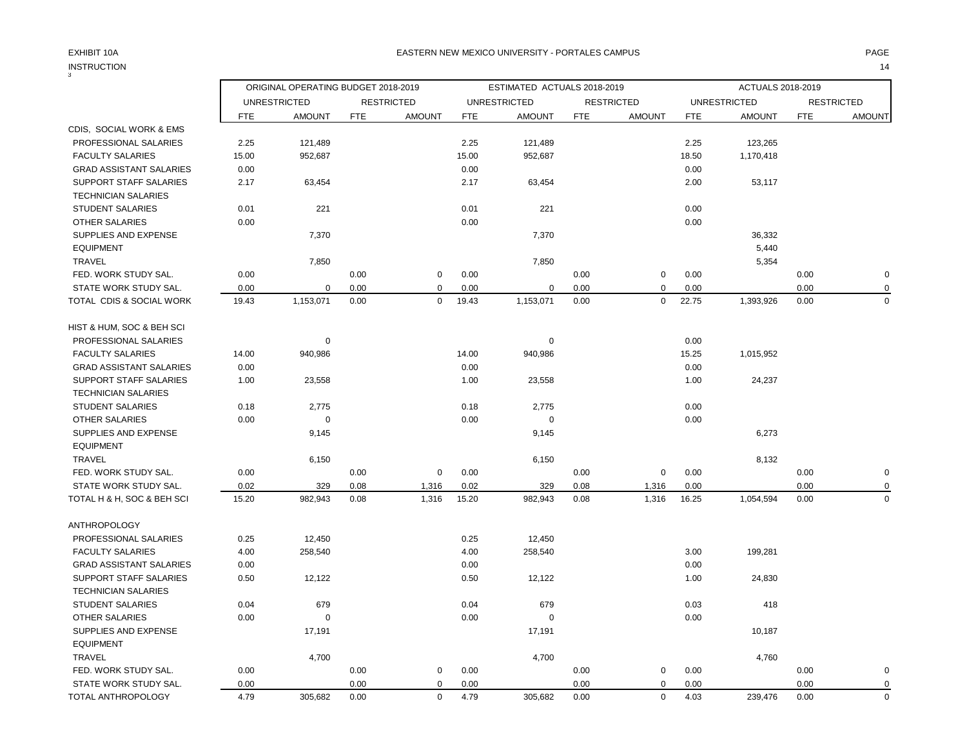| 3                                                    | ORIGINAL OPERATING BUDGET 2018-2019 |                     |            |                   | ESTIMATED ACTUALS 2018-2019 |                     |            |                   |            | ACTUALS 2018-2019   |            |                   |  |
|------------------------------------------------------|-------------------------------------|---------------------|------------|-------------------|-----------------------------|---------------------|------------|-------------------|------------|---------------------|------------|-------------------|--|
|                                                      |                                     | <b>UNRESTRICTED</b> |            | <b>RESTRICTED</b> |                             | <b>UNRESTRICTED</b> |            | <b>RESTRICTED</b> |            | <b>UNRESTRICTED</b> |            | <b>RESTRICTED</b> |  |
|                                                      | <b>FTE</b>                          | <b>AMOUNT</b>       | <b>FTE</b> | <b>AMOUNT</b>     | <b>FTE</b>                  | <b>AMOUNT</b>       | <b>FTE</b> | <b>AMOUNT</b>     | <b>FTE</b> | <b>AMOUNT</b>       | <b>FTE</b> | <b>AMOUNT</b>     |  |
| CDIS, SOCIAL WORK & EMS                              |                                     |                     |            |                   |                             |                     |            |                   |            |                     |            |                   |  |
| PROFESSIONAL SALARIES                                | 2.25                                | 121,489             |            |                   | 2.25                        | 121,489             |            |                   | 2.25       | 123,265             |            |                   |  |
| <b>FACULTY SALARIES</b>                              | 15.00                               | 952,687             |            |                   | 15.00                       | 952,687             |            |                   | 18.50      | 1,170,418           |            |                   |  |
| <b>GRAD ASSISTANT SALARIES</b>                       | 0.00                                |                     |            |                   | 0.00                        |                     |            |                   | 0.00       |                     |            |                   |  |
| SUPPORT STAFF SALARIES<br><b>TECHNICIAN SALARIES</b> | 2.17                                | 63,454              |            |                   | 2.17                        | 63,454              |            |                   | 2.00       | 53,117              |            |                   |  |
| <b>STUDENT SALARIES</b>                              | 0.01                                | 221                 |            |                   | 0.01                        | 221                 |            |                   | 0.00       |                     |            |                   |  |
| OTHER SALARIES                                       | 0.00                                |                     |            |                   | 0.00                        |                     |            |                   | 0.00       |                     |            |                   |  |
| SUPPLIES AND EXPENSE                                 |                                     | 7,370               |            |                   |                             | 7,370               |            |                   |            | 36,332              |            |                   |  |
| <b>EQUIPMENT</b>                                     |                                     |                     |            |                   |                             |                     |            |                   |            | 5,440               |            |                   |  |
| <b>TRAVEL</b>                                        |                                     | 7,850               |            |                   |                             | 7,850               |            |                   |            | 5,354               |            |                   |  |
| FED. WORK STUDY SAL.                                 | 0.00                                |                     | 0.00       | $\mathbf 0$       | 0.00                        |                     | 0.00       | 0                 | 0.00       |                     | 0.00       | $\mathbf 0$       |  |
| STATE WORK STUDY SAL.                                | 0.00                                | $\mathbf 0$         | 0.00       | 0                 | 0.00                        | 0                   | 0.00       | 0                 | 0.00       |                     | 0.00       | 0                 |  |
| TOTAL CDIS & SOCIAL WORK                             | 19.43                               | 1,153,071           | 0.00       | $\mathbf 0$       | 19.43                       | 1,153,071           | 0.00       | $\mathbf 0$       | 22.75      | 1,393,926           | 0.00       | $\mathbf 0$       |  |
| HIST & HUM, SOC & BEH SCI                            |                                     |                     |            |                   |                             |                     |            |                   |            |                     |            |                   |  |
| PROFESSIONAL SALARIES                                |                                     | $\mathbf 0$         |            |                   |                             | $\mathbf 0$         |            |                   | 0.00       |                     |            |                   |  |
| <b>FACULTY SALARIES</b>                              | 14.00                               | 940,986             |            |                   | 14.00                       | 940,986             |            |                   | 15.25      | 1,015,952           |            |                   |  |
| <b>GRAD ASSISTANT SALARIES</b>                       | 0.00                                |                     |            |                   | 0.00                        |                     |            |                   | 0.00       |                     |            |                   |  |
| SUPPORT STAFF SALARIES                               | 1.00                                | 23,558              |            |                   | 1.00                        | 23,558              |            |                   | 1.00       | 24,237              |            |                   |  |
| <b>TECHNICIAN SALARIES</b>                           |                                     |                     |            |                   |                             |                     |            |                   |            |                     |            |                   |  |
| <b>STUDENT SALARIES</b>                              | 0.18                                | 2,775               |            |                   | 0.18                        | 2,775               |            |                   | 0.00       |                     |            |                   |  |
| <b>OTHER SALARIES</b>                                | 0.00                                | $\mathbf 0$         |            |                   | 0.00                        | $\mathbf 0$         |            |                   | 0.00       |                     |            |                   |  |
| SUPPLIES AND EXPENSE                                 |                                     | 9,145               |            |                   |                             | 9,145               |            |                   |            | 6,273               |            |                   |  |
| <b>EQUIPMENT</b>                                     |                                     |                     |            |                   |                             |                     |            |                   |            |                     |            |                   |  |
| TRAVEL                                               |                                     | 6,150               |            |                   |                             | 6,150               |            |                   |            | 8,132               |            |                   |  |
| FED. WORK STUDY SAL.                                 | 0.00                                |                     | 0.00       | $\mathbf 0$       | 0.00                        |                     | 0.00       | $\pmb{0}$         | 0.00       |                     | 0.00       | $\pmb{0}$         |  |
| STATE WORK STUDY SAL.                                | 0.02                                | 329                 | 0.08       | 1,316             | 0.02                        | 329                 | 0.08       | 1,316             | 0.00       |                     | 0.00       | $\mathbf 0$       |  |
| TOTAL H & H, SOC & BEH SCI                           | 15.20                               | 982,943             | 0.08       | 1,316             | 15.20                       | 982,943             | 0.08       | 1,316             | 16.25      | 1,054,594           | 0.00       | $\mathbf 0$       |  |
| <b>ANTHROPOLOGY</b>                                  |                                     |                     |            |                   |                             |                     |            |                   |            |                     |            |                   |  |
| PROFESSIONAL SALARIES                                | 0.25                                | 12,450              |            |                   | 0.25                        | 12,450              |            |                   |            |                     |            |                   |  |
| <b>FACULTY SALARIES</b>                              | 4.00                                | 258,540             |            |                   | 4.00                        | 258,540             |            |                   | 3.00       | 199,281             |            |                   |  |
| <b>GRAD ASSISTANT SALARIES</b>                       | 0.00                                |                     |            |                   | 0.00                        |                     |            |                   | 0.00       |                     |            |                   |  |
| SUPPORT STAFF SALARIES                               | 0.50                                | 12,122              |            |                   | 0.50                        | 12,122              |            |                   | 1.00       | 24,830              |            |                   |  |
| <b>TECHNICIAN SALARIES</b>                           |                                     |                     |            |                   |                             |                     |            |                   |            |                     |            |                   |  |
| <b>STUDENT SALARIES</b>                              | 0.04                                | 679                 |            |                   | 0.04                        | 679                 |            |                   | 0.03       | 418                 |            |                   |  |
| OTHER SALARIES                                       | 0.00                                | $\mathbf 0$         |            |                   | 0.00                        | $\Omega$            |            |                   | 0.00       |                     |            |                   |  |
| SUPPLIES AND EXPENSE                                 |                                     | 17,191              |            |                   |                             | 17,191              |            |                   |            | 10,187              |            |                   |  |
| <b>EQUIPMENT</b>                                     |                                     |                     |            |                   |                             |                     |            |                   |            |                     |            |                   |  |
| <b>TRAVEL</b>                                        |                                     | 4,700               |            |                   |                             | 4,700               |            |                   |            | 4,760               |            |                   |  |
| FED. WORK STUDY SAL.                                 | 0.00                                |                     | 0.00       | $\mathbf 0$       | 0.00                        |                     | 0.00       | $\mathbf 0$       | 0.00       |                     | 0.00       | $\mathbf 0$       |  |
| STATE WORK STUDY SAL.                                | 0.00                                |                     | 0.00       | $\mathbf 0$       | 0.00                        |                     | 0.00       | $\mathbf 0$       | 0.00       |                     | 0.00       | $\mathbf 0$       |  |
| TOTAL ANTHROPOLOGY                                   | 4.79                                | 305,682             | 0.00       | $\mathbf 0$       | 4.79                        | 305,682             | 0.00       | $\mathbf 0$       | 4.03       | 239,476             | 0.00       | $\mathbf 0$       |  |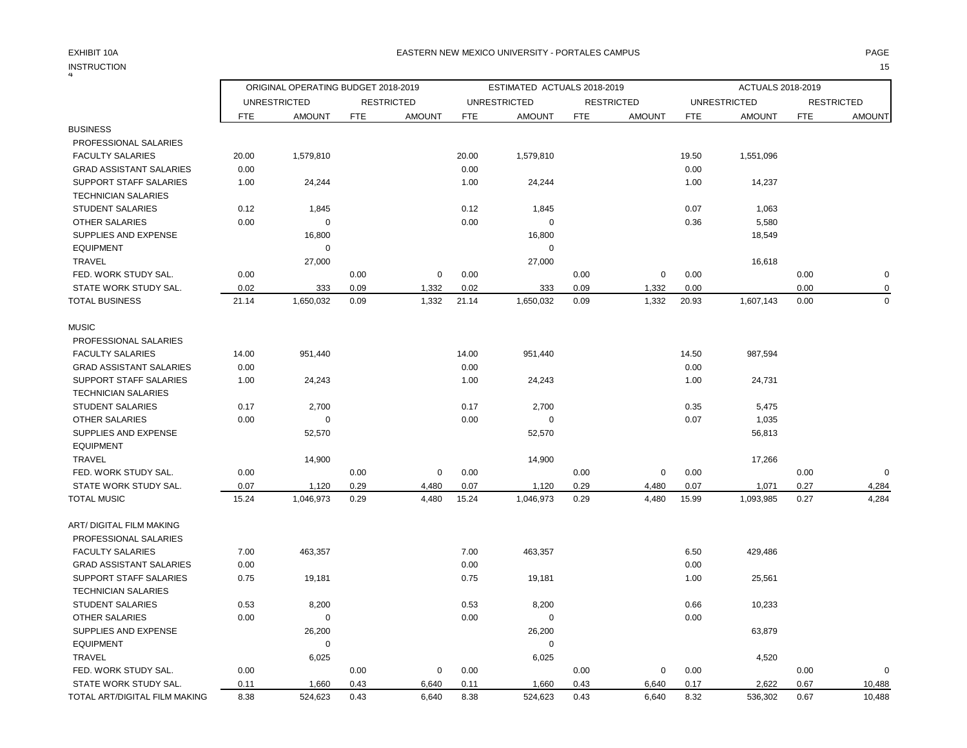|                                | ORIGINAL OPERATING BUDGET 2018-2019 |                     |            |                   | ESTIMATED ACTUALS 2018-2019 |                     |            |                   |            | ACTUALS 2018-2019   |            |                   |  |
|--------------------------------|-------------------------------------|---------------------|------------|-------------------|-----------------------------|---------------------|------------|-------------------|------------|---------------------|------------|-------------------|--|
|                                |                                     | <b>UNRESTRICTED</b> |            | <b>RESTRICTED</b> |                             | <b>UNRESTRICTED</b> |            | <b>RESTRICTED</b> |            | <b>UNRESTRICTED</b> |            | <b>RESTRICTED</b> |  |
|                                | <b>FTE</b>                          | <b>AMOUNT</b>       | <b>FTE</b> | <b>AMOUNT</b>     | <b>FTE</b>                  | <b>AMOUNT</b>       | <b>FTE</b> | <b>AMOUNT</b>     | <b>FTE</b> | <b>AMOUNT</b>       | <b>FTE</b> | <b>AMOUNT</b>     |  |
| <b>BUSINESS</b>                |                                     |                     |            |                   |                             |                     |            |                   |            |                     |            |                   |  |
| PROFESSIONAL SALARIES          |                                     |                     |            |                   |                             |                     |            |                   |            |                     |            |                   |  |
| <b>FACULTY SALARIES</b>        | 20.00                               | 1,579,810           |            |                   | 20.00                       | 1,579,810           |            |                   | 19.50      | 1,551,096           |            |                   |  |
| <b>GRAD ASSISTANT SALARIES</b> | 0.00                                |                     |            |                   | 0.00                        |                     |            |                   | 0.00       |                     |            |                   |  |
| SUPPORT STAFF SALARIES         | 1.00                                | 24,244              |            |                   | 1.00                        | 24,244              |            |                   | 1.00       | 14,237              |            |                   |  |
| <b>TECHNICIAN SALARIES</b>     |                                     |                     |            |                   |                             |                     |            |                   |            |                     |            |                   |  |
| <b>STUDENT SALARIES</b>        | 0.12                                | 1,845               |            |                   | 0.12                        | 1,845               |            |                   | 0.07       | 1,063               |            |                   |  |
| <b>OTHER SALARIES</b>          | 0.00                                | 0                   |            |                   | 0.00                        | $\mathbf 0$         |            |                   | 0.36       | 5,580               |            |                   |  |
| SUPPLIES AND EXPENSE           |                                     | 16,800              |            |                   |                             | 16,800              |            |                   |            | 18,549              |            |                   |  |
| <b>EQUIPMENT</b>               |                                     | $\mathbf 0$         |            |                   |                             | 0                   |            |                   |            |                     |            |                   |  |
| TRAVEL                         |                                     | 27,000              |            |                   |                             | 27,000              |            |                   |            | 16,618              |            |                   |  |
| FED. WORK STUDY SAL.           | 0.00                                |                     | 0.00       | 0                 | 0.00                        |                     | 0.00       | $\mathbf 0$       | 0.00       |                     | 0.00       | $\mathbf 0$       |  |
| STATE WORK STUDY SAL.          | 0.02                                | 333                 | 0.09       | 1,332             | 0.02                        | 333                 | 0.09       | 1,332             | 0.00       |                     | 0.00       | $\mathbf 0$       |  |
| <b>TOTAL BUSINESS</b>          | 21.14                               | 1,650,032           | 0.09       | 1,332             | 21.14                       | 1,650,032           | 0.09       | 1,332             | 20.93      | 1,607,143           | 0.00       | $\mathbf 0$       |  |
| <b>MUSIC</b>                   |                                     |                     |            |                   |                             |                     |            |                   |            |                     |            |                   |  |
| PROFESSIONAL SALARIES          |                                     |                     |            |                   |                             |                     |            |                   |            |                     |            |                   |  |
| <b>FACULTY SALARIES</b>        | 14.00                               | 951,440             |            |                   | 14.00                       | 951,440             |            |                   | 14.50      | 987,594             |            |                   |  |
| <b>GRAD ASSISTANT SALARIES</b> | 0.00                                |                     |            |                   | 0.00                        |                     |            |                   | 0.00       |                     |            |                   |  |
| <b>SUPPORT STAFF SALARIES</b>  | 1.00                                | 24,243              |            |                   | 1.00                        | 24,243              |            |                   | 1.00       | 24,731              |            |                   |  |
| <b>TECHNICIAN SALARIES</b>     |                                     |                     |            |                   |                             |                     |            |                   |            |                     |            |                   |  |
| <b>STUDENT SALARIES</b>        | 0.17                                | 2,700               |            |                   | 0.17                        | 2,700               |            |                   | 0.35       | 5,475               |            |                   |  |
| <b>OTHER SALARIES</b>          | 0.00                                | $\mathbf 0$         |            |                   | 0.00                        | 0                   |            |                   | 0.07       | 1,035               |            |                   |  |
| SUPPLIES AND EXPENSE           |                                     | 52,570              |            |                   |                             | 52,570              |            |                   |            | 56,813              |            |                   |  |
| <b>EQUIPMENT</b>               |                                     |                     |            |                   |                             |                     |            |                   |            |                     |            |                   |  |
| <b>TRAVEL</b>                  |                                     | 14,900              |            |                   |                             | 14,900              |            |                   |            | 17,266              |            |                   |  |
| FED. WORK STUDY SAL.           | 0.00                                |                     | 0.00       | $\mathbf 0$       | 0.00                        |                     | 0.00       | $\mathbf 0$       | 0.00       |                     | 0.00       | $\mathbf 0$       |  |
| STATE WORK STUDY SAL.          | 0.07                                | 1,120               | 0.29       | 4,480             | 0.07                        | 1,120               | 0.29       | 4,480             | 0.07       | 1,071               | 0.27       | 4,284             |  |
| <b>TOTAL MUSIC</b>             | 15.24                               | 1,046,973           | 0.29       | 4,480             | 15.24                       | 1,046,973           | 0.29       | 4,480             | 15.99      | 1,093,985           | 0.27       | 4,284             |  |
| ART/DIGITAL FILM MAKING        |                                     |                     |            |                   |                             |                     |            |                   |            |                     |            |                   |  |
| PROFESSIONAL SALARIES          |                                     |                     |            |                   |                             |                     |            |                   |            |                     |            |                   |  |
| <b>FACULTY SALARIES</b>        | 7.00                                | 463,357             |            |                   | 7.00                        | 463,357             |            |                   | 6.50       | 429,486             |            |                   |  |
| <b>GRAD ASSISTANT SALARIES</b> | 0.00                                |                     |            |                   | 0.00                        |                     |            |                   | 0.00       |                     |            |                   |  |
| SUPPORT STAFF SALARIES         | 0.75                                | 19,181              |            |                   | 0.75                        | 19,181              |            |                   | 1.00       | 25,561              |            |                   |  |
| <b>TECHNICIAN SALARIES</b>     |                                     |                     |            |                   |                             |                     |            |                   |            |                     |            |                   |  |
| <b>STUDENT SALARIES</b>        | 0.53                                | 8,200               |            |                   | 0.53                        | 8,200               |            |                   | 0.66       | 10,233              |            |                   |  |
| <b>OTHER SALARIES</b>          | 0.00                                | $\mathbf 0$         |            |                   | 0.00                        | 0                   |            |                   | 0.00       |                     |            |                   |  |
| <b>SUPPLIES AND EXPENSE</b>    |                                     | 26,200              |            |                   |                             | 26,200              |            |                   |            | 63,879              |            |                   |  |
| <b>EQUIPMENT</b>               |                                     | $\mathbf 0$         |            |                   |                             | 0                   |            |                   |            |                     |            |                   |  |
| <b>TRAVEL</b>                  |                                     | 6,025               |            |                   |                             | 6,025               |            |                   |            | 4,520               |            |                   |  |
| FED. WORK STUDY SAL.           | 0.00                                |                     | 0.00       | $\mathbf 0$       | 0.00                        |                     | 0.00       | $\pmb{0}$         | 0.00       |                     | 0.00       | $\mathbf 0$       |  |
| STATE WORK STUDY SAL.          | 0.11                                | 1,660               | 0.43       | 6,640             | 0.11                        | 1,660               | 0.43       | 6,640             | 0.17       | 2,622               | 0.67       | 10,488            |  |
| TOTAL ART/DIGITAL FILM MAKING  | 8.38                                | 524,623             | 0.43       | 6,640             | 8.38                        | 524,623             | 0.43       | 6,640             | 8.32       | 536,302             | 0.67       | 10,488            |  |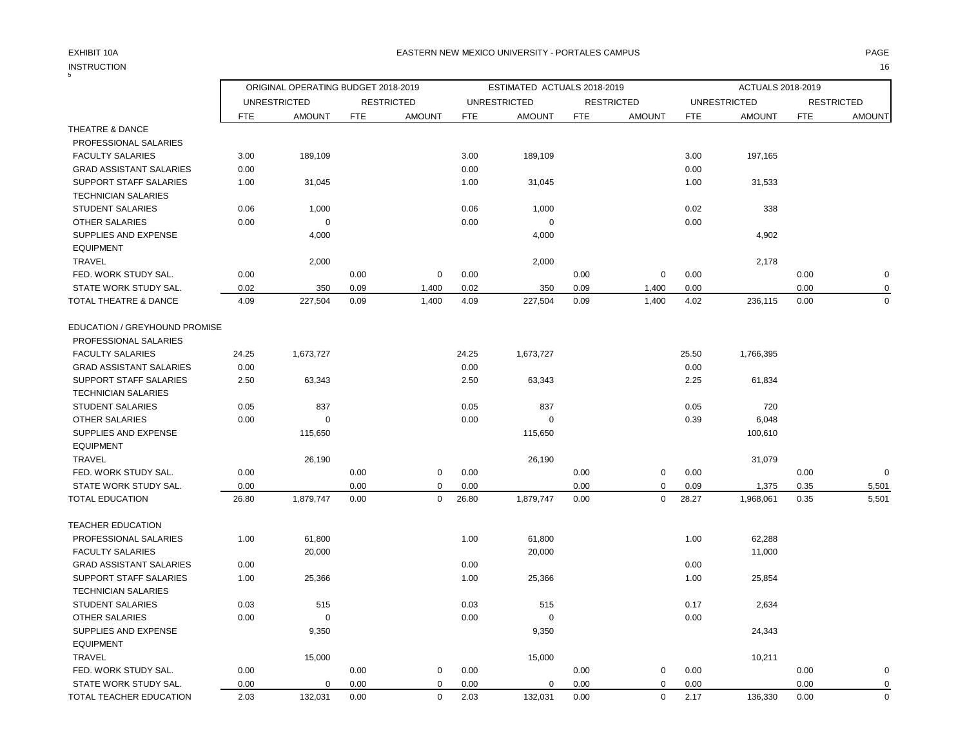|                                | ORIGINAL OPERATING BUDGET 2018-2019<br>ESTIMATED ACTUALS 2018-2019 |                     |            |                   |            |                     |            |                   | ACTUALS 2018-2019 |                     |            |                   |
|--------------------------------|--------------------------------------------------------------------|---------------------|------------|-------------------|------------|---------------------|------------|-------------------|-------------------|---------------------|------------|-------------------|
|                                |                                                                    | <b>UNRESTRICTED</b> |            | <b>RESTRICTED</b> |            | <b>UNRESTRICTED</b> |            | <b>RESTRICTED</b> |                   | <b>UNRESTRICTED</b> |            | <b>RESTRICTED</b> |
|                                | <b>FTE</b>                                                         | <b>AMOUNT</b>       | <b>FTE</b> | <b>AMOUNT</b>     | <b>FTE</b> | <b>AMOUNT</b>       | <b>FTE</b> | <b>AMOUNT</b>     | <b>FTE</b>        | <b>AMOUNT</b>       | <b>FTE</b> | <b>AMOUNT</b>     |
| THEATRE & DANCE                |                                                                    |                     |            |                   |            |                     |            |                   |                   |                     |            |                   |
| PROFESSIONAL SALARIES          |                                                                    |                     |            |                   |            |                     |            |                   |                   |                     |            |                   |
| <b>FACULTY SALARIES</b>        | 3.00                                                               | 189,109             |            |                   | 3.00       | 189,109             |            |                   | 3.00              | 197,165             |            |                   |
| <b>GRAD ASSISTANT SALARIES</b> | 0.00                                                               |                     |            |                   | 0.00       |                     |            |                   | 0.00              |                     |            |                   |
| SUPPORT STAFF SALARIES         | 1.00                                                               | 31,045              |            |                   | 1.00       | 31,045              |            |                   | 1.00              | 31,533              |            |                   |
| <b>TECHNICIAN SALARIES</b>     |                                                                    |                     |            |                   |            |                     |            |                   |                   |                     |            |                   |
| <b>STUDENT SALARIES</b>        | 0.06                                                               | 1,000               |            |                   | 0.06       | 1,000               |            |                   | 0.02              | 338                 |            |                   |
| OTHER SALARIES                 | 0.00                                                               | $\mathbf 0$         |            |                   | 0.00       | $\Omega$            |            |                   | 0.00              |                     |            |                   |
| SUPPLIES AND EXPENSE           |                                                                    | 4,000               |            |                   |            | 4,000               |            |                   |                   | 4,902               |            |                   |
| <b>EQUIPMENT</b>               |                                                                    |                     |            |                   |            |                     |            |                   |                   |                     |            |                   |
| <b>TRAVEL</b>                  |                                                                    | 2,000               |            |                   |            | 2,000               |            |                   |                   | 2,178               |            |                   |
| FED. WORK STUDY SAL.           | 0.00                                                               |                     | 0.00       | $\mathbf 0$       | 0.00       |                     | 0.00       | $\mathbf 0$       | 0.00              |                     | 0.00       | $\mathbf 0$       |
| STATE WORK STUDY SAL.          | 0.02                                                               | 350                 | 0.09       | 1,400             | 0.02       | 350                 | 0.09       | 1,400             | 0.00              |                     | 0.00       | $\mathbf 0$       |
| TOTAL THEATRE & DANCE          | 4.09                                                               | 227,504             | 0.09       | 1,400             | 4.09       | 227,504             | 0.09       | 1,400             | 4.02              | 236,115             | 0.00       | $\Omega$          |
| EDUCATION / GREYHOUND PROMISE  |                                                                    |                     |            |                   |            |                     |            |                   |                   |                     |            |                   |
| PROFESSIONAL SALARIES          |                                                                    |                     |            |                   |            |                     |            |                   |                   |                     |            |                   |
| <b>FACULTY SALARIES</b>        | 24.25                                                              | 1,673,727           |            |                   | 24.25      | 1,673,727           |            |                   | 25.50             | 1,766,395           |            |                   |
| <b>GRAD ASSISTANT SALARIES</b> | 0.00                                                               |                     |            |                   | 0.00       |                     |            |                   | 0.00              |                     |            |                   |
| SUPPORT STAFF SALARIES         | 2.50                                                               | 63,343              |            |                   | 2.50       | 63,343              |            |                   | 2.25              | 61,834              |            |                   |
| <b>TECHNICIAN SALARIES</b>     |                                                                    |                     |            |                   |            |                     |            |                   |                   |                     |            |                   |
| <b>STUDENT SALARIES</b>        | 0.05                                                               | 837                 |            |                   | 0.05       | 837                 |            |                   | 0.05              | 720                 |            |                   |
| OTHER SALARIES                 | 0.00                                                               | $\Omega$            |            |                   | 0.00       | $\Omega$            |            |                   | 0.39              | 6,048               |            |                   |
| SUPPLIES AND EXPENSE           |                                                                    | 115,650             |            |                   |            | 115,650             |            |                   |                   | 100,610             |            |                   |
| <b>EQUIPMENT</b>               |                                                                    |                     |            |                   |            |                     |            |                   |                   |                     |            |                   |
| <b>TRAVEL</b>                  |                                                                    | 26,190              |            |                   |            | 26,190              |            |                   |                   | 31,079              |            |                   |
| FED. WORK STUDY SAL.           | 0.00                                                               |                     | 0.00       | 0                 | 0.00       |                     | 0.00       | 0                 | 0.00              |                     | 0.00       | $\mathbf 0$       |
| STATE WORK STUDY SAL.          | 0.00                                                               |                     | 0.00       | 0                 | 0.00       |                     | 0.00       | $\mathbf 0$       | 0.09              | 1,375               | 0.35       | 5,501             |
| TOTAL EDUCATION                | 26.80                                                              | 1,879,747           | 0.00       | $\mathbf 0$       | 26.80      | 1,879,747           | 0.00       | $\mathbf 0$       | 28.27             | 1,968,061           | 0.35       | 5,501             |
| <b>TEACHER EDUCATION</b>       |                                                                    |                     |            |                   |            |                     |            |                   |                   |                     |            |                   |
| PROFESSIONAL SALARIES          | 1.00                                                               | 61,800              |            |                   | 1.00       | 61,800              |            |                   | 1.00              | 62,288              |            |                   |
| <b>FACULTY SALARIES</b>        |                                                                    | 20,000              |            |                   |            | 20,000              |            |                   |                   | 11,000              |            |                   |
| <b>GRAD ASSISTANT SALARIES</b> | 0.00                                                               |                     |            |                   | 0.00       |                     |            |                   | 0.00              |                     |            |                   |
| <b>SUPPORT STAFF SALARIES</b>  | 1.00                                                               | 25,366              |            |                   | 1.00       | 25,366              |            |                   | 1.00              | 25,854              |            |                   |
| <b>TECHNICIAN SALARIES</b>     |                                                                    |                     |            |                   |            |                     |            |                   |                   |                     |            |                   |
| STUDENT SALARIES               | 0.03                                                               | 515                 |            |                   | 0.03       | 515                 |            |                   | 0.17              | 2,634               |            |                   |
| <b>OTHER SALARIES</b>          | 0.00                                                               | $\Omega$            |            |                   | 0.00       | $\Omega$            |            |                   | 0.00              |                     |            |                   |
| SUPPLIES AND EXPENSE           |                                                                    | 9,350               |            |                   |            | 9,350               |            |                   |                   | 24,343              |            |                   |
| <b>EQUIPMENT</b>               |                                                                    |                     |            |                   |            |                     |            |                   |                   |                     |            |                   |
| <b>TRAVEL</b>                  |                                                                    | 15,000              |            |                   |            | 15,000              |            |                   |                   | 10,211              |            |                   |
| FED. WORK STUDY SAL.           | 0.00                                                               |                     | 0.00       | $\mathbf 0$       | 0.00       |                     | 0.00       | $\mathbf 0$       | 0.00              |                     | 0.00       | $\mathbf 0$       |
| STATE WORK STUDY SAL.          | 0.00                                                               | $\mathbf 0$         | 0.00       | $\mathbf 0$       | 0.00       | $\mathbf 0$         | 0.00       | 0                 | 0.00              |                     | 0.00       | $\mathbf 0$       |
| TOTAL TEACHER EDUCATION        | 2.03                                                               | 132,031             | 0.00       | $\mathbf 0$       | 2.03       | 132,031             | 0.00       | $\mathbf 0$       | 2.17              | 136,330             | 0.00       | $\mathbf 0$       |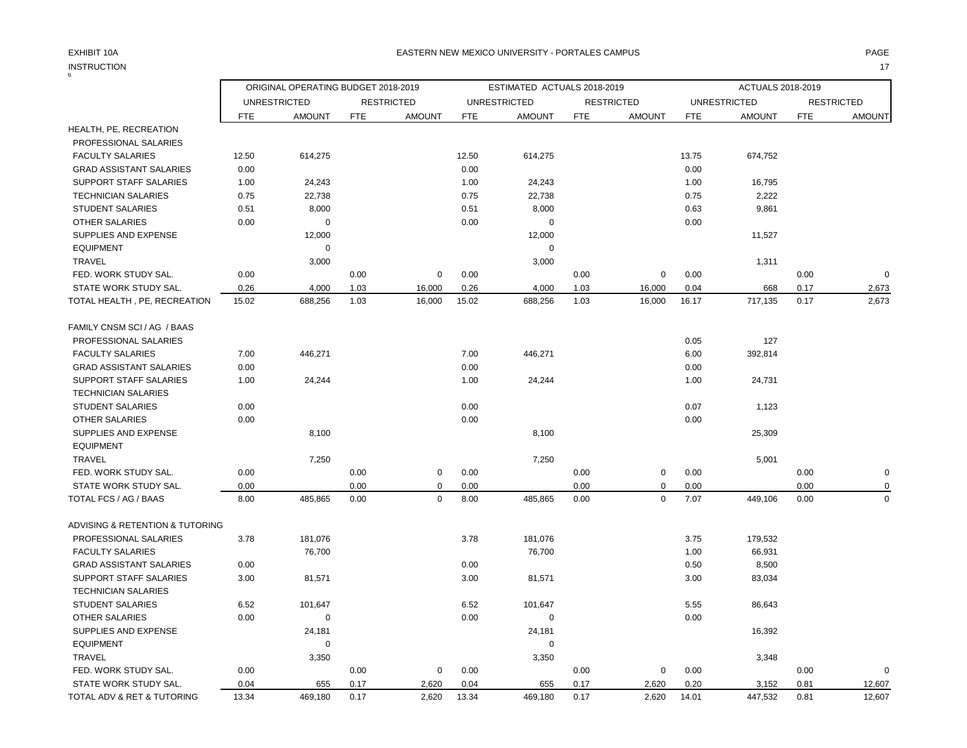| <b>INSTRUCTION</b>              |            |                                     |            |                   |            |                             |            |                   |            |                     |            | 17                |
|---------------------------------|------------|-------------------------------------|------------|-------------------|------------|-----------------------------|------------|-------------------|------------|---------------------|------------|-------------------|
|                                 |            | ORIGINAL OPERATING BUDGET 2018-2019 |            |                   |            | ESTIMATED ACTUALS 2018-2019 |            |                   |            | ACTUALS 2018-2019   |            |                   |
|                                 |            | <b>UNRESTRICTED</b>                 |            | <b>RESTRICTED</b> |            | <b>UNRESTRICTED</b>         |            | <b>RESTRICTED</b> |            | <b>UNRESTRICTED</b> |            | <b>RESTRICTED</b> |
|                                 | <b>FTE</b> | <b>AMOUNT</b>                       | <b>FTE</b> | <b>AMOUNT</b>     | <b>FTE</b> | <b>AMOUNT</b>               | <b>FTE</b> | <b>AMOUNT</b>     | <b>FTE</b> | <b>AMOUNT</b>       | <b>FTE</b> | AMOUNT            |
| HEALTH, PE, RECREATION          |            |                                     |            |                   |            |                             |            |                   |            |                     |            |                   |
| PROFESSIONAL SALARIES           |            |                                     |            |                   |            |                             |            |                   |            |                     |            |                   |
| <b>FACULTY SALARIES</b>         | 12.50      | 614,275                             |            |                   | 12.50      | 614,275                     |            |                   | 13.75      | 674,752             |            |                   |
| <b>GRAD ASSISTANT SALARIES</b>  | 0.00       |                                     |            |                   | 0.00       |                             |            |                   | 0.00       |                     |            |                   |
| SUPPORT STAFF SALARIES          | 1.00       | 24,243                              |            |                   | 1.00       | 24,243                      |            |                   | 1.00       | 16,795              |            |                   |
| <b>TECHNICIAN SALARIES</b>      | 0.75       | 22,738                              |            |                   | 0.75       | 22,738                      |            |                   | 0.75       | 2,222               |            |                   |
| <b>STUDENT SALARIES</b>         | 0.51       | 8,000                               |            |                   | 0.51       | 8,000                       |            |                   | 0.63       | 9,861               |            |                   |
| <b>OTHER SALARIES</b>           | 0.00       | 0                                   |            |                   | 0.00       | 0                           |            |                   | 0.00       |                     |            |                   |
| SUPPLIES AND EXPENSE            |            | 12,000                              |            |                   |            | 12,000                      |            |                   |            | 11,527              |            |                   |
| <b>EQUIPMENT</b>                |            | 0                                   |            |                   |            | $\mathbf 0$                 |            |                   |            |                     |            |                   |
| TRAVEL                          |            | 3,000                               |            |                   |            | 3,000                       |            |                   |            | 1,311               |            |                   |
| FED. WORK STUDY SAL.            | 0.00       |                                     | 0.00       | 0                 | 0.00       |                             | 0.00       | 0                 | 0.00       |                     | 0.00       | $\mathbf 0$       |
| STATE WORK STUDY SAL.           | 0.26       | 4,000                               | 1.03       | 16,000            | 0.26       | 4,000                       | 1.03       | 16,000            | 0.04       | 668                 | 0.17       | 2,673             |
| TOTAL HEALTH, PE, RECREATION    | 15.02      | 688,256                             | 1.03       | 16,000            | 15.02      | 688,256                     | 1.03       | 16,000            | 16.17      | 717,135             | 0.17       | 2,673             |
| FAMILY CNSM SCI / AG / BAAS     |            |                                     |            |                   |            |                             |            |                   |            |                     |            |                   |
| PROFESSIONAL SALARIES           |            |                                     |            |                   |            |                             |            |                   | 0.05       | 127                 |            |                   |
| <b>FACULTY SALARIES</b>         | 7.00       | 446,271                             |            |                   | 7.00       | 446,271                     |            |                   | 6.00       | 392,814             |            |                   |
| <b>GRAD ASSISTANT SALARIES</b>  | 0.00       |                                     |            |                   | 0.00       |                             |            |                   | 0.00       |                     |            |                   |
| <b>SUPPORT STAFF SALARIES</b>   | 1.00       | 24,244                              |            |                   | 1.00       | 24,244                      |            |                   | 1.00       | 24,731              |            |                   |
| <b>TECHNICIAN SALARIES</b>      |            |                                     |            |                   |            |                             |            |                   |            |                     |            |                   |
| <b>STUDENT SALARIES</b>         | 0.00       |                                     |            |                   | 0.00       |                             |            |                   | 0.07       | 1,123               |            |                   |
| <b>OTHER SALARIES</b>           | 0.00       |                                     |            |                   | 0.00       |                             |            |                   | 0.00       |                     |            |                   |
| SUPPLIES AND EXPENSE            |            | 8,100                               |            |                   |            | 8,100                       |            |                   |            | 25,309              |            |                   |
| <b>EQUIPMENT</b>                |            |                                     |            |                   |            |                             |            |                   |            |                     |            |                   |
| <b>TRAVEL</b>                   |            | 7,250                               |            |                   |            | 7,250                       |            |                   |            | 5,001               |            |                   |
| FED. WORK STUDY SAL.            | 0.00       |                                     | 0.00       | 0                 | 0.00       |                             | 0.00       | 0                 | 0.00       |                     | 0.00       | $\mathbf 0$       |
| STATE WORK STUDY SAL.           | 0.00       |                                     | 0.00       | $\mathbf 0$       | 0.00       |                             | 0.00       | 0                 | 0.00       |                     | 0.00       | $\mathbf 0$       |
| TOTAL FCS / AG / BAAS           | 8.00       | 485,865                             | 0.00       | 0                 | 8.00       | 485,865                     | 0.00       | $\mathbf 0$       | 7.07       | 449,106             | 0.00       | 0                 |
| ADVISING & RETENTION & TUTORING |            |                                     |            |                   |            |                             |            |                   |            |                     |            |                   |
| PROFESSIONAL SALARIES           | 3.78       | 181,076                             |            |                   | 3.78       | 181,076                     |            |                   | 3.75       | 179,532             |            |                   |
| <b>FACULTY SALARIES</b>         |            | 76,700                              |            |                   |            | 76,700                      |            |                   | 1.00       | 66,931              |            |                   |
| <b>GRAD ASSISTANT SALARIES</b>  | 0.00       |                                     |            |                   | 0.00       |                             |            |                   | 0.50       | 8,500               |            |                   |
| <b>SUPPORT STAFF SALARIES</b>   | 3.00       | 81,571                              |            |                   | 3.00       | 81,571                      |            |                   | 3.00       | 83,034              |            |                   |
| <b>TECHNICIAN SALARIES</b>      |            |                                     |            |                   |            |                             |            |                   |            |                     |            |                   |
| <b>STUDENT SALARIES</b>         | 6.52       | 101,647                             |            |                   | 6.52       | 101,647                     |            |                   | 5.55       | 86,643              |            |                   |
| <b>OTHER SALARIES</b>           | 0.00       | 0                                   |            |                   | 0.00       | 0                           |            |                   | 0.00       |                     |            |                   |
| SUPPLIES AND EXPENSE            |            | 24,181                              |            |                   |            | 24,181                      |            |                   |            | 16,392              |            |                   |
| <b>EQUIPMENT</b>                |            | $\mathbf 0$                         |            |                   |            | $\mathbf 0$                 |            |                   |            |                     |            |                   |
| TRAVEL                          |            | 3,350                               |            |                   |            | 3,350                       |            |                   |            | 3,348               |            |                   |
| FED. WORK STUDY SAL.            | 0.00       |                                     | 0.00       | 0                 | 0.00       |                             | 0.00       | 0                 | 0.00       |                     | 0.00       | $\mathbf 0$       |
| STATE WORK STUDY SAL.           | 0.04       | 655                                 | 0.17       | 2,620             | 0.04       | 655                         | 0.17       | 2,620             | 0.20       | 3,152               | 0.81       | 12,607            |
| TOTAL ADV & RET & TUTORING      | 13.34      | 469,180                             | 0.17       | 2,620             | 13.34      | 469,180                     | 0.17       | 2,620             | 14.01      | 447,532             | 0.81       | 12,607            |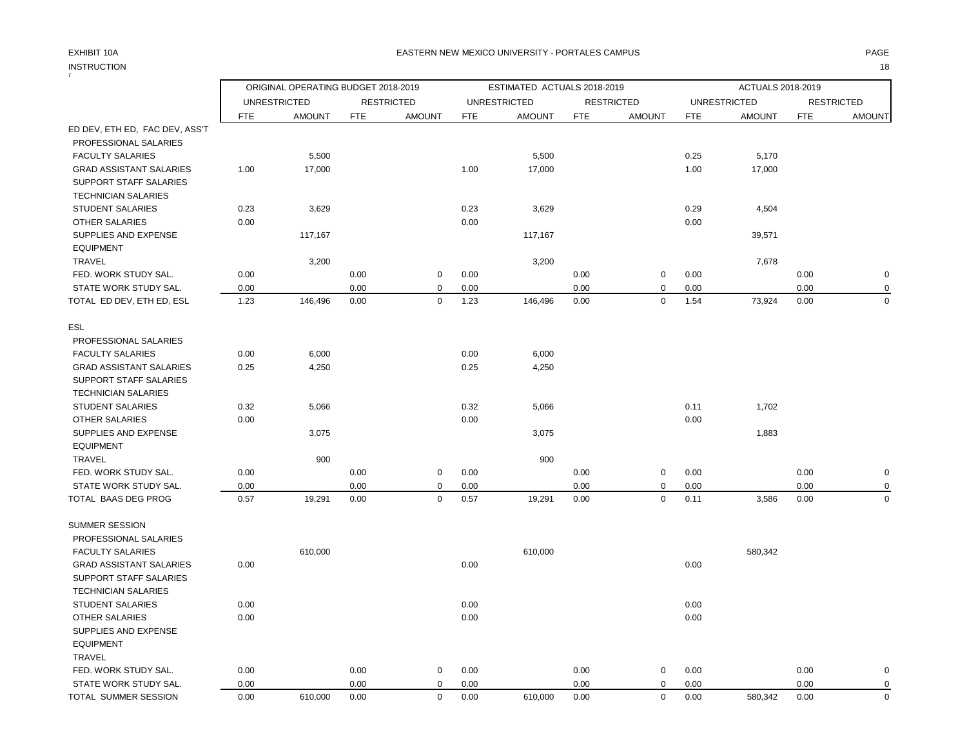## EXHIBIT 10A PAGE EASTERN NEW MEXICO UNIVERSITY - PORTALES CAMPUS

INSTRUCTION 18

| 7                              |            | ORIGINAL OPERATING BUDGET 2018-2019 |            |                   | ESTIMATED ACTUALS 2018-2019 |                     |            |                   |            | ACTUALS 2018-2019   |            |                   |  |
|--------------------------------|------------|-------------------------------------|------------|-------------------|-----------------------------|---------------------|------------|-------------------|------------|---------------------|------------|-------------------|--|
|                                |            | <b>UNRESTRICTED</b>                 |            | <b>RESTRICTED</b> |                             | <b>UNRESTRICTED</b> |            | <b>RESTRICTED</b> |            | <b>UNRESTRICTED</b> |            | <b>RESTRICTED</b> |  |
|                                | <b>FTE</b> | <b>AMOUNT</b>                       | <b>FTE</b> | <b>AMOUNT</b>     | <b>FTE</b>                  | <b>AMOUNT</b>       | <b>FTE</b> | <b>AMOUNT</b>     | <b>FTE</b> | <b>AMOUNT</b>       | <b>FTE</b> | <b>AMOUNT</b>     |  |
| ED DEV, ETH ED, FAC DEV, ASS'T |            |                                     |            |                   |                             |                     |            |                   |            |                     |            |                   |  |
| PROFESSIONAL SALARIES          |            |                                     |            |                   |                             |                     |            |                   |            |                     |            |                   |  |
| <b>FACULTY SALARIES</b>        |            | 5,500                               |            |                   |                             | 5,500               |            |                   | 0.25       | 5,170               |            |                   |  |
| <b>GRAD ASSISTANT SALARIES</b> | 1.00       | 17,000                              |            |                   | 1.00                        | 17,000              |            |                   | 1.00       | 17,000              |            |                   |  |
| SUPPORT STAFF SALARIES         |            |                                     |            |                   |                             |                     |            |                   |            |                     |            |                   |  |
| <b>TECHNICIAN SALARIES</b>     |            |                                     |            |                   |                             |                     |            |                   |            |                     |            |                   |  |
| <b>STUDENT SALARIES</b>        | 0.23       | 3,629                               |            |                   | 0.23                        | 3,629               |            |                   | 0.29       | 4,504               |            |                   |  |
| OTHER SALARIES                 | 0.00       |                                     |            |                   | 0.00                        |                     |            |                   | 0.00       |                     |            |                   |  |
| SUPPLIES AND EXPENSE           |            | 117,167                             |            |                   |                             | 117,167             |            |                   |            | 39,571              |            |                   |  |
| <b>EQUIPMENT</b>               |            |                                     |            |                   |                             |                     |            |                   |            |                     |            |                   |  |
| <b>TRAVEL</b>                  |            | 3,200                               |            |                   |                             | 3,200               |            |                   |            | 7,678               |            |                   |  |
| FED. WORK STUDY SAL.           | 0.00       |                                     | 0.00       | $\mathbf 0$       | 0.00                        |                     | 0.00       | $\mathbf 0$       | 0.00       |                     | 0.00       | $\mathbf 0$       |  |
| STATE WORK STUDY SAL.          | 0.00       |                                     | 0.00       | $\mathbf 0$       | 0.00                        |                     | 0.00       | $\mathbf 0$       | 0.00       |                     | 0.00       | $\pmb{0}$         |  |
| TOTAL ED DEV, ETH ED, ESL      | 1.23       | 146,496                             | 0.00       | $\mathbf 0$       | 1.23                        | 146,496             | 0.00       | $\mathbf 0$       | 1.54       | 73,924              | 0.00       | $\mathbf 0$       |  |
| ESL                            |            |                                     |            |                   |                             |                     |            |                   |            |                     |            |                   |  |
| PROFESSIONAL SALARIES          |            |                                     |            |                   |                             |                     |            |                   |            |                     |            |                   |  |
| <b>FACULTY SALARIES</b>        | 0.00       | 6,000                               |            |                   | 0.00                        | 6,000               |            |                   |            |                     |            |                   |  |
| <b>GRAD ASSISTANT SALARIES</b> | 0.25       | 4,250                               |            |                   | 0.25                        | 4,250               |            |                   |            |                     |            |                   |  |
| SUPPORT STAFF SALARIES         |            |                                     |            |                   |                             |                     |            |                   |            |                     |            |                   |  |
| <b>TECHNICIAN SALARIES</b>     |            |                                     |            |                   |                             |                     |            |                   |            |                     |            |                   |  |
| <b>STUDENT SALARIES</b>        | 0.32       | 5,066                               |            |                   | 0.32                        | 5,066               |            |                   | 0.11       | 1,702               |            |                   |  |
| <b>OTHER SALARIES</b>          | 0.00       |                                     |            |                   | 0.00                        |                     |            |                   | 0.00       |                     |            |                   |  |
| SUPPLIES AND EXPENSE           |            | 3,075                               |            |                   |                             | 3,075               |            |                   |            | 1,883               |            |                   |  |
| <b>EQUIPMENT</b>               |            |                                     |            |                   |                             |                     |            |                   |            |                     |            |                   |  |
| <b>TRAVEL</b>                  |            | 900                                 |            |                   |                             | 900                 |            |                   |            |                     |            |                   |  |
| FED. WORK STUDY SAL.           | 0.00       |                                     | 0.00       | $\mathbf 0$       | 0.00                        |                     | 0.00       | $\mathbf 0$       | 0.00       |                     | 0.00       | $\pmb{0}$         |  |
| STATE WORK STUDY SAL.          | 0.00       |                                     | 0.00       | $\Omega$          | 0.00                        |                     | 0.00       | $\mathbf 0$       | 0.00       |                     | 0.00       | $\pmb{0}$         |  |
| TOTAL BAAS DEG PROG            | 0.57       | 19,291                              | 0.00       | $\mathbf 0$       | 0.57                        | 19,291              | 0.00       | $\mathbf 0$       | 0.11       | 3,586               | 0.00       | $\mathbf 0$       |  |
| <b>SUMMER SESSION</b>          |            |                                     |            |                   |                             |                     |            |                   |            |                     |            |                   |  |
| PROFESSIONAL SALARIES          |            |                                     |            |                   |                             |                     |            |                   |            |                     |            |                   |  |
| <b>FACULTY SALARIES</b>        |            | 610,000                             |            |                   |                             | 610,000             |            |                   |            | 580,342             |            |                   |  |
| <b>GRAD ASSISTANT SALARIES</b> | 0.00       |                                     |            |                   | 0.00                        |                     |            |                   | 0.00       |                     |            |                   |  |
| SUPPORT STAFF SALARIES         |            |                                     |            |                   |                             |                     |            |                   |            |                     |            |                   |  |
| <b>TECHNICIAN SALARIES</b>     |            |                                     |            |                   |                             |                     |            |                   |            |                     |            |                   |  |
| <b>STUDENT SALARIES</b>        | 0.00       |                                     |            |                   | 0.00                        |                     |            |                   | 0.00       |                     |            |                   |  |
| <b>OTHER SALARIES</b>          | 0.00       |                                     |            |                   | 0.00                        |                     |            |                   | 0.00       |                     |            |                   |  |
| SUPPLIES AND EXPENSE           |            |                                     |            |                   |                             |                     |            |                   |            |                     |            |                   |  |
| <b>EQUIPMENT</b>               |            |                                     |            |                   |                             |                     |            |                   |            |                     |            |                   |  |
| <b>TRAVEL</b>                  |            |                                     |            |                   |                             |                     |            |                   |            |                     |            |                   |  |
| FED. WORK STUDY SAL.           | 0.00       |                                     | 0.00       | $\mathbf 0$       | 0.00                        |                     | 0.00       | $\pmb{0}$         | 0.00       |                     | 0.00       | $\mathbf 0$       |  |
| STATE WORK STUDY SAL.          | 0.00       |                                     | 0.00       | $\mathbf 0$       | 0.00                        |                     | 0.00       | $\mathbf 0$       | 0.00       |                     | 0.00       | $\mathbf 0$       |  |
| TOTAL SUMMER SESSION           | 0.00       | 610,000                             | 0.00       | $\mathbf 0$       | 0.00                        | 610,000             | 0.00       | $\mathbf 0$       | 0.00       | 580,342             | 0.00       | $\mathbf 0$       |  |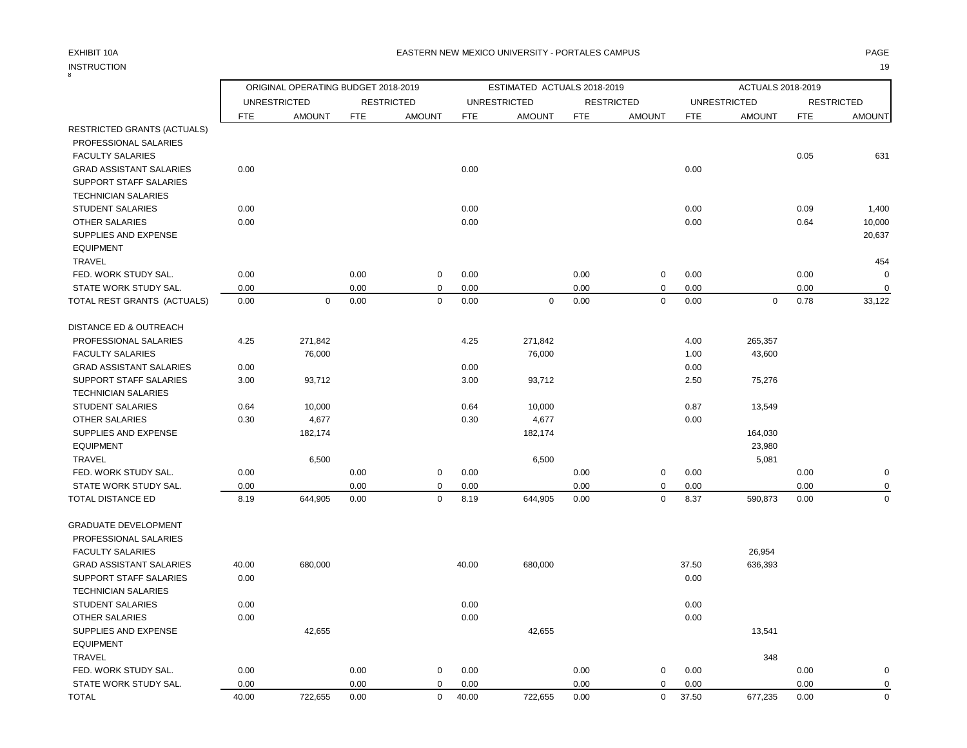# INSTRUCTION 19 INSTRUCTION

## EXHIBIT 10A PAGE EASTERN NEW MEXICO UNIVERSITY - PORTALES CAMPUS

|                                   |            | ORIGINAL OPERATING BUDGET 2018-2019 |            |                   | ESTIMATED ACTUALS 2018-2019 |                     |            |                   | ACTUALS 2018-2019 |                     |            |                   |
|-----------------------------------|------------|-------------------------------------|------------|-------------------|-----------------------------|---------------------|------------|-------------------|-------------------|---------------------|------------|-------------------|
|                                   |            | <b>UNRESTRICTED</b>                 |            | <b>RESTRICTED</b> |                             | <b>UNRESTRICTED</b> |            | <b>RESTRICTED</b> |                   | <b>UNRESTRICTED</b> |            | <b>RESTRICTED</b> |
|                                   | <b>FTE</b> | <b>AMOUNT</b>                       | <b>FTE</b> | <b>AMOUNT</b>     | <b>FTE</b>                  | <b>AMOUNT</b>       | <b>FTE</b> | <b>AMOUNT</b>     | <b>FTE</b>        | <b>AMOUNT</b>       | <b>FTE</b> | <b>AMOUNT</b>     |
| RESTRICTED GRANTS (ACTUALS)       |            |                                     |            |                   |                             |                     |            |                   |                   |                     |            |                   |
| PROFESSIONAL SALARIES             |            |                                     |            |                   |                             |                     |            |                   |                   |                     |            |                   |
| <b>FACULTY SALARIES</b>           |            |                                     |            |                   |                             |                     |            |                   |                   |                     | 0.05       | 631               |
| <b>GRAD ASSISTANT SALARIES</b>    | 0.00       |                                     |            |                   | 0.00                        |                     |            |                   | 0.00              |                     |            |                   |
| SUPPORT STAFF SALARIES            |            |                                     |            |                   |                             |                     |            |                   |                   |                     |            |                   |
| <b>TECHNICIAN SALARIES</b>        |            |                                     |            |                   |                             |                     |            |                   |                   |                     |            |                   |
| <b>STUDENT SALARIES</b>           | 0.00       |                                     |            |                   | 0.00                        |                     |            |                   | 0.00              |                     | 0.09       | 1,400             |
| <b>OTHER SALARIES</b>             | 0.00       |                                     |            |                   | 0.00                        |                     |            |                   | 0.00              |                     | 0.64       | 10,000            |
| SUPPLIES AND EXPENSE              |            |                                     |            |                   |                             |                     |            |                   |                   |                     |            | 20,637            |
| <b>EQUIPMENT</b>                  |            |                                     |            |                   |                             |                     |            |                   |                   |                     |            |                   |
| TRAVEL                            |            |                                     |            |                   |                             |                     |            |                   |                   |                     |            | 454               |
| FED. WORK STUDY SAL.              | 0.00       |                                     | 0.00       | 0                 | 0.00                        |                     | 0.00       | $\mathbf 0$       | 0.00              |                     | 0.00       |                   |
| STATE WORK STUDY SAL.             | 0.00       |                                     | 0.00       | 0                 | 0.00                        |                     | 0.00       | $\mathbf 0$       | 0.00              |                     | 0.00       | $\Omega$          |
| TOTAL REST GRANTS (ACTUALS)       | 0.00       | $\mathbf 0$                         | 0.00       | $\pmb{0}$         | 0.00                        | $\pmb{0}$           | 0.00       | $\mathbf 0$       | 0.00              | $\mathbf 0$         | 0.78       | 33,122            |
| <b>DISTANCE ED &amp; OUTREACH</b> |            |                                     |            |                   |                             |                     |            |                   |                   |                     |            |                   |
| PROFESSIONAL SALARIES             | 4.25       | 271,842                             |            |                   | 4.25                        | 271,842             |            |                   | 4.00              | 265,357             |            |                   |
| <b>FACULTY SALARIES</b>           |            | 76,000                              |            |                   |                             | 76,000              |            |                   | 1.00              | 43,600              |            |                   |
| <b>GRAD ASSISTANT SALARIES</b>    | 0.00       |                                     |            |                   | 0.00                        |                     |            |                   | 0.00              |                     |            |                   |
| <b>SUPPORT STAFF SALARIES</b>     | 3.00       | 93,712                              |            |                   | 3.00                        | 93,712              |            |                   | 2.50              | 75,276              |            |                   |
| <b>TECHNICIAN SALARIES</b>        |            |                                     |            |                   |                             |                     |            |                   |                   |                     |            |                   |
| <b>STUDENT SALARIES</b>           | 0.64       | 10,000                              |            |                   | 0.64                        | 10,000              |            |                   | 0.87              | 13,549              |            |                   |
| <b>OTHER SALARIES</b>             | 0.30       | 4,677                               |            |                   | 0.30                        | 4,677               |            |                   | 0.00              |                     |            |                   |
| SUPPLIES AND EXPENSE              |            | 182,174                             |            |                   |                             | 182,174             |            |                   |                   | 164,030             |            |                   |
| <b>EQUIPMENT</b>                  |            |                                     |            |                   |                             |                     |            |                   |                   | 23,980              |            |                   |
| TRAVEL                            |            | 6,500                               |            |                   |                             | 6,500               |            |                   |                   | 5,081               |            |                   |
| FED. WORK STUDY SAL.              | 0.00       |                                     | 0.00       | $\mathbf 0$       | 0.00                        |                     | 0.00       | $\mathbf 0$       | 0.00              |                     | 0.00       | 0                 |
| STATE WORK STUDY SAL.             | 0.00       |                                     | 0.00       | $\mathbf 0$       | 0.00                        |                     | 0.00       | 0                 | 0.00              |                     | 0.00       |                   |
| TOTAL DISTANCE ED                 | 8.19       | 644,905                             | 0.00       | $\pmb{0}$         | 8.19                        | 644,905             | 0.00       | $\mathsf 0$       | 8.37              | 590,873             | 0.00       | $\Omega$          |
| <b>GRADUATE DEVELOPMENT</b>       |            |                                     |            |                   |                             |                     |            |                   |                   |                     |            |                   |
| PROFESSIONAL SALARIES             |            |                                     |            |                   |                             |                     |            |                   |                   |                     |            |                   |
| <b>FACULTY SALARIES</b>           |            |                                     |            |                   |                             |                     |            |                   |                   | 26,954              |            |                   |
| <b>GRAD ASSISTANT SALARIES</b>    | 40.00      | 680,000                             |            |                   | 40.00                       | 680,000             |            |                   | 37.50             | 636,393             |            |                   |
| SUPPORT STAFF SALARIES            | 0.00       |                                     |            |                   |                             |                     |            |                   | 0.00              |                     |            |                   |
| <b>TECHNICIAN SALARIES</b>        |            |                                     |            |                   |                             |                     |            |                   |                   |                     |            |                   |
| <b>STUDENT SALARIES</b>           | 0.00       |                                     |            |                   | 0.00                        |                     |            |                   | 0.00              |                     |            |                   |
| OTHER SALARIES                    | 0.00       |                                     |            |                   | 0.00                        |                     |            |                   | 0.00              |                     |            |                   |
| SUPPLIES AND EXPENSE              |            | 42,655                              |            |                   |                             | 42,655              |            |                   |                   | 13,541              |            |                   |
| <b>EQUIPMENT</b>                  |            |                                     |            |                   |                             |                     |            |                   |                   |                     |            |                   |
| <b>TRAVEL</b>                     |            |                                     |            |                   |                             |                     |            |                   |                   | 348                 |            |                   |
| FED. WORK STUDY SAL.              | 0.00       |                                     | 0.00       | 0                 | 0.00                        |                     | 0.00       | 0                 | 0.00              |                     | 0.00       |                   |
| STATE WORK STUDY SAL.             | 0.00       |                                     | 0.00       | $\mathbf 0$       | 0.00                        |                     | 0.00       | $\mathbf 0$       | 0.00              |                     | 0.00       | $\Omega$          |

TOTAL 40.00 722,655 0.00 0 40.00 722,655 0.00 0 37.50 677,235 0.00 0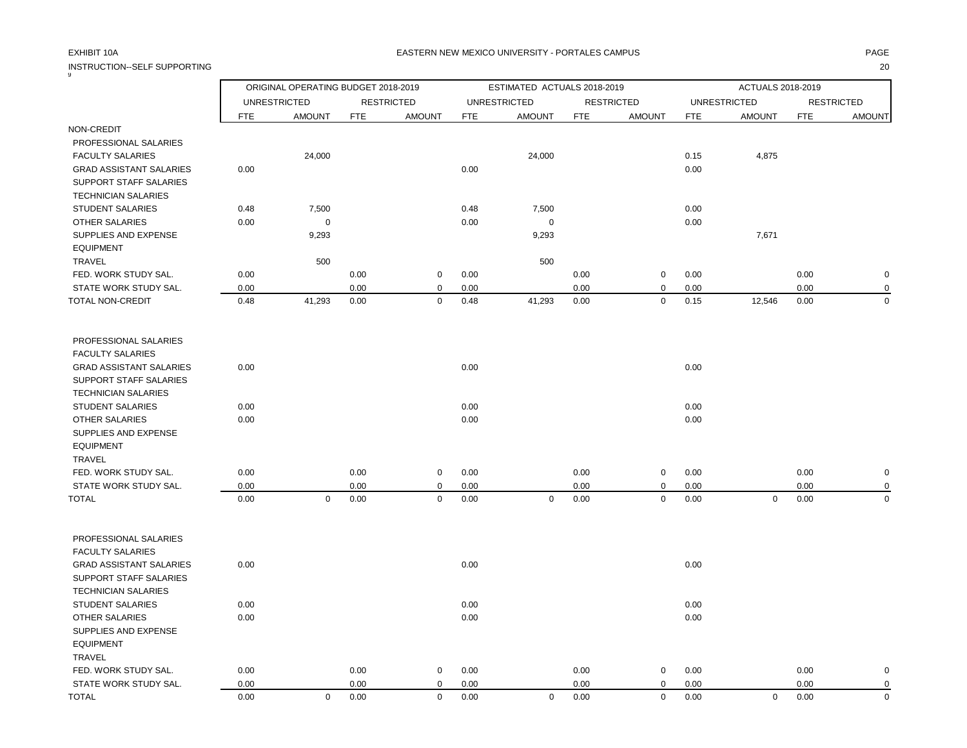INSTRUCTION--SELF SUPPORTING 20

## EXHIBIT 10A PAGE EASTERN NEW MEXICO UNIVERSITY - PORTALES CAMPUS

| 9                              |            | ORIGINAL OPERATING BUDGET 2018-2019 |            |                   |            | ESTIMATED ACTUALS 2018-2019 |      | ACTUALS 2018-2019 |            |                     |            |                   |
|--------------------------------|------------|-------------------------------------|------------|-------------------|------------|-----------------------------|------|-------------------|------------|---------------------|------------|-------------------|
|                                |            | <b>UNRESTRICTED</b>                 |            | <b>RESTRICTED</b> |            | <b>UNRESTRICTED</b>         |      | <b>RESTRICTED</b> |            | <b>UNRESTRICTED</b> |            | <b>RESTRICTED</b> |
|                                | <b>FTE</b> | <b>AMOUNT</b>                       | <b>FTE</b> | <b>AMOUNT</b>     | <b>FTE</b> | <b>AMOUNT</b>               | FTE  | <b>AMOUNT</b>     | <b>FTE</b> | <b>AMOUNT</b>       | <b>FTE</b> | <b>AMOUNT</b>     |
| NON-CREDIT                     |            |                                     |            |                   |            |                             |      |                   |            |                     |            |                   |
| PROFESSIONAL SALARIES          |            |                                     |            |                   |            |                             |      |                   |            |                     |            |                   |
| <b>FACULTY SALARIES</b>        |            | 24,000                              |            |                   |            | 24,000                      |      |                   | 0.15       | 4,875               |            |                   |
| <b>GRAD ASSISTANT SALARIES</b> | 0.00       |                                     |            |                   | 0.00       |                             |      |                   | 0.00       |                     |            |                   |
| SUPPORT STAFF SALARIES         |            |                                     |            |                   |            |                             |      |                   |            |                     |            |                   |
| <b>TECHNICIAN SALARIES</b>     |            |                                     |            |                   |            |                             |      |                   |            |                     |            |                   |
| <b>STUDENT SALARIES</b>        | 0.48       | 7,500                               |            |                   | 0.48       | 7,500                       |      |                   | 0.00       |                     |            |                   |
| <b>OTHER SALARIES</b>          | 0.00       | 0                                   |            |                   | 0.00       | $\mathbf 0$                 |      |                   | 0.00       |                     |            |                   |
| SUPPLIES AND EXPENSE           |            | 9,293                               |            |                   |            | 9,293                       |      |                   |            | 7,671               |            |                   |
| <b>EQUIPMENT</b>               |            |                                     |            |                   |            |                             |      |                   |            |                     |            |                   |
| TRAVEL                         |            | 500                                 |            |                   |            | 500                         |      |                   |            |                     |            |                   |
| FED. WORK STUDY SAL.           | 0.00       |                                     | 0.00       | $\mathsf 0$       | 0.00       |                             | 0.00 | $\mathsf 0$       | 0.00       |                     | 0.00       | $\mathbf 0$       |
| STATE WORK STUDY SAL.          | 0.00       |                                     | 0.00       | $\mathbf 0$       | 0.00       |                             | 0.00 | $\mathbf 0$       | 0.00       |                     | 0.00       | $\mathbf 0$       |
| TOTAL NON-CREDIT               | 0.48       | 41,293                              | 0.00       | $\mathsf 0$       | 0.48       | 41,293                      | 0.00 | $\mathsf 0$       | 0.15       | 12,546              | 0.00       | $\mathbf 0$       |
| PROFESSIONAL SALARIES          |            |                                     |            |                   |            |                             |      |                   |            |                     |            |                   |
| <b>FACULTY SALARIES</b>        |            |                                     |            |                   |            |                             |      |                   |            |                     |            |                   |
| <b>GRAD ASSISTANT SALARIES</b> | 0.00       |                                     |            |                   | 0.00       |                             |      |                   | 0.00       |                     |            |                   |
| SUPPORT STAFF SALARIES         |            |                                     |            |                   |            |                             |      |                   |            |                     |            |                   |
| <b>TECHNICIAN SALARIES</b>     |            |                                     |            |                   |            |                             |      |                   |            |                     |            |                   |
| <b>STUDENT SALARIES</b>        | 0.00       |                                     |            |                   | 0.00       |                             |      |                   | 0.00       |                     |            |                   |
| <b>OTHER SALARIES</b>          | 0.00       |                                     |            |                   | 0.00       |                             |      |                   | 0.00       |                     |            |                   |
| SUPPLIES AND EXPENSE           |            |                                     |            |                   |            |                             |      |                   |            |                     |            |                   |
| <b>EQUIPMENT</b>               |            |                                     |            |                   |            |                             |      |                   |            |                     |            |                   |
| <b>TRAVEL</b>                  |            |                                     |            |                   |            |                             |      |                   |            |                     |            |                   |
| FED. WORK STUDY SAL.           | 0.00       |                                     | 0.00       | $\mathsf 0$       | 0.00       |                             | 0.00 | 0                 | 0.00       |                     | 0.00       | $\mathbf 0$       |
| STATE WORK STUDY SAL.          | 0.00       |                                     | 0.00       | 0                 | 0.00       |                             | 0.00 | 0                 | 0.00       |                     | 0.00       | $\mathbf 0$       |
| <b>TOTAL</b>                   | 0.00       | $\mathbf 0$                         | 0.00       | $\mathbf 0$       | 0.00       | $\pmb{0}$                   | 0.00 | $\mathsf 0$       | 0.00       | $\mathbf 0$         | 0.00       | $\mathbf 0$       |
| PROFESSIONAL SALARIES          |            |                                     |            |                   |            |                             |      |                   |            |                     |            |                   |
| <b>FACULTY SALARIES</b>        |            |                                     |            |                   |            |                             |      |                   |            |                     |            |                   |
| <b>GRAD ASSISTANT SALARIES</b> | 0.00       |                                     |            |                   | 0.00       |                             |      |                   | 0.00       |                     |            |                   |
| SUPPORT STAFF SALARIES         |            |                                     |            |                   |            |                             |      |                   |            |                     |            |                   |
| <b>TECHNICIAN SALARIES</b>     |            |                                     |            |                   |            |                             |      |                   |            |                     |            |                   |
| <b>STUDENT SALARIES</b>        | 0.00       |                                     |            |                   | 0.00       |                             |      |                   | 0.00       |                     |            |                   |
| <b>OTHER SALARIES</b>          | 0.00       |                                     |            |                   | 0.00       |                             |      |                   | 0.00       |                     |            |                   |
| SUPPLIES AND EXPENSE           |            |                                     |            |                   |            |                             |      |                   |            |                     |            |                   |
| <b>EQUIPMENT</b>               |            |                                     |            |                   |            |                             |      |                   |            |                     |            |                   |
| <b>TRAVEL</b>                  |            |                                     |            |                   |            |                             |      |                   |            |                     |            |                   |
| FED. WORK STUDY SAL.           | 0.00       |                                     | 0.00       | $\mathbf 0$       | 0.00       |                             | 0.00 | 0                 | 0.00       |                     | 0.00       | $\mathbf 0$       |
| STATE WORK STUDY SAL.          | 0.00       |                                     | 0.00       | $\mathbf 0$       | 0.00       |                             | 0.00 | $\mathbf 0$       | 0.00       |                     | 0.00       | $\mathbf 0$       |

TOTAL 0.00 0 0.00 0 0.00 0 0.00 0 0.00 0 0.00 0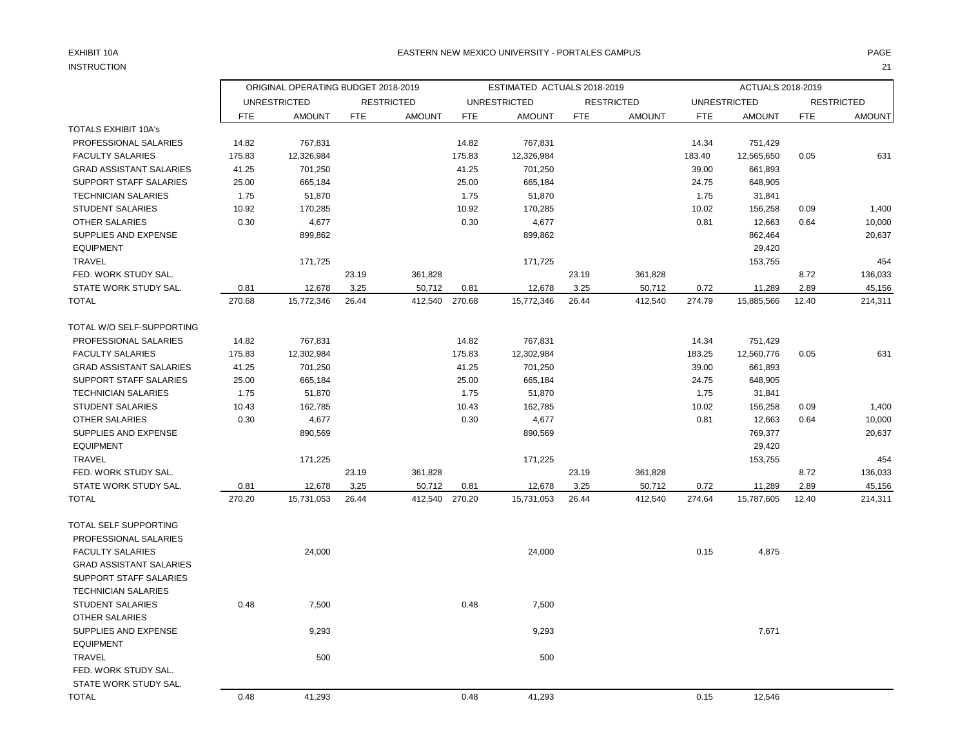# INSTRUCTION 21

## EXHIBIT 10A PAGE PAGE AND THE SERVICE OF THE SERVICE OF THE SERVICE OF THE SERVICE OF THE SERVICE OF THE SERVICE OF THE SERVICE OF THE SERVICE OF THE SERVICE OF THE SERVICE OF THE SERVICE OF THE SERVICE OF THE SERVICE OF T

|                                | ORIGINAL OPERATING BUDGET 2018-2019 |                     |            |                   |            | ESTIMATED ACTUALS 2018-2019 |            |                   |            | ACTUALS 2018-2019   |            |                   |
|--------------------------------|-------------------------------------|---------------------|------------|-------------------|------------|-----------------------------|------------|-------------------|------------|---------------------|------------|-------------------|
|                                |                                     | <b>UNRESTRICTED</b> |            | <b>RESTRICTED</b> |            | <b>UNRESTRICTED</b>         |            | <b>RESTRICTED</b> |            | <b>UNRESTRICTED</b> |            | <b>RESTRICTED</b> |
|                                | FTE                                 | <b>AMOUNT</b>       | <b>FTE</b> | <b>AMOUNT</b>     | <b>FTE</b> | <b>AMOUNT</b>               | <b>FTE</b> | <b>AMOUNT</b>     | <b>FTE</b> | <b>AMOUNT</b>       | <b>FTE</b> | <b>AMOUNT</b>     |
| <b>TOTALS EXHIBIT 10A's</b>    |                                     |                     |            |                   |            |                             |            |                   |            |                     |            |                   |
| PROFESSIONAL SALARIES          | 14.82                               | 767,831             |            |                   | 14.82      | 767,831                     |            |                   | 14.34      | 751,429             |            |                   |
| <b>FACULTY SALARIES</b>        | 175.83                              | 12,326,984          |            |                   | 175.83     | 12,326,984                  |            |                   | 183.40     | 12,565,650          | 0.05       | 631               |
| <b>GRAD ASSISTANT SALARIES</b> | 41.25                               | 701,250             |            |                   | 41.25      | 701,250                     |            |                   | 39.00      | 661,893             |            |                   |
| SUPPORT STAFF SALARIES         | 25.00                               | 665,184             |            |                   | 25.00      | 665,184                     |            |                   | 24.75      | 648,905             |            |                   |
| <b>TECHNICIAN SALARIES</b>     | 1.75                                | 51,870              |            |                   | 1.75       | 51,870                      |            |                   | 1.75       | 31,841              |            |                   |
| <b>STUDENT SALARIES</b>        | 10.92                               | 170,285             |            |                   | 10.92      | 170,285                     |            |                   | 10.02      | 156,258             | 0.09       | 1,400             |
| <b>OTHER SALARIES</b>          | 0.30                                | 4,677               |            |                   | 0.30       | 4,677                       |            |                   | 0.81       | 12,663              | 0.64       | 10,000            |
| SUPPLIES AND EXPENSE           |                                     | 899,862             |            |                   |            | 899,862                     |            |                   |            | 862,464             |            | 20,637            |
| <b>EQUIPMENT</b>               |                                     |                     |            |                   |            |                             |            |                   |            | 29,420              |            |                   |
| <b>TRAVEL</b>                  |                                     | 171,725             |            |                   |            | 171,725                     |            |                   |            | 153,755             |            | 454               |
| FED. WORK STUDY SAL.           |                                     |                     | 23.19      | 361,828           |            |                             | 23.19      | 361,828           |            |                     | 8.72       | 136,033           |
| STATE WORK STUDY SAL.          | 0.81                                | 12,678              | 3.25       | 50,712            | 0.81       | 12,678                      | 3.25       | 50,712            | 0.72       | 11,289              | 2.89       | 45,156            |
| <b>TOTAL</b>                   | 270.68                              | 15,772,346          | 26.44      | 412,540           | 270.68     | 15,772,346                  | 26.44      | 412,540           | 274.79     | 15,885,566          | 12.40      | 214,311           |
| TOTAL W/O SELF-SUPPORTING      |                                     |                     |            |                   |            |                             |            |                   |            |                     |            |                   |
| PROFESSIONAL SALARIES          | 14.82                               | 767,831             |            |                   | 14.82      | 767,831                     |            |                   | 14.34      | 751,429             |            |                   |
| <b>FACULTY SALARIES</b>        | 175.83                              | 12,302,984          |            |                   | 175.83     | 12,302,984                  |            |                   | 183.25     | 12,560,776          | 0.05       | 631               |
| <b>GRAD ASSISTANT SALARIES</b> | 41.25                               | 701,250             |            |                   | 41.25      | 701,250                     |            |                   | 39.00      | 661,893             |            |                   |
| SUPPORT STAFF SALARIES         | 25.00                               | 665,184             |            |                   | 25.00      | 665,184                     |            |                   | 24.75      | 648,905             |            |                   |
| <b>TECHNICIAN SALARIES</b>     | 1.75                                | 51,870              |            |                   | 1.75       | 51,870                      |            |                   | 1.75       | 31,841              |            |                   |
| <b>STUDENT SALARIES</b>        | 10.43                               | 162,785             |            |                   | 10.43      | 162,785                     |            |                   | 10.02      | 156,258             | 0.09       | 1,400             |
| <b>OTHER SALARIES</b>          | 0.30                                | 4,677               |            |                   | 0.30       | 4,677                       |            |                   | 0.81       | 12,663              | 0.64       | 10,000            |
| SUPPLIES AND EXPENSE           |                                     | 890,569             |            |                   |            | 890,569                     |            |                   |            | 769,377             |            | 20,637            |
| <b>EQUIPMENT</b>               |                                     |                     |            |                   |            |                             |            |                   |            | 29,420              |            |                   |
| <b>TRAVEL</b>                  |                                     | 171,225             |            |                   |            | 171,225                     |            |                   |            | 153,755             |            | 454               |
| FED. WORK STUDY SAL.           |                                     |                     | 23.19      | 361,828           |            |                             | 23.19      | 361,828           |            |                     | 8.72       | 136,033           |
| STATE WORK STUDY SAL.          | 0.81                                | 12,678              | 3.25       | 50,712            | 0.81       | 12,678                      | 3.25       | 50,712            | 0.72       | 11,289              | 2.89       | 45,156            |
| <b>TOTAL</b>                   | 270.20                              | 15,731,053          | 26.44      | 412,540           | 270.20     | 15,731,053                  | 26.44      | 412,540           | 274.64     | 15,787,605          | 12.40      | 214,311           |
| TOTAL SELF SUPPORTING          |                                     |                     |            |                   |            |                             |            |                   |            |                     |            |                   |
| PROFESSIONAL SALARIES          |                                     |                     |            |                   |            |                             |            |                   |            |                     |            |                   |
| <b>FACULTY SALARIES</b>        |                                     | 24,000              |            |                   |            | 24,000                      |            |                   | 0.15       | 4,875               |            |                   |
| <b>GRAD ASSISTANT SALARIES</b> |                                     |                     |            |                   |            |                             |            |                   |            |                     |            |                   |
| SUPPORT STAFF SALARIES         |                                     |                     |            |                   |            |                             |            |                   |            |                     |            |                   |
| <b>TECHNICIAN SALARIES</b>     |                                     |                     |            |                   |            |                             |            |                   |            |                     |            |                   |
| STUDENT SALARIES               | 0.48                                | 7,500               |            |                   | 0.48       | 7,500                       |            |                   |            |                     |            |                   |
| <b>OTHER SALARIES</b>          |                                     |                     |            |                   |            |                             |            |                   |            |                     |            |                   |
| SUPPLIES AND EXPENSE           |                                     | 9,293               |            |                   |            | 9,293                       |            |                   |            | 7,671               |            |                   |
| <b>EQUIPMENT</b>               |                                     |                     |            |                   |            |                             |            |                   |            |                     |            |                   |
| <b>TRAVEL</b>                  |                                     | 500                 |            |                   |            | 500                         |            |                   |            |                     |            |                   |
| FED. WORK STUDY SAL.           |                                     |                     |            |                   |            |                             |            |                   |            |                     |            |                   |
| STATE WORK STUDY SAL.          |                                     |                     |            |                   |            |                             |            |                   |            |                     |            |                   |
| <b>TOTAL</b>                   | 0.48                                | 41,293              |            |                   | 0.48       | 41,293                      |            |                   | 0.15       | 12,546              |            |                   |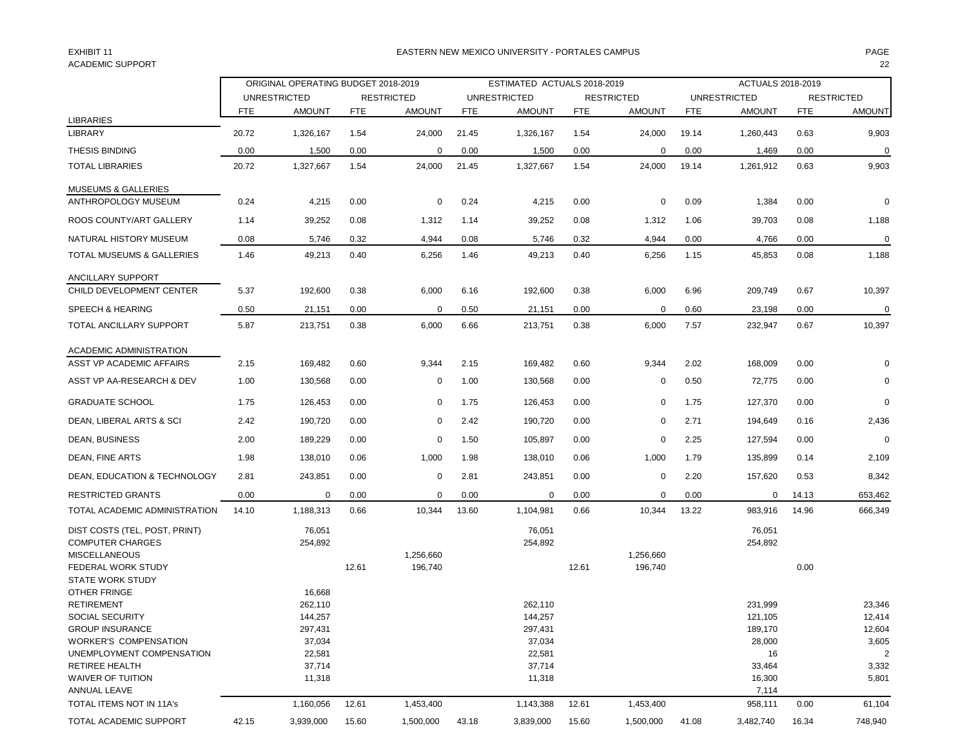# ACADEMIC SUPPORT 22

## EXHIBIT 11 PAGE EASTERN NEW MEXICO UNIVERSITY - PORTALES CAMPUS

|                                | ORIGINAL OPERATING BUDGET 2018-2019 |                     |            |                   | ESTIMATED ACTUALS 2018-2019 |                     |            |                   | ACTUALS 2018-2019 |                     |            |                   |
|--------------------------------|-------------------------------------|---------------------|------------|-------------------|-----------------------------|---------------------|------------|-------------------|-------------------|---------------------|------------|-------------------|
|                                |                                     | <b>UNRESTRICTED</b> |            | <b>RESTRICTED</b> |                             | <b>UNRESTRICTED</b> |            | <b>RESTRICTED</b> |                   | <b>UNRESTRICTED</b> |            | <b>RESTRICTED</b> |
| <b>LIBRARIES</b>               | <b>FTE</b>                          | <b>AMOUNT</b>       | <b>FTE</b> | <b>AMOUNT</b>     | FTE                         | <b>AMOUNT</b>       | <b>FTE</b> | <b>AMOUNT</b>     | <b>FTE</b>        | <b>AMOUNT</b>       | <b>FTE</b> | <b>AMOUNT</b>     |
| <b>LIBRARY</b>                 | 20.72                               | 1,326,167           | 1.54       | 24,000            | 21.45                       | 1,326,167           | 1.54       | 24,000            | 19.14             | 1,260,443           | 0.63       | 9,903             |
| THESIS BINDING                 | 0.00                                | 1,500               | 0.00       | 0                 | 0.00                        | 1,500               | 0.00       | 0                 | 0.00              | 1,469               | 0.00       | $\pmb{0}$         |
| <b>TOTAL LIBRARIES</b>         | 20.72                               | 1,327,667           | 1.54       | 24,000            |                             |                     |            | 24,000            | 19.14             | 1,261,912           | 0.63       | 9,903             |
|                                |                                     |                     |            |                   | 21.45                       | 1,327,667           | 1.54       |                   |                   |                     |            |                   |
| <b>MUSEUMS &amp; GALLERIES</b> |                                     |                     |            |                   |                             |                     |            |                   |                   |                     |            |                   |
| ANTHROPOLOGY MUSEUM            | 0.24                                | 4,215               | 0.00       | 0                 | 0.24                        | 4,215               | 0.00       | 0                 | 0.09              | 1,384               | 0.00       | 0                 |
| ROOS COUNTY/ART GALLERY        | 1.14                                | 39,252              | 0.08       | 1,312             | 1.14                        | 39,252              | 0.08       | 1,312             | 1.06              | 39,703              | 0.08       | 1,188             |
| NATURAL HISTORY MUSEUM         | 0.08                                | 5,746               | 0.32       | 4,944             | 0.08                        | 5,746               | 0.32       | 4,944             | 0.00              | 4,766               | 0.00       | $\mathbf 0$       |
| TOTAL MUSEUMS & GALLERIES      | 1.46                                | 49,213              | 0.40       | 6,256             | 1.46                        | 49,213              | 0.40       | 6,256             | 1.15              | 45,853              | 0.08       | 1,188             |
| ANCILLARY SUPPORT              |                                     |                     |            |                   |                             |                     |            |                   |                   |                     |            |                   |
| CHILD DEVELOPMENT CENTER       | 5.37                                | 192,600             | 0.38       | 6,000             | 6.16                        | 192,600             | 0.38       | 6,000             | 6.96              | 209,749             | 0.67       | 10,397            |
| SPEECH & HEARING               | 0.50                                | 21,151              | 0.00       | $\mathbf 0$       | 0.50                        | 21,151              | 0.00       | 0                 | 0.60              | 23,198              | 0.00       | $\mathbf 0$       |
| TOTAL ANCILLARY SUPPORT        | 5.87                                | 213,751             | 0.38       | 6,000             | 6.66                        | 213,751             | 0.38       | 6,000             | 7.57              | 232,947             | 0.67       | 10,397            |
|                                |                                     |                     |            |                   |                             |                     |            |                   |                   |                     |            |                   |
| ACADEMIC ADMINISTRATION        |                                     |                     |            |                   |                             |                     |            |                   |                   |                     |            |                   |
| ASST VP ACADEMIC AFFAIRS       | 2.15                                | 169,482             | 0.60       | 9,344             | 2.15                        | 169,482             | 0.60       | 9,344             | 2.02              | 168,009             | 0.00       | 0                 |
| ASST VP AA-RESEARCH & DEV      | 1.00                                | 130,568             | 0.00       | 0                 | 1.00                        | 130,568             | 0.00       | 0                 | 0.50              | 72,775              | 0.00       | $\mathbf 0$       |
| <b>GRADUATE SCHOOL</b>         | 1.75                                | 126,453             | 0.00       | $\mathbf 0$       | 1.75                        | 126,453             | 0.00       | 0                 | 1.75              | 127,370             | 0.00       | $\pmb{0}$         |
| DEAN, LIBERAL ARTS & SCI       | 2.42                                | 190,720             | 0.00       | $\mathbf 0$       | 2.42                        | 190,720             | 0.00       | 0                 | 2.71              | 194,649             | 0.16       | 2,436             |
| DEAN, BUSINESS                 | 2.00                                | 189,229             | 0.00       | 0                 | 1.50                        | 105,897             | 0.00       | 0                 | 2.25              | 127,594             | 0.00       | $\mathbf 0$       |
| DEAN, FINE ARTS                | 1.98                                | 138,010             | 0.06       | 1,000             | 1.98                        | 138,010             | 0.06       | 1,000             | 1.79              | 135,899             | 0.14       | 2,109             |
| DEAN, EDUCATION & TECHNOLOGY   | 2.81                                | 243,851             | 0.00       | 0                 | 2.81                        | 243,851             | 0.00       | 0                 | 2.20              | 157,620             | 0.53       | 8,342             |
| <b>RESTRICTED GRANTS</b>       | 0.00                                | 0                   | 0.00       | 0                 | 0.00                        | 0                   | 0.00       | 0                 | 0.00              | 0                   | 14.13      | 653,462           |
| TOTAL ACADEMIC ADMINISTRATION  | 14.10                               | 1,188,313           | 0.66       | 10,344            | 13.60                       | 1,104,981           | 0.66       | 10,344            | 13.22             | 983,916             | 14.96      | 666,349           |
| DIST COSTS (TEL, POST, PRINT)  |                                     | 76,051              |            |                   |                             | 76,051              |            |                   |                   | 76,051              |            |                   |
| <b>COMPUTER CHARGES</b>        |                                     | 254,892             |            |                   |                             | 254,892             |            |                   |                   | 254,892             |            |                   |
| <b>MISCELLANEOUS</b>           |                                     |                     |            | 1,256,660         |                             |                     |            | 1,256,660         |                   |                     |            |                   |
| FEDERAL WORK STUDY             |                                     |                     | 12.61      | 196,740           |                             |                     | 12.61      | 196,740           |                   |                     | 0.00       |                   |
| <b>STATE WORK STUDY</b>        |                                     |                     |            |                   |                             |                     |            |                   |                   |                     |            |                   |
| OTHER FRINGE                   |                                     | 16,668              |            |                   |                             |                     |            |                   |                   |                     |            |                   |
| <b>RETIREMENT</b>              |                                     | 262,110             |            |                   |                             | 262,110             |            |                   |                   | 231,999             |            | 23,346            |
| <b>SOCIAL SECURITY</b>         |                                     | 144,257             |            |                   |                             | 144,257             |            |                   |                   | 121,105             |            | 12,414            |
| <b>GROUP INSURANCE</b>         |                                     | 297,431             |            |                   |                             | 297,431             |            |                   |                   | 189,170             |            | 12,604            |
| <b>WORKER'S COMPENSATION</b>   |                                     | 37,034              |            |                   |                             | 37,034              |            |                   |                   | 28,000              |            | 3,605             |
| UNEMPLOYMENT COMPENSATION      |                                     | 22,581              |            |                   |                             | 22,581              |            |                   |                   | 16                  |            | $\overline{2}$    |
| RETIREE HEALTH                 |                                     | 37,714              |            |                   |                             | 37,714              |            |                   |                   | 33,464              |            | 3,332             |
| <b>WAIVER OF TUITION</b>       |                                     | 11,318              |            |                   |                             | 11,318              |            |                   |                   | 16,300              |            | 5,801             |
| ANNUAL LEAVE                   |                                     |                     |            |                   |                             |                     |            |                   |                   | 7,114               |            |                   |
| TOTAL ITEMS NOT IN 11A's       |                                     | 1,160,056           | 12.61      | 1,453,400         |                             | 1,143,388           | 12.61      | 1,453,400         |                   | 958,111             | 0.00       | 61,104            |
| TOTAL ACADEMIC SUPPORT         | 42.15                               | 3,939,000           | 15.60      | 1,500,000         | 43.18                       | 3,839,000           | 15.60      | 1,500,000         | 41.08             | 3,482,740           | 16.34      | 748,940           |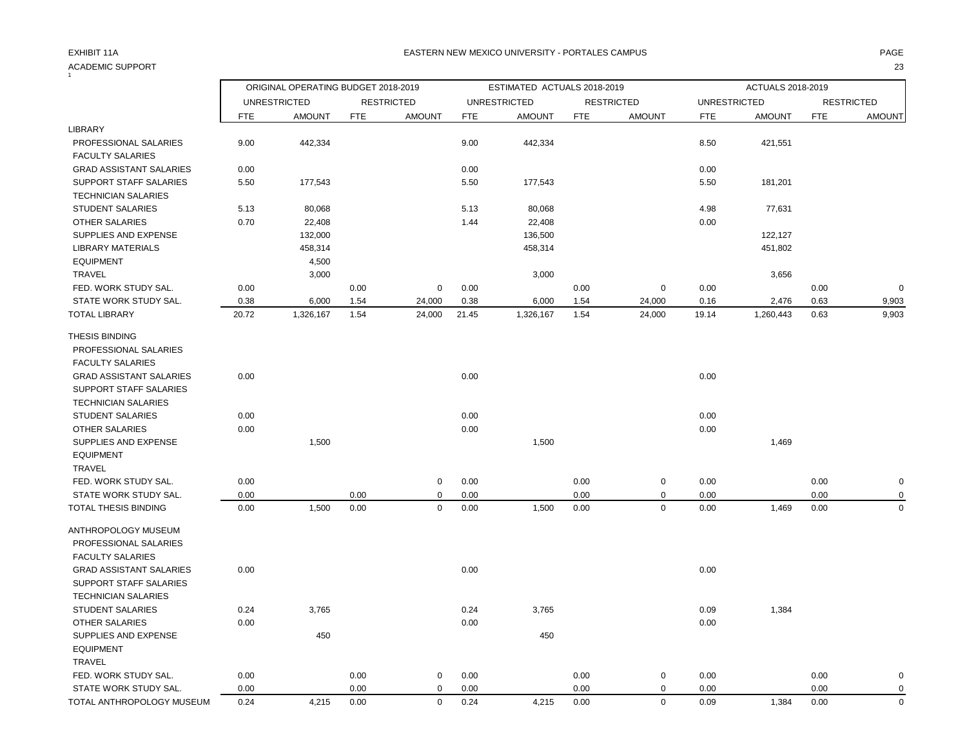### ACADEMIC SUPPORT 23  $\frac{1}{1}$

## EXHIBIT 11A REASTERN NEW MEXICO UNIVERSITY - PORTALES CAMPUS AND THE REASTER OF PAGE AND PAGE

|                                |            | ORIGINAL OPERATING BUDGET 2018-2019 |            |                   |            | ESTIMATED ACTUALS 2018-2019 |            |                   |                     | ACTUALS 2018-2019 |            |                   |
|--------------------------------|------------|-------------------------------------|------------|-------------------|------------|-----------------------------|------------|-------------------|---------------------|-------------------|------------|-------------------|
|                                |            | <b>UNRESTRICTED</b>                 |            | <b>RESTRICTED</b> |            | <b>UNRESTRICTED</b>         |            | <b>RESTRICTED</b> | <b>UNRESTRICTED</b> |                   |            | <b>RESTRICTED</b> |
|                                | <b>FTE</b> | <b>AMOUNT</b>                       | <b>FTE</b> | <b>AMOUNT</b>     | <b>FTE</b> | <b>AMOUNT</b>               | <b>FTE</b> | <b>AMOUNT</b>     | <b>FTE</b>          | <b>AMOUNT</b>     | <b>FTE</b> | <b>AMOUNT</b>     |
| LIBRARY                        |            |                                     |            |                   |            |                             |            |                   |                     |                   |            |                   |
| PROFESSIONAL SALARIES          | 9.00       | 442,334                             |            |                   | 9.00       | 442,334                     |            |                   | 8.50                | 421,551           |            |                   |
| <b>FACULTY SALARIES</b>        |            |                                     |            |                   |            |                             |            |                   |                     |                   |            |                   |
| <b>GRAD ASSISTANT SALARIES</b> | 0.00       |                                     |            |                   | 0.00       |                             |            |                   | 0.00                |                   |            |                   |
| SUPPORT STAFF SALARIES         | 5.50       | 177,543                             |            |                   | 5.50       | 177,543                     |            |                   | 5.50                | 181,201           |            |                   |
| <b>TECHNICIAN SALARIES</b>     |            |                                     |            |                   |            |                             |            |                   |                     |                   |            |                   |
| <b>STUDENT SALARIES</b>        | 5.13       | 80,068                              |            |                   | 5.13       | 80,068                      |            |                   | 4.98                | 77,631            |            |                   |
| OTHER SALARIES                 | 0.70       | 22,408                              |            |                   | 1.44       | 22,408                      |            |                   | 0.00                |                   |            |                   |
| SUPPLIES AND EXPENSE           |            | 132,000                             |            |                   |            | 136,500                     |            |                   |                     | 122,127           |            |                   |
| <b>LIBRARY MATERIALS</b>       |            | 458,314                             |            |                   |            | 458,314                     |            |                   |                     | 451,802           |            |                   |
| <b>EQUIPMENT</b>               |            | 4,500                               |            |                   |            |                             |            |                   |                     |                   |            |                   |
| <b>TRAVEL</b>                  |            | 3,000                               |            |                   |            | 3,000                       |            |                   |                     | 3,656             |            |                   |
| FED. WORK STUDY SAL.           | 0.00       |                                     | 0.00       | $\mathbf 0$       | 0.00       |                             | 0.00       | $\mathbf 0$       | 0.00                |                   | 0.00       | $\mathbf 0$       |
| STATE WORK STUDY SAL.          | 0.38       | 6,000                               | 1.54       | 24,000            | 0.38       | 6,000                       | 1.54       | 24,000            | 0.16                | 2,476             | 0.63       | 9,903             |
| <b>TOTAL LIBRARY</b>           | 20.72      | 1,326,167                           | 1.54       | 24,000            | 21.45      | 1,326,167                   | 1.54       | 24,000            | 19.14               | 1,260,443         | 0.63       | 9,903             |
| THESIS BINDING                 |            |                                     |            |                   |            |                             |            |                   |                     |                   |            |                   |
| PROFESSIONAL SALARIES          |            |                                     |            |                   |            |                             |            |                   |                     |                   |            |                   |
| <b>FACULTY SALARIES</b>        |            |                                     |            |                   |            |                             |            |                   |                     |                   |            |                   |
| <b>GRAD ASSISTANT SALARIES</b> | 0.00       |                                     |            |                   | 0.00       |                             |            |                   | 0.00                |                   |            |                   |
| SUPPORT STAFF SALARIES         |            |                                     |            |                   |            |                             |            |                   |                     |                   |            |                   |
| <b>TECHNICIAN SALARIES</b>     |            |                                     |            |                   |            |                             |            |                   |                     |                   |            |                   |
| <b>STUDENT SALARIES</b>        | 0.00       |                                     |            |                   | 0.00       |                             |            |                   | 0.00                |                   |            |                   |
| <b>OTHER SALARIES</b>          | 0.00       |                                     |            |                   | 0.00       |                             |            |                   | 0.00                |                   |            |                   |
| SUPPLIES AND EXPENSE           |            | 1,500                               |            |                   |            | 1,500                       |            |                   |                     | 1,469             |            |                   |
| <b>EQUIPMENT</b>               |            |                                     |            |                   |            |                             |            |                   |                     |                   |            |                   |
| <b>TRAVEL</b>                  |            |                                     |            |                   |            |                             |            |                   |                     |                   |            |                   |
| FED. WORK STUDY SAL.           | 0.00       |                                     |            | $\mathbf 0$       | 0.00       |                             | 0.00       | $\mathbf 0$       | 0.00                |                   | 0.00       | $\mathbf 0$       |
| STATE WORK STUDY SAL.          | 0.00       |                                     | 0.00       | $\mathbf 0$       | 0.00       |                             | 0.00       | $\mathbf 0$       | 0.00                |                   | 0.00       | 0                 |
| TOTAL THESIS BINDING           | 0.00       | 1,500                               | 0.00       | $\mathsf 0$       | 0.00       | 1,500                       | 0.00       | $\mathbf 0$       | 0.00                | 1,469             | 0.00       | $\Omega$          |
|                                |            |                                     |            |                   |            |                             |            |                   |                     |                   |            |                   |
| ANTHROPOLOGY MUSEUM            |            |                                     |            |                   |            |                             |            |                   |                     |                   |            |                   |
| PROFESSIONAL SALARIES          |            |                                     |            |                   |            |                             |            |                   |                     |                   |            |                   |
| <b>FACULTY SALARIES</b>        |            |                                     |            |                   |            |                             |            |                   |                     |                   |            |                   |
| <b>GRAD ASSISTANT SALARIES</b> | 0.00       |                                     |            |                   | 0.00       |                             |            |                   | 0.00                |                   |            |                   |
| SUPPORT STAFF SALARIES         |            |                                     |            |                   |            |                             |            |                   |                     |                   |            |                   |
| <b>TECHNICIAN SALARIES</b>     |            |                                     |            |                   |            |                             |            |                   |                     |                   |            |                   |
| <b>STUDENT SALARIES</b>        | 0.24       | 3,765                               |            |                   | 0.24       | 3,765                       |            |                   | 0.09                | 1,384             |            |                   |
| <b>OTHER SALARIES</b>          | 0.00       |                                     |            |                   | 0.00       |                             |            |                   | 0.00                |                   |            |                   |
| SUPPLIES AND EXPENSE           |            | 450                                 |            |                   |            | 450                         |            |                   |                     |                   |            |                   |
| <b>EQUIPMENT</b>               |            |                                     |            |                   |            |                             |            |                   |                     |                   |            |                   |
| <b>TRAVEL</b>                  |            |                                     |            |                   |            |                             |            |                   |                     |                   |            |                   |
| FED. WORK STUDY SAL.           | 0.00       |                                     | 0.00       | $\mathbf 0$       | 0.00       |                             | 0.00       | $\mathbf 0$       | 0.00                |                   | 0.00       | $\mathbf 0$       |
| STATE WORK STUDY SAL.          | 0.00       |                                     | 0.00       | $\mathbf 0$       | 0.00       |                             | 0.00       | $\mathbf 0$       | 0.00                |                   | 0.00       | 0                 |
| TOTAL ANTHROPOLOGY MUSEUM      | 0.24       | 4,215                               | 0.00       | $\mathbf 0$       | 0.24       | 4,215                       | 0.00       | $\mathbf 0$       | 0.09                | 1,384             | 0.00       | $\mathbf 0$       |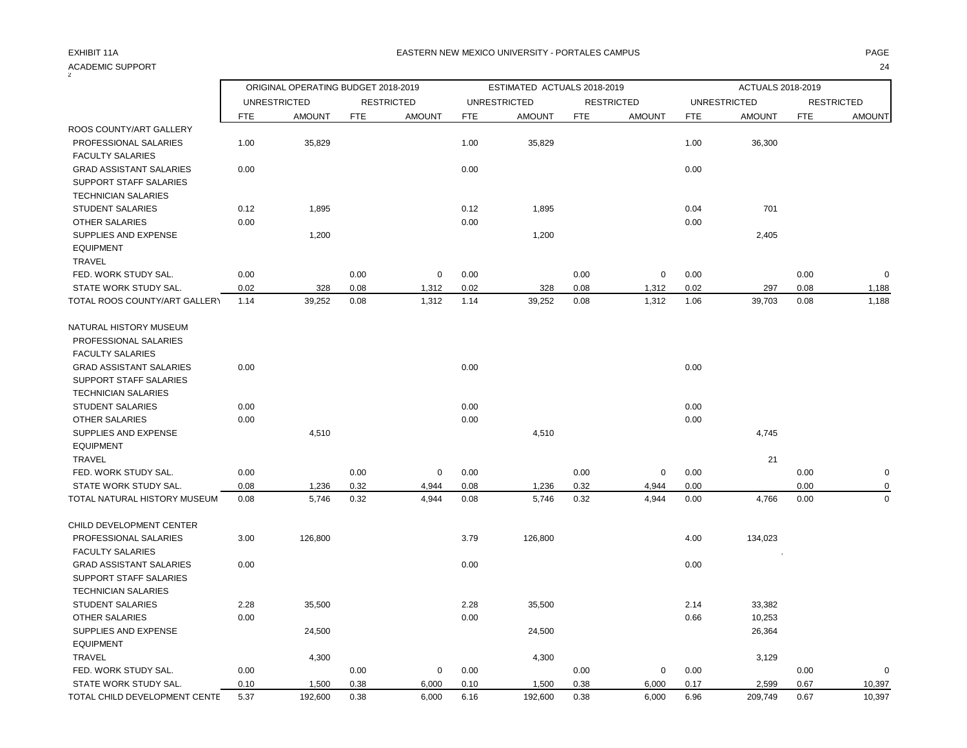| ACADEMIC SUPPORT               |            |                                     |            |                   |            |                             |            |                   |            |                     |            | 24                |
|--------------------------------|------------|-------------------------------------|------------|-------------------|------------|-----------------------------|------------|-------------------|------------|---------------------|------------|-------------------|
|                                |            | ORIGINAL OPERATING BUDGET 2018-2019 |            |                   |            | ESTIMATED ACTUALS 2018-2019 |            |                   |            | ACTUALS 2018-2019   |            |                   |
|                                |            | <b>UNRESTRICTED</b>                 |            | <b>RESTRICTED</b> |            | <b>UNRESTRICTED</b>         |            | <b>RESTRICTED</b> |            | <b>UNRESTRICTED</b> |            | <b>RESTRICTED</b> |
|                                | <b>FTE</b> | <b>AMOUNT</b>                       | <b>FTE</b> | <b>AMOUNT</b>     | <b>FTE</b> | <b>AMOUNT</b>               | <b>FTE</b> | <b>AMOUNT</b>     | <b>FTE</b> | <b>AMOUNT</b>       | <b>FTE</b> | <b>AMOUNT</b>     |
| ROOS COUNTY/ART GALLERY        |            |                                     |            |                   |            |                             |            |                   |            |                     |            |                   |
| PROFESSIONAL SALARIES          | 1.00       | 35,829                              |            |                   | 1.00       | 35,829                      |            |                   | 1.00       | 36,300              |            |                   |
| <b>FACULTY SALARIES</b>        |            |                                     |            |                   |            |                             |            |                   |            |                     |            |                   |
| <b>GRAD ASSISTANT SALARIES</b> | 0.00       |                                     |            |                   | 0.00       |                             |            |                   | 0.00       |                     |            |                   |
| SUPPORT STAFF SALARIES         |            |                                     |            |                   |            |                             |            |                   |            |                     |            |                   |
| <b>TECHNICIAN SALARIES</b>     |            |                                     |            |                   |            |                             |            |                   |            |                     |            |                   |
| <b>STUDENT SALARIES</b>        | 0.12       | 1,895                               |            |                   | 0.12       | 1,895                       |            |                   | 0.04       | 701                 |            |                   |
| <b>OTHER SALARIES</b>          | 0.00       |                                     |            |                   | 0.00       |                             |            |                   | 0.00       |                     |            |                   |
| SUPPLIES AND EXPENSE           |            | 1,200                               |            |                   |            | 1,200                       |            |                   |            | 2,405               |            |                   |
| <b>EQUIPMENT</b>               |            |                                     |            |                   |            |                             |            |                   |            |                     |            |                   |
| <b>TRAVEL</b>                  |            |                                     |            |                   |            |                             |            |                   |            |                     |            |                   |
| FED. WORK STUDY SAL.           | 0.00       |                                     | 0.00       | $\mathbf 0$       | 0.00       |                             | 0.00       | $\mathbf 0$       | 0.00       |                     | 0.00       | $\Omega$          |
| STATE WORK STUDY SAL.          | 0.02       | 328                                 | 0.08       | 1,312             | 0.02       | 328                         | 0.08       | 1,312             | 0.02       | 297                 | 0.08       | 1,188             |
| TOTAL ROOS COUNTY/ART GALLERY  | 1.14       | 39,252                              | 0.08       | 1,312             | 1.14       | 39,252                      | 0.08       | 1,312             | 1.06       | 39,703              | 0.08       | 1,188             |
| NATURAL HISTORY MUSEUM         |            |                                     |            |                   |            |                             |            |                   |            |                     |            |                   |
| PROFESSIONAL SALARIES          |            |                                     |            |                   |            |                             |            |                   |            |                     |            |                   |
| <b>FACULTY SALARIES</b>        |            |                                     |            |                   |            |                             |            |                   |            |                     |            |                   |
| <b>GRAD ASSISTANT SALARIES</b> | 0.00       |                                     |            |                   | 0.00       |                             |            |                   | 0.00       |                     |            |                   |
| <b>SUPPORT STAFF SALARIES</b>  |            |                                     |            |                   |            |                             |            |                   |            |                     |            |                   |
| <b>TECHNICIAN SALARIES</b>     |            |                                     |            |                   |            |                             |            |                   |            |                     |            |                   |
| <b>STUDENT SALARIES</b>        | 0.00       |                                     |            |                   | 0.00       |                             |            |                   | 0.00       |                     |            |                   |
| <b>OTHER SALARIES</b>          | 0.00       |                                     |            |                   | 0.00       |                             |            |                   | 0.00       |                     |            |                   |
| SUPPLIES AND EXPENSE           |            | 4,510                               |            |                   |            | 4,510                       |            |                   |            | 4,745               |            |                   |
| <b>EQUIPMENT</b>               |            |                                     |            |                   |            |                             |            |                   |            |                     |            |                   |
| <b>TRAVEL</b>                  |            |                                     |            |                   |            |                             |            |                   |            | 21                  |            |                   |
| FED. WORK STUDY SAL.           | 0.00       |                                     | 0.00       | 0                 | 0.00       |                             | 0.00       | $\mathbf 0$       | 0.00       |                     | 0.00       | 0                 |
| STATE WORK STUDY SAL.          | 0.08       | 1,236                               | 0.32       | 4,944             | 0.08       | 1,236                       | 0.32       | 4,944             | 0.00       |                     | 0.00       | 0                 |
| TOTAL NATURAL HISTORY MUSEUM   | 0.08       | 5,746                               | 0.32       | 4,944             | 0.08       | 5,746                       | 0.32       | 4,944             | 0.00       | 4,766               | 0.00       | $\Omega$          |
| CHILD DEVELOPMENT CENTER       |            |                                     |            |                   |            |                             |            |                   |            |                     |            |                   |
| PROFESSIONAL SALARIES          | 3.00       | 126,800                             |            |                   | 3.79       | 126,800                     |            |                   | 4.00       | 134,023             |            |                   |
| <b>FACULTY SALARIES</b>        |            |                                     |            |                   |            |                             |            |                   |            |                     |            |                   |
| <b>GRAD ASSISTANT SALARIES</b> | 0.00       |                                     |            |                   | 0.00       |                             |            |                   | 0.00       |                     |            |                   |
| <b>SUPPORT STAFF SALARIES</b>  |            |                                     |            |                   |            |                             |            |                   |            |                     |            |                   |
| <b>TECHNICIAN SALARIES</b>     |            |                                     |            |                   |            |                             |            |                   |            |                     |            |                   |
| <b>STUDENT SALARIES</b>        | 2.28       | 35,500                              |            |                   | 2.28       | 35,500                      |            |                   | 2.14       | 33,382              |            |                   |
| OTHER SALARIES                 | 0.00       |                                     |            |                   | 0.00       |                             |            |                   | 0.66       | 10,253              |            |                   |
| SUPPLIES AND EXPENSE           |            | 24,500                              |            |                   |            | 24,500                      |            |                   |            | 26,364              |            |                   |
| <b>EQUIPMENT</b>               |            |                                     |            |                   |            |                             |            |                   |            |                     |            |                   |
| <b>TRAVEL</b>                  |            | 4,300                               |            |                   |            | 4,300                       |            |                   |            | 3,129               |            |                   |
| FED. WORK STUDY SAL.           | 0.00       |                                     | 0.00       | 0                 | 0.00       |                             | 0.00       | 0                 | 0.00       |                     | 0.00       | 0                 |
| STATE WORK STUDY SAL.          | 0.10       | 1,500                               | 0.38       | 6,000             | 0.10       | 1,500                       | 0.38       | 6,000             | 0.17       | 2,599               | 0.67       | 10,397            |

TOTAL CHILD DEVELOPMENT CENTE 5.37 192,600 0.38 6,000 6.16 192,600 0.38 6,000 6.96 209,749 0.67 10,397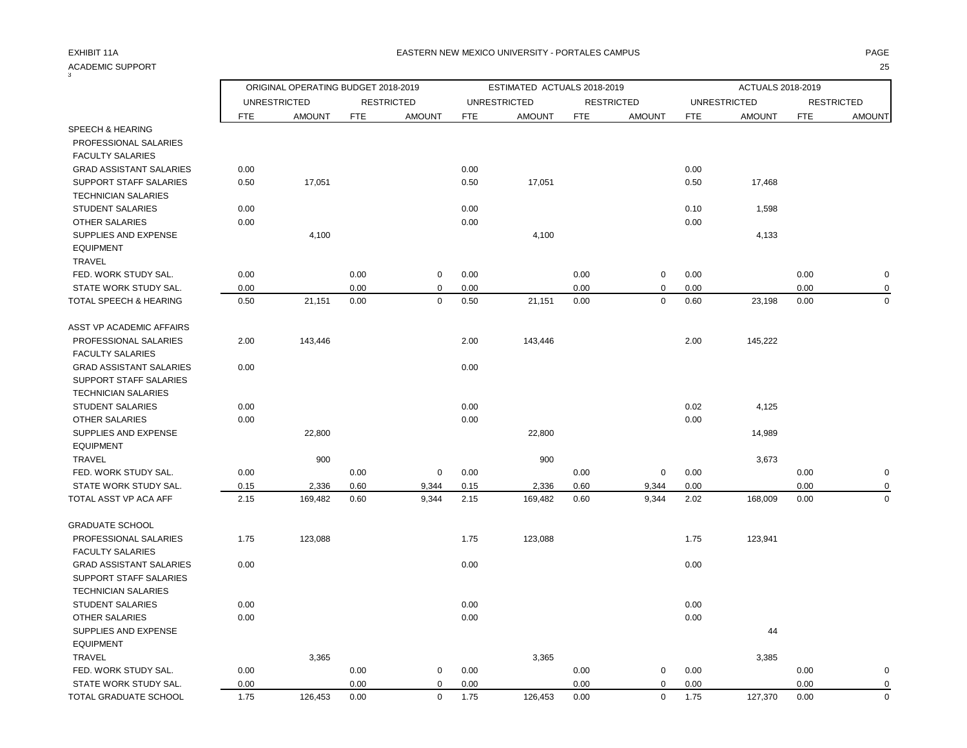| ACADEMIC SUPPORT               |            |                                     |            |                   |            |                             |            |                   |            |                     |            | 25                |
|--------------------------------|------------|-------------------------------------|------------|-------------------|------------|-----------------------------|------------|-------------------|------------|---------------------|------------|-------------------|
|                                |            | ORIGINAL OPERATING BUDGET 2018-2019 |            |                   |            | ESTIMATED ACTUALS 2018-2019 |            |                   |            | ACTUALS 2018-2019   |            |                   |
|                                |            | <b>UNRESTRICTED</b>                 |            | <b>RESTRICTED</b> |            | <b>UNRESTRICTED</b>         |            | <b>RESTRICTED</b> |            | <b>UNRESTRICTED</b> |            | <b>RESTRICTED</b> |
|                                | <b>FTE</b> | <b>AMOUNT</b>                       | <b>FTE</b> | <b>AMOUNT</b>     | <b>FTE</b> | <b>AMOUNT</b>               | <b>FTE</b> | <b>AMOUNT</b>     | <b>FTE</b> | <b>AMOUNT</b>       | <b>FTE</b> | <b>AMOUNT</b>     |
| <b>SPEECH &amp; HEARING</b>    |            |                                     |            |                   |            |                             |            |                   |            |                     |            |                   |
| <b>PROFESSIONAL SALARIES</b>   |            |                                     |            |                   |            |                             |            |                   |            |                     |            |                   |
| <b>FACULTY SALARIES</b>        |            |                                     |            |                   |            |                             |            |                   |            |                     |            |                   |
| <b>GRAD ASSISTANT SALARIES</b> | 0.00       |                                     |            |                   | 0.00       |                             |            |                   | 0.00       |                     |            |                   |
| SUPPORT STAFF SALARIES         | 0.50       | 17,051                              |            |                   | 0.50       | 17,051                      |            |                   | 0.50       | 17,468              |            |                   |
| <b>TECHNICIAN SALARIES</b>     |            |                                     |            |                   |            |                             |            |                   |            |                     |            |                   |
| <b>STUDENT SALARIES</b>        | 0.00       |                                     |            |                   | 0.00       |                             |            |                   | 0.10       | 1,598               |            |                   |
| <b>OTHER SALARIES</b>          | 0.00       |                                     |            |                   | 0.00       |                             |            |                   | 0.00       |                     |            |                   |
| SUPPLIES AND EXPENSE           |            | 4,100                               |            |                   |            | 4,100                       |            |                   |            | 4,133               |            |                   |
| <b>EQUIPMENT</b>               |            |                                     |            |                   |            |                             |            |                   |            |                     |            |                   |
| TRAVEL                         |            |                                     |            |                   |            |                             |            |                   |            |                     |            |                   |
| FED. WORK STUDY SAL.           | 0.00       |                                     | 0.00       | $\mathbf 0$       | 0.00       |                             | 0.00       | $\mathbf 0$       | 0.00       |                     | 0.00       |                   |
| STATE WORK STUDY SAL.          | 0.00       |                                     | 0.00       | $\mathbf 0$       | 0.00       |                             | 0.00       | 0                 | 0.00       |                     | 0.00       | $\Omega$          |
| TOTAL SPEECH & HEARING         | 0.50       | 21,151                              | 0.00       | $\mathbf 0$       | 0.50       | 21,151                      | 0.00       | $\mathbf 0$       | 0.60       | 23,198              | 0.00       | $\Omega$          |
| ASST VP ACADEMIC AFFAIRS       |            |                                     |            |                   |            |                             |            |                   |            |                     |            |                   |
| PROFESSIONAL SALARIES          | 2.00       | 143,446                             |            |                   | 2.00       | 143,446                     |            |                   | 2.00       | 145,222             |            |                   |
| <b>FACULTY SALARIES</b>        |            |                                     |            |                   |            |                             |            |                   |            |                     |            |                   |
| <b>GRAD ASSISTANT SALARIES</b> | 0.00       |                                     |            |                   | 0.00       |                             |            |                   |            |                     |            |                   |
| <b>SUPPORT STAFF SALARIES</b>  |            |                                     |            |                   |            |                             |            |                   |            |                     |            |                   |
| <b>TECHNICIAN SALARIES</b>     |            |                                     |            |                   |            |                             |            |                   |            |                     |            |                   |
| <b>STUDENT SALARIES</b>        | 0.00       |                                     |            |                   | 0.00       |                             |            |                   | 0.02       | 4,125               |            |                   |
| <b>OTHER SALARIES</b>          | 0.00       |                                     |            |                   | 0.00       |                             |            |                   | 0.00       |                     |            |                   |
| SUPPLIES AND EXPENSE           |            | 22,800                              |            |                   |            | 22,800                      |            |                   |            | 14,989              |            |                   |
| <b>EQUIPMENT</b>               |            |                                     |            |                   |            |                             |            |                   |            |                     |            |                   |
| <b>TRAVEL</b>                  |            | 900                                 |            |                   |            | 900                         |            |                   |            | 3,673               |            |                   |
| FED. WORK STUDY SAL.           | 0.00       |                                     | 0.00       | $\mathbf 0$       | 0.00       |                             | 0.00       | $\mathsf 0$       | 0.00       |                     | 0.00       |                   |
| STATE WORK STUDY SAL.          | 0.15       | 2,336                               | 0.60       | 9,344             | 0.15       | 2,336                       | 0.60       | 9,344             | 0.00       |                     | 0.00       |                   |
| TOTAL ASST VP ACA AFF          | 2.15       | 169,482                             | 0.60       | 9,344             | 2.15       | 169,482                     | 0.60       | 9,344             | 2.02       | 168,009             | 0.00       | $\Omega$          |
| <b>GRADUATE SCHOOL</b>         |            |                                     |            |                   |            |                             |            |                   |            |                     |            |                   |
| PROFESSIONAL SALARIES          | 1.75       | 123,088                             |            |                   | 1.75       | 123,088                     |            |                   | 1.75       | 123,941             |            |                   |
| <b>FACULTY SALARIES</b>        |            |                                     |            |                   |            |                             |            |                   |            |                     |            |                   |
| <b>GRAD ASSISTANT SALARIES</b> | 0.00       |                                     |            |                   | 0.00       |                             |            |                   | 0.00       |                     |            |                   |
| <b>SUPPORT STAFF SALARIES</b>  |            |                                     |            |                   |            |                             |            |                   |            |                     |            |                   |
| <b>TECHNICIAN SALARIES</b>     |            |                                     |            |                   |            |                             |            |                   |            |                     |            |                   |
| <b>STUDENT SALARIES</b>        | 0.00       |                                     |            |                   | 0.00       |                             |            |                   | 0.00       |                     |            |                   |
| OTHER SALARIES                 | 0.00       |                                     |            |                   | 0.00       |                             |            |                   | 0.00       |                     |            |                   |
| SUPPLIES AND EXPENSE           |            |                                     |            |                   |            |                             |            |                   |            | 44                  |            |                   |
| <b>EQUIPMENT</b>               |            |                                     |            |                   |            |                             |            |                   |            |                     |            |                   |
| <b>TRAVEL</b>                  |            | 3,365                               |            |                   |            | 3,365                       |            |                   |            | 3,385               |            |                   |
| FED. WORK STUDY SAL.           | 0.00       |                                     | 0.00       | 0                 | 0.00       |                             | 0.00       | 0                 | 0.00       |                     | 0.00       | 0                 |
| STATE WORK STUDY SAL.          | 0.00       |                                     | 0.00       | $\mathbf 0$       | 0.00       |                             | 0.00       | $\mathbf 0$       | 0.00       |                     | 0.00       | $\Omega$          |

TOTAL GRADUATE SCHOOL 1.75 126,453 0.00 0 1.75 126,453 0.00 0 1.75 127,370 0.00 0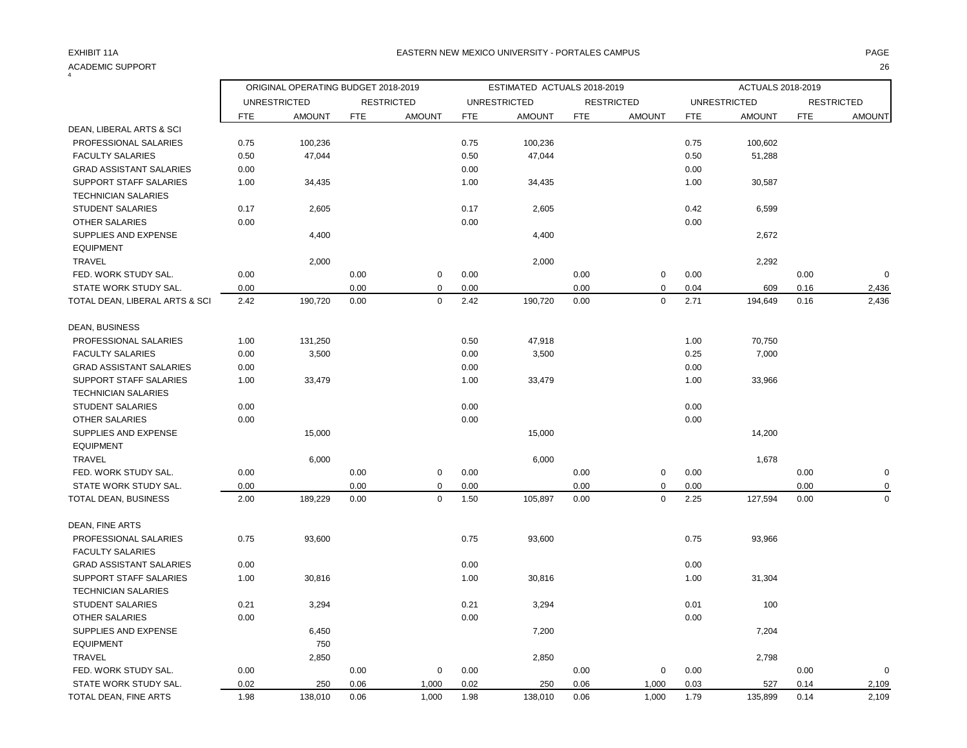4

| 4                                                    |            | ORIGINAL OPERATING BUDGET 2018-2019 |            |                   |            | ESTIMATED ACTUALS 2018-2019 |            |                   |            | ACTUALS 2018-2019   |            |                   |
|------------------------------------------------------|------------|-------------------------------------|------------|-------------------|------------|-----------------------------|------------|-------------------|------------|---------------------|------------|-------------------|
|                                                      |            | <b>UNRESTRICTED</b>                 |            | <b>RESTRICTED</b> |            | <b>UNRESTRICTED</b>         |            | <b>RESTRICTED</b> |            | <b>UNRESTRICTED</b> |            | <b>RESTRICTED</b> |
|                                                      | <b>FTE</b> | <b>AMOUNT</b>                       | <b>FTE</b> | <b>AMOUNT</b>     | <b>FTE</b> | <b>AMOUNT</b>               | <b>FTE</b> | <b>AMOUNT</b>     | <b>FTE</b> | <b>AMOUNT</b>       | <b>FTE</b> | <b>AMOUNT</b>     |
| DEAN, LIBERAL ARTS & SCI                             |            |                                     |            |                   |            |                             |            |                   |            |                     |            |                   |
| PROFESSIONAL SALARIES                                | 0.75       | 100,236                             |            |                   | 0.75       | 100,236                     |            |                   | 0.75       | 100,602             |            |                   |
| <b>FACULTY SALARIES</b>                              | 0.50       | 47,044                              |            |                   | 0.50       | 47,044                      |            |                   | 0.50       | 51,288              |            |                   |
| <b>GRAD ASSISTANT SALARIES</b>                       | 0.00       |                                     |            |                   | 0.00       |                             |            |                   | 0.00       |                     |            |                   |
| SUPPORT STAFF SALARIES<br><b>TECHNICIAN SALARIES</b> | 1.00       | 34,435                              |            |                   | 1.00       | 34,435                      |            |                   | 1.00       | 30,587              |            |                   |
| <b>STUDENT SALARIES</b>                              | 0.17       | 2,605                               |            |                   | 0.17       | 2,605                       |            |                   | 0.42       | 6,599               |            |                   |
| OTHER SALARIES                                       | 0.00       |                                     |            |                   | 0.00       |                             |            |                   | 0.00       |                     |            |                   |
| SUPPLIES AND EXPENSE                                 |            | 4,400                               |            |                   |            | 4,400                       |            |                   |            | 2,672               |            |                   |
| <b>EQUIPMENT</b>                                     |            |                                     |            |                   |            |                             |            |                   |            |                     |            |                   |
| <b>TRAVEL</b>                                        |            | 2,000                               |            |                   |            | 2,000                       |            |                   |            | 2,292               |            |                   |
| FED. WORK STUDY SAL.                                 | 0.00       |                                     | 0.00       | $\mathbf 0$       | 0.00       |                             | 0.00       | $\mathbf 0$       | 0.00       |                     | 0.00       | $\mathbf 0$       |
| STATE WORK STUDY SAL.                                | 0.00       |                                     | 0.00       | $\mathbf 0$       | 0.00       |                             | 0.00       | $\mathbf 0$       | 0.04       | 609                 | 0.16       | 2,436             |
| TOTAL DEAN, LIBERAL ARTS & SCI                       | 2.42       | 190,720                             | 0.00       | $\mathbf 0$       | 2.42       | 190,720                     | 0.00       | $\mathbf 0$       | 2.71       | 194,649             | 0.16       | 2,436             |
|                                                      |            |                                     |            |                   |            |                             |            |                   |            |                     |            |                   |
| DEAN, BUSINESS                                       |            |                                     |            |                   |            |                             |            |                   |            |                     |            |                   |
| PROFESSIONAL SALARIES                                | 1.00       | 131,250                             |            |                   | 0.50       | 47,918                      |            |                   | 1.00       | 70,750              |            |                   |
| <b>FACULTY SALARIES</b>                              | 0.00       | 3,500                               |            |                   | 0.00       | 3,500                       |            |                   | 0.25       | 7,000               |            |                   |
| <b>GRAD ASSISTANT SALARIES</b>                       | 0.00       |                                     |            |                   | 0.00       |                             |            |                   | 0.00       |                     |            |                   |
| SUPPORT STAFF SALARIES                               | 1.00       | 33,479                              |            |                   | 1.00       | 33,479                      |            |                   | 1.00       | 33,966              |            |                   |
| <b>TECHNICIAN SALARIES</b>                           |            |                                     |            |                   |            |                             |            |                   |            |                     |            |                   |
| <b>STUDENT SALARIES</b>                              | 0.00       |                                     |            |                   | 0.00       |                             |            |                   | 0.00       |                     |            |                   |
| <b>OTHER SALARIES</b>                                | 0.00       |                                     |            |                   | 0.00       |                             |            |                   | 0.00       |                     |            |                   |
| SUPPLIES AND EXPENSE                                 |            | 15,000                              |            |                   |            | 15,000                      |            |                   |            | 14,200              |            |                   |
| <b>EQUIPMENT</b>                                     |            |                                     |            |                   |            |                             |            |                   |            |                     |            |                   |
| <b>TRAVEL</b>                                        |            | 6,000                               |            |                   |            | 6,000                       |            |                   |            | 1,678               |            |                   |
| FED. WORK STUDY SAL.                                 | 0.00       |                                     | 0.00       | $\mathsf 0$       | 0.00       |                             | 0.00       | $\pmb{0}$         | 0.00       |                     | 0.00       | $\mathbf 0$       |
| STATE WORK STUDY SAL.                                | 0.00       |                                     | 0.00       | $\Omega$          | 0.00       |                             | 0.00       | $\pmb{0}$         | 0.00       |                     | 0.00       | 0                 |
| TOTAL DEAN, BUSINESS                                 | 2.00       | 189,229                             | 0.00       | $\mathbf 0$       | 1.50       | 105,897                     | 0.00       | $\pmb{0}$         | 2.25       | 127,594             | 0.00       | $\mathbf 0$       |
|                                                      |            |                                     |            |                   |            |                             |            |                   |            |                     |            |                   |
| DEAN, FINE ARTS                                      |            |                                     |            |                   |            |                             |            |                   |            |                     |            |                   |
| PROFESSIONAL SALARIES                                | 0.75       | 93,600                              |            |                   | 0.75       | 93,600                      |            |                   | 0.75       | 93,966              |            |                   |
| <b>FACULTY SALARIES</b>                              |            |                                     |            |                   |            |                             |            |                   |            |                     |            |                   |
| <b>GRAD ASSISTANT SALARIES</b>                       | 0.00       |                                     |            |                   | 0.00       |                             |            |                   | 0.00       |                     |            |                   |
| SUPPORT STAFF SALARIES                               | 1.00       | 30,816                              |            |                   | 1.00       | 30,816                      |            |                   | 1.00       | 31,304              |            |                   |
| <b>TECHNICIAN SALARIES</b>                           |            |                                     |            |                   |            |                             |            |                   |            |                     |            |                   |
| <b>STUDENT SALARIES</b>                              | 0.21       | 3,294                               |            |                   | 0.21       | 3,294                       |            |                   | 0.01       | 100                 |            |                   |
| OTHER SALARIES                                       | 0.00       |                                     |            |                   | 0.00       |                             |            |                   | 0.00       |                     |            |                   |
| SUPPLIES AND EXPENSE                                 |            | 6,450                               |            |                   |            | 7,200                       |            |                   |            | 7,204               |            |                   |
| <b>EQUIPMENT</b>                                     |            | 750                                 |            |                   |            |                             |            |                   |            |                     |            |                   |
| <b>TRAVEL</b>                                        |            | 2,850                               |            |                   |            | 2,850                       |            |                   |            | 2,798               |            |                   |
| FED. WORK STUDY SAL.                                 | 0.00       |                                     | 0.00       | $\mathbf 0$       | 0.00       |                             | 0.00       | $\mathbf 0$       | 0.00       |                     | 0.00       | $\mathbf 0$       |
| STATE WORK STUDY SAL.                                | 0.02       | 250                                 | 0.06       | 1,000             | 0.02       | 250                         | 0.06       | 1,000             | 0.03       | 527                 | 0.14       | 2,109             |
| TOTAL DEAN, FINE ARTS                                | 1.98       | 138,010                             | 0.06       | 1,000             | 1.98       | 138,010                     | 0.06       | 1,000             | 1.79       | 135,899             | 0.14       | 2,109             |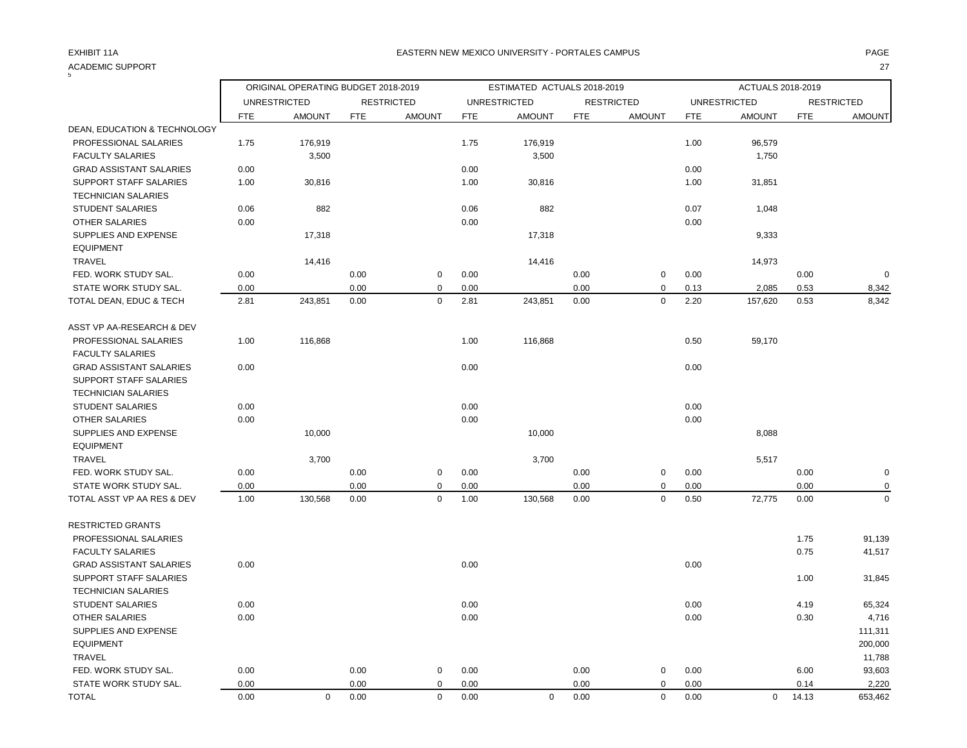# ACADEMIC SUPPORT 27

| 5                              |            | ORIGINAL OPERATING BUDGET 2018-2019 |            |                   |            | ESTIMATED ACTUALS 2018-2019 |      |                   |            | ACTUALS 2018-2019   |            |                   |
|--------------------------------|------------|-------------------------------------|------------|-------------------|------------|-----------------------------|------|-------------------|------------|---------------------|------------|-------------------|
|                                |            | <b>UNRESTRICTED</b>                 |            | <b>RESTRICTED</b> |            | <b>UNRESTRICTED</b>         |      | <b>RESTRICTED</b> |            | <b>UNRESTRICTED</b> |            | <b>RESTRICTED</b> |
|                                | <b>FTE</b> | <b>AMOUNT</b>                       | <b>FTE</b> | <b>AMOUNT</b>     | <b>FTE</b> | <b>AMOUNT</b>               | FTE  | <b>AMOUNT</b>     | <b>FTE</b> | <b>AMOUNT</b>       | <b>FTE</b> | <b>AMOUNT</b>     |
| DEAN, EDUCATION & TECHNOLOGY   |            |                                     |            |                   |            |                             |      |                   |            |                     |            |                   |
| PROFESSIONAL SALARIES          | 1.75       | 176,919                             |            |                   | 1.75       | 176,919                     |      |                   | 1.00       | 96,579              |            |                   |
| <b>FACULTY SALARIES</b>        |            | 3,500                               |            |                   |            | 3,500                       |      |                   |            | 1,750               |            |                   |
| <b>GRAD ASSISTANT SALARIES</b> | 0.00       |                                     |            |                   | 0.00       |                             |      |                   | 0.00       |                     |            |                   |
| SUPPORT STAFF SALARIES         | 1.00       | 30,816                              |            |                   | 1.00       | 30,816                      |      |                   | 1.00       | 31,851              |            |                   |
| <b>TECHNICIAN SALARIES</b>     |            |                                     |            |                   |            |                             |      |                   |            |                     |            |                   |
| <b>STUDENT SALARIES</b>        | 0.06       | 882                                 |            |                   | 0.06       | 882                         |      |                   | 0.07       | 1,048               |            |                   |
| <b>OTHER SALARIES</b>          | 0.00       |                                     |            |                   | 0.00       |                             |      |                   | 0.00       |                     |            |                   |
| SUPPLIES AND EXPENSE           |            | 17,318                              |            |                   |            | 17,318                      |      |                   |            | 9,333               |            |                   |
| <b>EQUIPMENT</b>               |            |                                     |            |                   |            |                             |      |                   |            |                     |            |                   |
| <b>TRAVEL</b>                  |            | 14,416                              |            |                   |            | 14,416                      |      |                   |            | 14,973              |            |                   |
| FED. WORK STUDY SAL.           | 0.00       |                                     | 0.00       | $\mathbf 0$       | 0.00       |                             | 0.00 | 0                 | 0.00       |                     | 0.00       | $\mathbf 0$       |
| STATE WORK STUDY SAL.          | 0.00       |                                     | 0.00       | $\mathbf 0$       | 0.00       |                             | 0.00 | 0                 | 0.13       | 2,085               | 0.53       | 8,342             |
| TOTAL DEAN, EDUC & TECH        | 2.81       | 243,851                             | 0.00       | $\mathbf 0$       | 2.81       | 243,851                     | 0.00 | $\mathbf 0$       | 2.20       | 157,620             | 0.53       | 8,342             |
| ASST VP AA-RESEARCH & DEV      |            |                                     |            |                   |            |                             |      |                   |            |                     |            |                   |
| PROFESSIONAL SALARIES          | 1.00       | 116,868                             |            |                   | 1.00       | 116,868                     |      |                   | 0.50       | 59,170              |            |                   |
| <b>FACULTY SALARIES</b>        |            |                                     |            |                   |            |                             |      |                   |            |                     |            |                   |
| <b>GRAD ASSISTANT SALARIES</b> | 0.00       |                                     |            |                   | 0.00       |                             |      |                   | 0.00       |                     |            |                   |
| SUPPORT STAFF SALARIES         |            |                                     |            |                   |            |                             |      |                   |            |                     |            |                   |
| <b>TECHNICIAN SALARIES</b>     |            |                                     |            |                   |            |                             |      |                   |            |                     |            |                   |
| <b>STUDENT SALARIES</b>        | 0.00       |                                     |            |                   | 0.00       |                             |      |                   | 0.00       |                     |            |                   |
| <b>OTHER SALARIES</b>          | 0.00       |                                     |            |                   | 0.00       |                             |      |                   | 0.00       |                     |            |                   |
| SUPPLIES AND EXPENSE           |            | 10,000                              |            |                   |            | 10,000                      |      |                   |            | 8,088               |            |                   |
| <b>EQUIPMENT</b>               |            |                                     |            |                   |            |                             |      |                   |            |                     |            |                   |
| <b>TRAVEL</b>                  |            | 3,700                               |            |                   |            | 3,700                       |      |                   |            | 5,517               |            |                   |
| FED. WORK STUDY SAL.           | 0.00       |                                     | 0.00       | $\mathbf 0$       | 0.00       |                             | 0.00 | 0                 | 0.00       |                     | 0.00       | 0                 |
| STATE WORK STUDY SAL.          | 0.00       |                                     | 0.00       | $\mathbf 0$       | 0.00       |                             | 0.00 | 0                 | 0.00       |                     | 0.00       | 0                 |
| TOTAL ASST VP AA RES & DEV     | 1.00       | 130,568                             | 0.00       | $\mathbf 0$       | 1.00       | 130,568                     | 0.00 | $\mathbf 0$       | 0.50       | 72,775              | 0.00       | $\pmb{0}$         |
| <b>RESTRICTED GRANTS</b>       |            |                                     |            |                   |            |                             |      |                   |            |                     |            |                   |
| PROFESSIONAL SALARIES          |            |                                     |            |                   |            |                             |      |                   |            |                     | 1.75       | 91,139            |
| <b>FACULTY SALARIES</b>        |            |                                     |            |                   |            |                             |      |                   |            |                     | 0.75       | 41,517            |
| <b>GRAD ASSISTANT SALARIES</b> | 0.00       |                                     |            |                   | 0.00       |                             |      |                   | 0.00       |                     |            |                   |
| SUPPORT STAFF SALARIES         |            |                                     |            |                   |            |                             |      |                   |            |                     | 1.00       | 31,845            |
| <b>TECHNICIAN SALARIES</b>     |            |                                     |            |                   |            |                             |      |                   |            |                     |            |                   |
| <b>STUDENT SALARIES</b>        | 0.00       |                                     |            |                   | 0.00       |                             |      |                   | 0.00       |                     | 4.19       | 65,324            |
| OTHER SALARIES                 | 0.00       |                                     |            |                   | 0.00       |                             |      |                   | 0.00       |                     | 0.30       | 4,716             |
| SUPPLIES AND EXPENSE           |            |                                     |            |                   |            |                             |      |                   |            |                     |            | 111,311           |
| <b>EQUIPMENT</b>               |            |                                     |            |                   |            |                             |      |                   |            |                     |            | 200,000           |
| <b>TRAVEL</b>                  |            |                                     |            |                   |            |                             |      |                   |            |                     |            | 11,788            |
| FED. WORK STUDY SAL.           | 0.00       |                                     | 0.00       | 0                 | 0.00       |                             | 0.00 | 0                 | 0.00       |                     | 6.00       | 93,603            |
| STATE WORK STUDY SAL.          | 0.00       |                                     | 0.00       | $\mathbf 0$       | 0.00       |                             | 0.00 | $\mathbf 0$       | 0.00       |                     | 0.14       | 2,220             |

TOTAL 0.00 0 0.00 0 0.00 0 0.00 0 0.00 0 14.13 653,462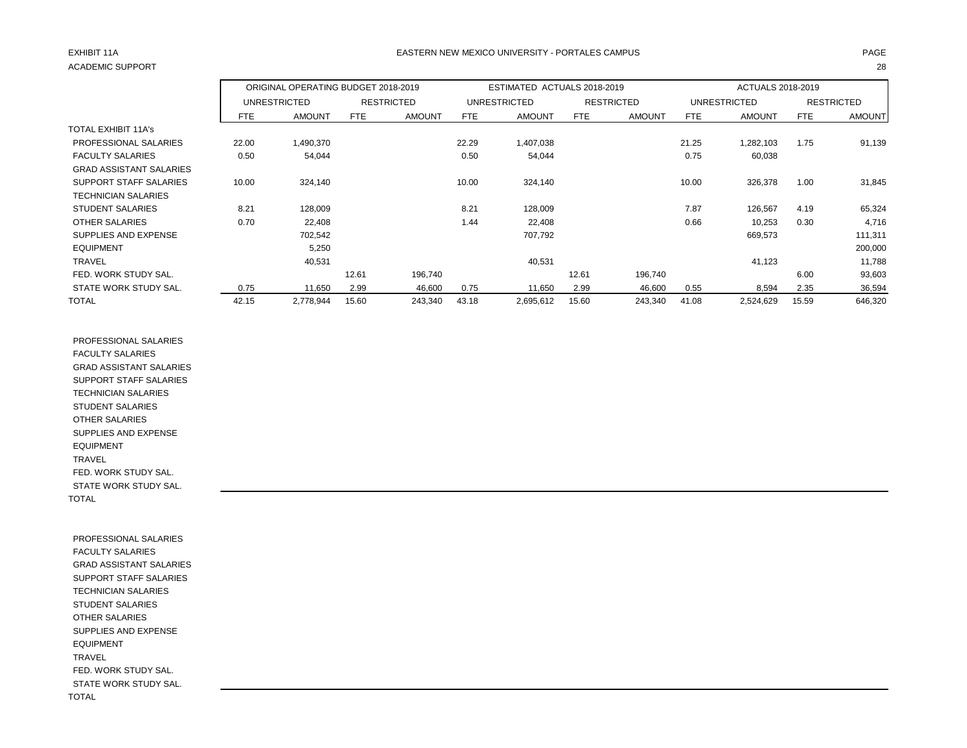# ACADEMIC SUPPORT 28

## EXHIBIT 11A PAGE EASTERN NEW MEXICO UNIVERSITY - PORTALES CAMPUS

|                                |       | ORIGINAL OPERATING BUDGET 2018-2019 |       |                   |       | ESTIMATED ACTUALS 2018-2019 |       |                   |       | ACTUALS 2018-2019 |            |                   |
|--------------------------------|-------|-------------------------------------|-------|-------------------|-------|-----------------------------|-------|-------------------|-------|-------------------|------------|-------------------|
|                                |       | <b>UNRESTRICTED</b>                 |       | <b>RESTRICTED</b> |       | <b>UNRESTRICTED</b>         |       | <b>RESTRICTED</b> |       | UNRESTRICTED      |            | <b>RESTRICTED</b> |
|                                | FTE   | <b>AMOUNT</b>                       | FTE   | <b>AMOUNT</b>     | FTE   | <b>AMOUNT</b>               | FTE   | <b>AMOUNT</b>     | FTE   | <b>AMOUNT</b>     | <b>FTE</b> | <b>AMOUNT</b>     |
| <b>TOTAL EXHIBIT 11A's</b>     |       |                                     |       |                   |       |                             |       |                   |       |                   |            |                   |
| <b>PROFESSIONAL SALARIES</b>   | 22.00 | 1,490,370                           |       |                   | 22.29 | 1,407,038                   |       |                   | 21.25 | 1,282,103         | 1.75       | 91,139            |
| <b>FACULTY SALARIES</b>        | 0.50  | 54,044                              |       |                   | 0.50  | 54,044                      |       |                   | 0.75  | 60,038            |            |                   |
| <b>GRAD ASSISTANT SALARIES</b> |       |                                     |       |                   |       |                             |       |                   |       |                   |            |                   |
| SUPPORT STAFF SALARIES         | 10.00 | 324,140                             |       |                   | 10.00 | 324,140                     |       |                   | 10.00 | 326,378           | 1.00       | 31,845            |
| <b>TECHNICIAN SALARIES</b>     |       |                                     |       |                   |       |                             |       |                   |       |                   |            |                   |
| <b>STUDENT SALARIES</b>        | 8.21  | 128,009                             |       |                   | 8.21  | 128,009                     |       |                   | 7.87  | 126,567           | 4.19       | 65,324            |
| <b>OTHER SALARIES</b>          | 0.70  | 22,408                              |       |                   | 1.44  | 22,408                      |       |                   | 0.66  | 10,253            | 0.30       | 4,716             |
| SUPPLIES AND EXPENSE           |       | 702,542                             |       |                   |       | 707,792                     |       |                   |       | 669,573           |            | 111,311           |
| <b>EQUIPMENT</b>               |       | 5,250                               |       |                   |       |                             |       |                   |       |                   |            | 200,000           |
| <b>TRAVEL</b>                  |       | 40,531                              |       |                   |       | 40,531                      |       |                   |       | 41,123            |            | 11,788            |
| FED. WORK STUDY SAL.           |       |                                     | 12.61 | 196,740           |       |                             | 12.61 | 196,740           |       |                   | 6.00       | 93,603            |
| STATE WORK STUDY SAL.          | 0.75  | 11,650                              | 2.99  | 46,600            | 0.75  | 11,650                      | 2.99  | 46,600            | 0.55  | 8,594             | 2.35       | 36,594            |
| <b>TOTAL</b>                   | 42.15 | 2,778,944                           | 15.60 | 243,340           | 43.18 | 2,695,612                   | 15.60 | 243,340           | 41.08 | 2,524,629         | 15.59      | 646,320           |

 PROFESSIONAL SALARIES FACULTY SALARIES GRAD ASSISTANT SALARIES SUPPORT STAFF SALARIES TECHNICIAN SALARIES STUDENT SALARIES OTHER SALARIES SUPPLIES AND EXPENSE EQUIPMENT TRAVEL FED. WORK STUDY SAL. STATE WORK STUDY SAL. TOTAL

 PROFESSIONAL SALARIES FACULTY SALARIES GRAD ASSISTANT SALARIES SUPPORT STAFF SALARIES TECHNICIAN SALARIES STUDENT SALARIES OTHER SALARIES SUPPLIES AND EXPENSE EQUIPMENT TRAVEL FED. WORK STUDY SAL. STATE WORK STUDY SAL. TOTAL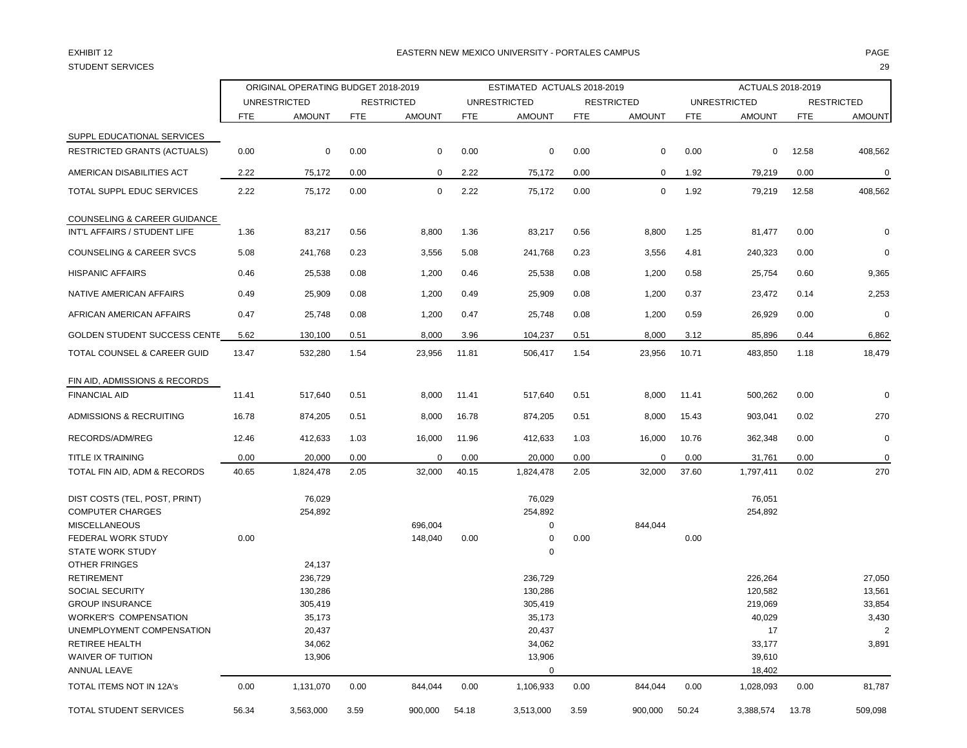## EXHIBIT 12 PAGE PAGE IN THE RESTRIAL MEXICO UNIVERSITY - PORTALES CAMPUS PAGE IN THE RESTRIAL OF PAGE IN THE RESTRIAL OF PAGE IN THE RESTRIAL OF PAGE IN THE RESTRIAL OF PAGE IN THE RESTRIAL OF PAGE IN THE RESTRIAL OF PAGE

|                                          |            | ORIGINAL OPERATING BUDGET 2018-2019 |            |                   | ESTIMATED ACTUALS 2018-2019 |                     |            |                   | ACTUALS 2018-2019 |                     |            |                   |
|------------------------------------------|------------|-------------------------------------|------------|-------------------|-----------------------------|---------------------|------------|-------------------|-------------------|---------------------|------------|-------------------|
|                                          |            | <b>UNRESTRICTED</b>                 |            | <b>RESTRICTED</b> |                             | <b>UNRESTRICTED</b> |            | <b>RESTRICTED</b> |                   | <b>UNRESTRICTED</b> |            | <b>RESTRICTED</b> |
|                                          | <b>FTE</b> | <b>AMOUNT</b>                       | <b>FTE</b> | <b>AMOUNT</b>     | <b>FTE</b>                  | <b>AMOUNT</b>       | <b>FTE</b> | <b>AMOUNT</b>     | <b>FTE</b>        | <b>AMOUNT</b>       | <b>FTE</b> | <b>AMOUNT</b>     |
| SUPPL EDUCATIONAL SERVICES               |            |                                     |            |                   |                             |                     |            |                   |                   |                     |            |                   |
| <b>RESTRICTED GRANTS (ACTUALS)</b>       | 0.00       | 0                                   | 0.00       | $\mathbf 0$       | 0.00                        | 0                   | 0.00       | 0                 | 0.00              | 0                   | 12.58      | 408,562           |
| AMERICAN DISABILITIES ACT                | 2.22       | 75,172                              | 0.00       | $\mathbf 0$       | 2.22                        | 75,172              | 0.00       | 0                 | 1.92              | 79,219              | 0.00       | $\pmb{0}$         |
| TOTAL SUPPL EDUC SERVICES                | 2.22       | 75,172                              | 0.00       | $\Omega$          | 2.22                        | 75,172              | 0.00       | $\mathbf 0$       | 1.92              | 79,219              | 12.58      | 408,562           |
| COUNSELING & CAREER GUIDANCE             |            |                                     |            |                   |                             |                     |            |                   |                   |                     |            |                   |
| INT'L AFFAIRS / STUDENT LIFE             | 1.36       | 83,217                              | 0.56       | 8,800             | 1.36                        | 83,217              | 0.56       | 8,800             | 1.25              | 81,477              | 0.00       | $\Omega$          |
| <b>COUNSELING &amp; CAREER SVCS</b>      | 5.08       | 241,768                             | 0.23       | 3,556             | 5.08                        | 241,768             | 0.23       | 3,556             | 4.81              | 240,323             | 0.00       | $\Omega$          |
| <b>HISPANIC AFFAIRS</b>                  | 0.46       | 25,538                              | 0.08       | 1,200             | 0.46                        | 25,538              | 0.08       | 1,200             | 0.58              | 25,754              | 0.60       | 9,365             |
| NATIVE AMERICAN AFFAIRS                  | 0.49       | 25,909                              | 0.08       | 1,200             | 0.49                        | 25,909              | 0.08       | 1,200             | 0.37              | 23,472              | 0.14       | 2,253             |
| AFRICAN AMERICAN AFFAIRS                 | 0.47       | 25,748                              | 0.08       | 1,200             | 0.47                        | 25,748              | 0.08       | 1,200             | 0.59              | 26,929              | 0.00       | $\Omega$          |
| GOLDEN STUDENT SUCCESS CENTE             | 5.62       | 130,100                             | 0.51       | 8,000             | 3.96                        | 104,237             | 0.51       | 8,000             | 3.12              | 85,896              | 0.44       | 6,862             |
| TOTAL COUNSEL & CAREER GUID              | 13.47      | 532,280                             | 1.54       | 23,956            | 11.81                       | 506,417             | 1.54       | 23,956            | 10.71             | 483,850             | 1.18       | 18,479            |
| FIN AID, ADMISSIONS & RECORDS            |            |                                     |            |                   |                             |                     |            |                   |                   |                     |            |                   |
| <b>FINANCIAL AID</b>                     | 11.41      | 517,640                             | 0.51       | 8,000             | 11.41                       | 517,640             | 0.51       | 8,000             | 11.41             | 500,262             | 0.00       | $\Omega$          |
| ADMISSIONS & RECRUITING                  | 16.78      | 874,205                             | 0.51       | 8,000             | 16.78                       | 874,205             | 0.51       | 8,000             | 15.43             | 903,041             | 0.02       | 270               |
| RECORDS/ADM/REG                          | 12.46      | 412,633                             | 1.03       | 16,000            | 11.96                       | 412,633             | 1.03       | 16,000            | 10.76             | 362,348             | 0.00       | $\Omega$          |
| <b>TITLE IX TRAINING</b>                 | 0.00       | 20,000                              | 0.00       | $\mathbf 0$       | 0.00                        | 20,000              | 0.00       | $\Omega$          | 0.00              | 31,761              | 0.00       | $\mathbf 0$       |
| TOTAL FIN AID, ADM & RECORDS             | 40.65      | 1,824,478                           | 2.05       | 32,000            | 40.15                       | 1,824,478           | 2.05       | 32,000            | 37.60             | 1,797,411           | 0.02       | 270               |
| DIST COSTS (TEL, POST, PRINT)            |            | 76,029                              |            |                   |                             | 76,029              |            |                   |                   | 76,051              |            |                   |
| <b>COMPUTER CHARGES</b>                  |            | 254,892                             |            |                   |                             | 254,892             |            |                   |                   | 254,892             |            |                   |
| <b>MISCELLANEOUS</b>                     |            |                                     |            | 696,004           |                             | $\mathbf 0$         |            | 844,044           |                   |                     |            |                   |
| FEDERAL WORK STUDY                       | 0.00       |                                     |            | 148,040           | 0.00                        | $\mathbf 0$         | 0.00       |                   | 0.00              |                     |            |                   |
| <b>STATE WORK STUDY</b><br>OTHER FRINGES |            | 24,137                              |            |                   |                             | $\mathbf 0$         |            |                   |                   |                     |            |                   |
| <b>RETIREMENT</b>                        |            | 236,729                             |            |                   |                             | 236,729             |            |                   |                   | 226,264             |            |                   |
|                                          |            |                                     |            |                   |                             |                     |            |                   |                   |                     |            | 27,050            |
| <b>SOCIAL SECURITY</b>                   |            | 130,286                             |            |                   |                             | 130,286             |            |                   |                   | 120,582             |            | 13,561            |
| <b>GROUP INSURANCE</b>                   |            | 305,419                             |            |                   |                             | 305,419             |            |                   |                   | 219,069             |            | 33,854            |
| <b>WORKER'S COMPENSATION</b>             |            | 35,173                              |            |                   |                             | 35,173              |            |                   |                   | 40,029              |            | 3,430             |
| UNEMPLOYMENT COMPENSATION                |            | 20,437                              |            |                   |                             | 20,437              |            |                   |                   | 17                  |            |                   |
| <b>RETIREE HEALTH</b>                    |            | 34,062                              |            |                   |                             | 34,062              |            |                   |                   | 33,177              |            | 3,891             |
| <b>WAIVER OF TUITION</b>                 |            | 13,906                              |            |                   |                             | 13,906              |            |                   |                   | 39,610              |            |                   |
| ANNUAL LEAVE                             |            |                                     |            |                   |                             | 0                   |            |                   |                   | 18,402              |            |                   |
| TOTAL ITEMS NOT IN 12A's                 | 0.00       | 1,131,070                           | 0.00       | 844,044           | 0.00                        | 1,106,933           | 0.00       | 844,044           | 0.00              | 1,028,093           | 0.00       | 81,787            |
| TOTAL STUDENT SERVICES                   | 56.34      | 3,563,000                           | 3.59       | 900,000           | 54.18                       | 3,513,000           | 3.59       | 900,000           | 50.24             | 3,388,574           | 13.78      | 509,098           |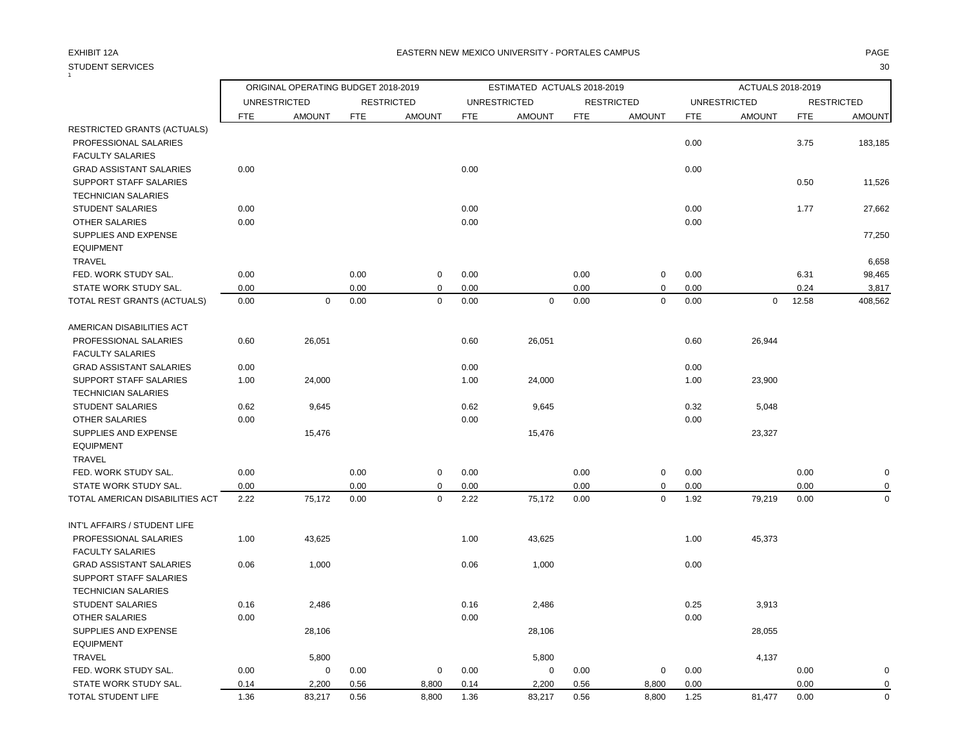### STUDENT SERVICES 30  $\overline{1}$

## EXHIBIT 12A PAGE EASTERN NEW MEXICO UNIVERSITY - PORTALES CAMPUS

|                                 |                     | ORIGINAL OPERATING BUDGET 2018-2019 |            |                   |            | ESTIMATED ACTUALS 2018-2019 |            |                   |            | ACTUALS 2018-2019   |            |                   |
|---------------------------------|---------------------|-------------------------------------|------------|-------------------|------------|-----------------------------|------------|-------------------|------------|---------------------|------------|-------------------|
|                                 | <b>UNRESTRICTED</b> |                                     |            | <b>RESTRICTED</b> |            | <b>UNRESTRICTED</b>         |            | <b>RESTRICTED</b> |            | <b>UNRESTRICTED</b> |            | <b>RESTRICTED</b> |
|                                 | <b>FTE</b>          | <b>AMOUNT</b>                       | <b>FTE</b> | <b>AMOUNT</b>     | <b>FTE</b> | <b>AMOUNT</b>               | <b>FTE</b> | <b>AMOUNT</b>     | <b>FTE</b> | <b>AMOUNT</b>       | <b>FTE</b> | <b>AMOUNT</b>     |
| RESTRICTED GRANTS (ACTUALS)     |                     |                                     |            |                   |            |                             |            |                   |            |                     |            |                   |
| PROFESSIONAL SALARIES           |                     |                                     |            |                   |            |                             |            |                   | 0.00       |                     | 3.75       | 183,185           |
| <b>FACULTY SALARIES</b>         |                     |                                     |            |                   |            |                             |            |                   |            |                     |            |                   |
| <b>GRAD ASSISTANT SALARIES</b>  | 0.00                |                                     |            |                   | 0.00       |                             |            |                   | 0.00       |                     |            |                   |
| SUPPORT STAFF SALARIES          |                     |                                     |            |                   |            |                             |            |                   |            |                     | 0.50       | 11,526            |
| <b>TECHNICIAN SALARIES</b>      |                     |                                     |            |                   |            |                             |            |                   |            |                     |            |                   |
| <b>STUDENT SALARIES</b>         | 0.00                |                                     |            |                   | 0.00       |                             |            |                   | 0.00       |                     | 1.77       | 27,662            |
| <b>OTHER SALARIES</b>           | 0.00                |                                     |            |                   | 0.00       |                             |            |                   | 0.00       |                     |            |                   |
| SUPPLIES AND EXPENSE            |                     |                                     |            |                   |            |                             |            |                   |            |                     |            | 77,250            |
| <b>EQUIPMENT</b>                |                     |                                     |            |                   |            |                             |            |                   |            |                     |            |                   |
| TRAVEL                          |                     |                                     |            |                   |            |                             |            |                   |            |                     |            | 6,658             |
| FED. WORK STUDY SAL.            | 0.00                |                                     | 0.00       | $\mathbf 0$       | 0.00       |                             | 0.00       | $\mathbf 0$       | 0.00       |                     | 6.31       | 98,465            |
| STATE WORK STUDY SAL.           | 0.00                |                                     | 0.00       | $\mathbf 0$       | 0.00       |                             | 0.00       | $\pmb{0}$         | 0.00       |                     | 0.24       | 3,817             |
| TOTAL REST GRANTS (ACTUALS)     | 0.00                | 0                                   | 0.00       | $\mathbf 0$       | 0.00       | $\mathbf 0$                 | 0.00       | $\mathbf 0$       | 0.00       | $\mathbf 0$         | 12.58      | 408.562           |
| AMERICAN DISABILITIES ACT       |                     |                                     |            |                   |            |                             |            |                   |            |                     |            |                   |
| PROFESSIONAL SALARIES           | 0.60                | 26,051                              |            |                   | 0.60       | 26,051                      |            |                   | 0.60       | 26,944              |            |                   |
| <b>FACULTY SALARIES</b>         |                     |                                     |            |                   |            |                             |            |                   |            |                     |            |                   |
| <b>GRAD ASSISTANT SALARIES</b>  | 0.00                |                                     |            |                   | 0.00       |                             |            |                   | 0.00       |                     |            |                   |
| SUPPORT STAFF SALARIES          | 1.00                | 24,000                              |            |                   | 1.00       | 24,000                      |            |                   | 1.00       | 23,900              |            |                   |
| <b>TECHNICIAN SALARIES</b>      |                     |                                     |            |                   |            |                             |            |                   |            |                     |            |                   |
| <b>STUDENT SALARIES</b>         | 0.62                | 9,645                               |            |                   | 0.62       | 9,645                       |            |                   | 0.32       | 5,048               |            |                   |
| <b>OTHER SALARIES</b>           | 0.00                |                                     |            |                   | 0.00       |                             |            |                   | 0.00       |                     |            |                   |
| SUPPLIES AND EXPENSE            |                     | 15,476                              |            |                   |            | 15,476                      |            |                   |            | 23,327              |            |                   |
| <b>EQUIPMENT</b>                |                     |                                     |            |                   |            |                             |            |                   |            |                     |            |                   |
| TRAVEL                          |                     |                                     |            |                   |            |                             |            |                   |            |                     |            |                   |
| FED. WORK STUDY SAL.            | 0.00                |                                     | 0.00       | $\mathbf 0$       | 0.00       |                             | 0.00       | $\pmb{0}$         | 0.00       |                     | 0.00       | 0                 |
| STATE WORK STUDY SAL.           | 0.00                |                                     | 0.00       | $\mathbf 0$       | 0.00       |                             | 0.00       | $\pmb{0}$         | 0.00       |                     | 0.00       | 0                 |
| TOTAL AMERICAN DISABILITIES ACT | 2.22                | 75,172                              | 0.00       | $\mathbf 0$       | 2.22       | 75,172                      | 0.00       | $\mathbf 0$       | 1.92       | 79,219              | 0.00       | $\mathbf 0$       |
| INT'L AFFAIRS / STUDENT LIFE    |                     |                                     |            |                   |            |                             |            |                   |            |                     |            |                   |
| PROFESSIONAL SALARIES           | 1.00                | 43,625                              |            |                   | 1.00       | 43,625                      |            |                   | 1.00       | 45,373              |            |                   |
| <b>FACULTY SALARIES</b>         |                     |                                     |            |                   |            |                             |            |                   |            |                     |            |                   |
| <b>GRAD ASSISTANT SALARIES</b>  | 0.06                | 1,000                               |            |                   | 0.06       | 1,000                       |            |                   | 0.00       |                     |            |                   |
| SUPPORT STAFF SALARIES          |                     |                                     |            |                   |            |                             |            |                   |            |                     |            |                   |
| <b>TECHNICIAN SALARIES</b>      |                     |                                     |            |                   |            |                             |            |                   |            |                     |            |                   |
| <b>STUDENT SALARIES</b>         | 0.16                | 2,486                               |            |                   | 0.16       | 2,486                       |            |                   | 0.25       | 3,913               |            |                   |
| OTHER SALARIES                  | 0.00                |                                     |            |                   | 0.00       |                             |            |                   | 0.00       |                     |            |                   |
| SUPPLIES AND EXPENSE            |                     | 28,106                              |            |                   |            | 28,106                      |            |                   |            | 28,055              |            |                   |
| <b>EQUIPMENT</b>                |                     |                                     |            |                   |            |                             |            |                   |            |                     |            |                   |
| <b>TRAVEL</b>                   |                     | 5,800                               |            |                   |            | 5,800                       |            |                   |            | 4,137               |            |                   |
| FED. WORK STUDY SAL.            | 0.00                | 0                                   | 0.00       | 0                 | 0.00       | 0                           | 0.00       | 0                 | 0.00       |                     | 0.00       | 0                 |
| STATE WORK STUDY SAL.           | 0.14                | 2,200                               | 0.56       | 8,800             | 0.14       | 2,200                       | 0.56       | 8,800             | 0.00       |                     | 0.00       | $\mathbf 0$       |
|                                 |                     |                                     |            |                   |            |                             |            |                   |            |                     |            |                   |

TOTAL STUDENT LIFE 1.36 83,217 0.56 8,800 1.36 8,217 0.56 8,800 1.25 81,477 0.00 0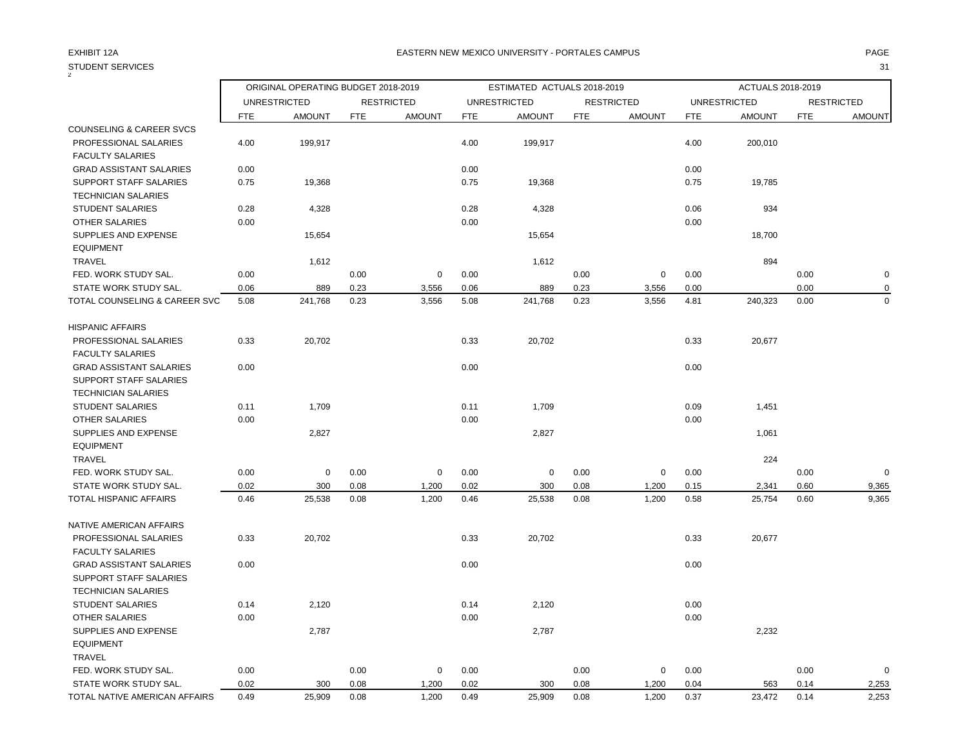| <b>STUDENT SERVICES</b>             |            |                                     |            |                   |            |                             |            |                   |            |                     |            | 31                |
|-------------------------------------|------------|-------------------------------------|------------|-------------------|------------|-----------------------------|------------|-------------------|------------|---------------------|------------|-------------------|
|                                     |            | ORIGINAL OPERATING BUDGET 2018-2019 |            |                   |            | ESTIMATED ACTUALS 2018-2019 |            |                   |            | ACTUALS 2018-2019   |            |                   |
|                                     |            | <b>UNRESTRICTED</b>                 |            | <b>RESTRICTED</b> |            | <b>UNRESTRICTED</b>         |            | <b>RESTRICTED</b> |            | <b>UNRESTRICTED</b> |            | <b>RESTRICTED</b> |
|                                     | <b>FTE</b> | <b>AMOUNT</b>                       | <b>FTE</b> | <b>AMOUNT</b>     | <b>FTE</b> | <b>AMOUNT</b>               | <b>FTE</b> | <b>AMOUNT</b>     | <b>FTE</b> | <b>AMOUNT</b>       | <b>FTE</b> | <b>AMOUNT</b>     |
| <b>COUNSELING &amp; CAREER SVCS</b> |            |                                     |            |                   |            |                             |            |                   |            |                     |            |                   |
| PROFESSIONAL SALARIES               | 4.00       | 199,917                             |            |                   | 4.00       | 199,917                     |            |                   | 4.00       | 200,010             |            |                   |
| <b>FACULTY SALARIES</b>             |            |                                     |            |                   |            |                             |            |                   |            |                     |            |                   |
| <b>GRAD ASSISTANT SALARIES</b>      | 0.00       |                                     |            |                   | 0.00       |                             |            |                   | 0.00       |                     |            |                   |
| <b>SUPPORT STAFF SALARIES</b>       | 0.75       | 19,368                              |            |                   | 0.75       | 19,368                      |            |                   | 0.75       | 19,785              |            |                   |
| <b>TECHNICIAN SALARIES</b>          |            |                                     |            |                   |            |                             |            |                   |            |                     |            |                   |
| <b>STUDENT SALARIES</b>             | 0.28       | 4,328                               |            |                   | 0.28       | 4,328                       |            |                   | 0.06       | 934                 |            |                   |
| OTHER SALARIES                      | 0.00       |                                     |            |                   | 0.00       |                             |            |                   | 0.00       |                     |            |                   |
| SUPPLIES AND EXPENSE                |            | 15,654                              |            |                   |            | 15,654                      |            |                   |            | 18,700              |            |                   |
| <b>EQUIPMENT</b>                    |            |                                     |            |                   |            |                             |            |                   |            |                     |            |                   |
| <b>TRAVEL</b>                       |            | 1,612                               |            |                   |            | 1,612                       |            |                   |            | 894                 |            |                   |
| FED. WORK STUDY SAL.                | 0.00       |                                     | 0.00       | $\mathbf 0$       | 0.00       |                             | 0.00       | $\mathbf 0$       | 0.00       |                     | 0.00       | $\pmb{0}$         |
| STATE WORK STUDY SAL.               | 0.06       | 889                                 | 0.23       | 3,556             | 0.06       | 889                         | 0.23       | 3,556             | 0.00       |                     | 0.00       | $\mathbf 0$       |
| TOTAL COUNSELING & CAREER SVC       | 5.08       | 241,768                             | 0.23       | 3,556             | 5.08       | 241,768                     | 0.23       | 3,556             | 4.81       | 240,323             | 0.00       | $\mathbf 0$       |
| <b>HISPANIC AFFAIRS</b>             |            |                                     |            |                   |            |                             |            |                   |            |                     |            |                   |
| PROFESSIONAL SALARIES               | 0.33       | 20,702                              |            |                   | 0.33       | 20,702                      |            |                   | 0.33       | 20,677              |            |                   |
| <b>FACULTY SALARIES</b>             |            |                                     |            |                   |            |                             |            |                   |            |                     |            |                   |
| <b>GRAD ASSISTANT SALARIES</b>      | 0.00       |                                     |            |                   | 0.00       |                             |            |                   | 0.00       |                     |            |                   |
| SUPPORT STAFF SALARIES              |            |                                     |            |                   |            |                             |            |                   |            |                     |            |                   |
| <b>TECHNICIAN SALARIES</b>          |            |                                     |            |                   |            |                             |            |                   |            |                     |            |                   |
| <b>STUDENT SALARIES</b>             | 0.11       | 1,709                               |            |                   | 0.11       | 1,709                       |            |                   | 0.09       | 1,451               |            |                   |
| <b>OTHER SALARIES</b>               | 0.00       |                                     |            |                   | 0.00       |                             |            |                   | 0.00       |                     |            |                   |
| SUPPLIES AND EXPENSE                |            | 2,827                               |            |                   |            | 2,827                       |            |                   |            | 1,061               |            |                   |
| <b>EQUIPMENT</b>                    |            |                                     |            |                   |            |                             |            |                   |            |                     |            |                   |
| <b>TRAVEL</b>                       |            |                                     |            |                   |            |                             |            |                   |            | 224                 |            |                   |
| FED. WORK STUDY SAL.                | 0.00       | $\mathbf 0$                         | 0.00       | $\mathbf 0$       | 0.00       | 0                           | 0.00       | $\mathbf 0$       | 0.00       |                     | 0.00       | $\mathbf 0$       |
| STATE WORK STUDY SAL.               | 0.02       | 300                                 | 0.08       | 1,200             | 0.02       | 300                         | 0.08       | 1,200             | 0.15       | 2,341               | 0.60       | 9,365             |
| <b>TOTAL HISPANIC AFFAIRS</b>       | 0.46       | 25,538                              | 0.08       | 1,200             | 0.46       | 25,538                      | 0.08       | 1,200             | 0.58       | 25,754              | 0.60       | 9,365             |
| NATIVE AMERICAN AFFAIRS             |            |                                     |            |                   |            |                             |            |                   |            |                     |            |                   |
| PROFESSIONAL SALARIES               | 0.33       | 20,702                              |            |                   | 0.33       | 20,702                      |            |                   | 0.33       | 20,677              |            |                   |
| <b>FACULTY SALARIES</b>             |            |                                     |            |                   |            |                             |            |                   |            |                     |            |                   |
| <b>GRAD ASSISTANT SALARIES</b>      | 0.00       |                                     |            |                   | 0.00       |                             |            |                   | 0.00       |                     |            |                   |
| SUPPORT STAFF SALARIES              |            |                                     |            |                   |            |                             |            |                   |            |                     |            |                   |
| <b>TECHNICIAN SALARIES</b>          |            |                                     |            |                   |            |                             |            |                   |            |                     |            |                   |
| <b>STUDENT SALARIES</b>             | 0.14       | 2,120                               |            |                   | 0.14       | 2,120                       |            |                   | 0.00       |                     |            |                   |
| <b>OTHER SALARIES</b>               | 0.00       |                                     |            |                   | 0.00       |                             |            |                   | 0.00       |                     |            |                   |
| SUPPLIES AND EXPENSE                |            | 2,787                               |            |                   |            | 2,787                       |            |                   |            | 2,232               |            |                   |
| <b>EQUIPMENT</b>                    |            |                                     |            |                   |            |                             |            |                   |            |                     |            |                   |
| <b>TRAVEL</b>                       |            |                                     |            |                   |            |                             |            |                   |            |                     |            |                   |
| FED. WORK STUDY SAL.                | 0.00       |                                     | 0.00       | $\mathbf 0$       | 0.00       |                             | 0.00       | $\mathbf 0$       | 0.00       |                     | 0.00       | $\mathbf 0$       |
| STATE WORK STUDY SAL.               | 0.02       | 300                                 | 0.08       | 1,200             | 0.02       | 300                         | 0.08       | 1,200             | 0.04       | 563                 | 0.14       | 2,253             |
| TOTAL NATIVE AMERICAN AFFAIRS       | 0.49       | 25,909                              | 0.08       | 1,200             | 0.49       | 25,909                      | 0.08       | 1,200             | 0.37       | 23,472              | 0.14       | 2,253             |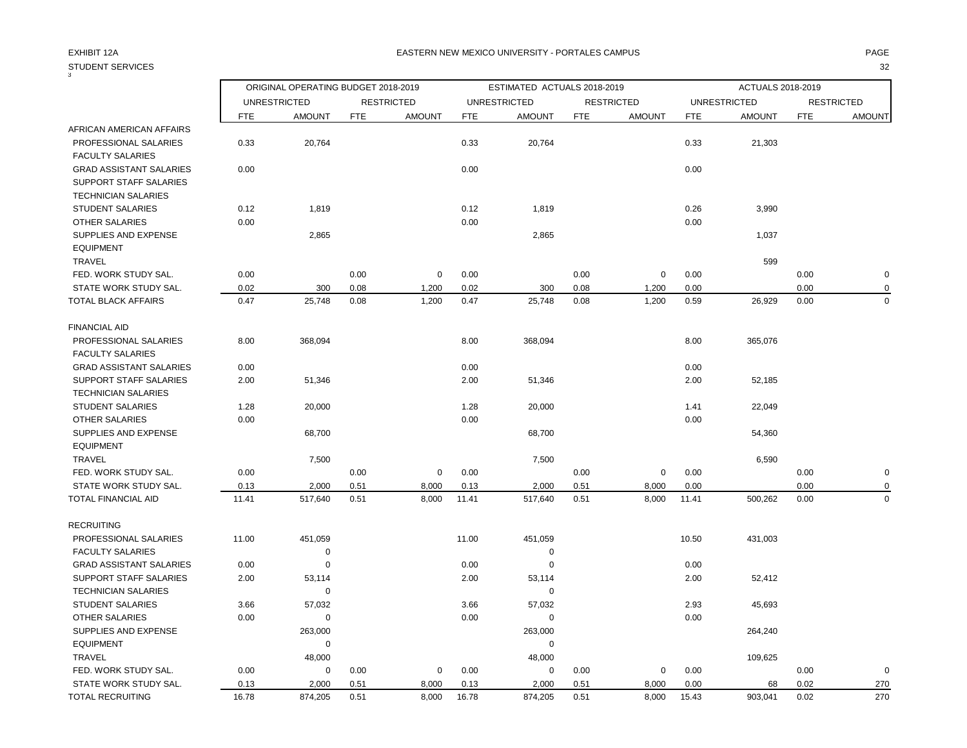| 3                                                                                      |            | ORIGINAL OPERATING BUDGET 2018-2019 |            |                   |            | ESTIMATED ACTUALS 2018-2019 |            |                   |            | ACTUALS 2018-2019   |            |                   |
|----------------------------------------------------------------------------------------|------------|-------------------------------------|------------|-------------------|------------|-----------------------------|------------|-------------------|------------|---------------------|------------|-------------------|
|                                                                                        |            | <b>UNRESTRICTED</b>                 |            | <b>RESTRICTED</b> |            | <b>UNRESTRICTED</b>         |            | <b>RESTRICTED</b> |            | <b>UNRESTRICTED</b> |            | <b>RESTRICTED</b> |
|                                                                                        | <b>FTE</b> | <b>AMOUNT</b>                       | <b>FTE</b> | <b>AMOUNT</b>     | <b>FTE</b> | <b>AMOUNT</b>               | <b>FTE</b> | <b>AMOUNT</b>     | <b>FTE</b> | <b>AMOUNT</b>       | <b>FTE</b> | <b>AMOUNT</b>     |
| AFRICAN AMERICAN AFFAIRS                                                               |            |                                     |            |                   |            |                             |            |                   |            |                     |            |                   |
| PROFESSIONAL SALARIES<br><b>FACULTY SALARIES</b>                                       | 0.33       | 20,764                              |            |                   | 0.33       | 20,764                      |            |                   | 0.33       | 21,303              |            |                   |
| <b>GRAD ASSISTANT SALARIES</b><br>SUPPORT STAFF SALARIES<br><b>TECHNICIAN SALARIES</b> | 0.00       |                                     |            |                   | 0.00       |                             |            |                   | 0.00       |                     |            |                   |
| <b>STUDENT SALARIES</b>                                                                | 0.12       | 1,819                               |            |                   | 0.12       | 1,819                       |            |                   | 0.26       | 3,990               |            |                   |
| <b>OTHER SALARIES</b>                                                                  | 0.00       |                                     |            |                   | 0.00       |                             |            |                   | 0.00       |                     |            |                   |
| SUPPLIES AND EXPENSE<br><b>EQUIPMENT</b>                                               |            | 2,865                               |            |                   |            | 2,865                       |            |                   |            | 1,037               |            |                   |
| TRAVEL                                                                                 |            |                                     |            |                   |            |                             |            |                   |            | 599                 |            |                   |
| FED. WORK STUDY SAL.                                                                   | 0.00       |                                     | 0.00       | $\mathbf 0$       | 0.00       |                             | 0.00       | $\mathbf 0$       | 0.00       |                     | 0.00       | $\mathbf 0$       |
| STATE WORK STUDY SAL.                                                                  | 0.02       | 300                                 | 0.08       | 1,200             | 0.02       | 300                         | 0.08       | 1,200             | 0.00       |                     | 0.00       | $\mathbf 0$       |
| TOTAL BLACK AFFAIRS                                                                    | 0.47       | 25,748                              | 0.08       | 1,200             | 0.47       | 25,748                      | 0.08       | 1,200             | 0.59       | 26,929              | 0.00       | $\mathbf 0$       |
| <b>FINANCIAL AID</b>                                                                   |            |                                     |            |                   |            |                             |            |                   |            |                     |            |                   |
| PROFESSIONAL SALARIES<br><b>FACULTY SALARIES</b>                                       | 8.00       | 368,094                             |            |                   | 8.00       | 368,094                     |            |                   | 8.00       | 365,076             |            |                   |
| <b>GRAD ASSISTANT SALARIES</b>                                                         | 0.00       |                                     |            |                   | 0.00       |                             |            |                   | 0.00       |                     |            |                   |
| SUPPORT STAFF SALARIES                                                                 | 2.00       | 51,346                              |            |                   | 2.00       | 51,346                      |            |                   | 2.00       | 52,185              |            |                   |
| <b>TECHNICIAN SALARIES</b>                                                             |            |                                     |            |                   |            |                             |            |                   |            |                     |            |                   |
| <b>STUDENT SALARIES</b>                                                                | 1.28       | 20,000                              |            |                   | 1.28       | 20,000                      |            |                   | 1.41       | 22,049              |            |                   |
| OTHER SALARIES                                                                         | 0.00       |                                     |            |                   | 0.00       |                             |            |                   | 0.00       |                     |            |                   |
| SUPPLIES AND EXPENSE                                                                   |            | 68,700                              |            |                   |            | 68,700                      |            |                   |            | 54,360              |            |                   |
| <b>EQUIPMENT</b>                                                                       |            |                                     |            |                   |            |                             |            |                   |            |                     |            |                   |
| TRAVEL                                                                                 |            | 7,500                               |            |                   |            | 7,500                       |            |                   |            | 6,590               |            |                   |
| FED. WORK STUDY SAL.                                                                   | 0.00       |                                     | 0.00       | $\mathbf 0$       | 0.00       |                             | 0.00       | $\mathbf 0$       | 0.00       |                     | 0.00       | $\mathbf 0$       |
| STATE WORK STUDY SAL.                                                                  | 0.13       | 2,000                               | 0.51       | 8,000             | 0.13       | 2,000                       | 0.51       | 8,000             | 0.00       |                     | 0.00       | $\mathbf 0$       |
| TOTAL FINANCIAL AID                                                                    | 11.41      | 517,640                             | 0.51       | 8,000             | 11.41      | 517,640                     | 0.51       | 8,000             | 11.41      | 500,262             | 0.00       | $\mathbf 0$       |
| RECRUITING                                                                             |            |                                     |            |                   |            |                             |            |                   |            |                     |            |                   |
| PROFESSIONAL SALARIES                                                                  | 11.00      | 451,059                             |            |                   | 11.00      | 451,059                     |            |                   | 10.50      | 431,003             |            |                   |
| <b>FACULTY SALARIES</b>                                                                |            | 0                                   |            |                   |            | $\mathbf 0$                 |            |                   |            |                     |            |                   |
| <b>GRAD ASSISTANT SALARIES</b>                                                         | 0.00       | 0                                   |            |                   | 0.00       | 0                           |            |                   | 0.00       |                     |            |                   |
| <b>SUPPORT STAFF SALARIES</b>                                                          | 2.00       | 53,114                              |            |                   | 2.00       | 53,114                      |            |                   | 2.00       | 52,412              |            |                   |
| <b>TECHNICIAN SALARIES</b>                                                             |            | $\mathbf 0$                         |            |                   |            | $\mathbf 0$                 |            |                   |            |                     |            |                   |
| <b>STUDENT SALARIES</b>                                                                | 3.66       | 57,032                              |            |                   | 3.66       | 57,032                      |            |                   | 2.93       | 45,693              |            |                   |
| <b>OTHER SALARIES</b>                                                                  | 0.00       | $\mathbf 0$                         |            |                   | 0.00       | $\mathbf 0$                 |            |                   | 0.00       |                     |            |                   |
| SUPPLIES AND EXPENSE                                                                   |            | 263,000                             |            |                   |            | 263,000                     |            |                   |            | 264,240             |            |                   |
| <b>EQUIPMENT</b>                                                                       |            | 0                                   |            |                   |            | $\mathbf 0$                 |            |                   |            |                     |            |                   |
| TRAVEL                                                                                 |            | 48,000                              |            |                   |            | 48,000                      |            |                   |            | 109,625             |            |                   |
| FED. WORK STUDY SAL.                                                                   | 0.00       | 0                                   | 0.00       | 0                 | 0.00       | 0                           | 0.00       | 0                 | 0.00       |                     | 0.00       | $\mathbf 0$       |
| STATE WORK STUDY SAL.                                                                  | 0.13       | 2,000                               | 0.51       | 8,000             | 0.13       | 2,000                       | 0.51       | 8,000             | 0.00       | 68                  | 0.02       | 270               |
| TOTAL RECRUITING                                                                       | 16.78      | 874,205                             | 0.51       | 8,000             | 16.78      | 874,205                     | 0.51       | 8,000             | 15.43      | 903,041             | 0.02       | 270               |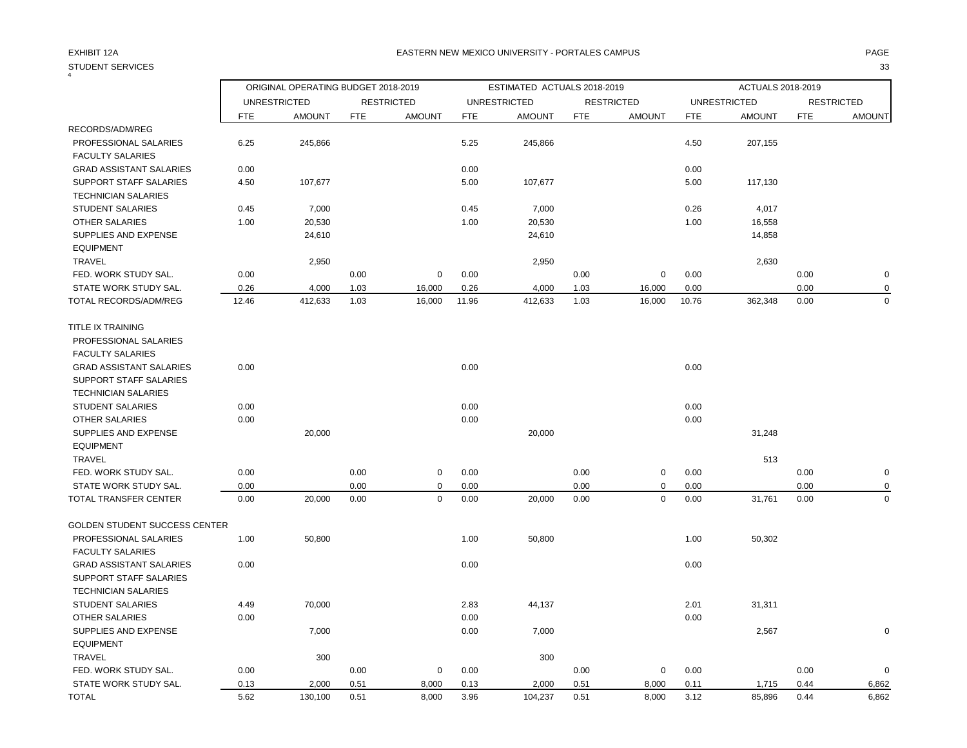## EXHIBIT 12A PAGE EASTERN NEW MEXICO UNIVERSITY - PORTALES CAMPUS

| 4                                                    |       | ORIGINAL OPERATING BUDGET 2018-2019 |            |                   |            | ESTIMATED ACTUALS 2018-2019 |            |                   |            | ACTUALS 2018-2019   |            |                   |
|------------------------------------------------------|-------|-------------------------------------|------------|-------------------|------------|-----------------------------|------------|-------------------|------------|---------------------|------------|-------------------|
|                                                      |       | <b>UNRESTRICTED</b>                 |            | <b>RESTRICTED</b> |            | <b>UNRESTRICTED</b>         |            | <b>RESTRICTED</b> |            | <b>UNRESTRICTED</b> |            | <b>RESTRICTED</b> |
|                                                      | FTE   | <b>AMOUNT</b>                       | <b>FTE</b> | <b>AMOUNT</b>     | <b>FTE</b> | <b>AMOUNT</b>               | <b>FTE</b> | <b>AMOUNT</b>     | <b>FTE</b> | <b>AMOUNT</b>       | <b>FTE</b> | <b>AMOUNT</b>     |
| RECORDS/ADM/REG                                      |       |                                     |            |                   |            |                             |            |                   |            |                     |            |                   |
| PROFESSIONAL SALARIES<br><b>FACULTY SALARIES</b>     | 6.25  | 245,866                             |            |                   | 5.25       | 245,866                     |            |                   | 4.50       | 207,155             |            |                   |
| <b>GRAD ASSISTANT SALARIES</b>                       | 0.00  |                                     |            |                   | 0.00       |                             |            |                   | 0.00       |                     |            |                   |
| SUPPORT STAFF SALARIES<br><b>TECHNICIAN SALARIES</b> | 4.50  | 107,677                             |            |                   | 5.00       | 107,677                     |            |                   | 5.00       | 117,130             |            |                   |
| <b>STUDENT SALARIES</b>                              | 0.45  | 7,000                               |            |                   | 0.45       | 7,000                       |            |                   | 0.26       | 4,017               |            |                   |
| OTHER SALARIES                                       | 1.00  | 20,530                              |            |                   | 1.00       | 20,530                      |            |                   | 1.00       | 16,558              |            |                   |
| SUPPLIES AND EXPENSE<br><b>EQUIPMENT</b>             |       | 24,610                              |            |                   |            | 24,610                      |            |                   |            | 14,858              |            |                   |
| <b>TRAVEL</b>                                        |       | 2,950                               |            |                   |            | 2,950                       |            |                   |            | 2,630               |            |                   |
| FED. WORK STUDY SAL.                                 | 0.00  |                                     | 0.00       | $\mathbf 0$       | 0.00       |                             | 0.00       | $\mathbf 0$       | 0.00       |                     | 0.00       | $\mathbf 0$       |
| STATE WORK STUDY SAL.                                | 0.26  | 4,000                               | 1.03       | 16,000            | 0.26       | 4,000                       | 1.03       | 16,000            | 0.00       |                     | 0.00       | $\mathbf 0$       |
| <b>TOTAL RECORDS/ADM/REG</b>                         | 12.46 | 412,633                             | 1.03       | 16,000            | 11.96      | 412,633                     | 1.03       | 16,000            | 10.76      | 362,348             | 0.00       | $\Omega$          |
| TITLE IX TRAINING                                    |       |                                     |            |                   |            |                             |            |                   |            |                     |            |                   |
| PROFESSIONAL SALARIES                                |       |                                     |            |                   |            |                             |            |                   |            |                     |            |                   |
| <b>FACULTY SALARIES</b>                              |       |                                     |            |                   |            |                             |            |                   |            |                     |            |                   |
| <b>GRAD ASSISTANT SALARIES</b>                       | 0.00  |                                     |            |                   | 0.00       |                             |            |                   | 0.00       |                     |            |                   |
| <b>SUPPORT STAFF SALARIES</b>                        |       |                                     |            |                   |            |                             |            |                   |            |                     |            |                   |
| <b>TECHNICIAN SALARIES</b>                           |       |                                     |            |                   |            |                             |            |                   |            |                     |            |                   |
| <b>STUDENT SALARIES</b>                              | 0.00  |                                     |            |                   | 0.00       |                             |            |                   | 0.00       |                     |            |                   |
| OTHER SALARIES                                       | 0.00  |                                     |            |                   | 0.00       |                             |            |                   | 0.00       |                     |            |                   |
| SUPPLIES AND EXPENSE                                 |       | 20,000                              |            |                   |            | 20,000                      |            |                   |            | 31,248              |            |                   |
| <b>EQUIPMENT</b>                                     |       |                                     |            |                   |            |                             |            |                   |            |                     |            |                   |
| TRAVEL                                               |       |                                     |            |                   |            |                             |            |                   |            | 513                 |            |                   |
| FED. WORK STUDY SAL.                                 | 0.00  |                                     | 0.00       | $\pmb{0}$         | 0.00       |                             | 0.00       | $\pmb{0}$         | 0.00       |                     | 0.00       | $\mathbf 0$       |
| STATE WORK STUDY SAL.                                | 0.00  |                                     | 0.00       | $\Omega$          | 0.00       |                             | 0.00       | 0                 | 0.00       |                     | 0.00       | 0                 |
| TOTAL TRANSFER CENTER                                | 0.00  | 20,000                              | 0.00       | $\mathbf 0$       | 0.00       | 20,000                      | 0.00       | $\mathbf 0$       | 0.00       | 31,761              | 0.00       | $\mathbf 0$       |
| <b>GOLDEN STUDENT SUCCESS CENTER</b>                 |       |                                     |            |                   |            |                             |            |                   |            |                     |            |                   |
| PROFESSIONAL SALARIES                                | 1.00  | 50,800                              |            |                   | 1.00       | 50,800                      |            |                   | 1.00       | 50,302              |            |                   |
| <b>FACULTY SALARIES</b>                              |       |                                     |            |                   |            |                             |            |                   |            |                     |            |                   |
| <b>GRAD ASSISTANT SALARIES</b>                       | 0.00  |                                     |            |                   | 0.00       |                             |            |                   | 0.00       |                     |            |                   |
| <b>SUPPORT STAFF SALARIES</b>                        |       |                                     |            |                   |            |                             |            |                   |            |                     |            |                   |
| <b>TECHNICIAN SALARIES</b>                           |       |                                     |            |                   |            |                             |            |                   |            |                     |            |                   |
| <b>STUDENT SALARIES</b>                              | 4.49  | 70,000                              |            |                   | 2.83       | 44,137                      |            |                   | 2.01       | 31,311              |            |                   |
| <b>OTHER SALARIES</b>                                | 0.00  |                                     |            |                   | 0.00       |                             |            |                   | 0.00       |                     |            |                   |
| SUPPLIES AND EXPENSE                                 |       | 7,000                               |            |                   | 0.00       | 7,000                       |            |                   |            | 2,567               |            | 0                 |
| <b>EQUIPMENT</b>                                     |       |                                     |            |                   |            |                             |            |                   |            |                     |            |                   |
| TRAVEL                                               |       | 300                                 |            |                   |            | 300                         |            |                   |            |                     |            |                   |
| FED. WORK STUDY SAL.                                 | 0.00  |                                     | 0.00       | 0                 | 0.00       |                             | 0.00       | 0                 | 0.00       |                     | 0.00       | $\mathbf 0$       |
| STATE WORK STUDY SAL.                                | 0.13  | 2,000                               | 0.51       | 8,000             | 0.13       | 2,000                       | 0.51       | 8,000             | 0.11       | 1,715               | 0.44       | 6,862             |
| <b>TOTAL</b>                                         | 5.62  | 130,100                             | 0.51       | 8,000             | 3.96       | 104,237                     | 0.51       | 8,000             | 3.12       | 85,896              | 0.44       | 6,862             |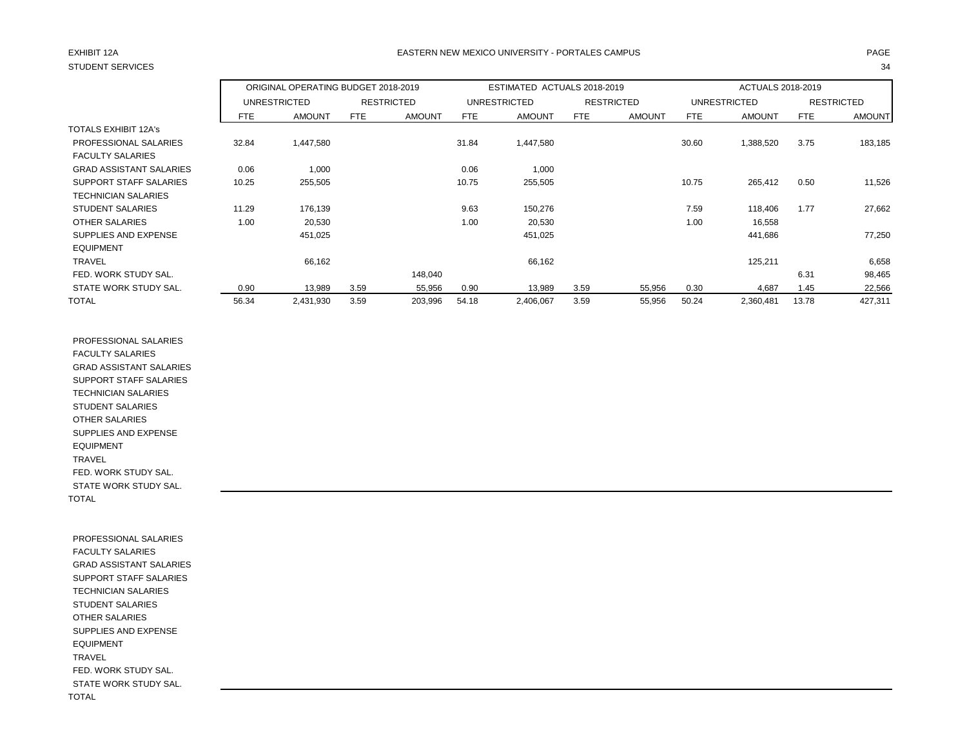## EXHIBIT 12A PAGE EASTERN NEW MEXICO UNIVERSITY - PORTALES CAMPUS

|                                |       | ORIGINAL OPERATING BUDGET 2018-2019 |      |                   |       | ESTIMATED ACTUALS 2018-2019 |            |                   |       | ACTUALS 2018-2019   |       |                   |
|--------------------------------|-------|-------------------------------------|------|-------------------|-------|-----------------------------|------------|-------------------|-------|---------------------|-------|-------------------|
|                                |       | <b>UNRESTRICTED</b>                 |      | <b>RESTRICTED</b> |       | <b>UNRESTRICTED</b>         |            | <b>RESTRICTED</b> |       | <b>UNRESTRICTED</b> |       | <b>RESTRICTED</b> |
|                                | FTE   | <b>AMOUNT</b>                       | FTE  | <b>AMOUNT</b>     | FTE   | <b>AMOUNT</b>               | <b>FTE</b> | <b>AMOUNT</b>     | FTE   | <b>AMOUNT</b>       | FTE   | <b>AMOUNT</b>     |
| <b>TOTALS EXHIBIT 12A's</b>    |       |                                     |      |                   |       |                             |            |                   |       |                     |       |                   |
| PROFESSIONAL SALARIES          | 32.84 | 1,447,580                           |      |                   | 31.84 | 1,447,580                   |            |                   | 30.60 | 1,388,520           | 3.75  | 183,185           |
| <b>FACULTY SALARIES</b>        |       |                                     |      |                   |       |                             |            |                   |       |                     |       |                   |
| <b>GRAD ASSISTANT SALARIES</b> | 0.06  | 1,000                               |      |                   | 0.06  | 1,000                       |            |                   |       |                     |       |                   |
| SUPPORT STAFF SALARIES         | 10.25 | 255,505                             |      |                   | 10.75 | 255,505                     |            |                   | 10.75 | 265,412             | 0.50  | 11,526            |
| <b>TECHNICIAN SALARIES</b>     |       |                                     |      |                   |       |                             |            |                   |       |                     |       |                   |
| <b>STUDENT SALARIES</b>        | 11.29 | 176,139                             |      |                   | 9.63  | 150,276                     |            |                   | 7.59  | 118,406             | 1.77  | 27,662            |
| OTHER SALARIES                 | 1.00  | 20,530                              |      |                   | 1.00  | 20,530                      |            |                   | 1.00  | 16,558              |       |                   |
| SUPPLIES AND EXPENSE           |       | 451,025                             |      |                   |       | 451,025                     |            |                   |       | 441,686             |       | 77,250            |
| <b>EQUIPMENT</b>               |       |                                     |      |                   |       |                             |            |                   |       |                     |       |                   |
| <b>TRAVEL</b>                  |       | 66,162                              |      |                   |       | 66,162                      |            |                   |       | 125,211             |       | 6,658             |
| FED. WORK STUDY SAL.           |       |                                     |      | 148,040           |       |                             |            |                   |       |                     | 6.31  | 98,465            |
| STATE WORK STUDY SAL.          | 0.90  | 13,989                              | 3.59 | 55,956            | 0.90  | 13,989                      | 3.59       | 55,956            | 0.30  | 4,687               | 1.45  | 22,566            |
| <b>TOTAL</b>                   | 56.34 | 2,431,930                           | 3.59 | 203,996           | 54.18 | 2,406,067                   | 3.59       | 55,956            | 50.24 | 2,360,481           | 13.78 | 427,311           |

 PROFESSIONAL SALARIES FACULTY SALARIES GRAD ASSISTANT SALARIES SUPPORT STAFF SALARIES TECHNICIAN SALARIES STUDENT SALARIES OTHER SALARIES SUPPLIES AND EXPENSE EQUIPMENT TRAVEL FED. WORK STUDY SAL. STATE WORK STUDY SAL. TOTAL

 PROFESSIONAL SALARIES FACULTY SALARIES GRAD ASSISTANT SALARIES SUPPORT STAFF SALARIES TECHNICIAN SALARIES STUDENT SALARIES OTHER SALARIES SUPPLIES AND EXPENSE EQUIPMENT TRAVEL FED. WORK STUDY SAL. STATE WORK STUDY SAL. TOTAL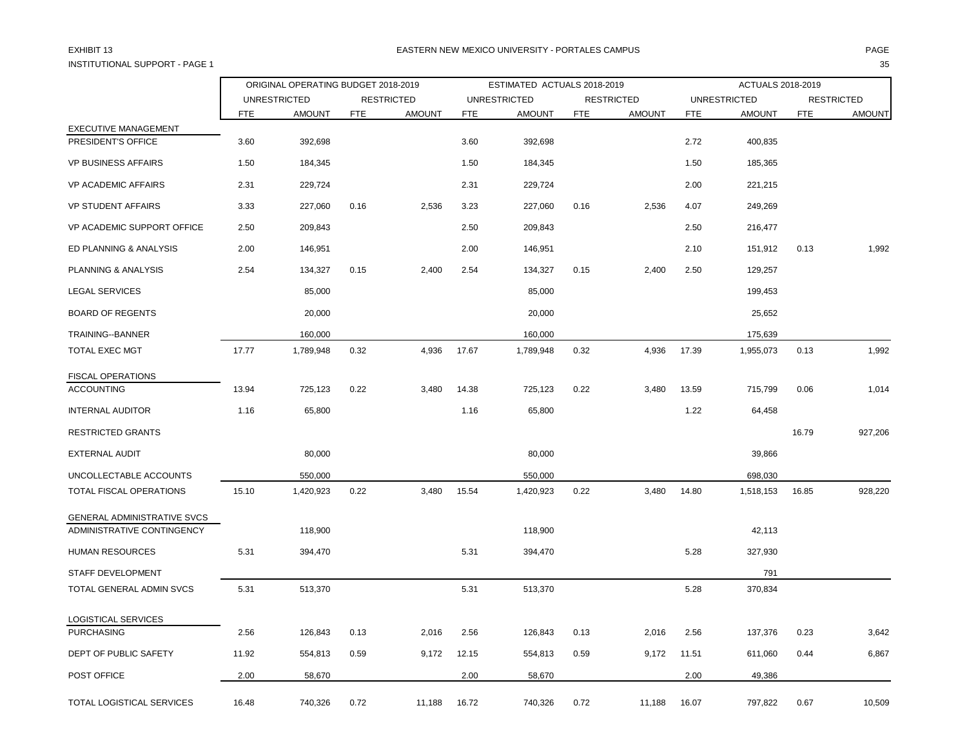INSTITUTIONAL SUPPORT - PAGE 1 35

|                             | ORIGINAL OPERATING BUDGET 2018-2019 |               |                   |               |                     | ESTIMATED ACTUALS 2018-2019 |                   | ACTUALS 2018-2019 |                     |               |                   |               |
|-----------------------------|-------------------------------------|---------------|-------------------|---------------|---------------------|-----------------------------|-------------------|-------------------|---------------------|---------------|-------------------|---------------|
|                             | <b>UNRESTRICTED</b>                 |               | <b>RESTRICTED</b> |               | <b>UNRESTRICTED</b> |                             | <b>RESTRICTED</b> |                   | <b>UNRESTRICTED</b> |               | <b>RESTRICTED</b> |               |
|                             | <b>FTE</b>                          | <b>AMOUNT</b> | <b>FTE</b>        | <b>AMOUNT</b> | <b>FTE</b>          | <b>AMOUNT</b>               | <b>FTE</b>        | <b>AMOUNT</b>     | <b>FTE</b>          | <b>AMOUNT</b> | <b>FTE</b>        | <b>AMOUNT</b> |
| <b>EXECUTIVE MANAGEMENT</b> |                                     |               |                   |               |                     |                             |                   |                   |                     |               |                   |               |
| PRESIDENT'S OFFICE          | 3.60                                | 392,698       |                   |               | 3.60                | 392,698                     |                   |                   | 2.72                | 400,835       |                   |               |
| <b>VP BUSINESS AFFAIRS</b>  | 1.50                                | 184,345       |                   |               | 1.50                | 184,345                     |                   |                   | 1.50                | 185,365       |                   |               |
| <b>VP ACADEMIC AFFAIRS</b>  | 2.31                                | 229,724       |                   |               | 2.31                | 229,724                     |                   |                   | 2.00                | 221,215       |                   |               |
| <b>VP STUDENT AFFAIRS</b>   | 3.33                                | 227,060       | 0.16              | 2,536         | 3.23                | 227,060                     | 0.16              | 2,536             | 4.07                | 249,269       |                   |               |
| VP ACADEMIC SUPPORT OFFICE  | 2.50                                | 209,843       |                   |               | 2.50                | 209,843                     |                   |                   | 2.50                | 216,477       |                   |               |
| ED PLANNING & ANALYSIS      | 2.00                                | 146,951       |                   |               | 2.00                | 146,951                     |                   |                   | 2.10                | 151,912       | 0.13              | 1,992         |
| PLANNING & ANALYSIS         | 2.54                                | 134,327       | 0.15              | 2,400         | 2.54                | 134,327                     | 0.15              | 2,400             | 2.50                | 129,257       |                   |               |
| <b>LEGAL SERVICES</b>       |                                     | 85,000        |                   |               |                     | 85,000                      |                   |                   |                     | 199,453       |                   |               |
| <b>BOARD OF REGENTS</b>     |                                     | 20,000        |                   |               |                     | 20,000                      |                   |                   |                     | 25,652        |                   |               |
| TRAINING--BANNER            |                                     | 160,000       |                   |               |                     | 160,000                     |                   |                   |                     | 175,639       |                   |               |
| TOTAL EXEC MGT              | 17.77                               | 1,789,948     | 0.32              | 4,936         | 17.67               | 1,789,948                   | 0.32              | 4,936             | 17.39               | 1,955,073     | 0.13              | 1,992         |
| FISCAL OPERATIONS           |                                     |               |                   |               |                     |                             |                   |                   |                     |               |                   |               |
| <b>ACCOUNTING</b>           | 13.94                               | 725,123       | 0.22              | 3,480         | 14.38               | 725,123                     | 0.22              | 3,480             | 13.59               | 715,799       | 0.06              | 1,014         |
| <b>INTERNAL AUDITOR</b>     | 1.16                                | 65,800        |                   |               | 1.16                | 65,800                      |                   |                   | 1.22                | 64,458        |                   |               |
| <b>RESTRICTED GRANTS</b>    |                                     |               |                   |               |                     |                             |                   |                   |                     |               | 16.79             | 927,206       |
| <b>EXTERNAL AUDIT</b>       |                                     | 80,000        |                   |               |                     | 80,000                      |                   |                   |                     | 39,866        |                   |               |
| UNCOLLECTABLE ACCOUNTS      |                                     | 550,000       |                   |               |                     | 550,000                     |                   |                   |                     | 698,030       |                   |               |
| TOTAL FISCAL OPERATIONS     | 15.10                               | 1,420,923     | 0.22              | 3,480         | 15.54               | 1,420,923                   | 0.22              | 3,480             | 14.80               | 1,518,153     | 16.85             | 928,220       |
| GENERAL ADMINISTRATIVE SVCS |                                     |               |                   |               |                     |                             |                   |                   |                     |               |                   |               |
| ADMINISTRATIVE CONTINGENCY  |                                     | 118,900       |                   |               |                     | 118,900                     |                   |                   |                     | 42,113        |                   |               |
| <b>HUMAN RESOURCES</b>      | 5.31                                | 394,470       |                   |               | 5.31                | 394,470                     |                   |                   | 5.28                | 327,930       |                   |               |
| STAFF DEVELOPMENT           |                                     |               |                   |               |                     |                             |                   |                   |                     | 791           |                   |               |
| TOTAL GENERAL ADMIN SVCS    | 5.31                                | 513,370       |                   |               | 5.31                | 513,370                     |                   |                   | 5.28                | 370,834       |                   |               |
| LOGISTICAL SERVICES         |                                     |               |                   |               |                     |                             |                   |                   |                     |               |                   |               |
| <b>PURCHASING</b>           | 2.56                                | 126,843       | 0.13              | 2,016         | 2.56                | 126,843                     | 0.13              | 2,016             | 2.56                | 137,376       | 0.23              | 3,642         |
| DEPT OF PUBLIC SAFETY       | 11.92                               | 554,813       | 0.59              | 9,172         | 12.15               | 554,813                     | 0.59              | 9,172             | 11.51               | 611,060       | 0.44              | 6,867         |
| POST OFFICE                 | 2.00                                | 58,670        |                   |               | 2.00                | 58,670                      |                   |                   | 2.00                | 49,386        |                   |               |
| TOTAL LOGISTICAL SERVICES   | 16.48                               | 740,326       | 0.72              | 11,188        | 16.72               | 740,326                     | 0.72              | 11,188            | 16.07               | 797,822       | 0.67              | 10,509        |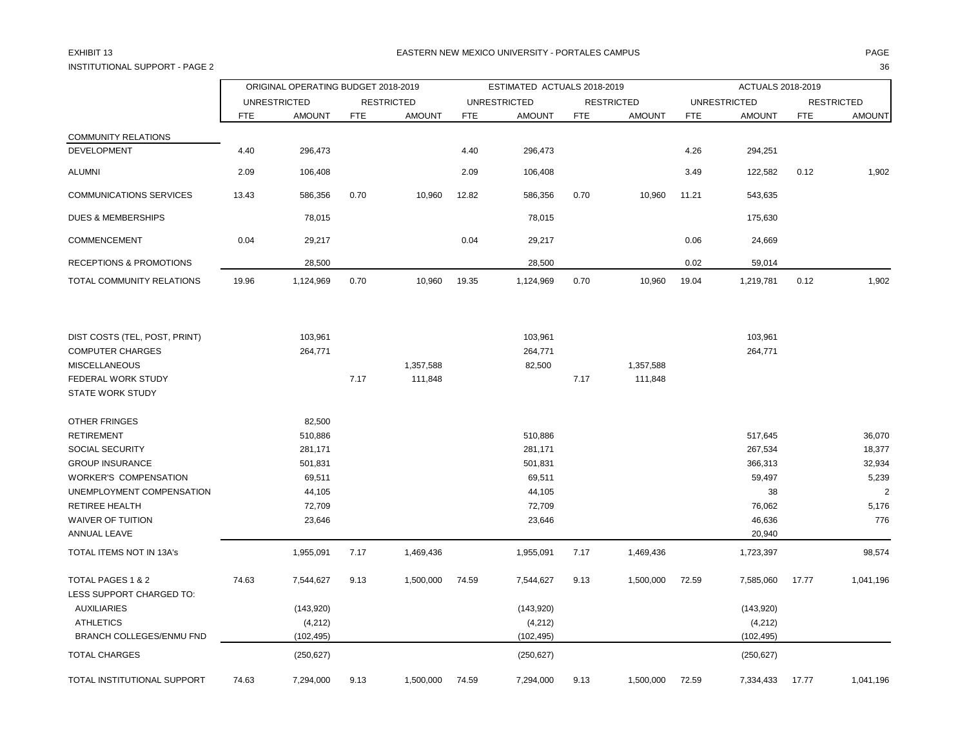# INSTITUTIONAL SUPPORT - PAGE 2 36

## EXHIBIT 13 PAGE PAGE IN THE RESTRIAL MEXICO UNIVERSITY - PORTALES CAMPUS PAGE IN THE RESTRIAL OF PAGE IN THE RESTRIAL OF A SERVICE OF PAGE IN THE RESTRIAL OF A SERVICE OF A SERVICE OF A SERVICE OF A SERVICE OF A SERVICE OF

|                                               |                     | ORIGINAL OPERATING BUDGET 2018-2019 |                   |               | ESTIMATED ACTUALS 2018-2019 |               |                   |               |                     | ACTUALS 2018-2019 |                   |                |  |  |
|-----------------------------------------------|---------------------|-------------------------------------|-------------------|---------------|-----------------------------|---------------|-------------------|---------------|---------------------|-------------------|-------------------|----------------|--|--|
|                                               | <b>UNRESTRICTED</b> |                                     | <b>RESTRICTED</b> |               | <b>UNRESTRICTED</b>         |               | <b>RESTRICTED</b> |               | <b>UNRESTRICTED</b> |                   | <b>RESTRICTED</b> |                |  |  |
|                                               | <b>FTE</b>          | <b>AMOUNT</b>                       | <b>FTE</b>        | <b>AMOUNT</b> | <b>FTE</b>                  | <b>AMOUNT</b> | <b>FTE</b>        | <b>AMOUNT</b> | <b>FTE</b>          | <b>AMOUNT</b>     | <b>FTE</b>        | <b>AMOUNT</b>  |  |  |
| <b>COMMUNITY RELATIONS</b>                    |                     |                                     |                   |               |                             |               |                   |               |                     |                   |                   |                |  |  |
| <b>DEVELOPMENT</b>                            | 4.40                | 296,473                             |                   |               | 4.40                        | 296,473       |                   |               | 4.26                | 294,251           |                   |                |  |  |
| <b>ALUMNI</b>                                 | 2.09                | 106,408                             |                   |               | 2.09                        | 106,408       |                   |               | 3.49                | 122,582           | 0.12              | 1,902          |  |  |
| <b>COMMUNICATIONS SERVICES</b>                | 13.43               | 586,356                             | 0.70              | 10,960        | 12.82                       | 586,356       | 0.70              | 10,960        | 11.21               | 543,635           |                   |                |  |  |
| <b>DUES &amp; MEMBERSHIPS</b>                 |                     | 78,015                              |                   |               |                             | 78,015        |                   |               |                     | 175,630           |                   |                |  |  |
| COMMENCEMENT                                  | 0.04                | 29,217                              |                   |               | 0.04                        | 29,217        |                   |               | 0.06                | 24,669            |                   |                |  |  |
| <b>RECEPTIONS &amp; PROMOTIONS</b>            |                     | 28,500                              |                   |               |                             | 28,500        |                   |               | 0.02                | 59,014            |                   |                |  |  |
| TOTAL COMMUNITY RELATIONS                     | 19.96               | 1,124,969                           | 0.70              | 10,960        | 19.35                       | 1,124,969     | 0.70              | 10,960        | 19.04               | 1,219,781         | 0.12              | 1,902          |  |  |
| DIST COSTS (TEL, POST, PRINT)                 |                     | 103,961                             |                   |               |                             | 103,961       |                   |               |                     | 103,961           |                   |                |  |  |
| <b>COMPUTER CHARGES</b>                       |                     | 264,771                             |                   |               |                             | 264,771       |                   |               |                     | 264,771           |                   |                |  |  |
| <b>MISCELLANEOUS</b>                          |                     |                                     |                   | 1,357,588     |                             | 82,500        |                   | 1,357,588     |                     |                   |                   |                |  |  |
| FEDERAL WORK STUDY                            |                     |                                     | 7.17              | 111,848       |                             |               | 7.17              | 111,848       |                     |                   |                   |                |  |  |
| <b>STATE WORK STUDY</b>                       |                     |                                     |                   |               |                             |               |                   |               |                     |                   |                   |                |  |  |
| <b>OTHER FRINGES</b>                          |                     | 82,500                              |                   |               |                             |               |                   |               |                     |                   |                   |                |  |  |
| <b>RETIREMENT</b>                             |                     | 510,886                             |                   |               |                             | 510,886       |                   |               |                     | 517,645           |                   | 36,070         |  |  |
| SOCIAL SECURITY                               |                     | 281,171                             |                   |               |                             | 281,171       |                   |               |                     | 267,534           |                   | 18,377         |  |  |
| <b>GROUP INSURANCE</b>                        |                     | 501,831                             |                   |               |                             | 501,831       |                   |               |                     | 366,313           |                   | 32,934         |  |  |
| <b>WORKER'S COMPENSATION</b>                  |                     | 69,511                              |                   |               |                             | 69,511        |                   |               |                     | 59,497            |                   | 5,239          |  |  |
| UNEMPLOYMENT COMPENSATION                     |                     | 44,105                              |                   |               |                             | 44,105        |                   |               |                     | 38                |                   | $\overline{2}$ |  |  |
| <b>RETIREE HEALTH</b>                         |                     | 72,709                              |                   |               |                             | 72,709        |                   |               |                     | 76,062            |                   | 5,176          |  |  |
| <b>WAIVER OF TUITION</b>                      |                     | 23,646                              |                   |               |                             | 23,646        |                   |               |                     | 46,636            |                   | 776            |  |  |
| ANNUAL LEAVE                                  |                     |                                     |                   |               |                             |               |                   |               |                     | 20,940            |                   |                |  |  |
| TOTAL ITEMS NOT IN 13A's                      |                     | 1,955,091                           | 7.17              | 1,469,436     |                             | 1,955,091     | 7.17              | 1,469,436     |                     | 1,723,397         |                   | 98,574         |  |  |
| TOTAL PAGES 1 & 2<br>LESS SUPPORT CHARGED TO: | 74.63               | 7,544,627                           | 9.13              | 1,500,000     | 74.59                       | 7,544,627     | 9.13              | 1,500,000     | 72.59               | 7,585,060         | 17.77             | 1,041,196      |  |  |
| <b>AUXILIARIES</b>                            |                     | (143, 920)                          |                   |               |                             | (143, 920)    |                   |               |                     | (143,920)         |                   |                |  |  |
| <b>ATHLETICS</b>                              |                     | (4, 212)                            |                   |               |                             | (4,212)       |                   |               |                     | (4,212)           |                   |                |  |  |
| BRANCH COLLEGES/ENMU FND                      |                     | (102, 495)                          |                   |               |                             | (102, 495)    |                   |               |                     | (102, 495)        |                   |                |  |  |
| <b>TOTAL CHARGES</b>                          |                     | (250, 627)                          |                   |               |                             | (250, 627)    |                   |               |                     | (250, 627)        |                   |                |  |  |
| TOTAL INSTITUTIONAL SUPPORT                   | 74.63               | 7,294,000                           | 9.13              | 1,500,000     | 74.59                       | 7,294,000     | 9.13              | 1,500,000     | 72.59               | 7,334,433         | 17.77             | 1,041,196      |  |  |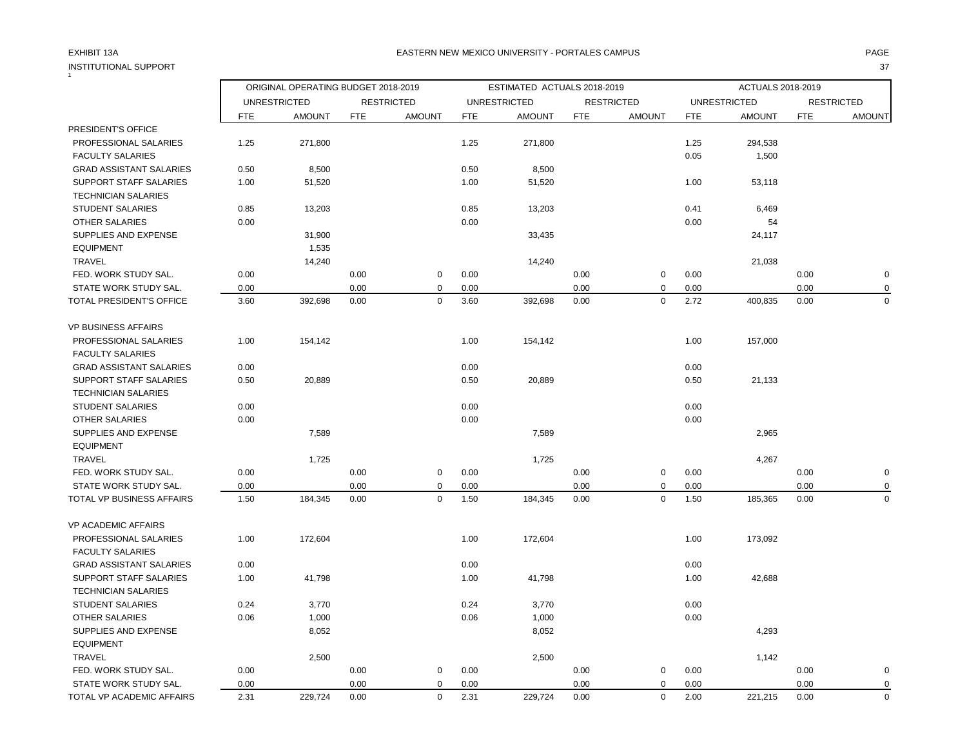| INSTITUTIONAL SUPPORT          |            |                                     |            |                   |                             |                     |            |                   |                   |                     |            | 37                |
|--------------------------------|------------|-------------------------------------|------------|-------------------|-----------------------------|---------------------|------------|-------------------|-------------------|---------------------|------------|-------------------|
|                                |            | ORIGINAL OPERATING BUDGET 2018-2019 |            |                   | ESTIMATED ACTUALS 2018-2019 |                     |            |                   | ACTUALS 2018-2019 |                     |            |                   |
|                                |            | <b>UNRESTRICTED</b>                 |            | <b>RESTRICTED</b> |                             | <b>UNRESTRICTED</b> |            | <b>RESTRICTED</b> |                   | <b>UNRESTRICTED</b> |            | <b>RESTRICTED</b> |
|                                | <b>FTE</b> | <b>AMOUNT</b>                       | <b>FTE</b> | <b>AMOUNT</b>     | <b>FTE</b>                  | <b>AMOUNT</b>       | <b>FTE</b> | <b>AMOUNT</b>     | <b>FTE</b>        | <b>AMOUNT</b>       | <b>FTE</b> | <b>AMOUNT</b>     |
| PRESIDENT'S OFFICE             |            |                                     |            |                   |                             |                     |            |                   |                   |                     |            |                   |
| PROFESSIONAL SALARIES          | 1.25       | 271,800                             |            |                   | 1.25                        | 271,800             |            |                   | 1.25              | 294,538             |            |                   |
| <b>FACULTY SALARIES</b>        |            |                                     |            |                   |                             |                     |            |                   | 0.05              | 1,500               |            |                   |
| <b>GRAD ASSISTANT SALARIES</b> | 0.50       | 8,500                               |            |                   | 0.50                        | 8,500               |            |                   |                   |                     |            |                   |
| <b>SUPPORT STAFF SALARIES</b>  | 1.00       | 51,520                              |            |                   | 1.00                        | 51,520              |            |                   | 1.00              | 53,118              |            |                   |
| <b>TECHNICIAN SALARIES</b>     |            |                                     |            |                   |                             |                     |            |                   |                   |                     |            |                   |
| <b>STUDENT SALARIES</b>        | 0.85       | 13,203                              |            |                   | 0.85                        | 13,203              |            |                   | 0.41              | 6,469               |            |                   |
| OTHER SALARIES                 | 0.00       |                                     |            |                   | 0.00                        |                     |            |                   | 0.00              | 54                  |            |                   |
| SUPPLIES AND EXPENSE           |            | 31,900                              |            |                   |                             | 33,435              |            |                   |                   | 24,117              |            |                   |
| <b>EQUIPMENT</b>               |            | 1,535                               |            |                   |                             |                     |            |                   |                   |                     |            |                   |
| <b>TRAVEL</b>                  |            | 14,240                              |            |                   |                             | 14,240              |            |                   |                   | 21,038              |            |                   |
| FED. WORK STUDY SAL.           | 0.00       |                                     | 0.00       | $\mathbf 0$       | 0.00                        |                     | 0.00       | $\pmb{0}$         | 0.00              |                     | 0.00       | $\pmb{0}$         |
| STATE WORK STUDY SAL.          | 0.00       |                                     | 0.00       | $\mathbf 0$       | 0.00                        |                     | 0.00       | 0                 | 0.00              |                     | 0.00       | $\mathbf 0$       |
| TOTAL PRESIDENT'S OFFICE       | 3.60       | 392,698                             | 0.00       | $\mathbf 0$       | 3.60                        | 392,698             | 0.00       | $\Omega$          | 2.72              | 400,835             | 0.00       | $\mathbf 0$       |
| <b>VP BUSINESS AFFAIRS</b>     |            |                                     |            |                   |                             |                     |            |                   |                   |                     |            |                   |
| PROFESSIONAL SALARIES          | 1.00       | 154,142                             |            |                   | 1.00                        | 154,142             |            |                   | 1.00              | 157,000             |            |                   |
| <b>FACULTY SALARIES</b>        |            |                                     |            |                   |                             |                     |            |                   |                   |                     |            |                   |
| <b>GRAD ASSISTANT SALARIES</b> | 0.00       |                                     |            |                   | 0.00                        |                     |            |                   | 0.00              |                     |            |                   |
| <b>SUPPORT STAFF SALARIES</b>  | 0.50       | 20,889                              |            |                   | 0.50                        | 20,889              |            |                   | 0.50              | 21,133              |            |                   |
| <b>TECHNICIAN SALARIES</b>     |            |                                     |            |                   |                             |                     |            |                   |                   |                     |            |                   |
| <b>STUDENT SALARIES</b>        | 0.00       |                                     |            |                   | 0.00                        |                     |            |                   | 0.00              |                     |            |                   |
| OTHER SALARIES                 | 0.00       |                                     |            |                   | 0.00                        |                     |            |                   | 0.00              |                     |            |                   |
| SUPPLIES AND EXPENSE           |            | 7,589                               |            |                   |                             | 7,589               |            |                   |                   | 2,965               |            |                   |
| <b>EQUIPMENT</b>               |            |                                     |            |                   |                             |                     |            |                   |                   |                     |            |                   |
| <b>TRAVEL</b>                  |            | 1,725                               |            |                   |                             | 1,725               |            |                   |                   | 4,267               |            |                   |
| FED. WORK STUDY SAL.           | 0.00       |                                     | 0.00       | $\mathbf 0$       | 0.00                        |                     | 0.00       | $\pmb{0}$         | 0.00              |                     | 0.00       | $\mathbf 0$       |
| STATE WORK STUDY SAL.          | 0.00       |                                     | 0.00       | $\mathbf 0$       | 0.00                        |                     | 0.00       | 0                 | 0.00              |                     | 0.00       | 0                 |
| TOTAL VP BUSINESS AFFAIRS      | 1.50       | 184,345                             | 0.00       | $\mathbf 0$       | 1.50                        | 184,345             | 0.00       | $\mathbf 0$       | 1.50              | 185,365             | 0.00       | $\Omega$          |
| <b>VP ACADEMIC AFFAIRS</b>     |            |                                     |            |                   |                             |                     |            |                   |                   |                     |            |                   |
| PROFESSIONAL SALARIES          | 1.00       | 172,604                             |            |                   | 1.00                        | 172,604             |            |                   | 1.00              | 173,092             |            |                   |
| <b>FACULTY SALARIES</b>        |            |                                     |            |                   |                             |                     |            |                   |                   |                     |            |                   |
| <b>GRAD ASSISTANT SALARIES</b> | 0.00       |                                     |            |                   | 0.00                        |                     |            |                   | 0.00              |                     |            |                   |
| <b>SUPPORT STAFF SALARIES</b>  | 1.00       | 41,798                              |            |                   | 1.00                        | 41,798              |            |                   | 1.00              | 42,688              |            |                   |
| <b>TECHNICIAN SALARIES</b>     |            |                                     |            |                   |                             |                     |            |                   |                   |                     |            |                   |
| <b>STUDENT SALARIES</b>        | 0.24       | 3,770                               |            |                   | 0.24                        | 3,770               |            |                   | 0.00              |                     |            |                   |
| <b>OTHER SALARIES</b>          | 0.06       | 1,000                               |            |                   | 0.06                        | 1,000               |            |                   | 0.00              |                     |            |                   |
| SUPPLIES AND EXPENSE           |            | 8,052                               |            |                   |                             | 8,052               |            |                   |                   | 4,293               |            |                   |
| <b>EQUIPMENT</b>               |            |                                     |            |                   |                             |                     |            |                   |                   |                     |            |                   |
| <b>TRAVEL</b>                  |            | 2,500                               |            |                   |                             | 2,500               |            |                   |                   | 1,142               |            |                   |
| FED. WORK STUDY SAL.           | 0.00       |                                     | 0.00       | $\mathbf 0$       | 0.00                        |                     | 0.00       | 0                 | 0.00              |                     | 0.00       | $\mathbf 0$       |
| STATE WORK STUDY SAL.          | 0.00       |                                     | 0.00       | $\mathbf 0$       | 0.00                        |                     | 0.00       | $\mathbf 0$       | 0.00              |                     | 0.00       | $\mathbf 0$       |
| TOTAL VP ACADEMIC AFFAIRS      | 2.31       | 229,724                             | 0.00       | $\mathbf 0$       | 2.31                        | 229,724             | 0.00       | $\mathbf 0$       | 2.00              | 221,215             | 0.00       | $\mathbf 0$       |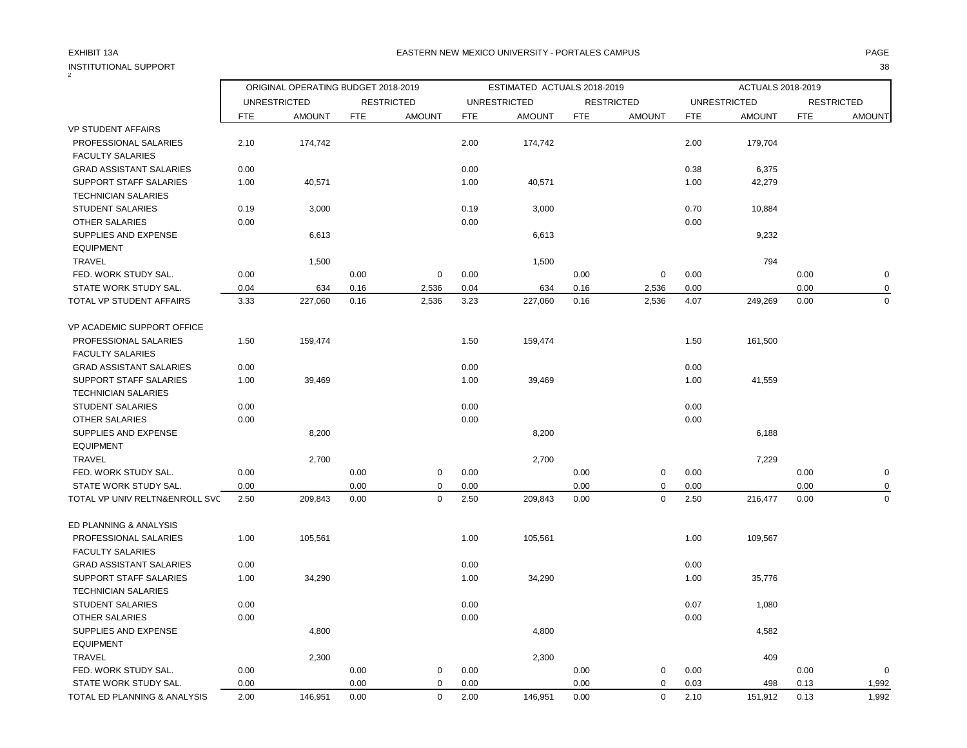| <b>INSTITUTIONAL SUPPORT</b>   |                                     |                     |            |                   |            |                             |            |                   |            |                          |            | 38                |
|--------------------------------|-------------------------------------|---------------------|------------|-------------------|------------|-----------------------------|------------|-------------------|------------|--------------------------|------------|-------------------|
|                                | ORIGINAL OPERATING BUDGET 2018-2019 |                     |            |                   |            | ESTIMATED ACTUALS 2018-2019 |            |                   |            | <b>ACTUALS 2018-2019</b> |            |                   |
|                                |                                     | <b>UNRESTRICTED</b> |            | <b>RESTRICTED</b> |            | <b>UNRESTRICTED</b>         |            | <b>RESTRICTED</b> |            | <b>UNRESTRICTED</b>      |            | <b>RESTRICTED</b> |
|                                | <b>FTE</b>                          | <b>AMOUNT</b>       | <b>FTE</b> | <b>AMOUNT</b>     | <b>FTE</b> | <b>AMOUNT</b>               | <b>FTE</b> | <b>AMOUNT</b>     | <b>FTE</b> | <b>AMOUNT</b>            | <b>FTE</b> | <b>AMOUNT</b>     |
| <b>VP STUDENT AFFAIRS</b>      |                                     |                     |            |                   |            |                             |            |                   |            |                          |            |                   |
| PROFESSIONAL SALARIES          | 2.10                                | 174,742             |            |                   | 2.00       | 174,742                     |            |                   | 2.00       | 179,704                  |            |                   |
| <b>FACULTY SALARIES</b>        |                                     |                     |            |                   |            |                             |            |                   |            |                          |            |                   |
| <b>GRAD ASSISTANT SALARIES</b> | 0.00                                |                     |            |                   | 0.00       |                             |            |                   | 0.38       | 6,375                    |            |                   |
| <b>SUPPORT STAFF SALARIES</b>  | 1.00                                | 40,571              |            |                   | 1.00       | 40,571                      |            |                   | 1.00       | 42,279                   |            |                   |
| <b>TECHNICIAN SALARIES</b>     |                                     |                     |            |                   |            |                             |            |                   |            |                          |            |                   |
| <b>STUDENT SALARIES</b>        | 0.19                                | 3,000               |            |                   | 0.19       | 3,000                       |            |                   | 0.70       | 10,884                   |            |                   |
| <b>OTHER SALARIES</b>          | 0.00                                |                     |            |                   | 0.00       |                             |            |                   | 0.00       |                          |            |                   |
| <b>SUPPLIES AND EXPENSE</b>    |                                     | 6,613               |            |                   |            | 6,613                       |            |                   |            | 9,232                    |            |                   |
| <b>EQUIPMENT</b>               |                                     |                     |            |                   |            |                             |            |                   |            |                          |            |                   |
| <b>TRAVEL</b>                  |                                     | 1,500               |            |                   |            | 1,500                       |            |                   |            | 794                      |            |                   |
| FED. WORK STUDY SAL.           | 0.00                                |                     | 0.00       | $\mathbf 0$       | 0.00       |                             | 0.00       | $\pmb{0}$         | 0.00       |                          | 0.00       | $\pmb{0}$         |
| STATE WORK STUDY SAL.          | 0.04                                | 634                 | 0.16       | 2,536             | 0.04       | 634                         | 0.16       | 2,536             | 0.00       |                          | 0.00       | $\mathbf 0$       |
| TOTAL VP STUDENT AFFAIRS       | 3.33                                | 227,060             | 0.16       | 2,536             | 3.23       | 227,060                     | 0.16       | 2,536             | 4.07       | 249,269                  | 0.00       | $\mathbf 0$       |
| VP ACADEMIC SUPPORT OFFICE     |                                     |                     |            |                   |            |                             |            |                   |            |                          |            |                   |
| PROFESSIONAL SALARIES          | 1.50                                | 159,474             |            |                   | 1.50       | 159,474                     |            |                   | 1.50       | 161,500                  |            |                   |
| <b>FACULTY SALARIES</b>        |                                     |                     |            |                   |            |                             |            |                   |            |                          |            |                   |
| <b>GRAD ASSISTANT SALARIES</b> | 0.00                                |                     |            |                   | 0.00       |                             |            |                   | 0.00       |                          |            |                   |
| <b>SUPPORT STAFF SALARIES</b>  | 1.00                                | 39,469              |            |                   | 1.00       | 39,469                      |            |                   | 1.00       | 41,559                   |            |                   |
| <b>TECHNICIAN SALARIES</b>     |                                     |                     |            |                   |            |                             |            |                   |            |                          |            |                   |
| <b>STUDENT SALARIES</b>        | 0.00                                |                     |            |                   | 0.00       |                             |            |                   | 0.00       |                          |            |                   |
| OTHER SALARIES                 | 0.00                                |                     |            |                   | 0.00       |                             |            |                   | 0.00       |                          |            |                   |
| SUPPLIES AND EXPENSE           |                                     | 8,200               |            |                   |            | 8,200                       |            |                   |            | 6,188                    |            |                   |
| <b>EQUIPMENT</b>               |                                     |                     |            |                   |            |                             |            |                   |            |                          |            |                   |
| <b>TRAVEL</b>                  |                                     | 2,700               |            |                   |            | 2,700                       |            |                   |            | 7,229                    |            |                   |
| FED. WORK STUDY SAL.           | 0.00                                |                     | 0.00       | $\mathbf 0$       | 0.00       |                             | 0.00       | $\mathsf 0$       | 0.00       |                          | 0.00       | $\mathbf 0$       |
| STATE WORK STUDY SAL.          | 0.00                                |                     | 0.00       | $\Omega$          | 0.00       |                             | 0.00       | $\mathbf 0$       | 0.00       |                          | 0.00       | 0                 |
| TOTAL VP UNIV RELTN&ENROLL SVC | 2.50                                | 209,843             | 0.00       | $\Omega$          | 2.50       | 209,843                     | 0.00       | $\mathbf 0$       | 2.50       | 216,477                  | 0.00       | $\mathbf 0$       |
| ED PLANNING & ANALYSIS         |                                     |                     |            |                   |            |                             |            |                   |            |                          |            |                   |
| PROFESSIONAL SALARIES          | 1.00                                | 105,561             |            |                   | 1.00       | 105,561                     |            |                   | 1.00       | 109,567                  |            |                   |
| <b>FACULTY SALARIES</b>        |                                     |                     |            |                   |            |                             |            |                   |            |                          |            |                   |
| <b>GRAD ASSISTANT SALARIES</b> | 0.00                                |                     |            |                   | 0.00       |                             |            |                   | 0.00       |                          |            |                   |
| <b>SUPPORT STAFF SALARIES</b>  | 1.00                                | 34,290              |            |                   | 1.00       | 34,290                      |            |                   | 1.00       | 35,776                   |            |                   |
| <b>TECHNICIAN SALARIES</b>     |                                     |                     |            |                   |            |                             |            |                   |            |                          |            |                   |
| <b>STUDENT SALARIES</b>        | 0.00                                |                     |            |                   | 0.00       |                             |            |                   | 0.07       | 1,080                    |            |                   |
| <b>OTHER SALARIES</b>          | 0.00                                |                     |            |                   | 0.00       |                             |            |                   | 0.00       |                          |            |                   |
| SUPPLIES AND EXPENSE           |                                     | 4,800               |            |                   |            | 4,800                       |            |                   |            | 4,582                    |            |                   |
| <b>EQUIPMENT</b>               |                                     |                     |            |                   |            |                             |            |                   |            |                          |            |                   |
| <b>TRAVEL</b>                  |                                     | 2,300               |            |                   |            | 2,300                       |            |                   |            | 409                      |            |                   |
| FED. WORK STUDY SAL.           | 0.00                                |                     | 0.00       | $\mathbf 0$       | 0.00       |                             | 0.00       | 0                 | 0.00       |                          | 0.00       | $\Omega$          |
| STATE WORK STUDY SAL.          | 0.00                                |                     | 0.00       | $\mathbf 0$       | 0.00       |                             | 0.00       | $\mathsf 0$       | 0.03       | 498                      | 0.13       | 1,992             |
| TOTAL ED PLANNING & ANALYSIS   | 2.00                                | 146,951             | 0.00       | $\mathbf 0$       | 2.00       | 146,951                     | 0.00       | $\mathbf 0$       | 2.10       | 151,912                  | 0.13       | 1,992             |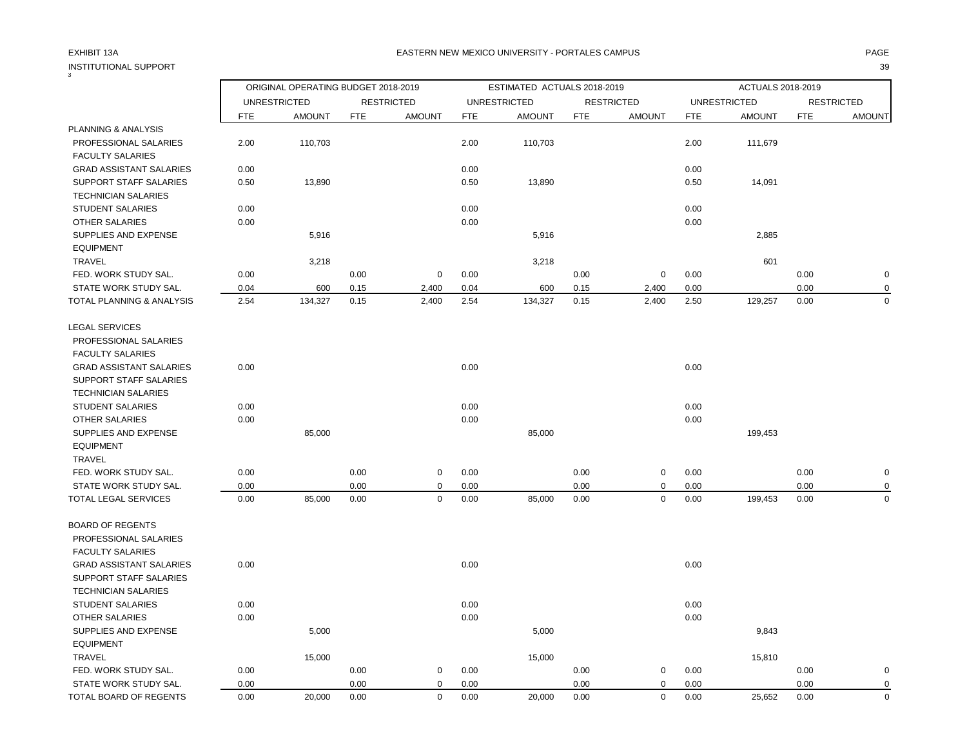| 3                                                     |              | ORIGINAL OPERATING BUDGET 2018-2019 |            |                   |            | ESTIMATED ACTUALS 2018-2019 |            |                   |            | ACTUALS 2018-2019   |            |                   |
|-------------------------------------------------------|--------------|-------------------------------------|------------|-------------------|------------|-----------------------------|------------|-------------------|------------|---------------------|------------|-------------------|
|                                                       |              | <b>UNRESTRICTED</b>                 |            | <b>RESTRICTED</b> |            | <b>UNRESTRICTED</b>         |            | <b>RESTRICTED</b> |            | <b>UNRESTRICTED</b> |            | <b>RESTRICTED</b> |
|                                                       | <b>FTE</b>   | <b>AMOUNT</b>                       | <b>FTE</b> | <b>AMOUNT</b>     | <b>FTE</b> | <b>AMOUNT</b>               | <b>FTE</b> | <b>AMOUNT</b>     | <b>FTE</b> | <b>AMOUNT</b>       | <b>FTE</b> | <b>AMOUNT</b>     |
| <b>PLANNING &amp; ANALYSIS</b>                        |              |                                     |            |                   |            |                             |            |                   |            |                     |            |                   |
| PROFESSIONAL SALARIES<br><b>FACULTY SALARIES</b>      | 2.00         | 110,703                             |            |                   | 2.00       | 110,703                     |            |                   | 2.00       | 111,679             |            |                   |
| <b>GRAD ASSISTANT SALARIES</b>                        | 0.00         |                                     |            |                   | 0.00       |                             |            |                   | 0.00       |                     |            |                   |
| SUPPORT STAFF SALARIES<br><b>TECHNICIAN SALARIES</b>  | 0.50         | 13,890                              |            |                   | 0.50       | 13,890                      |            |                   | 0.50       | 14,091              |            |                   |
| <b>STUDENT SALARIES</b>                               | 0.00         |                                     |            |                   | 0.00       |                             |            |                   | 0.00       |                     |            |                   |
| OTHER SALARIES                                        | 0.00         |                                     |            |                   | 0.00       |                             |            |                   | 0.00       |                     |            |                   |
| SUPPLIES AND EXPENSE<br><b>EQUIPMENT</b>              |              | 5,916                               |            |                   |            | 5,916                       |            |                   |            | 2,885               |            |                   |
| <b>TRAVEL</b>                                         |              | 3,218                               |            |                   |            | 3,218                       |            |                   |            | 601                 |            |                   |
| FED. WORK STUDY SAL.                                  | 0.00         |                                     | 0.00       | $\mathbf 0$       | 0.00       |                             | 0.00       | 0                 | 0.00       |                     | 0.00       | $\mathbf 0$       |
| STATE WORK STUDY SAL.                                 | 0.04         | 600                                 | 0.15       | 2,400             | 0.04       | 600                         | 0.15       | 2,400             | 0.00       |                     | 0.00       | 0                 |
| TOTAL PLANNING & ANALYSIS                             | 2.54         | 134,327                             | 0.15       | 2,400             | 2.54       | 134,327                     | 0.15       | 2,400             | 2.50       | 129,257             | 0.00       | $\mathbf 0$       |
| <b>LEGAL SERVICES</b>                                 |              |                                     |            |                   |            |                             |            |                   |            |                     |            |                   |
| PROFESSIONAL SALARIES                                 |              |                                     |            |                   |            |                             |            |                   |            |                     |            |                   |
| <b>FACULTY SALARIES</b>                               |              |                                     |            |                   |            |                             |            |                   |            |                     |            |                   |
| <b>GRAD ASSISTANT SALARIES</b>                        | 0.00         |                                     |            |                   | 0.00       |                             |            |                   | 0.00       |                     |            |                   |
| <b>SUPPORT STAFF SALARIES</b>                         |              |                                     |            |                   |            |                             |            |                   |            |                     |            |                   |
| <b>TECHNICIAN SALARIES</b><br><b>STUDENT SALARIES</b> |              |                                     |            |                   | 0.00       |                             |            |                   | 0.00       |                     |            |                   |
| OTHER SALARIES                                        | 0.00<br>0.00 |                                     |            |                   | 0.00       |                             |            |                   | 0.00       |                     |            |                   |
| SUPPLIES AND EXPENSE                                  |              | 85,000                              |            |                   |            | 85,000                      |            |                   |            | 199,453             |            |                   |
| <b>EQUIPMENT</b>                                      |              |                                     |            |                   |            |                             |            |                   |            |                     |            |                   |
| <b>TRAVEL</b>                                         |              |                                     |            |                   |            |                             |            |                   |            |                     |            |                   |
| FED. WORK STUDY SAL.                                  | 0.00         |                                     | 0.00       | $\mathsf 0$       | 0.00       |                             | 0.00       | $\pmb{0}$         | 0.00       |                     | 0.00       | $\pmb{0}$         |
| STATE WORK STUDY SAL.                                 | 0.00         |                                     | 0.00       | $\Omega$          | 0.00       |                             | 0.00       | $\mathbf 0$       | 0.00       |                     | 0.00       | $\mathbf 0$       |
| TOTAL LEGAL SERVICES                                  | 0.00         | 85,000                              | 0.00       | 0                 | 0.00       | 85,000                      | 0.00       | $\mathbf 0$       | 0.00       | 199,453             | 0.00       | $\mathbf 0$       |
| <b>BOARD OF REGENTS</b>                               |              |                                     |            |                   |            |                             |            |                   |            |                     |            |                   |
| PROFESSIONAL SALARIES                                 |              |                                     |            |                   |            |                             |            |                   |            |                     |            |                   |
| <b>FACULTY SALARIES</b>                               |              |                                     |            |                   |            |                             |            |                   |            |                     |            |                   |
| <b>GRAD ASSISTANT SALARIES</b>                        | 0.00         |                                     |            |                   | 0.00       |                             |            |                   | 0.00       |                     |            |                   |
| <b>SUPPORT STAFF SALARIES</b>                         |              |                                     |            |                   |            |                             |            |                   |            |                     |            |                   |
| <b>TECHNICIAN SALARIES</b>                            |              |                                     |            |                   |            |                             |            |                   |            |                     |            |                   |
| <b>STUDENT SALARIES</b>                               | 0.00         |                                     |            |                   | 0.00       |                             |            |                   | 0.00       |                     |            |                   |
| OTHER SALARIES                                        | 0.00         |                                     |            |                   | 0.00       |                             |            |                   | 0.00       |                     |            |                   |
| SUPPLIES AND EXPENSE                                  |              | 5,000                               |            |                   |            | 5,000                       |            |                   |            | 9,843               |            |                   |
| <b>EQUIPMENT</b>                                      |              |                                     |            |                   |            |                             |            |                   |            |                     |            |                   |
| <b>TRAVEL</b>                                         |              | 15,000                              |            |                   |            | 15,000                      |            |                   |            | 15,810              |            |                   |
| FED. WORK STUDY SAL.                                  | 0.00         |                                     | 0.00       | $\mathbf 0$       | 0.00       |                             | 0.00       | 0                 | 0.00       |                     | 0.00       | $\mathbf 0$       |
| STATE WORK STUDY SAL.                                 | 0.00         |                                     | 0.00       | $\mathbf 0$       | 0.00       |                             | 0.00       | $\mathbf 0$       | 0.00       |                     | 0.00       | $\pmb{0}$         |
| TOTAL BOARD OF REGENTS                                | 0.00         | 20,000                              | 0.00       | $\mathbf 0$       | 0.00       | 20,000                      | 0.00       | $\mathbf 0$       | 0.00       | 25,652              | 0.00       | $\mathbf 0$       |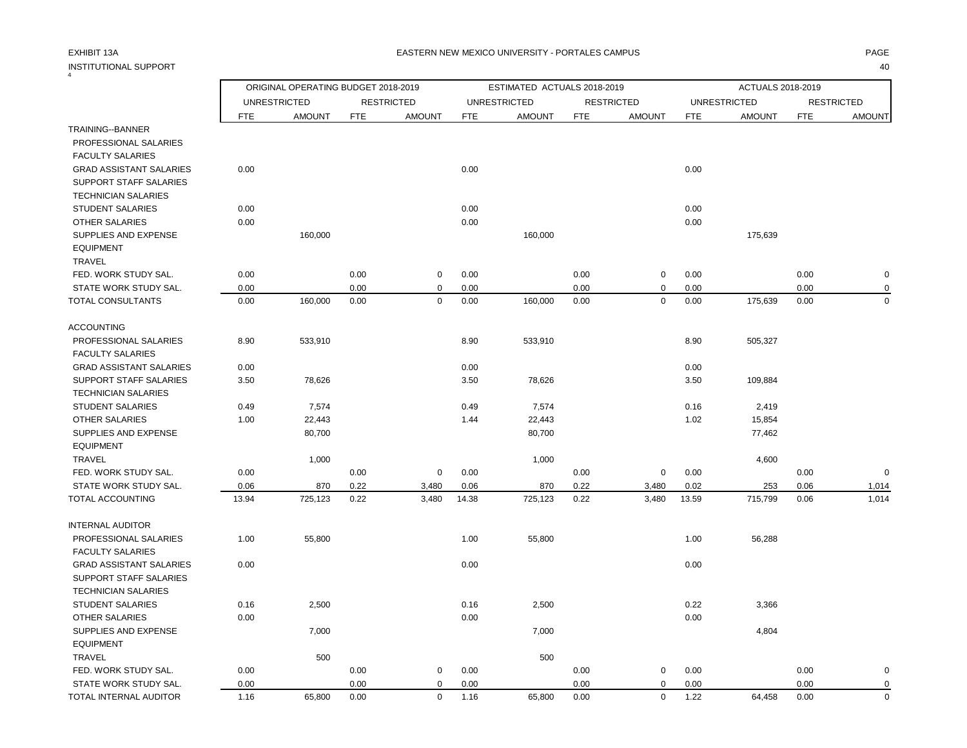4

|                                          |            | ORIGINAL OPERATING BUDGET 2018-2019 |            |                   |            | ESTIMATED ACTUALS 2018-2019 |            |                   |       | ACTUALS 2018-2019   |            |                   |
|------------------------------------------|------------|-------------------------------------|------------|-------------------|------------|-----------------------------|------------|-------------------|-------|---------------------|------------|-------------------|
|                                          |            | <b>UNRESTRICTED</b>                 |            | <b>RESTRICTED</b> |            | <b>UNRESTRICTED</b>         |            | <b>RESTRICTED</b> |       | <b>UNRESTRICTED</b> |            | <b>RESTRICTED</b> |
|                                          | <b>FTE</b> | <b>AMOUNT</b>                       | <b>FTE</b> | <b>AMOUNT</b>     | <b>FTE</b> | <b>AMOUNT</b>               | <b>FTE</b> | <b>AMOUNT</b>     | FTE   | <b>AMOUNT</b>       | <b>FTE</b> | <b>AMOUNT</b>     |
| TRAINING--BANNER                         |            |                                     |            |                   |            |                             |            |                   |       |                     |            |                   |
| PROFESSIONAL SALARIES                    |            |                                     |            |                   |            |                             |            |                   |       |                     |            |                   |
| <b>FACULTY SALARIES</b>                  |            |                                     |            |                   |            |                             |            |                   |       |                     |            |                   |
| <b>GRAD ASSISTANT SALARIES</b>           | 0.00       |                                     |            |                   | 0.00       |                             |            |                   | 0.00  |                     |            |                   |
| <b>SUPPORT STAFF SALARIES</b>            |            |                                     |            |                   |            |                             |            |                   |       |                     |            |                   |
| <b>TECHNICIAN SALARIES</b>               |            |                                     |            |                   |            |                             |            |                   |       |                     |            |                   |
| <b>STUDENT SALARIES</b>                  | 0.00       |                                     |            |                   | 0.00       |                             |            |                   | 0.00  |                     |            |                   |
| OTHER SALARIES                           | 0.00       |                                     |            |                   | 0.00       |                             |            |                   | 0.00  |                     |            |                   |
| SUPPLIES AND EXPENSE<br><b>EQUIPMENT</b> |            | 160,000                             |            |                   |            | 160,000                     |            |                   |       | 175,639             |            |                   |
| <b>TRAVEL</b>                            |            |                                     |            |                   |            |                             |            |                   |       |                     |            |                   |
| FED. WORK STUDY SAL.                     | 0.00       |                                     | 0.00       | $\mathbf 0$       | 0.00       |                             | 0.00       | 0                 | 0.00  |                     | 0.00       | $\mathbf 0$       |
| STATE WORK STUDY SAL.                    | 0.00       |                                     | 0.00       | $\mathbf 0$       | 0.00       |                             | 0.00       | 0                 | 0.00  |                     | 0.00       | $\mathbf 0$       |
| TOTAL CONSULTANTS                        | 0.00       | 160,000                             | 0.00       | $\mathbf 0$       | 0.00       | 160,000                     | 0.00       | $\mathbf 0$       | 0.00  | 175,639             | 0.00       | $\Omega$          |
|                                          |            |                                     |            |                   |            |                             |            |                   |       |                     |            |                   |
| <b>ACCOUNTING</b>                        |            |                                     |            |                   |            |                             |            |                   |       |                     |            |                   |
| PROFESSIONAL SALARIES                    | 8.90       | 533,910                             |            |                   | 8.90       | 533,910                     |            |                   | 8.90  | 505,327             |            |                   |
| <b>FACULTY SALARIES</b>                  |            |                                     |            |                   |            |                             |            |                   |       |                     |            |                   |
| <b>GRAD ASSISTANT SALARIES</b>           | 0.00       |                                     |            |                   | 0.00       |                             |            |                   | 0.00  |                     |            |                   |
| <b>SUPPORT STAFF SALARIES</b>            | 3.50       | 78,626                              |            |                   | 3.50       | 78,626                      |            |                   | 3.50  | 109,884             |            |                   |
| <b>TECHNICIAN SALARIES</b>               |            |                                     |            |                   |            |                             |            |                   |       |                     |            |                   |
| <b>STUDENT SALARIES</b>                  | 0.49       | 7,574                               |            |                   | 0.49       | 7,574                       |            |                   | 0.16  | 2,419               |            |                   |
| <b>OTHER SALARIES</b>                    | 1.00       | 22,443                              |            |                   | 1.44       | 22,443                      |            |                   | 1.02  | 15,854              |            |                   |
| SUPPLIES AND EXPENSE                     |            | 80,700                              |            |                   |            | 80,700                      |            |                   |       | 77,462              |            |                   |
| <b>EQUIPMENT</b>                         |            |                                     |            |                   |            |                             |            |                   |       |                     |            |                   |
| TRAVEL                                   |            | 1,000                               |            |                   |            | 1,000                       |            |                   |       | 4,600               |            |                   |
| FED. WORK STUDY SAL.                     | 0.00       |                                     | 0.00       | $\mathbf 0$       | 0.00       |                             | 0.00       | 0                 | 0.00  |                     | 0.00       | $\mathbf 0$       |
| STATE WORK STUDY SAL.                    | 0.06       | 870                                 | 0.22       | 3,480             | 0.06       | 870                         | 0.22       | 3,480             | 0.02  | 253                 | 0.06       | 1,014             |
| TOTAL ACCOUNTING                         | 13.94      | 725,123                             | 0.22       | 3,480             | 14.38      | 725,123                     | 0.22       | 3,480             | 13.59 | 715,799             | 0.06       | 1,014             |
| <b>INTERNAL AUDITOR</b>                  |            |                                     |            |                   |            |                             |            |                   |       |                     |            |                   |
| PROFESSIONAL SALARIES                    | 1.00       | 55,800                              |            |                   | 1.00       | 55,800                      |            |                   | 1.00  | 56,288              |            |                   |
| <b>FACULTY SALARIES</b>                  |            |                                     |            |                   |            |                             |            |                   |       |                     |            |                   |
| <b>GRAD ASSISTANT SALARIES</b>           | 0.00       |                                     |            |                   | 0.00       |                             |            |                   | 0.00  |                     |            |                   |
| SUPPORT STAFF SALARIES                   |            |                                     |            |                   |            |                             |            |                   |       |                     |            |                   |
| <b>TECHNICIAN SALARIES</b>               |            |                                     |            |                   |            |                             |            |                   |       |                     |            |                   |
| <b>STUDENT SALARIES</b>                  | 0.16       | 2,500                               |            |                   | 0.16       | 2,500                       |            |                   | 0.22  | 3,366               |            |                   |
| <b>OTHER SALARIES</b>                    | 0.00       |                                     |            |                   | 0.00       |                             |            |                   | 0.00  |                     |            |                   |
| SUPPLIES AND EXPENSE                     |            | 7,000                               |            |                   |            | 7,000                       |            |                   |       | 4,804               |            |                   |
| <b>EQUIPMENT</b>                         |            |                                     |            |                   |            |                             |            |                   |       |                     |            |                   |
| <b>TRAVEL</b>                            |            | 500                                 |            |                   |            | 500                         |            |                   |       |                     |            |                   |
| FED. WORK STUDY SAL.                     | 0.00       |                                     | 0.00       | 0                 | 0.00       |                             | 0.00       | 0                 | 0.00  |                     | 0.00       | 0                 |
| STATE WORK STUDY SAL.                    | 0.00       |                                     | 0.00       | $\mathbf 0$       | 0.00       |                             | 0.00       | 0                 | 0.00  |                     | 0.00       | 0                 |
| TOTAL INTERNAL AUDITOR                   | 1.16       | 65,800                              | 0.00       | $\mathbf 0$       | 1.16       | 65,800                      | 0.00       | $\mathbf 0$       | 1.22  | 64,458              | 0.00       | $\Omega$          |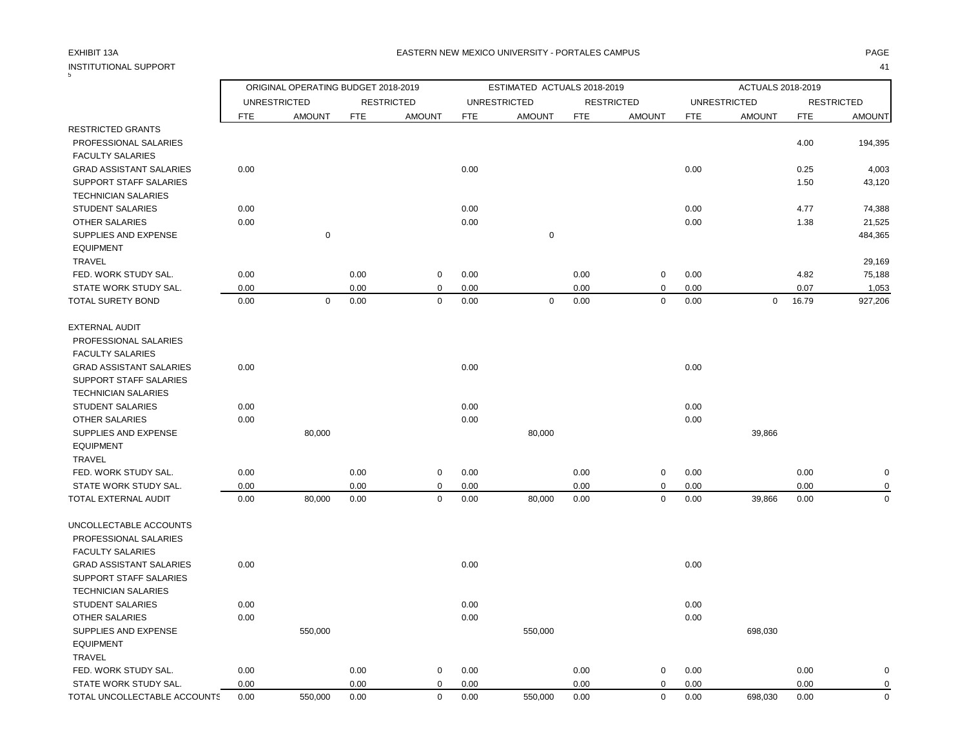| 5                              |                                   |                                     |            |                                    |            |                                      |            |                                    |            |                                      |            |                                    |
|--------------------------------|-----------------------------------|-------------------------------------|------------|------------------------------------|------------|--------------------------------------|------------|------------------------------------|------------|--------------------------------------|------------|------------------------------------|
|                                |                                   | ORIGINAL OPERATING BUDGET 2018-2019 |            |                                    |            | ESTIMATED ACTUALS 2018-2019          |            |                                    |            | ACTUALS 2018-2019                    |            |                                    |
|                                | <b>UNRESTRICTED</b><br><b>FTE</b> | <b>AMOUNT</b>                       | <b>FTE</b> | <b>RESTRICTED</b><br><b>AMOUNT</b> | <b>FTE</b> | <b>UNRESTRICTED</b><br><b>AMOUNT</b> | <b>FTE</b> | <b>RESTRICTED</b><br><b>AMOUNT</b> | <b>FTE</b> | <b>UNRESTRICTED</b><br><b>AMOUNT</b> | <b>FTE</b> | <b>RESTRICTED</b><br><b>AMOUNT</b> |
| <b>RESTRICTED GRANTS</b>       |                                   |                                     |            |                                    |            |                                      |            |                                    |            |                                      |            |                                    |
| PROFESSIONAL SALARIES          |                                   |                                     |            |                                    |            |                                      |            |                                    |            |                                      | 4.00       | 194,395                            |
| <b>FACULTY SALARIES</b>        |                                   |                                     |            |                                    |            |                                      |            |                                    |            |                                      |            |                                    |
| <b>GRAD ASSISTANT SALARIES</b> | 0.00                              |                                     |            |                                    | 0.00       |                                      |            |                                    | 0.00       |                                      | 0.25       | 4,003                              |
| SUPPORT STAFF SALARIES         |                                   |                                     |            |                                    |            |                                      |            |                                    |            |                                      | 1.50       | 43,120                             |
| <b>TECHNICIAN SALARIES</b>     |                                   |                                     |            |                                    |            |                                      |            |                                    |            |                                      |            |                                    |
| <b>STUDENT SALARIES</b>        | 0.00                              |                                     |            |                                    | 0.00       |                                      |            |                                    | 0.00       |                                      | 4.77       | 74,388                             |
| OTHER SALARIES                 | 0.00                              |                                     |            |                                    | 0.00       |                                      |            |                                    | 0.00       |                                      | 1.38       | 21,525                             |
| SUPPLIES AND EXPENSE           |                                   | $\mathbf 0$                         |            |                                    |            | $\pmb{0}$                            |            |                                    |            |                                      |            | 484,365                            |
| <b>EQUIPMENT</b>               |                                   |                                     |            |                                    |            |                                      |            |                                    |            |                                      |            |                                    |
| <b>TRAVEL</b>                  |                                   |                                     |            |                                    |            |                                      |            |                                    |            |                                      |            | 29,169                             |
| FED. WORK STUDY SAL.           | 0.00                              |                                     | 0.00       | 0                                  | 0.00       |                                      | 0.00       | 0                                  | 0.00       |                                      | 4.82       | 75,188                             |
| STATE WORK STUDY SAL.          | 0.00                              |                                     | 0.00       | 0                                  | 0.00       |                                      | 0.00       | 0                                  | 0.00       |                                      | 0.07       | 1,053                              |
| <b>TOTAL SURETY BOND</b>       | 0.00                              | $\mathbf 0$                         | 0.00       | $\mathbf 0$                        | 0.00       | $\mathbf 0$                          | 0.00       | $\mathbf 0$                        | 0.00       | $\mathbf 0$                          | 16.79      | 927,206                            |
| <b>EXTERNAL AUDIT</b>          |                                   |                                     |            |                                    |            |                                      |            |                                    |            |                                      |            |                                    |
| PROFESSIONAL SALARIES          |                                   |                                     |            |                                    |            |                                      |            |                                    |            |                                      |            |                                    |
| <b>FACULTY SALARIES</b>        |                                   |                                     |            |                                    |            |                                      |            |                                    |            |                                      |            |                                    |
| <b>GRAD ASSISTANT SALARIES</b> | 0.00                              |                                     |            |                                    | 0.00       |                                      |            |                                    | 0.00       |                                      |            |                                    |
| SUPPORT STAFF SALARIES         |                                   |                                     |            |                                    |            |                                      |            |                                    |            |                                      |            |                                    |
| <b>TECHNICIAN SALARIES</b>     |                                   |                                     |            |                                    |            |                                      |            |                                    |            |                                      |            |                                    |
| <b>STUDENT SALARIES</b>        | 0.00                              |                                     |            |                                    | 0.00       |                                      |            |                                    | 0.00       |                                      |            |                                    |
| <b>OTHER SALARIES</b>          | 0.00                              |                                     |            |                                    | 0.00       |                                      |            |                                    | 0.00       |                                      |            |                                    |
| SUPPLIES AND EXPENSE           |                                   | 80,000                              |            |                                    |            | 80,000                               |            |                                    |            | 39,866                               |            |                                    |
| <b>EQUIPMENT</b>               |                                   |                                     |            |                                    |            |                                      |            |                                    |            |                                      |            |                                    |
| <b>TRAVEL</b>                  |                                   |                                     |            |                                    |            |                                      |            |                                    |            |                                      |            |                                    |
| FED. WORK STUDY SAL.           | 0.00                              |                                     | 0.00       | $\mathsf 0$                        | 0.00       |                                      | 0.00       | $\pmb{0}$                          | 0.00       |                                      | 0.00       | $\pmb{0}$                          |
| STATE WORK STUDY SAL.          | 0.00                              |                                     | 0.00       | $\Omega$                           | 0.00       |                                      | 0.00       | $\mathbf 0$                        | 0.00       |                                      | 0.00       | $\mathbf 0$                        |
| TOTAL EXTERNAL AUDIT           | 0.00                              | 80,000                              | 0.00       | 0                                  | 0.00       | 80,000                               | 0.00       | $\mathbf 0$                        | 0.00       | 39,866                               | 0.00       | $\mathbf 0$                        |
| UNCOLLECTABLE ACCOUNTS         |                                   |                                     |            |                                    |            |                                      |            |                                    |            |                                      |            |                                    |
| PROFESSIONAL SALARIES          |                                   |                                     |            |                                    |            |                                      |            |                                    |            |                                      |            |                                    |
| <b>FACULTY SALARIES</b>        |                                   |                                     |            |                                    |            |                                      |            |                                    |            |                                      |            |                                    |
| <b>GRAD ASSISTANT SALARIES</b> | 0.00                              |                                     |            |                                    | 0.00       |                                      |            |                                    | 0.00       |                                      |            |                                    |
| <b>SUPPORT STAFF SALARIES</b>  |                                   |                                     |            |                                    |            |                                      |            |                                    |            |                                      |            |                                    |
| <b>TECHNICIAN SALARIES</b>     |                                   |                                     |            |                                    |            |                                      |            |                                    |            |                                      |            |                                    |
| <b>STUDENT SALARIES</b>        | 0.00                              |                                     |            |                                    | 0.00       |                                      |            |                                    | 0.00       |                                      |            |                                    |
| <b>OTHER SALARIES</b>          | 0.00                              |                                     |            |                                    | 0.00       |                                      |            |                                    | 0.00       |                                      |            |                                    |
| SUPPLIES AND EXPENSE           |                                   | 550,000                             |            |                                    |            | 550,000                              |            |                                    |            | 698,030                              |            |                                    |
| <b>EQUIPMENT</b>               |                                   |                                     |            |                                    |            |                                      |            |                                    |            |                                      |            |                                    |
| <b>TRAVEL</b>                  |                                   |                                     |            |                                    |            |                                      |            |                                    |            |                                      |            |                                    |
| FED. WORK STUDY SAL.           | 0.00                              |                                     | 0.00       | $\mathbf 0$                        | 0.00       |                                      | 0.00       | 0                                  | 0.00       |                                      | 0.00       | $\mathbf 0$                        |
| STATE WORK STUDY SAL.          | 0.00                              |                                     | 0.00       | $\mathbf 0$                        | 0.00       |                                      | 0.00       | $\mathbf 0$                        | 0.00       |                                      | 0.00       | $\mathbf 0$                        |
| TOTAL UNCOLLECTABLE ACCOUNTS   | 0.00                              | 550,000                             | 0.00       | $\mathbf 0$                        | 0.00       | 550,000                              | 0.00       | $\mathbf 0$                        | 0.00       | 698,030                              | 0.00       | $\mathbf 0$                        |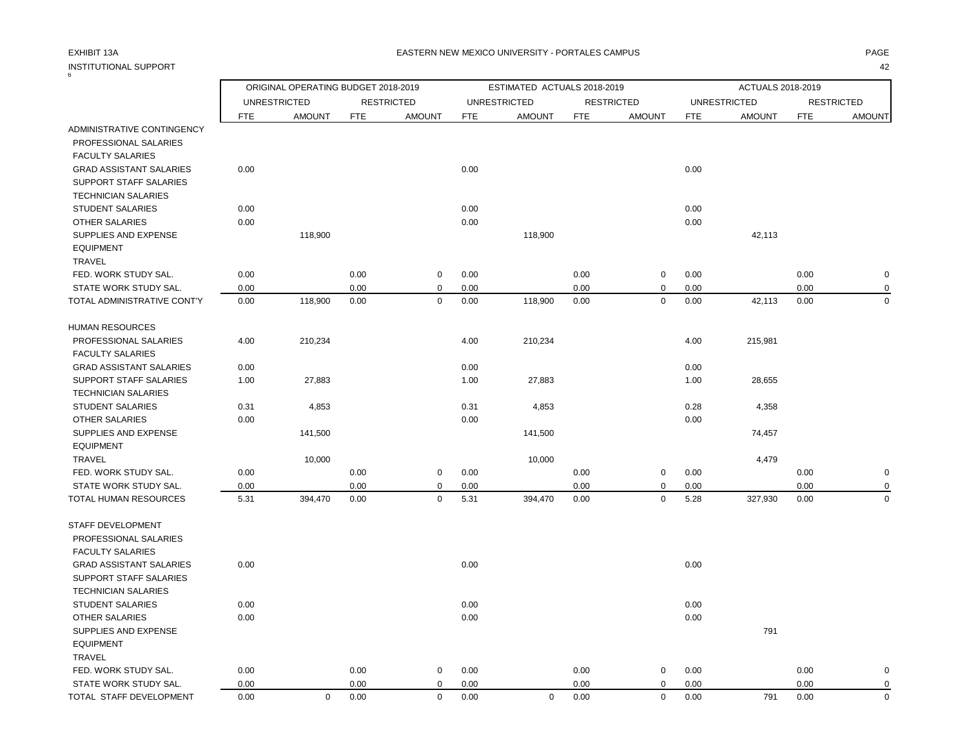|                                | ORIGINAL OPERATING BUDGET 2018-2019 |                     |            |                   | ESTIMATED ACTUALS 2018-2019 |                     |            |                   |            | ACTUALS 2018-2019   |            |                   |
|--------------------------------|-------------------------------------|---------------------|------------|-------------------|-----------------------------|---------------------|------------|-------------------|------------|---------------------|------------|-------------------|
|                                |                                     | <b>UNRESTRICTED</b> |            | <b>RESTRICTED</b> |                             | <b>UNRESTRICTED</b> |            | <b>RESTRICTED</b> |            | <b>UNRESTRICTED</b> |            | <b>RESTRICTED</b> |
|                                | <b>FTE</b>                          | <b>AMOUNT</b>       | <b>FTE</b> | <b>AMOUNT</b>     | <b>FTE</b>                  | <b>AMOUNT</b>       | <b>FTE</b> | <b>AMOUNT</b>     | <b>FTE</b> | <b>AMOUNT</b>       | <b>FTE</b> | <b>AMOUNT</b>     |
| ADMINISTRATIVE CONTINGENCY     |                                     |                     |            |                   |                             |                     |            |                   |            |                     |            |                   |
| PROFESSIONAL SALARIES          |                                     |                     |            |                   |                             |                     |            |                   |            |                     |            |                   |
| <b>FACULTY SALARIES</b>        |                                     |                     |            |                   |                             |                     |            |                   |            |                     |            |                   |
| <b>GRAD ASSISTANT SALARIES</b> | 0.00                                |                     |            |                   | 0.00                        |                     |            |                   | 0.00       |                     |            |                   |
| SUPPORT STAFF SALARIES         |                                     |                     |            |                   |                             |                     |            |                   |            |                     |            |                   |
| <b>TECHNICIAN SALARIES</b>     |                                     |                     |            |                   |                             |                     |            |                   |            |                     |            |                   |
| <b>STUDENT SALARIES</b>        | 0.00                                |                     |            |                   | 0.00                        |                     |            |                   | 0.00       |                     |            |                   |
| <b>OTHER SALARIES</b>          | 0.00                                |                     |            |                   | 0.00                        |                     |            |                   | 0.00       |                     |            |                   |
| SUPPLIES AND EXPENSE           |                                     | 118,900             |            |                   |                             | 118,900             |            |                   |            | 42,113              |            |                   |
| <b>EQUIPMENT</b>               |                                     |                     |            |                   |                             |                     |            |                   |            |                     |            |                   |
| <b>TRAVEL</b>                  |                                     |                     |            |                   |                             |                     |            |                   |            |                     |            |                   |
| FED. WORK STUDY SAL.           | 0.00                                |                     | 0.00       | 0                 | 0.00                        |                     | 0.00       | $\mathbf 0$       | 0.00       |                     | 0.00       | O                 |
| STATE WORK STUDY SAL.          | 0.00                                |                     | 0.00       | 0                 | 0.00                        |                     | 0.00       | $\mathbf 0$       | 0.00       |                     | 0.00       |                   |
| TOTAL ADMINISTRATIVE CONT'Y    | 0.00                                | 118,900             | 0.00       | $\mathbf 0$       | 0.00                        | 118,900             | 0.00       | 0                 | 0.00       | 42,113              | 0.00       | $\Omega$          |
| <b>HUMAN RESOURCES</b>         |                                     |                     |            |                   |                             |                     |            |                   |            |                     |            |                   |
| PROFESSIONAL SALARIES          | 4.00                                | 210,234             |            |                   | 4.00                        | 210,234             |            |                   | 4.00       | 215,981             |            |                   |
| <b>FACULTY SALARIES</b>        |                                     |                     |            |                   |                             |                     |            |                   |            |                     |            |                   |
| <b>GRAD ASSISTANT SALARIES</b> | 0.00                                |                     |            |                   | 0.00                        |                     |            |                   | 0.00       |                     |            |                   |
| SUPPORT STAFF SALARIES         | 1.00                                | 27,883              |            |                   | 1.00                        | 27,883              |            |                   | 1.00       | 28,655              |            |                   |
| <b>TECHNICIAN SALARIES</b>     |                                     |                     |            |                   |                             |                     |            |                   |            |                     |            |                   |
| <b>STUDENT SALARIES</b>        | 0.31                                | 4,853               |            |                   | 0.31                        | 4,853               |            |                   | 0.28       | 4,358               |            |                   |
| <b>OTHER SALARIES</b>          | 0.00                                |                     |            |                   | 0.00                        |                     |            |                   | 0.00       |                     |            |                   |
| SUPPLIES AND EXPENSE           |                                     | 141,500             |            |                   |                             | 141,500             |            |                   |            | 74,457              |            |                   |
| <b>EQUIPMENT</b>               |                                     |                     |            |                   |                             |                     |            |                   |            |                     |            |                   |
| <b>TRAVEL</b>                  |                                     | 10,000              |            |                   |                             | 10,000              |            |                   |            | 4,479               |            |                   |
| FED. WORK STUDY SAL.           | 0.00                                |                     | 0.00       | $\pmb{0}$         | 0.00                        |                     | 0.00       | $\mathbf 0$       | 0.00       |                     | 0.00       | O                 |
| STATE WORK STUDY SAL.          | 0.00                                |                     | 0.00       | 0                 | 0.00                        |                     | 0.00       | 0                 | 0.00       |                     | 0.00       |                   |
| TOTAL HUMAN RESOURCES          | 5.31                                | 394,470             | 0.00       | $\mathbf 0$       | 5.31                        | 394,470             | 0.00       | $\mathbf 0$       | 5.28       | 327,930             | 0.00       | $\Omega$          |
| STAFF DEVELOPMENT              |                                     |                     |            |                   |                             |                     |            |                   |            |                     |            |                   |
| PROFESSIONAL SALARIES          |                                     |                     |            |                   |                             |                     |            |                   |            |                     |            |                   |
| <b>FACULTY SALARIES</b>        |                                     |                     |            |                   |                             |                     |            |                   |            |                     |            |                   |
| <b>GRAD ASSISTANT SALARIES</b> | 0.00                                |                     |            |                   | 0.00                        |                     |            |                   | 0.00       |                     |            |                   |
| <b>SUPPORT STAFF SALARIES</b>  |                                     |                     |            |                   |                             |                     |            |                   |            |                     |            |                   |
| <b>TECHNICIAN SALARIES</b>     |                                     |                     |            |                   |                             |                     |            |                   |            |                     |            |                   |
| <b>STUDENT SALARIES</b>        | 0.00                                |                     |            |                   | 0.00                        |                     |            |                   | 0.00       |                     |            |                   |
| <b>OTHER SALARIES</b>          | 0.00                                |                     |            |                   | 0.00                        |                     |            |                   | 0.00       |                     |            |                   |
| SUPPLIES AND EXPENSE           |                                     |                     |            |                   |                             |                     |            |                   |            | 791                 |            |                   |
| <b>EQUIPMENT</b>               |                                     |                     |            |                   |                             |                     |            |                   |            |                     |            |                   |
| <b>TRAVEL</b>                  |                                     |                     |            |                   |                             |                     |            |                   |            |                     |            |                   |
| FED. WORK STUDY SAL.           | 0.00                                |                     | 0.00       | $\mathbf 0$       | 0.00                        |                     | 0.00       | 0                 | 0.00       |                     | 0.00       |                   |

STATE WORK STUDY SAL.  $0.00$   $0.00$   $0.00$   $0.00$   $0.00$   $0.00$   $0.00$   $0.00$   $0.00$   $0.00$ TOTAL STAFF DEVELOPMENT 0.00 0 0.00 0 0.00 0 0.00 0 0.00 791 0.00 0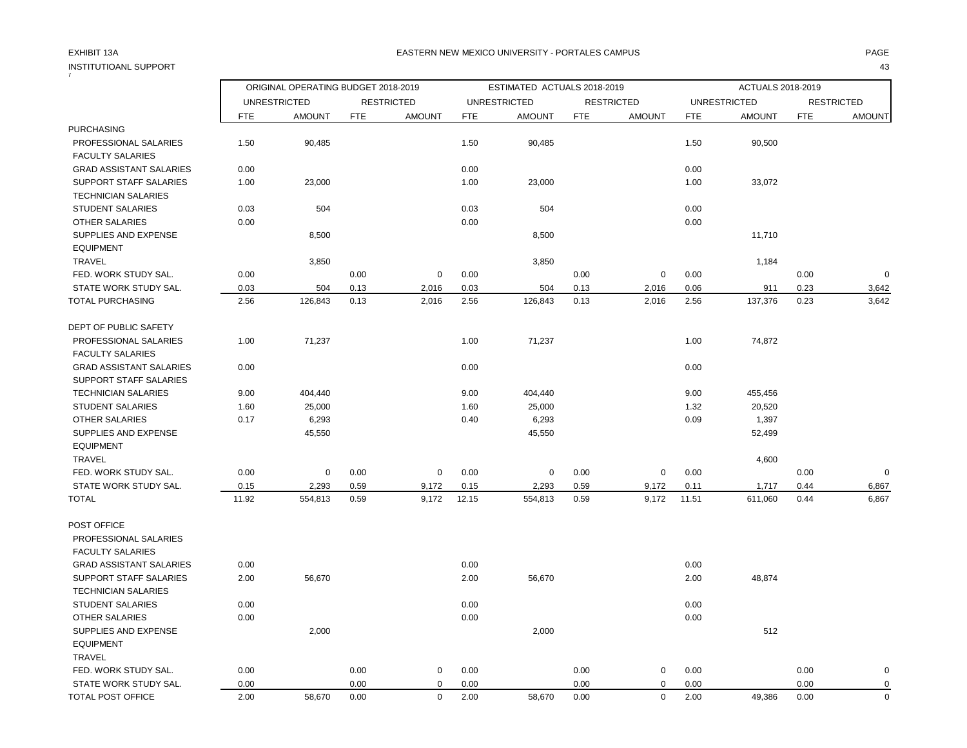| ORIGINAL OPERATING BUDGET 2018-2019<br>ESTIMATED ACTUALS 2018-2019<br>ACTUALS 2018-2019<br><b>UNRESTRICTED</b><br><b>RESTRICTED</b><br><b>UNRESTRICTED</b><br><b>RESTRICTED</b><br><b>UNRESTRICTED</b><br><b>RESTRICTED</b><br>FTE<br><b>AMOUNT</b><br><b>FTE</b><br><b>AMOUNT</b><br><b>FTE</b><br><b>AMOUNT</b><br><b>FTE</b><br><b>AMOUNT</b><br><b>FTE</b><br><b>AMOUNT</b><br><b>FTE</b><br><b>AMOUNT</b><br><b>PURCHASING</b><br>PROFESSIONAL SALARIES<br>1.50<br>1.50<br>1.50<br>90,485<br>90,485<br>90,500<br><b>FACULTY SALARIES</b><br>0.00<br>0.00<br>0.00<br><b>GRAD ASSISTANT SALARIES</b><br>SUPPORT STAFF SALARIES<br>1.00<br>23,000<br>1.00<br>23,000<br>1.00<br>33,072<br><b>TECHNICIAN SALARIES</b><br><b>STUDENT SALARIES</b><br>0.03<br>504<br>0.03<br>504<br>0.00<br>0.00<br>0.00<br>OTHER SALARIES<br>0.00<br>SUPPLIES AND EXPENSE<br>8,500<br>8,500<br>11,710<br><b>EQUIPMENT</b><br><b>TRAVEL</b><br>3,850<br>3,850<br>1,184<br>FED. WORK STUDY SAL.<br>0.00<br>0.00<br>0.00<br>0.00<br>0.00<br>$\overline{0}$<br>$\mathbf 0$<br>$\mathbf 0$<br>0.00<br>0.03<br>0.13<br>0.03<br>0.23<br>3,642<br>STATE WORK STUDY SAL.<br>504<br>2,016<br>504<br>0.13<br>2,016<br>0.06<br>911<br>3,642<br>TOTAL PURCHASING<br>2.56<br>126,843<br>0.13<br>2,016<br>2.56<br>126,843<br>0.13<br>2,016<br>2.56<br>137,376<br>0.23<br>DEPT OF PUBLIC SAFETY<br>1.00<br>71,237<br>1.00<br>71,237<br>1.00<br>74,872<br>PROFESSIONAL SALARIES<br><b>FACULTY SALARIES</b><br>0.00<br>0.00<br>0.00<br><b>GRAD ASSISTANT SALARIES</b><br><b>SUPPORT STAFF SALARIES</b><br><b>TECHNICIAN SALARIES</b><br>9.00<br>404,440<br>9.00<br>404,440<br>9.00<br>455,456<br>25,000<br>20,520<br><b>STUDENT SALARIES</b><br>1.60<br>25,000<br>1.60<br>1.32<br>0.17<br>6,293<br>0.40<br>6,293<br>0.09<br>1,397<br>OTHER SALARIES<br>SUPPLIES AND EXPENSE<br>45,550<br>45,550<br>52,499<br><b>EQUIPMENT</b><br><b>TRAVEL</b><br>4,600<br>FED. WORK STUDY SAL.<br>0.00<br>0.00<br>0.00<br>0.00<br>0.00<br>0.00<br>$\overline{0}$<br>$\mathbf 0$<br>$\mathbf 0$<br>$\mathbf 0$<br>$\mathbf 0$<br>STATE WORK STUDY SAL.<br>2,293<br>0.59<br>2.293<br>0.59<br>0.15<br>9,172<br>0.15<br>9,172<br>0.11<br>0.44<br>6,867<br>1,717<br>11.92<br>554,813<br>0.59<br>9,172<br>12.15<br>0.59<br>11.51<br>611,060<br>0.44<br>6,867<br><b>TOTAL</b><br>554,813<br>9,172<br>POST OFFICE<br>PROFESSIONAL SALARIES<br><b>FACULTY SALARIES</b><br>0.00<br>0.00<br><b>GRAD ASSISTANT SALARIES</b><br>0.00<br><b>SUPPORT STAFF SALARIES</b><br>2.00<br>56,670<br>2.00<br>2.00<br>48,874<br>56,670<br><b>TECHNICIAN SALARIES</b><br>0.00<br>0.00<br>0.00<br><b>STUDENT SALARIES</b><br>0.00<br>0.00<br>0.00<br><b>OTHER SALARIES</b><br>2,000<br>2,000<br>512<br>SUPPLIES AND EXPENSE<br><b>EQUIPMENT</b><br><b>TRAVEL</b><br>0.00<br>FED. WORK STUDY SAL.<br>0.00<br>$\mathbf 0$<br>0.00<br>0.00<br>$\mathbf 0$<br>0.00<br>0.00<br>$\mathbf 0$<br>STATE WORK STUDY SAL.<br>0.00<br>0.00<br>$\mathbf 0$<br>0.00<br>0.00<br>$\mathbf 0$<br>0.00<br>0.00<br>$\mathbf 0$ | INSTITUTIOANL SUPPORT |      |        |      |             |      |        |      |             |      |        |      | 43          |
|---------------------------------------------------------------------------------------------------------------------------------------------------------------------------------------------------------------------------------------------------------------------------------------------------------------------------------------------------------------------------------------------------------------------------------------------------------------------------------------------------------------------------------------------------------------------------------------------------------------------------------------------------------------------------------------------------------------------------------------------------------------------------------------------------------------------------------------------------------------------------------------------------------------------------------------------------------------------------------------------------------------------------------------------------------------------------------------------------------------------------------------------------------------------------------------------------------------------------------------------------------------------------------------------------------------------------------------------------------------------------------------------------------------------------------------------------------------------------------------------------------------------------------------------------------------------------------------------------------------------------------------------------------------------------------------------------------------------------------------------------------------------------------------------------------------------------------------------------------------------------------------------------------------------------------------------------------------------------------------------------------------------------------------------------------------------------------------------------------------------------------------------------------------------------------------------------------------------------------------------------------------------------------------------------------------------------------------------------------------------------------------------------------------------------------------------------------------------------------------------------------------------------------------------------------------------------------------------------------------------------------------------------------------------------------------------------------------------------------------------------------------------------------------------------------------------------------------------------------------------------------------------------------------------------------------------------------------------------------------------------------------------------------|-----------------------|------|--------|------|-------------|------|--------|------|-------------|------|--------|------|-------------|
|                                                                                                                                                                                                                                                                                                                                                                                                                                                                                                                                                                                                                                                                                                                                                                                                                                                                                                                                                                                                                                                                                                                                                                                                                                                                                                                                                                                                                                                                                                                                                                                                                                                                                                                                                                                                                                                                                                                                                                                                                                                                                                                                                                                                                                                                                                                                                                                                                                                                                                                                                                                                                                                                                                                                                                                                                                                                                                                                                                                                                                 |                       |      |        |      |             |      |        |      |             |      |        |      |             |
|                                                                                                                                                                                                                                                                                                                                                                                                                                                                                                                                                                                                                                                                                                                                                                                                                                                                                                                                                                                                                                                                                                                                                                                                                                                                                                                                                                                                                                                                                                                                                                                                                                                                                                                                                                                                                                                                                                                                                                                                                                                                                                                                                                                                                                                                                                                                                                                                                                                                                                                                                                                                                                                                                                                                                                                                                                                                                                                                                                                                                                 |                       |      |        |      |             |      |        |      |             |      |        |      |             |
|                                                                                                                                                                                                                                                                                                                                                                                                                                                                                                                                                                                                                                                                                                                                                                                                                                                                                                                                                                                                                                                                                                                                                                                                                                                                                                                                                                                                                                                                                                                                                                                                                                                                                                                                                                                                                                                                                                                                                                                                                                                                                                                                                                                                                                                                                                                                                                                                                                                                                                                                                                                                                                                                                                                                                                                                                                                                                                                                                                                                                                 |                       |      |        |      |             |      |        |      |             |      |        |      |             |
|                                                                                                                                                                                                                                                                                                                                                                                                                                                                                                                                                                                                                                                                                                                                                                                                                                                                                                                                                                                                                                                                                                                                                                                                                                                                                                                                                                                                                                                                                                                                                                                                                                                                                                                                                                                                                                                                                                                                                                                                                                                                                                                                                                                                                                                                                                                                                                                                                                                                                                                                                                                                                                                                                                                                                                                                                                                                                                                                                                                                                                 |                       |      |        |      |             |      |        |      |             |      |        |      |             |
|                                                                                                                                                                                                                                                                                                                                                                                                                                                                                                                                                                                                                                                                                                                                                                                                                                                                                                                                                                                                                                                                                                                                                                                                                                                                                                                                                                                                                                                                                                                                                                                                                                                                                                                                                                                                                                                                                                                                                                                                                                                                                                                                                                                                                                                                                                                                                                                                                                                                                                                                                                                                                                                                                                                                                                                                                                                                                                                                                                                                                                 |                       |      |        |      |             |      |        |      |             |      |        |      |             |
|                                                                                                                                                                                                                                                                                                                                                                                                                                                                                                                                                                                                                                                                                                                                                                                                                                                                                                                                                                                                                                                                                                                                                                                                                                                                                                                                                                                                                                                                                                                                                                                                                                                                                                                                                                                                                                                                                                                                                                                                                                                                                                                                                                                                                                                                                                                                                                                                                                                                                                                                                                                                                                                                                                                                                                                                                                                                                                                                                                                                                                 |                       |      |        |      |             |      |        |      |             |      |        |      |             |
|                                                                                                                                                                                                                                                                                                                                                                                                                                                                                                                                                                                                                                                                                                                                                                                                                                                                                                                                                                                                                                                                                                                                                                                                                                                                                                                                                                                                                                                                                                                                                                                                                                                                                                                                                                                                                                                                                                                                                                                                                                                                                                                                                                                                                                                                                                                                                                                                                                                                                                                                                                                                                                                                                                                                                                                                                                                                                                                                                                                                                                 |                       |      |        |      |             |      |        |      |             |      |        |      |             |
|                                                                                                                                                                                                                                                                                                                                                                                                                                                                                                                                                                                                                                                                                                                                                                                                                                                                                                                                                                                                                                                                                                                                                                                                                                                                                                                                                                                                                                                                                                                                                                                                                                                                                                                                                                                                                                                                                                                                                                                                                                                                                                                                                                                                                                                                                                                                                                                                                                                                                                                                                                                                                                                                                                                                                                                                                                                                                                                                                                                                                                 |                       |      |        |      |             |      |        |      |             |      |        |      |             |
|                                                                                                                                                                                                                                                                                                                                                                                                                                                                                                                                                                                                                                                                                                                                                                                                                                                                                                                                                                                                                                                                                                                                                                                                                                                                                                                                                                                                                                                                                                                                                                                                                                                                                                                                                                                                                                                                                                                                                                                                                                                                                                                                                                                                                                                                                                                                                                                                                                                                                                                                                                                                                                                                                                                                                                                                                                                                                                                                                                                                                                 |                       |      |        |      |             |      |        |      |             |      |        |      |             |
|                                                                                                                                                                                                                                                                                                                                                                                                                                                                                                                                                                                                                                                                                                                                                                                                                                                                                                                                                                                                                                                                                                                                                                                                                                                                                                                                                                                                                                                                                                                                                                                                                                                                                                                                                                                                                                                                                                                                                                                                                                                                                                                                                                                                                                                                                                                                                                                                                                                                                                                                                                                                                                                                                                                                                                                                                                                                                                                                                                                                                                 |                       |      |        |      |             |      |        |      |             |      |        |      |             |
|                                                                                                                                                                                                                                                                                                                                                                                                                                                                                                                                                                                                                                                                                                                                                                                                                                                                                                                                                                                                                                                                                                                                                                                                                                                                                                                                                                                                                                                                                                                                                                                                                                                                                                                                                                                                                                                                                                                                                                                                                                                                                                                                                                                                                                                                                                                                                                                                                                                                                                                                                                                                                                                                                                                                                                                                                                                                                                                                                                                                                                 |                       |      |        |      |             |      |        |      |             |      |        |      |             |
|                                                                                                                                                                                                                                                                                                                                                                                                                                                                                                                                                                                                                                                                                                                                                                                                                                                                                                                                                                                                                                                                                                                                                                                                                                                                                                                                                                                                                                                                                                                                                                                                                                                                                                                                                                                                                                                                                                                                                                                                                                                                                                                                                                                                                                                                                                                                                                                                                                                                                                                                                                                                                                                                                                                                                                                                                                                                                                                                                                                                                                 |                       |      |        |      |             |      |        |      |             |      |        |      |             |
|                                                                                                                                                                                                                                                                                                                                                                                                                                                                                                                                                                                                                                                                                                                                                                                                                                                                                                                                                                                                                                                                                                                                                                                                                                                                                                                                                                                                                                                                                                                                                                                                                                                                                                                                                                                                                                                                                                                                                                                                                                                                                                                                                                                                                                                                                                                                                                                                                                                                                                                                                                                                                                                                                                                                                                                                                                                                                                                                                                                                                                 |                       |      |        |      |             |      |        |      |             |      |        |      |             |
|                                                                                                                                                                                                                                                                                                                                                                                                                                                                                                                                                                                                                                                                                                                                                                                                                                                                                                                                                                                                                                                                                                                                                                                                                                                                                                                                                                                                                                                                                                                                                                                                                                                                                                                                                                                                                                                                                                                                                                                                                                                                                                                                                                                                                                                                                                                                                                                                                                                                                                                                                                                                                                                                                                                                                                                                                                                                                                                                                                                                                                 |                       |      |        |      |             |      |        |      |             |      |        |      |             |
|                                                                                                                                                                                                                                                                                                                                                                                                                                                                                                                                                                                                                                                                                                                                                                                                                                                                                                                                                                                                                                                                                                                                                                                                                                                                                                                                                                                                                                                                                                                                                                                                                                                                                                                                                                                                                                                                                                                                                                                                                                                                                                                                                                                                                                                                                                                                                                                                                                                                                                                                                                                                                                                                                                                                                                                                                                                                                                                                                                                                                                 |                       |      |        |      |             |      |        |      |             |      |        |      |             |
|                                                                                                                                                                                                                                                                                                                                                                                                                                                                                                                                                                                                                                                                                                                                                                                                                                                                                                                                                                                                                                                                                                                                                                                                                                                                                                                                                                                                                                                                                                                                                                                                                                                                                                                                                                                                                                                                                                                                                                                                                                                                                                                                                                                                                                                                                                                                                                                                                                                                                                                                                                                                                                                                                                                                                                                                                                                                                                                                                                                                                                 |                       |      |        |      |             |      |        |      |             |      |        |      |             |
|                                                                                                                                                                                                                                                                                                                                                                                                                                                                                                                                                                                                                                                                                                                                                                                                                                                                                                                                                                                                                                                                                                                                                                                                                                                                                                                                                                                                                                                                                                                                                                                                                                                                                                                                                                                                                                                                                                                                                                                                                                                                                                                                                                                                                                                                                                                                                                                                                                                                                                                                                                                                                                                                                                                                                                                                                                                                                                                                                                                                                                 |                       |      |        |      |             |      |        |      |             |      |        |      |             |
|                                                                                                                                                                                                                                                                                                                                                                                                                                                                                                                                                                                                                                                                                                                                                                                                                                                                                                                                                                                                                                                                                                                                                                                                                                                                                                                                                                                                                                                                                                                                                                                                                                                                                                                                                                                                                                                                                                                                                                                                                                                                                                                                                                                                                                                                                                                                                                                                                                                                                                                                                                                                                                                                                                                                                                                                                                                                                                                                                                                                                                 |                       |      |        |      |             |      |        |      |             |      |        |      |             |
|                                                                                                                                                                                                                                                                                                                                                                                                                                                                                                                                                                                                                                                                                                                                                                                                                                                                                                                                                                                                                                                                                                                                                                                                                                                                                                                                                                                                                                                                                                                                                                                                                                                                                                                                                                                                                                                                                                                                                                                                                                                                                                                                                                                                                                                                                                                                                                                                                                                                                                                                                                                                                                                                                                                                                                                                                                                                                                                                                                                                                                 |                       |      |        |      |             |      |        |      |             |      |        |      |             |
|                                                                                                                                                                                                                                                                                                                                                                                                                                                                                                                                                                                                                                                                                                                                                                                                                                                                                                                                                                                                                                                                                                                                                                                                                                                                                                                                                                                                                                                                                                                                                                                                                                                                                                                                                                                                                                                                                                                                                                                                                                                                                                                                                                                                                                                                                                                                                                                                                                                                                                                                                                                                                                                                                                                                                                                                                                                                                                                                                                                                                                 |                       |      |        |      |             |      |        |      |             |      |        |      |             |
|                                                                                                                                                                                                                                                                                                                                                                                                                                                                                                                                                                                                                                                                                                                                                                                                                                                                                                                                                                                                                                                                                                                                                                                                                                                                                                                                                                                                                                                                                                                                                                                                                                                                                                                                                                                                                                                                                                                                                                                                                                                                                                                                                                                                                                                                                                                                                                                                                                                                                                                                                                                                                                                                                                                                                                                                                                                                                                                                                                                                                                 |                       |      |        |      |             |      |        |      |             |      |        |      |             |
|                                                                                                                                                                                                                                                                                                                                                                                                                                                                                                                                                                                                                                                                                                                                                                                                                                                                                                                                                                                                                                                                                                                                                                                                                                                                                                                                                                                                                                                                                                                                                                                                                                                                                                                                                                                                                                                                                                                                                                                                                                                                                                                                                                                                                                                                                                                                                                                                                                                                                                                                                                                                                                                                                                                                                                                                                                                                                                                                                                                                                                 |                       |      |        |      |             |      |        |      |             |      |        |      |             |
|                                                                                                                                                                                                                                                                                                                                                                                                                                                                                                                                                                                                                                                                                                                                                                                                                                                                                                                                                                                                                                                                                                                                                                                                                                                                                                                                                                                                                                                                                                                                                                                                                                                                                                                                                                                                                                                                                                                                                                                                                                                                                                                                                                                                                                                                                                                                                                                                                                                                                                                                                                                                                                                                                                                                                                                                                                                                                                                                                                                                                                 |                       |      |        |      |             |      |        |      |             |      |        |      |             |
|                                                                                                                                                                                                                                                                                                                                                                                                                                                                                                                                                                                                                                                                                                                                                                                                                                                                                                                                                                                                                                                                                                                                                                                                                                                                                                                                                                                                                                                                                                                                                                                                                                                                                                                                                                                                                                                                                                                                                                                                                                                                                                                                                                                                                                                                                                                                                                                                                                                                                                                                                                                                                                                                                                                                                                                                                                                                                                                                                                                                                                 |                       |      |        |      |             |      |        |      |             |      |        |      |             |
|                                                                                                                                                                                                                                                                                                                                                                                                                                                                                                                                                                                                                                                                                                                                                                                                                                                                                                                                                                                                                                                                                                                                                                                                                                                                                                                                                                                                                                                                                                                                                                                                                                                                                                                                                                                                                                                                                                                                                                                                                                                                                                                                                                                                                                                                                                                                                                                                                                                                                                                                                                                                                                                                                                                                                                                                                                                                                                                                                                                                                                 |                       |      |        |      |             |      |        |      |             |      |        |      |             |
|                                                                                                                                                                                                                                                                                                                                                                                                                                                                                                                                                                                                                                                                                                                                                                                                                                                                                                                                                                                                                                                                                                                                                                                                                                                                                                                                                                                                                                                                                                                                                                                                                                                                                                                                                                                                                                                                                                                                                                                                                                                                                                                                                                                                                                                                                                                                                                                                                                                                                                                                                                                                                                                                                                                                                                                                                                                                                                                                                                                                                                 |                       |      |        |      |             |      |        |      |             |      |        |      |             |
|                                                                                                                                                                                                                                                                                                                                                                                                                                                                                                                                                                                                                                                                                                                                                                                                                                                                                                                                                                                                                                                                                                                                                                                                                                                                                                                                                                                                                                                                                                                                                                                                                                                                                                                                                                                                                                                                                                                                                                                                                                                                                                                                                                                                                                                                                                                                                                                                                                                                                                                                                                                                                                                                                                                                                                                                                                                                                                                                                                                                                                 |                       |      |        |      |             |      |        |      |             |      |        |      |             |
|                                                                                                                                                                                                                                                                                                                                                                                                                                                                                                                                                                                                                                                                                                                                                                                                                                                                                                                                                                                                                                                                                                                                                                                                                                                                                                                                                                                                                                                                                                                                                                                                                                                                                                                                                                                                                                                                                                                                                                                                                                                                                                                                                                                                                                                                                                                                                                                                                                                                                                                                                                                                                                                                                                                                                                                                                                                                                                                                                                                                                                 |                       |      |        |      |             |      |        |      |             |      |        |      |             |
|                                                                                                                                                                                                                                                                                                                                                                                                                                                                                                                                                                                                                                                                                                                                                                                                                                                                                                                                                                                                                                                                                                                                                                                                                                                                                                                                                                                                                                                                                                                                                                                                                                                                                                                                                                                                                                                                                                                                                                                                                                                                                                                                                                                                                                                                                                                                                                                                                                                                                                                                                                                                                                                                                                                                                                                                                                                                                                                                                                                                                                 |                       |      |        |      |             |      |        |      |             |      |        |      |             |
|                                                                                                                                                                                                                                                                                                                                                                                                                                                                                                                                                                                                                                                                                                                                                                                                                                                                                                                                                                                                                                                                                                                                                                                                                                                                                                                                                                                                                                                                                                                                                                                                                                                                                                                                                                                                                                                                                                                                                                                                                                                                                                                                                                                                                                                                                                                                                                                                                                                                                                                                                                                                                                                                                                                                                                                                                                                                                                                                                                                                                                 |                       |      |        |      |             |      |        |      |             |      |        |      |             |
|                                                                                                                                                                                                                                                                                                                                                                                                                                                                                                                                                                                                                                                                                                                                                                                                                                                                                                                                                                                                                                                                                                                                                                                                                                                                                                                                                                                                                                                                                                                                                                                                                                                                                                                                                                                                                                                                                                                                                                                                                                                                                                                                                                                                                                                                                                                                                                                                                                                                                                                                                                                                                                                                                                                                                                                                                                                                                                                                                                                                                                 |                       |      |        |      |             |      |        |      |             |      |        |      |             |
|                                                                                                                                                                                                                                                                                                                                                                                                                                                                                                                                                                                                                                                                                                                                                                                                                                                                                                                                                                                                                                                                                                                                                                                                                                                                                                                                                                                                                                                                                                                                                                                                                                                                                                                                                                                                                                                                                                                                                                                                                                                                                                                                                                                                                                                                                                                                                                                                                                                                                                                                                                                                                                                                                                                                                                                                                                                                                                                                                                                                                                 |                       |      |        |      |             |      |        |      |             |      |        |      |             |
|                                                                                                                                                                                                                                                                                                                                                                                                                                                                                                                                                                                                                                                                                                                                                                                                                                                                                                                                                                                                                                                                                                                                                                                                                                                                                                                                                                                                                                                                                                                                                                                                                                                                                                                                                                                                                                                                                                                                                                                                                                                                                                                                                                                                                                                                                                                                                                                                                                                                                                                                                                                                                                                                                                                                                                                                                                                                                                                                                                                                                                 |                       |      |        |      |             |      |        |      |             |      |        |      |             |
|                                                                                                                                                                                                                                                                                                                                                                                                                                                                                                                                                                                                                                                                                                                                                                                                                                                                                                                                                                                                                                                                                                                                                                                                                                                                                                                                                                                                                                                                                                                                                                                                                                                                                                                                                                                                                                                                                                                                                                                                                                                                                                                                                                                                                                                                                                                                                                                                                                                                                                                                                                                                                                                                                                                                                                                                                                                                                                                                                                                                                                 |                       |      |        |      |             |      |        |      |             |      |        |      |             |
|                                                                                                                                                                                                                                                                                                                                                                                                                                                                                                                                                                                                                                                                                                                                                                                                                                                                                                                                                                                                                                                                                                                                                                                                                                                                                                                                                                                                                                                                                                                                                                                                                                                                                                                                                                                                                                                                                                                                                                                                                                                                                                                                                                                                                                                                                                                                                                                                                                                                                                                                                                                                                                                                                                                                                                                                                                                                                                                                                                                                                                 |                       |      |        |      |             |      |        |      |             |      |        |      |             |
|                                                                                                                                                                                                                                                                                                                                                                                                                                                                                                                                                                                                                                                                                                                                                                                                                                                                                                                                                                                                                                                                                                                                                                                                                                                                                                                                                                                                                                                                                                                                                                                                                                                                                                                                                                                                                                                                                                                                                                                                                                                                                                                                                                                                                                                                                                                                                                                                                                                                                                                                                                                                                                                                                                                                                                                                                                                                                                                                                                                                                                 |                       |      |        |      |             |      |        |      |             |      |        |      |             |
|                                                                                                                                                                                                                                                                                                                                                                                                                                                                                                                                                                                                                                                                                                                                                                                                                                                                                                                                                                                                                                                                                                                                                                                                                                                                                                                                                                                                                                                                                                                                                                                                                                                                                                                                                                                                                                                                                                                                                                                                                                                                                                                                                                                                                                                                                                                                                                                                                                                                                                                                                                                                                                                                                                                                                                                                                                                                                                                                                                                                                                 |                       |      |        |      |             |      |        |      |             |      |        |      |             |
|                                                                                                                                                                                                                                                                                                                                                                                                                                                                                                                                                                                                                                                                                                                                                                                                                                                                                                                                                                                                                                                                                                                                                                                                                                                                                                                                                                                                                                                                                                                                                                                                                                                                                                                                                                                                                                                                                                                                                                                                                                                                                                                                                                                                                                                                                                                                                                                                                                                                                                                                                                                                                                                                                                                                                                                                                                                                                                                                                                                                                                 |                       |      |        |      |             |      |        |      |             |      |        |      |             |
|                                                                                                                                                                                                                                                                                                                                                                                                                                                                                                                                                                                                                                                                                                                                                                                                                                                                                                                                                                                                                                                                                                                                                                                                                                                                                                                                                                                                                                                                                                                                                                                                                                                                                                                                                                                                                                                                                                                                                                                                                                                                                                                                                                                                                                                                                                                                                                                                                                                                                                                                                                                                                                                                                                                                                                                                                                                                                                                                                                                                                                 |                       |      |        |      |             |      |        |      |             |      |        |      |             |
|                                                                                                                                                                                                                                                                                                                                                                                                                                                                                                                                                                                                                                                                                                                                                                                                                                                                                                                                                                                                                                                                                                                                                                                                                                                                                                                                                                                                                                                                                                                                                                                                                                                                                                                                                                                                                                                                                                                                                                                                                                                                                                                                                                                                                                                                                                                                                                                                                                                                                                                                                                                                                                                                                                                                                                                                                                                                                                                                                                                                                                 |                       |      |        |      |             |      |        |      |             |      |        |      |             |
|                                                                                                                                                                                                                                                                                                                                                                                                                                                                                                                                                                                                                                                                                                                                                                                                                                                                                                                                                                                                                                                                                                                                                                                                                                                                                                                                                                                                                                                                                                                                                                                                                                                                                                                                                                                                                                                                                                                                                                                                                                                                                                                                                                                                                                                                                                                                                                                                                                                                                                                                                                                                                                                                                                                                                                                                                                                                                                                                                                                                                                 |                       |      |        |      |             |      |        |      |             |      |        |      |             |
|                                                                                                                                                                                                                                                                                                                                                                                                                                                                                                                                                                                                                                                                                                                                                                                                                                                                                                                                                                                                                                                                                                                                                                                                                                                                                                                                                                                                                                                                                                                                                                                                                                                                                                                                                                                                                                                                                                                                                                                                                                                                                                                                                                                                                                                                                                                                                                                                                                                                                                                                                                                                                                                                                                                                                                                                                                                                                                                                                                                                                                 |                       |      |        |      |             |      |        |      |             |      |        |      |             |
|                                                                                                                                                                                                                                                                                                                                                                                                                                                                                                                                                                                                                                                                                                                                                                                                                                                                                                                                                                                                                                                                                                                                                                                                                                                                                                                                                                                                                                                                                                                                                                                                                                                                                                                                                                                                                                                                                                                                                                                                                                                                                                                                                                                                                                                                                                                                                                                                                                                                                                                                                                                                                                                                                                                                                                                                                                                                                                                                                                                                                                 |                       |      |        |      |             |      |        |      |             |      |        |      |             |
|                                                                                                                                                                                                                                                                                                                                                                                                                                                                                                                                                                                                                                                                                                                                                                                                                                                                                                                                                                                                                                                                                                                                                                                                                                                                                                                                                                                                                                                                                                                                                                                                                                                                                                                                                                                                                                                                                                                                                                                                                                                                                                                                                                                                                                                                                                                                                                                                                                                                                                                                                                                                                                                                                                                                                                                                                                                                                                                                                                                                                                 |                       |      |        |      |             |      |        |      |             |      |        |      |             |
|                                                                                                                                                                                                                                                                                                                                                                                                                                                                                                                                                                                                                                                                                                                                                                                                                                                                                                                                                                                                                                                                                                                                                                                                                                                                                                                                                                                                                                                                                                                                                                                                                                                                                                                                                                                                                                                                                                                                                                                                                                                                                                                                                                                                                                                                                                                                                                                                                                                                                                                                                                                                                                                                                                                                                                                                                                                                                                                                                                                                                                 | TOTAL POST OFFICE     | 2.00 | 58,670 | 0.00 | $\mathbf 0$ | 2.00 | 58,670 | 0.00 | $\mathbf 0$ | 2.00 | 49,386 | 0.00 | $\mathbf 0$ |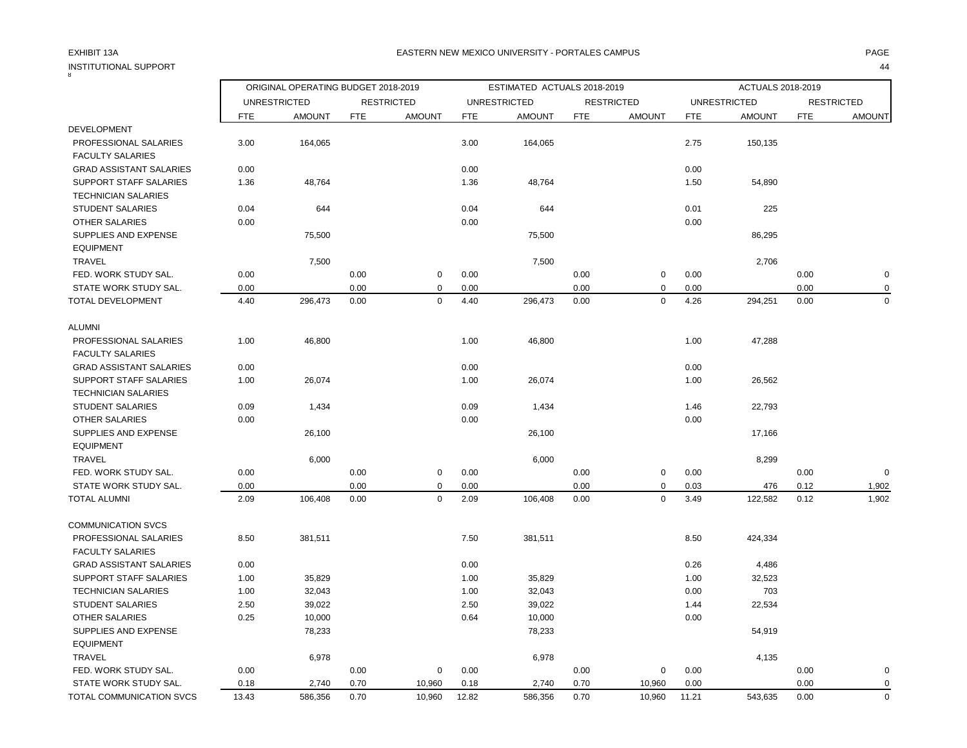EQUIPMENT

 $\overline{8}$ 

### EXHIBIT 13A PAGE EASTERN NEW MEXICO UNIVERSITY - PORTALES CAMPUS

|                                |            | ORIGINAL OPERATING BUDGET 2018-2019 |            |                   |            | ESTIMATED ACTUALS 2018-2019 |            |                   | ACTUALS 2018-2019 |                     |            |                   |
|--------------------------------|------------|-------------------------------------|------------|-------------------|------------|-----------------------------|------------|-------------------|-------------------|---------------------|------------|-------------------|
|                                |            | <b>UNRESTRICTED</b>                 |            | <b>RESTRICTED</b> |            | <b>UNRESTRICTED</b>         |            | <b>RESTRICTED</b> |                   | <b>UNRESTRICTED</b> |            | <b>RESTRICTED</b> |
|                                | <b>FTE</b> | <b>AMOUNT</b>                       | <b>FTE</b> | <b>AMOUNT</b>     | <b>FTE</b> | <b>AMOUNT</b>               | <b>FTE</b> | <b>AMOUNT</b>     | <b>FTE</b>        | <b>AMOUNT</b>       | <b>FTE</b> | <b>AMOUNT</b>     |
| <b>DEVELOPMENT</b>             |            |                                     |            |                   |            |                             |            |                   |                   |                     |            |                   |
| PROFESSIONAL SALARIES          | 3.00       | 164,065                             |            |                   | 3.00       | 164,065                     |            |                   | 2.75              | 150,135             |            |                   |
| <b>FACULTY SALARIES</b>        |            |                                     |            |                   |            |                             |            |                   |                   |                     |            |                   |
| <b>GRAD ASSISTANT SALARIES</b> | 0.00       |                                     |            |                   | 0.00       |                             |            |                   | 0.00              |                     |            |                   |
| SUPPORT STAFF SALARIES         | 1.36       | 48,764                              |            |                   | 1.36       | 48,764                      |            |                   | 1.50              | 54,890              |            |                   |
| <b>TECHNICIAN SALARIES</b>     |            |                                     |            |                   |            |                             |            |                   |                   |                     |            |                   |
| <b>STUDENT SALARIES</b>        | 0.04       | 644                                 |            |                   | 0.04       | 644                         |            |                   | 0.01              | 225                 |            |                   |
| <b>OTHER SALARIES</b>          | 0.00       |                                     |            |                   | 0.00       |                             |            |                   | 0.00              |                     |            |                   |
| <b>SUPPLIES AND EXPENSE</b>    |            | 75,500                              |            |                   |            | 75,500                      |            |                   |                   | 86,295              |            |                   |
| <b>EQUIPMENT</b>               |            |                                     |            |                   |            |                             |            |                   |                   |                     |            |                   |
| <b>TRAVEL</b>                  |            | 7,500                               |            |                   |            | 7,500                       |            |                   |                   | 2,706               |            |                   |
| FED. WORK STUDY SAL.           | 0.00       |                                     | 0.00       | $\mathbf 0$       | 0.00       |                             | 0.00       | $\mathbf 0$       | 0.00              |                     | 0.00       |                   |
| STATE WORK STUDY SAL.          | 0.00       |                                     | 0.00       | $\mathbf 0$       | 0.00       |                             | 0.00       | $\mathbf 0$       | 0.00              |                     | 0.00       |                   |
| TOTAL DEVELOPMENT              | 4.40       | 296,473                             | 0.00       | $\mathbf 0$       | 4.40       | 296,473                     | 0.00       | $\mathbf 0$       | 4.26              | 294,251             | 0.00       | $\mathbf 0$       |
| <b>ALUMNI</b>                  |            |                                     |            |                   |            |                             |            |                   |                   |                     |            |                   |
| PROFESSIONAL SALARIES          | 1.00       | 46,800                              |            |                   | 1.00       | 46,800                      |            |                   | 1.00              | 47,288              |            |                   |
| <b>FACULTY SALARIES</b>        |            |                                     |            |                   |            |                             |            |                   |                   |                     |            |                   |
| <b>GRAD ASSISTANT SALARIES</b> | 0.00       |                                     |            |                   | 0.00       |                             |            |                   | 0.00              |                     |            |                   |
| <b>SUPPORT STAFF SALARIES</b>  | 1.00       | 26,074                              |            |                   | 1.00       | 26,074                      |            |                   | 1.00              | 26,562              |            |                   |
| <b>TECHNICIAN SALARIES</b>     |            |                                     |            |                   |            |                             |            |                   |                   |                     |            |                   |
| <b>STUDENT SALARIES</b>        | 0.09       | 1,434                               |            |                   | 0.09       | 1,434                       |            |                   | 1.46              | 22,793              |            |                   |
| <b>OTHER SALARIES</b>          | 0.00       |                                     |            |                   | 0.00       |                             |            |                   | 0.00              |                     |            |                   |
| SUPPLIES AND EXPENSE           |            | 26,100                              |            |                   |            | 26,100                      |            |                   |                   | 17,166              |            |                   |
| <b>EQUIPMENT</b>               |            |                                     |            |                   |            |                             |            |                   |                   |                     |            |                   |
| <b>TRAVEL</b>                  |            | 6,000                               |            |                   |            | 6,000                       |            |                   |                   | 8,299               |            |                   |
| FED. WORK STUDY SAL.           | 0.00       |                                     | 0.00       | $\mathbf 0$       | 0.00       |                             | 0.00       | $\mathbf 0$       | 0.00              |                     | 0.00       | $\Omega$          |
| STATE WORK STUDY SAL.          | 0.00       |                                     | 0.00       | $\mathbf 0$       | 0.00       |                             | 0.00       | $\mathbf 0$       | 0.03              | 476                 | 0.12       | 1,902             |
| <b>TOTAL ALUMNI</b>            | 2.09       | 106,408                             | 0.00       | $\mathbf 0$       | 2.09       | 106,408                     | 0.00       | 0                 | 3.49              | 122,582             | 0.12       | 1,902             |
| <b>COMMUNICATION SVCS</b>      |            |                                     |            |                   |            |                             |            |                   |                   |                     |            |                   |
| PROFESSIONAL SALARIES          | 8.50       | 381,511                             |            |                   | 7.50       | 381,511                     |            |                   | 8.50              | 424,334             |            |                   |
| <b>FACULTY SALARIES</b>        |            |                                     |            |                   |            |                             |            |                   |                   |                     |            |                   |
| <b>GRAD ASSISTANT SALARIES</b> | 0.00       |                                     |            |                   | 0.00       |                             |            |                   | 0.26              | 4,486               |            |                   |
| SUPPORT STAFF SALARIES         | 1.00       | 35,829                              |            |                   | 1.00       | 35,829                      |            |                   | 1.00              | 32,523              |            |                   |
| <b>TECHNICIAN SALARIES</b>     | 1.00       | 32,043                              |            |                   | 1.00       | 32,043                      |            |                   | 0.00              | 703                 |            |                   |
| <b>STUDENT SALARIES</b>        | 2.50       | 39,022                              |            |                   | 2.50       | 39,022                      |            |                   | 1.44              | 22,534              |            |                   |
| OTHER SALARIES                 | 0.25       | 10,000                              |            |                   | 0.64       | 10,000                      |            |                   | 0.00              |                     |            |                   |

SUPPLIES AND EXPENSE 24,919

TRAVEL 6,978 6,978 4,135

 FED. WORK STUDY SAL. 0.00 0.00 0 0.00 0.00 0 0.00 0.00 0 STATE WORK STUDY SAL.  $0.18$  2,740 0.70 10,960 0.18 2,740 0.70 10,960 0.00 0.00 0.00 0.00 TOTAL COMMUNICATION SVCS 13.43 586,356 0.70 10,960 12.82 586,356 0.70 10,960 11.21 543,635 0.00 0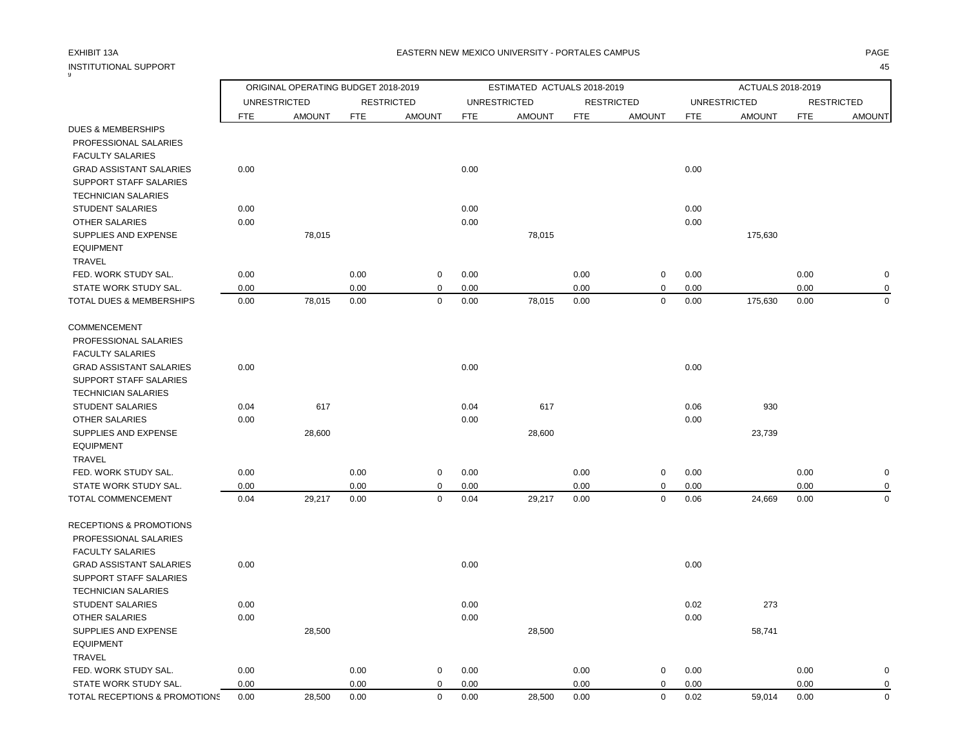| INSTITUTIONAL SUPPORT | 45 |
|-----------------------|----|
|                       |    |

|                                    | ORIGINAL OPERATING BUDGET 2018-2019<br>ESTIMATED ACTUALS 2018-2019 |                     |            |                   |            |                     |            | ACTUALS 2018-2019 |            |                     |            |                   |
|------------------------------------|--------------------------------------------------------------------|---------------------|------------|-------------------|------------|---------------------|------------|-------------------|------------|---------------------|------------|-------------------|
|                                    |                                                                    | <b>UNRESTRICTED</b> |            | <b>RESTRICTED</b> |            | <b>UNRESTRICTED</b> |            | <b>RESTRICTED</b> |            | <b>UNRESTRICTED</b> |            | <b>RESTRICTED</b> |
|                                    | <b>FTE</b>                                                         | <b>AMOUNT</b>       | <b>FTE</b> | <b>AMOUNT</b>     | <b>FTE</b> | <b>AMOUNT</b>       | <b>FTE</b> | <b>AMOUNT</b>     | <b>FTE</b> | <b>AMOUNT</b>       | <b>FTE</b> | <b>AMOUNT</b>     |
| <b>DUES &amp; MEMBERSHIPS</b>      |                                                                    |                     |            |                   |            |                     |            |                   |            |                     |            |                   |
| PROFESSIONAL SALARIES              |                                                                    |                     |            |                   |            |                     |            |                   |            |                     |            |                   |
| <b>FACULTY SALARIES</b>            |                                                                    |                     |            |                   |            |                     |            |                   |            |                     |            |                   |
| <b>GRAD ASSISTANT SALARIES</b>     | 0.00                                                               |                     |            |                   | 0.00       |                     |            |                   | 0.00       |                     |            |                   |
| SUPPORT STAFF SALARIES             |                                                                    |                     |            |                   |            |                     |            |                   |            |                     |            |                   |
| <b>TECHNICIAN SALARIES</b>         |                                                                    |                     |            |                   |            |                     |            |                   |            |                     |            |                   |
| <b>STUDENT SALARIES</b>            | 0.00                                                               |                     |            |                   | 0.00       |                     |            |                   | 0.00       |                     |            |                   |
| <b>OTHER SALARIES</b>              | 0.00                                                               |                     |            |                   | 0.00       |                     |            |                   | 0.00       |                     |            |                   |
| SUPPLIES AND EXPENSE               |                                                                    | 78,015              |            |                   |            | 78,015              |            |                   |            | 175,630             |            |                   |
| <b>EQUIPMENT</b>                   |                                                                    |                     |            |                   |            |                     |            |                   |            |                     |            |                   |
| <b>TRAVEL</b>                      |                                                                    |                     |            |                   |            |                     |            |                   |            |                     |            |                   |
| FED. WORK STUDY SAL.               | 0.00                                                               |                     | 0.00       | $\mathbf 0$       | 0.00       |                     | 0.00       | $\pmb{0}$         | 0.00       |                     | 0.00       | $\mathbf 0$       |
| STATE WORK STUDY SAL.              | 0.00                                                               |                     | 0.00       | $\mathbf 0$       | 0.00       |                     | 0.00       | $\pmb{0}$         | 0.00       |                     | 0.00       | $\Omega$          |
| TOTAL DUES & MEMBERSHIPS           | 0.00                                                               | 78,015              | 0.00       | $\mathbf 0$       | 0.00       | 78,015              | 0.00       | $\pmb{0}$         | 0.00       | 175,630             | 0.00       | $\mathbf 0$       |
| COMMENCEMENT                       |                                                                    |                     |            |                   |            |                     |            |                   |            |                     |            |                   |
| PROFESSIONAL SALARIES              |                                                                    |                     |            |                   |            |                     |            |                   |            |                     |            |                   |
| <b>FACULTY SALARIES</b>            |                                                                    |                     |            |                   |            |                     |            |                   |            |                     |            |                   |
| <b>GRAD ASSISTANT SALARIES</b>     | 0.00                                                               |                     |            |                   | 0.00       |                     |            |                   | 0.00       |                     |            |                   |
| SUPPORT STAFF SALARIES             |                                                                    |                     |            |                   |            |                     |            |                   |            |                     |            |                   |
| <b>TECHNICIAN SALARIES</b>         |                                                                    |                     |            |                   |            |                     |            |                   |            |                     |            |                   |
| <b>STUDENT SALARIES</b>            | 0.04                                                               | 617                 |            |                   | 0.04       | 617                 |            |                   | 0.06       | 930                 |            |                   |
| <b>OTHER SALARIES</b>              | 0.00                                                               |                     |            |                   | 0.00       |                     |            |                   | 0.00       |                     |            |                   |
| SUPPLIES AND EXPENSE               |                                                                    | 28,600              |            |                   |            | 28,600              |            |                   |            | 23,739              |            |                   |
| <b>EQUIPMENT</b>                   |                                                                    |                     |            |                   |            |                     |            |                   |            |                     |            |                   |
| <b>TRAVEL</b>                      |                                                                    |                     |            |                   |            |                     |            |                   |            |                     |            |                   |
| FED. WORK STUDY SAL.               | 0.00                                                               |                     | 0.00       | $\mathbf 0$       | 0.00       |                     | 0.00       | $\mathbf 0$       | 0.00       |                     | 0.00       | $\mathbf 0$       |
| STATE WORK STUDY SAL.              | 0.00                                                               |                     | 0.00       | $\mathbf 0$       | 0.00       |                     | 0.00       | $\mathbf 0$       | 0.00       |                     | 0.00       | $\mathbf 0$       |
| TOTAL COMMENCEMENT                 | 0.04                                                               | 29,217              | 0.00       | $\mathbf 0$       | 0.04       | 29,217              | 0.00       | $\pmb{0}$         | 0.06       | 24,669              | 0.00       | 0                 |
| <b>RECEPTIONS &amp; PROMOTIONS</b> |                                                                    |                     |            |                   |            |                     |            |                   |            |                     |            |                   |
| PROFESSIONAL SALARIES              |                                                                    |                     |            |                   |            |                     |            |                   |            |                     |            |                   |
| <b>FACULTY SALARIES</b>            |                                                                    |                     |            |                   |            |                     |            |                   |            |                     |            |                   |
| <b>GRAD ASSISTANT SALARIES</b>     | 0.00                                                               |                     |            |                   | 0.00       |                     |            |                   | 0.00       |                     |            |                   |
| SUPPORT STAFF SALARIES             |                                                                    |                     |            |                   |            |                     |            |                   |            |                     |            |                   |
| <b>TECHNICIAN SALARIES</b>         |                                                                    |                     |            |                   |            |                     |            |                   |            |                     |            |                   |
| <b>STUDENT SALARIES</b>            | 0.00                                                               |                     |            |                   | 0.00       |                     |            |                   | 0.02       | 273                 |            |                   |
| <b>OTHER SALARIES</b>              | 0.00                                                               |                     |            |                   | 0.00       |                     |            |                   | 0.00       |                     |            |                   |
| SUPPLIES AND EXPENSE               |                                                                    | 28,500              |            |                   |            | 28,500              |            |                   |            | 58,741              |            |                   |
| <b>EQUIPMENT</b>                   |                                                                    |                     |            |                   |            |                     |            |                   |            |                     |            |                   |
| <b>TRAVEL</b>                      |                                                                    |                     |            |                   |            |                     |            |                   |            |                     |            |                   |
| FED. WORK STUDY SAL.               | 0.00                                                               |                     | 0.00       | $\mathbf 0$       | 0.00       |                     | 0.00       | $\pmb{0}$         | 0.00       |                     | 0.00       | $\mathbf 0$       |
| STATE WORK STUDY SAL.              | 0.00                                                               |                     | 0.00       | $\mathbf 0$       | 0.00       |                     | 0.00       | $\mathbf 0$       | 0.00       |                     | 0.00       | $\mathbf 0$       |
| TOTAL RECEPTIONS & PROMOTIONS      | 0.00                                                               | 28,500              | 0.00       | $\mathbf 0$       | 0.00       | 28,500              | 0.00       | $\mathbf 0$       | 0.02       | 59,014              | 0.00       | $\mathbf 0$       |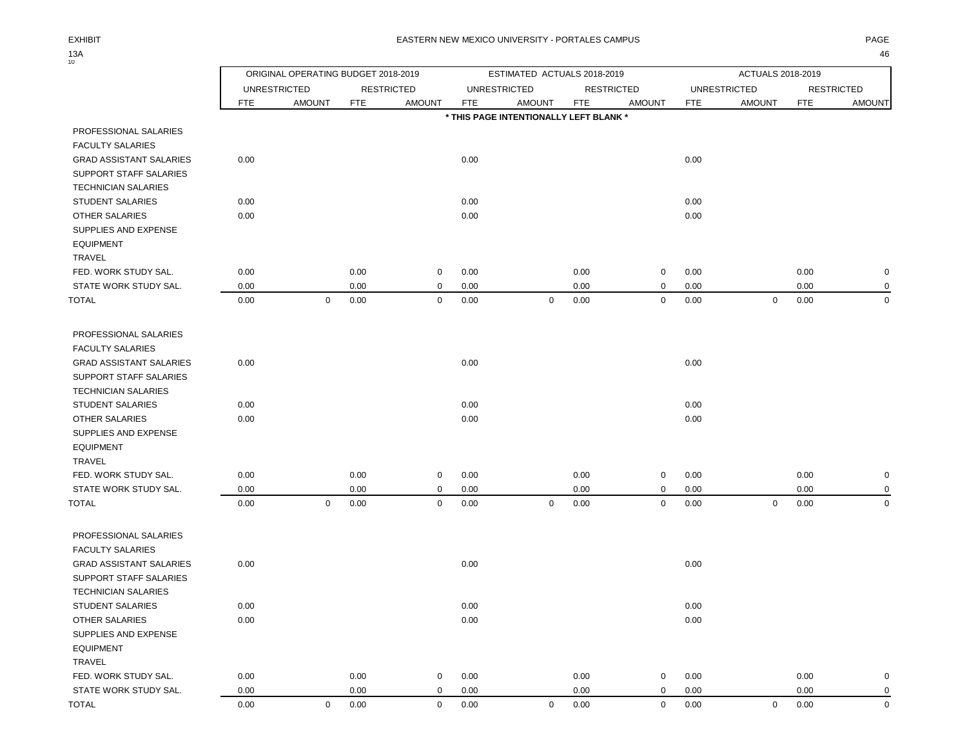$13A_{10}$ 

|                                                  | ORIGINAL OPERATING BUDGET 2018-2019 |                     |            |                   | ESTIMATED ACTUALS 2018-2019 |                                        |            |                   |            | ACTUALS 2018-2019   |            |                   |
|--------------------------------------------------|-------------------------------------|---------------------|------------|-------------------|-----------------------------|----------------------------------------|------------|-------------------|------------|---------------------|------------|-------------------|
|                                                  |                                     | <b>UNRESTRICTED</b> |            | <b>RESTRICTED</b> |                             | <b>UNRESTRICTED</b>                    |            | <b>RESTRICTED</b> |            | <b>UNRESTRICTED</b> |            | <b>RESTRICTED</b> |
|                                                  | <b>FTE</b>                          | <b>AMOUNT</b>       | <b>FTE</b> | <b>AMOUNT</b>     | <b>FTE</b>                  | <b>AMOUNT</b>                          | <b>FTE</b> | <b>AMOUNT</b>     | <b>FTE</b> | <b>AMOUNT</b>       | <b>FTE</b> | <b>AMOUNT</b>     |
|                                                  |                                     |                     |            |                   |                             | * THIS PAGE INTENTIONALLY LEFT BLANK * |            |                   |            |                     |            |                   |
| PROFESSIONAL SALARIES                            |                                     |                     |            |                   |                             |                                        |            |                   |            |                     |            |                   |
| <b>FACULTY SALARIES</b>                          |                                     |                     |            |                   |                             |                                        |            |                   |            |                     |            |                   |
| <b>GRAD ASSISTANT SALARIES</b>                   | 0.00                                |                     |            |                   | 0.00                        |                                        |            |                   | 0.00       |                     |            |                   |
| SUPPORT STAFF SALARIES                           |                                     |                     |            |                   |                             |                                        |            |                   |            |                     |            |                   |
| <b>TECHNICIAN SALARIES</b>                       |                                     |                     |            |                   |                             |                                        |            |                   |            |                     |            |                   |
| STUDENT SALARIES                                 | 0.00                                |                     |            |                   | 0.00                        |                                        |            |                   | 0.00       |                     |            |                   |
| OTHER SALARIES                                   | 0.00                                |                     |            |                   | 0.00                        |                                        |            |                   | 0.00       |                     |            |                   |
| SUPPLIES AND EXPENSE                             |                                     |                     |            |                   |                             |                                        |            |                   |            |                     |            |                   |
| <b>EQUIPMENT</b>                                 |                                     |                     |            |                   |                             |                                        |            |                   |            |                     |            |                   |
| TRAVEL                                           |                                     |                     |            |                   |                             |                                        |            |                   |            |                     |            |                   |
| FED. WORK STUDY SAL.                             | 0.00                                |                     | 0.00       | 0                 | 0.00                        |                                        | 0.00       | 0                 | 0.00       |                     | 0.00       | $\mathbf 0$       |
| STATE WORK STUDY SAL.                            | 0.00                                |                     | 0.00       | 0                 | 0.00                        |                                        | 0.00       | 0                 | 0.00       |                     | 0.00       | $\mathbf 0$       |
| <b>TOTAL</b>                                     | 0.00                                | $\mathbf 0$         | 0.00       | $\mathbf 0$       | 0.00                        | $\mathbf 0$                            | 0.00       | 0                 | 0.00       | $\mathbf 0$         | 0.00       | $\mathbf 0$       |
|                                                  |                                     |                     |            |                   |                             |                                        |            |                   |            |                     |            |                   |
| PROFESSIONAL SALARIES<br><b>FACULTY SALARIES</b> |                                     |                     |            |                   |                             |                                        |            |                   |            |                     |            |                   |
| <b>GRAD ASSISTANT SALARIES</b>                   | 0.00                                |                     |            |                   | 0.00                        |                                        |            |                   | 0.00       |                     |            |                   |
| SUPPORT STAFF SALARIES                           |                                     |                     |            |                   |                             |                                        |            |                   |            |                     |            |                   |
| <b>TECHNICIAN SALARIES</b>                       |                                     |                     |            |                   |                             |                                        |            |                   |            |                     |            |                   |
| STUDENT SALARIES                                 | 0.00                                |                     |            |                   | 0.00                        |                                        |            |                   | 0.00       |                     |            |                   |
| OTHER SALARIES                                   | 0.00                                |                     |            |                   | 0.00                        |                                        |            |                   | 0.00       |                     |            |                   |
| SUPPLIES AND EXPENSE                             |                                     |                     |            |                   |                             |                                        |            |                   |            |                     |            |                   |
| <b>EQUIPMENT</b>                                 |                                     |                     |            |                   |                             |                                        |            |                   |            |                     |            |                   |
| <b>TRAVEL</b>                                    |                                     |                     |            |                   |                             |                                        |            |                   |            |                     |            |                   |
| FED. WORK STUDY SAL.                             | 0.00                                |                     | 0.00       | 0                 | 0.00                        |                                        | 0.00       | 0                 | 0.00       |                     | 0.00       | 0                 |
| STATE WORK STUDY SAL.                            | 0.00                                |                     | 0.00       | 0                 | 0.00                        |                                        | 0.00       | $\mathbf 0$       | 0.00       |                     | 0.00       | 0                 |
| <b>TOTAL</b>                                     | 0.00                                | $\mathbf 0$         | 0.00       | $\mathbf 0$       | 0.00                        | $\mathbf 0$                            | 0.00       | $\mathbf 0$       | 0.00       | $\mathbf 0$         | 0.00       | $\mathbf 0$       |
|                                                  |                                     |                     |            |                   |                             |                                        |            |                   |            |                     |            |                   |
| PROFESSIONAL SALARIES                            |                                     |                     |            |                   |                             |                                        |            |                   |            |                     |            |                   |
| <b>FACULTY SALARIES</b>                          |                                     |                     |            |                   |                             |                                        |            |                   |            |                     |            |                   |
| <b>GRAD ASSISTANT SALARIES</b>                   | 0.00                                |                     |            |                   | 0.00                        |                                        |            |                   | 0.00       |                     |            |                   |
| SUPPORT STAFF SALARIES                           |                                     |                     |            |                   |                             |                                        |            |                   |            |                     |            |                   |
| <b>TECHNICIAN SALARIES</b>                       |                                     |                     |            |                   |                             |                                        |            |                   |            |                     |            |                   |
| STUDENT SALARIES                                 | 0.00                                |                     |            |                   | 0.00                        |                                        |            |                   | 0.00       |                     |            |                   |
| OTHER SALARIES                                   | 0.00                                |                     |            |                   | 0.00                        |                                        |            |                   | 0.00       |                     |            |                   |
| SUPPLIES AND EXPENSE                             |                                     |                     |            |                   |                             |                                        |            |                   |            |                     |            |                   |
| <b>EQUIPMENT</b>                                 |                                     |                     |            |                   |                             |                                        |            |                   |            |                     |            |                   |
| TRAVEL                                           |                                     |                     |            |                   |                             |                                        |            |                   |            |                     |            |                   |
| FED. WORK STUDY SAL.                             | 0.00                                |                     | 0.00       | 0                 | 0.00                        |                                        | 0.00       | $\mathbf 0$       | 0.00       |                     | 0.00       | $\boldsymbol{0}$  |
| STATE WORK STUDY SAL.                            | 0.00                                |                     | 0.00       | 0                 | 0.00                        |                                        | 0.00       | 0                 | 0.00       |                     | 0.00       | $\mathbf 0$       |
| <b>TOTAL</b>                                     | 0.00                                | $\mathbf 0$         | 0.00       | $\mathbf 0$       | 0.00                        | $\overline{0}$                         | 0.00       | $\mathsf{O}$      | 0.00       | $\overline{0}$      | 0.00       | $\mathsf 0$       |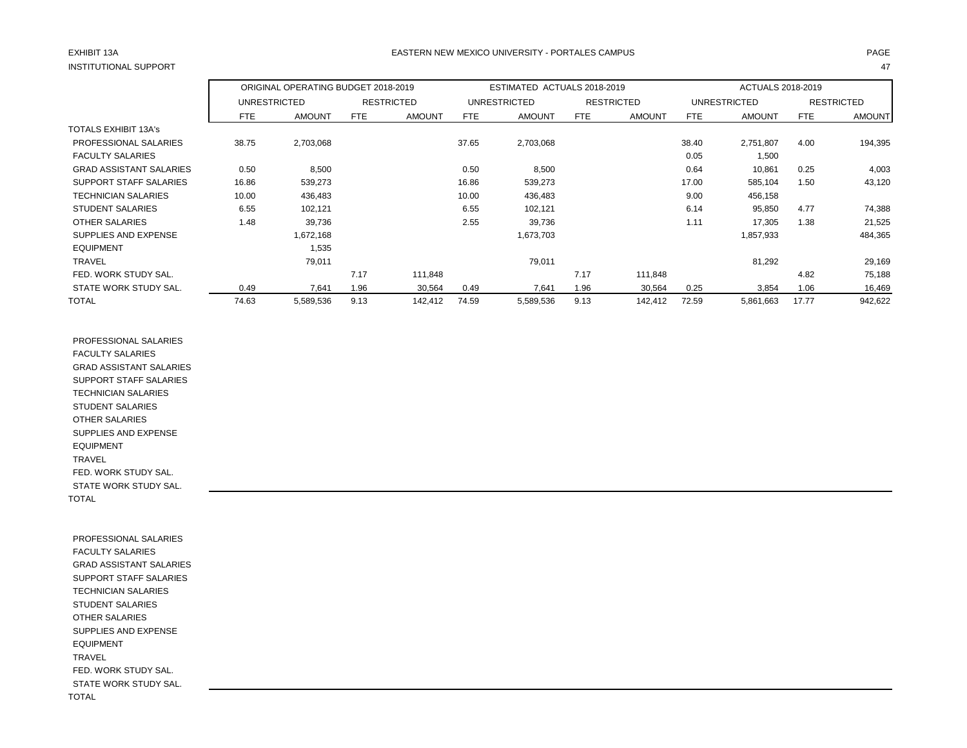## EXHIBIT 13A PAGE EASTERN NEW MEXICO UNIVERSITY - PORTALES CAMPUS

|                                |            | ORIGINAL OPERATING BUDGET 2018-2019 |      |                   | ESTIMATED ACTUALS 2018-2019 |                     |      |                   | ACTUALS 2018-2019 |               |       |                   |
|--------------------------------|------------|-------------------------------------|------|-------------------|-----------------------------|---------------------|------|-------------------|-------------------|---------------|-------|-------------------|
|                                |            | UNRESTRICTED                        |      | <b>RESTRICTED</b> |                             | <b>UNRESTRICTED</b> |      | <b>RESTRICTED</b> |                   | UNRESTRICTED  |       | <b>RESTRICTED</b> |
|                                | <b>FTE</b> | <b>AMOUNT</b>                       | FTE  | <b>AMOUNT</b>     | FTE                         | <b>AMOUNT</b>       | FTE  | <b>AMOUNT</b>     | FTE               | <b>AMOUNT</b> | FTE   | <b>AMOUNT</b>     |
| <b>TOTALS EXHIBIT 13A's</b>    |            |                                     |      |                   |                             |                     |      |                   |                   |               |       |                   |
| PROFESSIONAL SALARIES          | 38.75      | 2,703,068                           |      |                   | 37.65                       | 2,703,068           |      |                   | 38.40             | 2,751,807     | 4.00  | 194,395           |
| <b>FACULTY SALARIES</b>        |            |                                     |      |                   |                             |                     |      |                   | 0.05              | 1,500         |       |                   |
| <b>GRAD ASSISTANT SALARIES</b> | 0.50       | 8,500                               |      |                   | 0.50                        | 8,500               |      |                   | 0.64              | 10,861        | 0.25  | 4,003             |
| SUPPORT STAFF SALARIES         | 16.86      | 539,273                             |      |                   | 16.86                       | 539,273             |      |                   | 17.00             | 585,104       | 1.50  | 43,120            |
| <b>TECHNICIAN SALARIES</b>     | 10.00      | 436,483                             |      |                   | 10.00                       | 436,483             |      |                   | 9.00              | 456,158       |       |                   |
| <b>STUDENT SALARIES</b>        | 6.55       | 102,121                             |      |                   | 6.55                        | 102,121             |      |                   | 6.14              | 95,850        | 4.77  | 74,388            |
| OTHER SALARIES                 | 1.48       | 39,736                              |      |                   | 2.55                        | 39,736              |      |                   | 1.11              | 17,305        | 1.38  | 21,525            |
| SUPPLIES AND EXPENSE           |            | 1,672,168                           |      |                   |                             | 1,673,703           |      |                   |                   | 1,857,933     |       | 484,365           |
| <b>EQUIPMENT</b>               |            | 1,535                               |      |                   |                             |                     |      |                   |                   |               |       |                   |
| <b>TRAVEL</b>                  |            | 79,011                              |      |                   |                             | 79,011              |      |                   |                   | 81,292        |       | 29,169            |
| FED. WORK STUDY SAL.           |            |                                     | 7.17 | 111,848           |                             |                     | 7.17 | 111,848           |                   |               | 4.82  | 75,188            |
| STATE WORK STUDY SAL.          | 0.49       | 7,641                               | 1.96 | 30,564            | 0.49                        | 7,641               | 1.96 | 30,564            | 0.25              | 3,854         | 1.06  | 16,469            |
| <b>TOTAL</b>                   | 74.63      | 5,589,536                           | 9.13 | 142,412           | 74.59                       | 5,589,536           | 9.13 | 142,412           | 72.59             | 5,861,663     | 17.77 | 942,622           |

 PROFESSIONAL SALARIES FACULTY SALARIES GRAD ASSISTANT SALARIES SUPPORT STAFF SALARIES TECHNICIAN SALARIES STUDENT SALARIES OTHER SALARIES SUPPLIES AND EXPENSE EQUIPMENT TRAVEL FED. WORK STUDY SAL. STATE WORK STUDY SAL. TOTAL

 PROFESSIONAL SALARIES FACULTY SALARIES GRAD ASSISTANT SALARIES SUPPORT STAFF SALARIES TECHNICIAN SALARIES STUDENT SALARIES OTHER SALARIES SUPPLIES AND EXPENSE EQUIPMENT TRAVEL FED. WORK STUDY SAL. STATE WORK STUDY SAL. TOTAL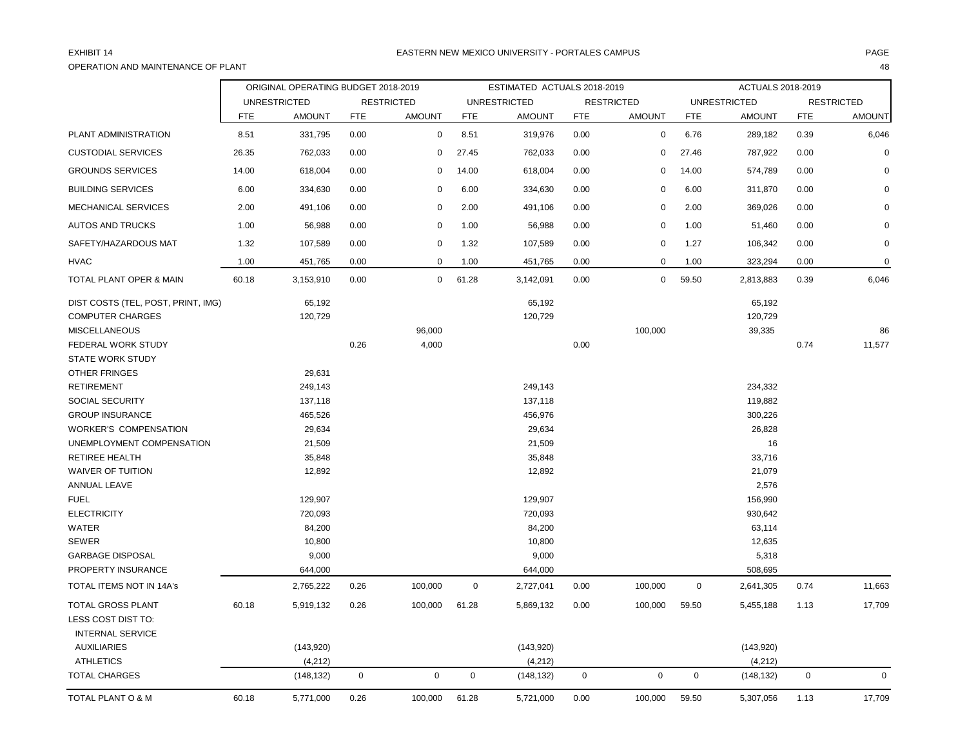## OPERATION AND MAINTENANCE OF PLANT 48

|                                    |            | ORIGINAL OPERATING BUDGET 2018-2019 |             |                   |             | ESTIMATED ACTUALS 2018-2019 |             |                   |            | ACTUALS 2018-2019   |             |                   |
|------------------------------------|------------|-------------------------------------|-------------|-------------------|-------------|-----------------------------|-------------|-------------------|------------|---------------------|-------------|-------------------|
|                                    |            | <b>UNRESTRICTED</b>                 |             | <b>RESTRICTED</b> |             | <b>UNRESTRICTED</b>         |             | <b>RESTRICTED</b> |            | <b>UNRESTRICTED</b> |             | <b>RESTRICTED</b> |
|                                    | <b>FTE</b> | <b>AMOUNT</b>                       | <b>FTE</b>  | <b>AMOUNT</b>     | <b>FTE</b>  | <b>AMOUNT</b>               | <b>FTE</b>  | <b>AMOUNT</b>     | <b>FTE</b> | <b>AMOUNT</b>       | <b>FTE</b>  | <b>AMOUNT</b>     |
| PLANT ADMINISTRATION               | 8.51       | 331,795                             | 0.00        | $\mathbf 0$       | 8.51        | 319,976                     | 0.00        | $\mathbf 0$       | 6.76       | 289,182             | 0.39        | 6,046             |
| <b>CUSTODIAL SERVICES</b>          | 26.35      | 762,033                             | 0.00        | $\mathbf 0$       | 27.45       | 762,033                     | 0.00        | $\mathbf 0$       | 27.46      | 787,922             | 0.00        | $\Omega$          |
| <b>GROUNDS SERVICES</b>            | 14.00      | 618,004                             | 0.00        | 0                 | 14.00       | 618,004                     | 0.00        | 0                 | 14.00      | 574,789             | 0.00        | $\Omega$          |
| <b>BUILDING SERVICES</b>           | 6.00       | 334,630                             | 0.00        | 0                 | 6.00        | 334,630                     | 0.00        | $\Omega$          | 6.00       | 311,870             | 0.00        |                   |
| MECHANICAL SERVICES                | 2.00       | 491,106                             | 0.00        | $\mathbf 0$       | 2.00        | 491,106                     | 0.00        | 0                 | 2.00       | 369,026             | 0.00        | $\Omega$          |
| <b>AUTOS AND TRUCKS</b>            | 1.00       | 56,988                              | 0.00        | $\Omega$          | 1.00        | 56,988                      | 0.00        | 0                 | 1.00       | 51,460              | 0.00        | $\Omega$          |
| SAFETY/HAZARDOUS MAT               | 1.32       | 107,589                             | 0.00        | 0                 | 1.32        | 107,589                     | 0.00        | 0                 | 1.27       | 106,342             | 0.00        | $\mathbf 0$       |
| <b>HVAC</b>                        | 1.00       | 451,765                             | 0.00        | $\mathbf 0$       | 1.00        | 451,765                     | 0.00        | $\mathbf 0$       | 1.00       | 323,294             | 0.00        | $\mathbf 0$       |
| TOTAL PLANT OPER & MAIN            | 60.18      | 3,153,910                           | 0.00        | $\mathbf 0$       | 61.28       | 3,142,091                   | 0.00        | 0                 | 59.50      | 2,813,883           | 0.39        | 6,046             |
| DIST COSTS (TEL, POST, PRINT, IMG) |            | 65,192                              |             |                   |             | 65,192                      |             |                   |            | 65,192              |             |                   |
| <b>COMPUTER CHARGES</b>            |            | 120,729                             |             |                   |             | 120,729                     |             |                   |            | 120,729             |             |                   |
| <b>MISCELLANEOUS</b>               |            |                                     |             | 96,000            |             |                             |             | 100,000           |            | 39,335              |             | 86                |
| FEDERAL WORK STUDY                 |            |                                     | 0.26        | 4,000             |             |                             | 0.00        |                   |            |                     | 0.74        | 11,577            |
| <b>STATE WORK STUDY</b>            |            |                                     |             |                   |             |                             |             |                   |            |                     |             |                   |
| <b>OTHER FRINGES</b>               |            | 29,631                              |             |                   |             |                             |             |                   |            |                     |             |                   |
| <b>RETIREMENT</b>                  |            | 249,143                             |             |                   |             | 249,143                     |             |                   |            | 234,332             |             |                   |
| SOCIAL SECURITY                    |            | 137,118                             |             |                   |             | 137,118                     |             |                   |            | 119,882             |             |                   |
| <b>GROUP INSURANCE</b>             |            | 465,526                             |             |                   |             | 456,976                     |             |                   |            | 300,226             |             |                   |
| <b>WORKER'S COMPENSATION</b>       |            | 29,634                              |             |                   |             | 29,634                      |             |                   |            | 26,828              |             |                   |
| UNEMPLOYMENT COMPENSATION          |            | 21,509                              |             |                   |             | 21,509                      |             |                   |            | 16                  |             |                   |
| <b>RETIREE HEALTH</b>              |            | 35,848                              |             |                   |             | 35,848                      |             |                   |            | 33,716              |             |                   |
| <b>WAIVER OF TUITION</b>           |            | 12,892                              |             |                   |             | 12,892                      |             |                   |            | 21,079              |             |                   |
| ANNUAL LEAVE                       |            |                                     |             |                   |             |                             |             |                   |            | 2,576               |             |                   |
| <b>FUEL</b>                        |            | 129,907                             |             |                   |             | 129,907                     |             |                   |            | 156,990             |             |                   |
| <b>ELECTRICITY</b>                 |            | 720,093                             |             |                   |             | 720,093                     |             |                   |            | 930,642             |             |                   |
| <b>WATER</b>                       |            | 84,200                              |             |                   |             | 84,200                      |             |                   |            | 63,114              |             |                   |
| <b>SEWER</b>                       |            | 10,800                              |             |                   |             | 10,800                      |             |                   |            | 12,635              |             |                   |
| <b>GARBAGE DISPOSAL</b>            |            | 9,000                               |             |                   |             | 9,000                       |             |                   |            | 5,318               |             |                   |
| <b>PROPERTY INSURANCE</b>          |            | 644,000                             |             |                   |             | 644,000                     |             |                   |            | 508,695             |             |                   |
| TOTAL ITEMS NOT IN 14A's           |            | 2,765,222                           | 0.26        | 100,000           | $\mathbf 0$ | 2,727,041                   | 0.00        | 100,000           | $\pmb{0}$  | 2,641,305           | 0.74        | 11,663            |
| <b>TOTAL GROSS PLANT</b>           | 60.18      | 5,919,132                           | 0.26        | 100,000           | 61.28       | 5,869,132                   | 0.00        | 100,000           | 59.50      | 5,455,188           | 1.13        | 17,709            |
| LESS COST DIST TO:                 |            |                                     |             |                   |             |                             |             |                   |            |                     |             |                   |
| <b>INTERNAL SERVICE</b>            |            |                                     |             |                   |             |                             |             |                   |            |                     |             |                   |
| <b>AUXILIARIES</b>                 |            | (143,920)                           |             |                   |             | (143, 920)                  |             |                   |            | (143,920)           |             |                   |
| <b>ATHLETICS</b>                   |            | (4, 212)                            |             |                   |             | (4, 212)                    |             |                   |            | (4,212)             |             |                   |
| <b>TOTAL CHARGES</b>               |            | (148, 132)                          | $\mathbf 0$ | $\pmb{0}$         | $\mathbf 0$ | (148, 132)                  | $\mathbf 0$ | $\mathsf 0$       | 0          | (148, 132)          | $\mathbf 0$ | $\mathbf 0$       |
| TOTAL PLANT O & M                  | 60.18      | 5,771,000                           | 0.26        | 100,000           | 61.28       | 5,721,000                   | 0.00        | 100,000           | 59.50      | 5,307,056           | 1.13        | 17,709            |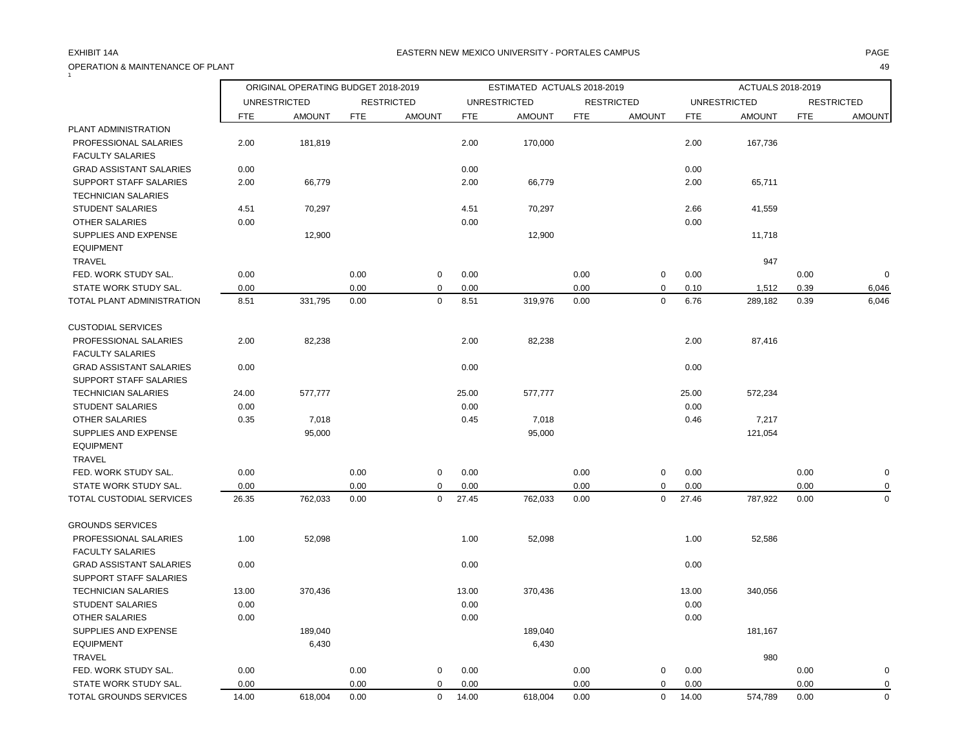## OPERATION & MAINTENANCE OF PLANT 49

|                                                      |            | ORIGINAL OPERATING BUDGET 2018-2019 |            |                   |            | ESTIMATED ACTUALS 2018-2019 |            |                   |            | ACTUALS 2018-2019   |            |                   |
|------------------------------------------------------|------------|-------------------------------------|------------|-------------------|------------|-----------------------------|------------|-------------------|------------|---------------------|------------|-------------------|
|                                                      |            | <b>UNRESTRICTED</b>                 |            | <b>RESTRICTED</b> |            | <b>UNRESTRICTED</b>         |            | <b>RESTRICTED</b> |            | <b>UNRESTRICTED</b> |            | <b>RESTRICTED</b> |
|                                                      | <b>FTE</b> | <b>AMOUNT</b>                       | <b>FTE</b> | <b>AMOUNT</b>     | <b>FTE</b> | <b>AMOUNT</b>               | <b>FTE</b> | <b>AMOUNT</b>     | <b>FTE</b> | <b>AMOUNT</b>       | <b>FTE</b> | <b>AMOUNT</b>     |
| PLANT ADMINISTRATION                                 |            |                                     |            |                   |            |                             |            |                   |            |                     |            |                   |
| PROFESSIONAL SALARIES<br><b>FACULTY SALARIES</b>     | 2.00       | 181,819                             |            |                   | 2.00       | 170,000                     |            |                   | 2.00       | 167,736             |            |                   |
| <b>GRAD ASSISTANT SALARIES</b>                       | 0.00       |                                     |            |                   | 0.00       |                             |            |                   | 0.00       |                     |            |                   |
| SUPPORT STAFF SALARIES<br><b>TECHNICIAN SALARIES</b> | 2.00       | 66,779                              |            |                   | 2.00       | 66,779                      |            |                   | 2.00       | 65,711              |            |                   |
| <b>STUDENT SALARIES</b>                              | 4.51       | 70,297                              |            |                   | 4.51       | 70,297                      |            |                   | 2.66       | 41,559              |            |                   |
| <b>OTHER SALARIES</b>                                | 0.00       |                                     |            |                   | 0.00       |                             |            |                   | 0.00       |                     |            |                   |
| SUPPLIES AND EXPENSE<br><b>EQUIPMENT</b>             |            | 12,900                              |            |                   |            | 12,900                      |            |                   |            | 11,718              |            |                   |
| TRAVEL                                               |            |                                     |            |                   |            |                             |            |                   |            | 947                 |            |                   |
| FED. WORK STUDY SAL.                                 | 0.00       |                                     | 0.00       | $\mathbf 0$       | 0.00       |                             | 0.00       | $\mathbf 0$       | 0.00       |                     | 0.00       | $\Omega$          |
| STATE WORK STUDY SAL.                                | 0.00       |                                     | 0.00       | $\mathbf 0$       | 0.00       |                             | 0.00       | $\mathbf 0$       | 0.10       | 1,512               | 0.39       | 6,046             |
| TOTAL PLANT ADMINISTRATION                           | 8.51       | 331,795                             | 0.00       | $\mathbf 0$       | 8.51       | 319,976                     | 0.00       | $\mathbf 0$       | 6.76       | 289,182             | 0.39       | 6,046             |
| <b>CUSTODIAL SERVICES</b>                            |            |                                     |            |                   |            |                             |            |                   |            |                     |            |                   |
| PROFESSIONAL SALARIES                                | 2.00       | 82,238                              |            |                   | 2.00       | 82,238                      |            |                   | 2.00       | 87,416              |            |                   |
| <b>FACULTY SALARIES</b>                              |            |                                     |            |                   |            |                             |            |                   |            |                     |            |                   |
| <b>GRAD ASSISTANT SALARIES</b>                       | 0.00       |                                     |            |                   | 0.00       |                             |            |                   | 0.00       |                     |            |                   |
| SUPPORT STAFF SALARIES                               |            |                                     |            |                   |            |                             |            |                   |            |                     |            |                   |
| <b>TECHNICIAN SALARIES</b>                           | 24.00      | 577,777                             |            |                   | 25.00      | 577,777                     |            |                   | 25.00      | 572,234             |            |                   |
| <b>STUDENT SALARIES</b>                              | 0.00       |                                     |            |                   | 0.00       |                             |            |                   | 0.00       |                     |            |                   |
| <b>OTHER SALARIES</b>                                | 0.35       | 7,018                               |            |                   | 0.45       | 7,018                       |            |                   | 0.46       | 7,217               |            |                   |
| SUPPLIES AND EXPENSE                                 |            | 95,000                              |            |                   |            | 95,000                      |            |                   |            | 121,054             |            |                   |
| <b>EQUIPMENT</b>                                     |            |                                     |            |                   |            |                             |            |                   |            |                     |            |                   |
| <b>TRAVEL</b>                                        |            |                                     |            |                   |            |                             |            |                   |            |                     |            |                   |
| FED. WORK STUDY SAL.                                 | 0.00       |                                     | 0.00       | $\mathsf 0$       | 0.00       |                             | 0.00       | $\pmb{0}$         | 0.00       |                     | 0.00       | $\mathbf 0$       |
| STATE WORK STUDY SAL.                                | 0.00       |                                     | 0.00       | $\Omega$          | 0.00       |                             | 0.00       | 0                 | 0.00       |                     | 0.00       |                   |
| TOTAL CUSTODIAL SERVICES                             | 26.35      | 762,033                             | 0.00       | $\mathbf 0$       | 27.45      | 762,033                     | 0.00       | 0                 | 27.46      | 787,922             | 0.00       | $\mathbf 0$       |
| <b>GROUNDS SERVICES</b>                              |            |                                     |            |                   |            |                             |            |                   |            |                     |            |                   |
| PROFESSIONAL SALARIES                                | 1.00       | 52,098                              |            |                   | 1.00       | 52,098                      |            |                   | 1.00       | 52,586              |            |                   |
| <b>FACULTY SALARIES</b>                              |            |                                     |            |                   |            |                             |            |                   |            |                     |            |                   |
| <b>GRAD ASSISTANT SALARIES</b>                       | 0.00       |                                     |            |                   | 0.00       |                             |            |                   | 0.00       |                     |            |                   |
| SUPPORT STAFF SALARIES                               |            |                                     |            |                   |            |                             |            |                   |            |                     |            |                   |
| <b>TECHNICIAN SALARIES</b>                           | 13.00      | 370,436                             |            |                   | 13.00      | 370,436                     |            |                   | 13.00      | 340,056             |            |                   |
| <b>STUDENT SALARIES</b>                              | 0.00       |                                     |            |                   | 0.00       |                             |            |                   | 0.00       |                     |            |                   |
| OTHER SALARIES                                       | 0.00       |                                     |            |                   | 0.00       |                             |            |                   | 0.00       |                     |            |                   |
| SUPPLIES AND EXPENSE                                 |            | 189,040                             |            |                   |            | 189,040                     |            |                   |            | 181,167             |            |                   |
| <b>EQUIPMENT</b>                                     |            | 6,430                               |            |                   |            | 6,430                       |            |                   |            |                     |            |                   |
| <b>TRAVEL</b>                                        |            |                                     |            |                   |            |                             |            |                   |            | 980                 |            |                   |
| FED. WORK STUDY SAL.                                 | 0.00       |                                     | 0.00       | $\mathbf 0$       | 0.00       |                             | 0.00       | 0                 | 0.00       |                     | 0.00       | 0                 |
| STATE WORK STUDY SAL.                                | 0.00       |                                     | 0.00       | $\mathbf 0$       | 0.00       |                             | 0.00       | 0                 | 0.00       |                     | 0.00       | 0                 |
| TOTAL GROUNDS SERVICES                               | 14.00      | 618,004                             | 0.00       | $\mathbf 0$       | 14.00      | 618,004                     | 0.00       | $\mathbf 0$       | 14.00      | 574,789             | 0.00       | $\mathbf 0$       |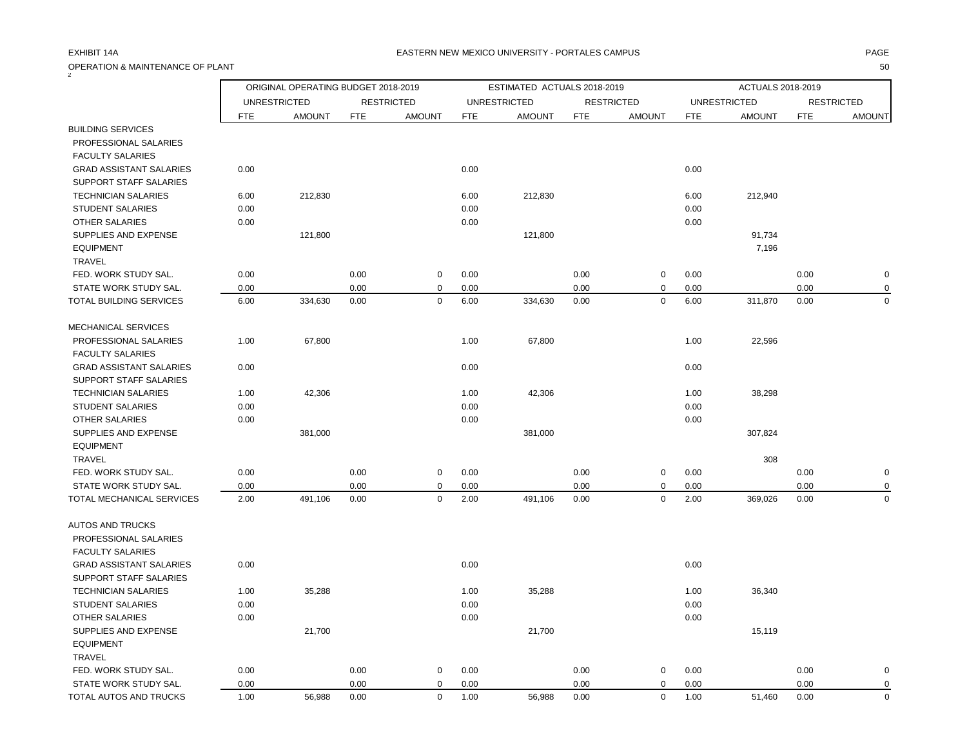## OPERATION & MAINTENANCE OF PLANT 50 2

|                                |            | ORIGINAL OPERATING BUDGET 2018-2019 |            |                   |            | ESTIMATED ACTUALS 2018-2019 |            |                   |            | ACTUALS 2018-2019   |            |                   |
|--------------------------------|------------|-------------------------------------|------------|-------------------|------------|-----------------------------|------------|-------------------|------------|---------------------|------------|-------------------|
|                                |            | <b>UNRESTRICTED</b>                 |            | <b>RESTRICTED</b> |            | <b>UNRESTRICTED</b>         |            | <b>RESTRICTED</b> |            | <b>UNRESTRICTED</b> |            | <b>RESTRICTED</b> |
|                                | <b>FTE</b> | <b>AMOUNT</b>                       | <b>FTE</b> | <b>AMOUNT</b>     | <b>FTE</b> | <b>AMOUNT</b>               | <b>FTE</b> | <b>AMOUNT</b>     | <b>FTE</b> | <b>AMOUNT</b>       | <b>FTE</b> | <b>AMOUNT</b>     |
| <b>BUILDING SERVICES</b>       |            |                                     |            |                   |            |                             |            |                   |            |                     |            |                   |
| PROFESSIONAL SALARIES          |            |                                     |            |                   |            |                             |            |                   |            |                     |            |                   |
| <b>FACULTY SALARIES</b>        |            |                                     |            |                   |            |                             |            |                   |            |                     |            |                   |
| <b>GRAD ASSISTANT SALARIES</b> | 0.00       |                                     |            |                   | 0.00       |                             |            |                   | 0.00       |                     |            |                   |
| SUPPORT STAFF SALARIES         |            |                                     |            |                   |            |                             |            |                   |            |                     |            |                   |
| <b>TECHNICIAN SALARIES</b>     | 6.00       | 212,830                             |            |                   | 6.00       | 212,830                     |            |                   | 6.00       | 212,940             |            |                   |
| <b>STUDENT SALARIES</b>        | 0.00       |                                     |            |                   | 0.00       |                             |            |                   | 0.00       |                     |            |                   |
| <b>OTHER SALARIES</b>          | 0.00       |                                     |            |                   | 0.00       |                             |            |                   | 0.00       |                     |            |                   |
| SUPPLIES AND EXPENSE           |            | 121,800                             |            |                   |            | 121,800                     |            |                   |            | 91,734              |            |                   |
| <b>EQUIPMENT</b>               |            |                                     |            |                   |            |                             |            |                   |            | 7,196               |            |                   |
| <b>TRAVEL</b>                  |            |                                     |            |                   |            |                             |            |                   |            |                     |            |                   |
| FED. WORK STUDY SAL.           | 0.00       |                                     | 0.00       | $\mathsf 0$       | 0.00       |                             | 0.00       | $\pmb{0}$         | 0.00       |                     | 0.00       | $\mathbf 0$       |
| STATE WORK STUDY SAL.          | 0.00       |                                     | 0.00       | $\mathbf 0$       | 0.00       |                             | 0.00       | 0                 | 0.00       |                     | 0.00       | 0                 |
| TOTAL BUILDING SERVICES        | 6.00       | 334,630                             | 0.00       | $\mathsf 0$       | 6.00       | 334,630                     | 0.00       | 0                 | 6.00       | 311,870             | 0.00       | $\mathbf 0$       |
| <b>MECHANICAL SERVICES</b>     |            |                                     |            |                   |            |                             |            |                   |            |                     |            |                   |
| PROFESSIONAL SALARIES          | 1.00       | 67,800                              |            |                   | 1.00       | 67,800                      |            |                   | 1.00       | 22,596              |            |                   |
| <b>FACULTY SALARIES</b>        |            |                                     |            |                   |            |                             |            |                   |            |                     |            |                   |
| <b>GRAD ASSISTANT SALARIES</b> | 0.00       |                                     |            |                   | 0.00       |                             |            |                   | 0.00       |                     |            |                   |
| SUPPORT STAFF SALARIES         |            |                                     |            |                   |            |                             |            |                   |            |                     |            |                   |
| <b>TECHNICIAN SALARIES</b>     | 1.00       | 42,306                              |            |                   | 1.00       | 42,306                      |            |                   | 1.00       | 38,298              |            |                   |
| <b>STUDENT SALARIES</b>        | 0.00       |                                     |            |                   | 0.00       |                             |            |                   | 0.00       |                     |            |                   |
| <b>OTHER SALARIES</b>          | 0.00       |                                     |            |                   | 0.00       |                             |            |                   | 0.00       |                     |            |                   |
| SUPPLIES AND EXPENSE           |            | 381,000                             |            |                   |            | 381,000                     |            |                   |            | 307,824             |            |                   |
| <b>EQUIPMENT</b>               |            |                                     |            |                   |            |                             |            |                   |            |                     |            |                   |
| TRAVEL                         |            |                                     |            |                   |            |                             |            |                   |            | 308                 |            |                   |
| FED. WORK STUDY SAL.           | 0.00       |                                     | 0.00       | $\mathbf 0$       | 0.00       |                             | 0.00       | 0                 | 0.00       |                     | 0.00       | $\mathbf 0$       |
| STATE WORK STUDY SAL.          | 0.00       |                                     | 0.00       | $\mathbf 0$       | 0.00       |                             | 0.00       | 0                 | 0.00       |                     | 0.00       | 0                 |
| TOTAL MECHANICAL SERVICES      | 2.00       | 491,106                             | 0.00       | $\mathbf 0$       | 2.00       | 491,106                     | 0.00       | 0                 | 2.00       | 369,026             | 0.00       | $\mathbf 0$       |
| <b>AUTOS AND TRUCKS</b>        |            |                                     |            |                   |            |                             |            |                   |            |                     |            |                   |
| PROFESSIONAL SALARIES          |            |                                     |            |                   |            |                             |            |                   |            |                     |            |                   |
| <b>FACULTY SALARIES</b>        |            |                                     |            |                   |            |                             |            |                   |            |                     |            |                   |
| <b>GRAD ASSISTANT SALARIES</b> | 0.00       |                                     |            |                   | 0.00       |                             |            |                   | 0.00       |                     |            |                   |
| SUPPORT STAFF SALARIES         |            |                                     |            |                   |            |                             |            |                   |            |                     |            |                   |
| <b>TECHNICIAN SALARIES</b>     | 1.00       | 35,288                              |            |                   | 1.00       | 35,288                      |            |                   | 1.00       | 36,340              |            |                   |
| <b>STUDENT SALARIES</b>        | 0.00       |                                     |            |                   | 0.00       |                             |            |                   | 0.00       |                     |            |                   |
| <b>OTHER SALARIES</b>          | 0.00       |                                     |            |                   | 0.00       |                             |            |                   | 0.00       |                     |            |                   |
| SUPPLIES AND EXPENSE           |            | 21,700                              |            |                   |            | 21,700                      |            |                   |            | 15,119              |            |                   |
| <b>EQUIPMENT</b>               |            |                                     |            |                   |            |                             |            |                   |            |                     |            |                   |
| <b>TRAVEL</b>                  |            |                                     |            |                   |            |                             |            |                   |            |                     |            |                   |
| FED. WORK STUDY SAL.           | 0.00       |                                     | 0.00       | $\mathbf 0$       | 0.00       |                             | 0.00       | 0                 | 0.00       |                     | 0.00       | $\mathbf 0$       |
| STATE WORK STUDY SAL.          | 0.00       |                                     | 0.00       | $\mathbf 0$       | 0.00       |                             | 0.00       | 0                 | 0.00       |                     | 0.00       | 0                 |
| TOTAL AUTOS AND TRUCKS         | 1.00       | 56,988                              | 0.00       | $\mathbf 0$       | 1.00       | 56,988                      | 0.00       | $\mathbf 0$       | 1.00       | 51,460              | 0.00       | $\Omega$          |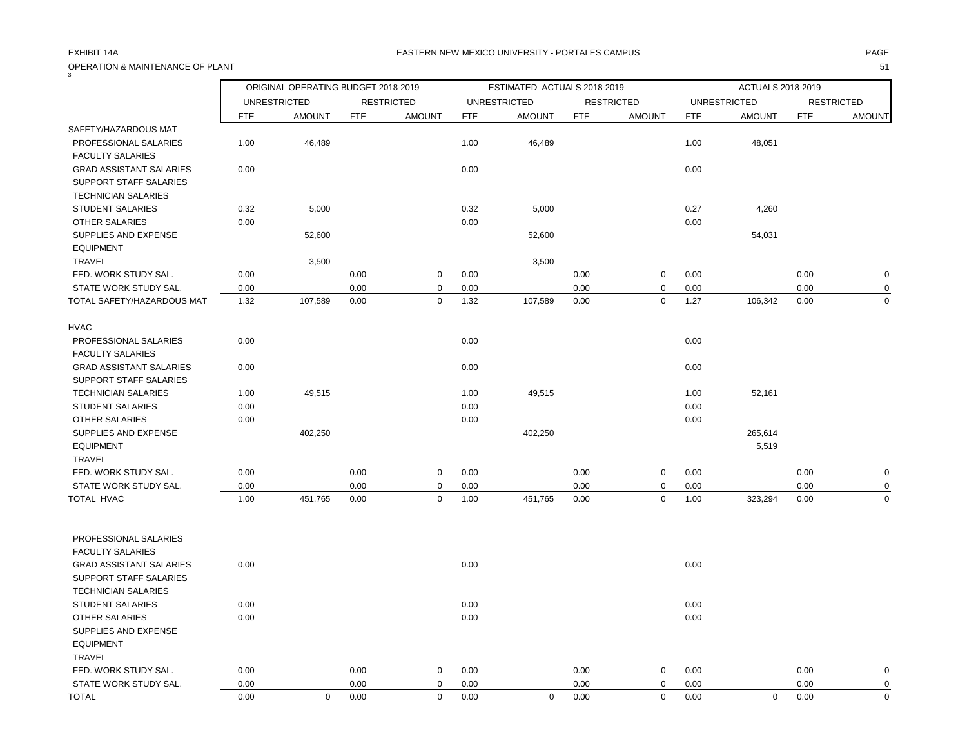OPERATION & MAINTENANCE OF PLANT 51

| 3                                                                                      |            | ORIGINAL OPERATING BUDGET 2018-2019 |            |                   |            | ESTIMATED ACTUALS 2018-2019 |            |                   |      | ACTUALS 2018-2019   |            |                   |
|----------------------------------------------------------------------------------------|------------|-------------------------------------|------------|-------------------|------------|-----------------------------|------------|-------------------|------|---------------------|------------|-------------------|
|                                                                                        |            | <b>UNRESTRICTED</b>                 |            | <b>RESTRICTED</b> |            | <b>UNRESTRICTED</b>         |            | <b>RESTRICTED</b> |      | <b>UNRESTRICTED</b> |            | <b>RESTRICTED</b> |
|                                                                                        | <b>FTE</b> | <b>AMOUNT</b>                       | <b>FTE</b> | <b>AMOUNT</b>     | <b>FTE</b> | <b>AMOUNT</b>               | <b>FTE</b> | <b>AMOUNT</b>     | FTE  | <b>AMOUNT</b>       | <b>FTE</b> | <b>AMOUNT</b>     |
| SAFETY/HAZARDOUS MAT                                                                   |            |                                     |            |                   |            |                             |            |                   |      |                     |            |                   |
| PROFESSIONAL SALARIES<br><b>FACULTY SALARIES</b>                                       | 1.00       | 46,489                              |            |                   | 1.00       | 46,489                      |            |                   | 1.00 | 48,051              |            |                   |
| <b>GRAD ASSISTANT SALARIES</b><br>SUPPORT STAFF SALARIES<br><b>TECHNICIAN SALARIES</b> | 0.00       |                                     |            |                   | 0.00       |                             |            |                   | 0.00 |                     |            |                   |
| <b>STUDENT SALARIES</b>                                                                | 0.32       | 5,000                               |            |                   | 0.32       | 5,000                       |            |                   | 0.27 | 4,260               |            |                   |
| <b>OTHER SALARIES</b>                                                                  | 0.00       |                                     |            |                   | 0.00       |                             |            |                   | 0.00 |                     |            |                   |
| SUPPLIES AND EXPENSE<br><b>EQUIPMENT</b>                                               |            | 52,600                              |            |                   |            | 52,600                      |            |                   |      | 54,031              |            |                   |
| <b>TRAVEL</b>                                                                          |            | 3,500                               |            |                   |            | 3,500                       |            |                   |      |                     |            |                   |
| FED. WORK STUDY SAL.                                                                   | 0.00       |                                     | 0.00       | $\mathbf 0$       | 0.00       |                             | 0.00       | $\mathsf 0$       | 0.00 |                     | 0.00       | $\mathbf 0$       |
| STATE WORK STUDY SAL.                                                                  | 0.00       |                                     | 0.00       | $\mathbf 0$       | 0.00       |                             | 0.00       | 0                 | 0.00 |                     | 0.00       | $\mathbf 0$       |
| TOTAL SAFETY/HAZARDOUS MAT                                                             | 1.32       | 107,589                             | 0.00       | $\mathsf 0$       | 1.32       | 107,589                     | 0.00       | $\pmb{0}$         | 1.27 | 106,342             | 0.00       | $\mathbf 0$       |
| <b>HVAC</b>                                                                            |            |                                     |            |                   |            |                             |            |                   |      |                     |            |                   |
| PROFESSIONAL SALARIES<br><b>FACULTY SALARIES</b>                                       | 0.00       |                                     |            |                   | 0.00       |                             |            |                   | 0.00 |                     |            |                   |
| <b>GRAD ASSISTANT SALARIES</b><br>SUPPORT STAFF SALARIES                               | 0.00       |                                     |            |                   | 0.00       |                             |            |                   | 0.00 |                     |            |                   |
| <b>TECHNICIAN SALARIES</b>                                                             | 1.00       | 49,515                              |            |                   | 1.00       | 49,515                      |            |                   | 1.00 | 52,161              |            |                   |
| <b>STUDENT SALARIES</b>                                                                | 0.00       |                                     |            |                   | 0.00       |                             |            |                   | 0.00 |                     |            |                   |
| OTHER SALARIES                                                                         | 0.00       |                                     |            |                   | 0.00       |                             |            |                   | 0.00 |                     |            |                   |
| SUPPLIES AND EXPENSE                                                                   |            | 402,250                             |            |                   |            | 402,250                     |            |                   |      | 265,614             |            |                   |
| <b>EQUIPMENT</b>                                                                       |            |                                     |            |                   |            |                             |            |                   |      | 5,519               |            |                   |
| TRAVEL                                                                                 |            |                                     |            |                   |            |                             |            |                   |      |                     |            |                   |
| FED. WORK STUDY SAL.                                                                   | 0.00       |                                     | 0.00       | $\mathbf 0$       | 0.00       |                             | 0.00       | 0                 | 0.00 |                     | 0.00       | $\mathbf 0$       |
| STATE WORK STUDY SAL.                                                                  | 0.00       |                                     | 0.00       | 0                 | 0.00       |                             | 0.00       | 0                 | 0.00 |                     | 0.00       | $\mathbf 0$       |
| TOTAL HVAC                                                                             | 1.00       | 451,765                             | 0.00       | $\mathbf 0$       | 1.00       | 451,765                     | 0.00       | $\mathbf 0$       | 1.00 | 323,294             | 0.00       | $\mathbf 0$       |
| PROFESSIONAL SALARIES                                                                  |            |                                     |            |                   |            |                             |            |                   |      |                     |            |                   |
| <b>FACULTY SALARIES</b>                                                                |            |                                     |            |                   |            |                             |            |                   |      |                     |            |                   |
| <b>GRAD ASSISTANT SALARIES</b>                                                         | 0.00       |                                     |            |                   | 0.00       |                             |            |                   | 0.00 |                     |            |                   |
| <b>SUPPORT STAFF SALARIES</b>                                                          |            |                                     |            |                   |            |                             |            |                   |      |                     |            |                   |
| <b>TECHNICIAN SALARIES</b>                                                             |            |                                     |            |                   |            |                             |            |                   |      |                     |            |                   |
| <b>STUDENT SALARIES</b>                                                                | 0.00       |                                     |            |                   | 0.00       |                             |            |                   | 0.00 |                     |            |                   |
| <b>OTHER SALARIES</b>                                                                  | 0.00       |                                     |            |                   | 0.00       |                             |            |                   | 0.00 |                     |            |                   |
| SUPPLIES AND EXPENSE<br><b>EQUIPMENT</b>                                               |            |                                     |            |                   |            |                             |            |                   |      |                     |            |                   |
| <b>TRAVEL</b>                                                                          |            |                                     |            |                   |            |                             |            |                   |      |                     |            |                   |
| FED. WORK STUDY SAL.                                                                   | 0.00       |                                     | 0.00       | 0                 | 0.00       |                             | 0.00       | 0                 | 0.00 |                     | 0.00       | $\mathbf 0$       |
| STATE WORK STUDY SAL.                                                                  | 0.00       |                                     | 0.00       | $\mathbf 0$       | 0.00       |                             | 0.00       | $\mathbf 0$       | 0.00 |                     | 0.00       | $\mathbf 0$       |
| <b>TOTAL</b>                                                                           | 0.00       | $\mathbf 0$                         | 0.00       | $\mathbf 0$       | 0.00       | $\mathbf 0$                 | 0.00       | $\mathbf 0$       | 0.00 | $\mathbf 0$         | 0.00       | $\mathbf 0$       |
|                                                                                        |            |                                     |            |                   |            |                             |            |                   |      |                     |            |                   |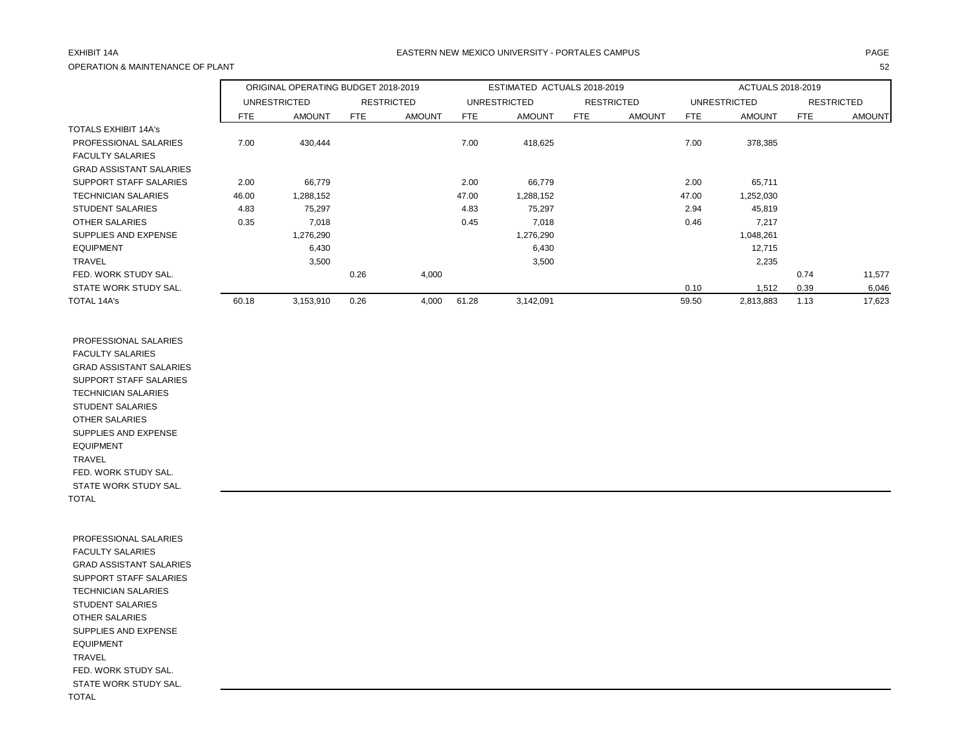## OPERATION & MAINTENANCE OF PLANT 52

## EXHIBIT 14A PAGE EASTERN NEW MEXICO UNIVERSITY - PORTALES CAMPUS

|                                |            | ORIGINAL OPERATING BUDGET 2018-2019 |      |                   |       | ESTIMATED ACTUALS 2018-2019 |     |                   |            | ACTUALS 2018-2019 |            |                   |
|--------------------------------|------------|-------------------------------------|------|-------------------|-------|-----------------------------|-----|-------------------|------------|-------------------|------------|-------------------|
|                                |            | UNRESTRICTED                        |      | <b>RESTRICTED</b> |       | <b>UNRESTRICTED</b>         |     | <b>RESTRICTED</b> |            | UNRESTRICTED      |            | <b>RESTRICTED</b> |
|                                | <b>FTE</b> | <b>AMOUNT</b>                       | FTE  | <b>AMOUNT</b>     | FTE   | <b>AMOUNT</b>               | FTE | <b>AMOUNT</b>     | <b>FTE</b> | <b>AMOUNT</b>     | <b>FTE</b> | <b>AMOUNT</b>     |
| <b>TOTALS EXHIBIT 14A's</b>    |            |                                     |      |                   |       |                             |     |                   |            |                   |            |                   |
| PROFESSIONAL SALARIES          | 7.00       | 430,444                             |      |                   | 7.00  | 418,625                     |     |                   | 7.00       | 378,385           |            |                   |
| <b>FACULTY SALARIES</b>        |            |                                     |      |                   |       |                             |     |                   |            |                   |            |                   |
| <b>GRAD ASSISTANT SALARIES</b> |            |                                     |      |                   |       |                             |     |                   |            |                   |            |                   |
| SUPPORT STAFF SALARIES         | 2.00       | 66,779                              |      |                   | 2.00  | 66,779                      |     |                   | 2.00       | 65,711            |            |                   |
| <b>TECHNICIAN SALARIES</b>     | 46.00      | 1,288,152                           |      |                   | 47.00 | 1,288,152                   |     |                   | 47.00      | 1,252,030         |            |                   |
| <b>STUDENT SALARIES</b>        | 4.83       | 75,297                              |      |                   | 4.83  | 75,297                      |     |                   | 2.94       | 45,819            |            |                   |
| <b>OTHER SALARIES</b>          | 0.35       | 7,018                               |      |                   | 0.45  | 7,018                       |     |                   | 0.46       | 7,217             |            |                   |
| SUPPLIES AND EXPENSE           |            | 1,276,290                           |      |                   |       | 1,276,290                   |     |                   |            | 1,048,261         |            |                   |
| <b>EQUIPMENT</b>               |            | 6,430                               |      |                   |       | 6,430                       |     |                   |            | 12,715            |            |                   |
| <b>TRAVEL</b>                  |            | 3,500                               |      |                   |       | 3,500                       |     |                   |            | 2,235             |            |                   |
| FED. WORK STUDY SAL.           |            |                                     | 0.26 | 4,000             |       |                             |     |                   |            |                   | 0.74       | 11,577            |
| STATE WORK STUDY SAL.          |            |                                     |      |                   |       |                             |     |                   | 0.10       | 1,512             | 0.39       | 6,046             |
| <b>TOTAL 14A's</b>             | 60.18      | 3,153,910                           | 0.26 | 4,000             | 61.28 | 3,142,091                   |     |                   | 59.50      | 2,813,883         | 1.13       | 17,623            |

 PROFESSIONAL SALARIES FACULTY SALARIES GRAD ASSISTANT SALARIES SUPPORT STAFF SALARIES TECHNICIAN SALARIES STUDENT SALARIES OTHER SALARIES SUPPLIES AND EXPENSE EQUIPMENT TRAVEL FED. WORK STUDY SAL. STATE WORK STUDY SAL. TOTAL

 PROFESSIONAL SALARIES FACULTY SALARIES GRAD ASSISTANT SALARIES SUPPORT STAFF SALARIES TECHNICIAN SALARIES STUDENT SALARIES OTHER SALARIES SUPPLIES AND EXPENSE EQUIPMENT TRAVEL FED. WORK STUDY SAL. STATE WORK STUDY SAL. TOTAL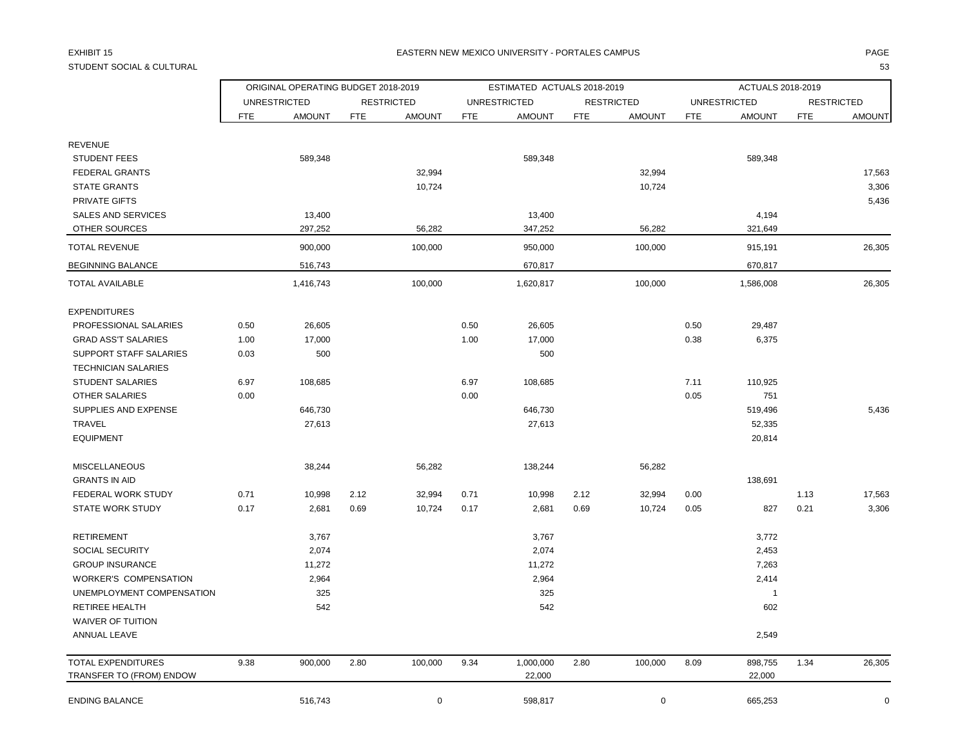## STUDENT SOCIAL & CULTURAL 53

### EXHIBIT 15 PAGE NATIONAL SERVICE OF THE SERVICE OF THE SERVICE OF THE SERVICE OF THE SERVICE OF THE SERVICE OF THE SERVICE OF THE SERVICE OF THE SERVICE OF THE SERVICE OF THE SERVICE OF THE SERVICE OF THE SERVICE OF THE SE

|                              |            | ORIGINAL OPERATING BUDGET 2018-2019 |      |                   |            | ESTIMATED ACTUALS 2018-2019 |            |                   |            | ACTUALS 2018-2019   |            |                   |
|------------------------------|------------|-------------------------------------|------|-------------------|------------|-----------------------------|------------|-------------------|------------|---------------------|------------|-------------------|
|                              |            | <b>UNRESTRICTED</b>                 |      | <b>RESTRICTED</b> |            | <b>UNRESTRICTED</b>         |            | <b>RESTRICTED</b> |            | <b>UNRESTRICTED</b> |            | <b>RESTRICTED</b> |
|                              | <b>FTE</b> | <b>AMOUNT</b>                       | FTE  | <b>AMOUNT</b>     | <b>FTE</b> | <b>AMOUNT</b>               | <b>FTE</b> | <b>AMOUNT</b>     | <b>FTE</b> | <b>AMOUNT</b>       | <b>FTE</b> | <b>AMOUNT</b>     |
| <b>REVENUE</b>               |            |                                     |      |                   |            |                             |            |                   |            |                     |            |                   |
| <b>STUDENT FEES</b>          |            | 589,348                             |      |                   |            | 589,348                     |            |                   |            | 589,348             |            |                   |
| <b>FEDERAL GRANTS</b>        |            |                                     |      | 32,994            |            |                             |            | 32,994            |            |                     |            | 17,563            |
| <b>STATE GRANTS</b>          |            |                                     |      | 10,724            |            |                             |            | 10,724            |            |                     |            | 3,306             |
| PRIVATE GIFTS                |            |                                     |      |                   |            |                             |            |                   |            |                     |            | 5,436             |
| <b>SALES AND SERVICES</b>    |            | 13,400                              |      |                   |            | 13,400                      |            |                   |            | 4,194               |            |                   |
| OTHER SOURCES                |            | 297,252                             |      | 56,282            |            | 347,252                     |            | 56,282            |            | 321,649             |            |                   |
| <b>TOTAL REVENUE</b>         |            | 900,000                             |      | 100,000           |            | 950,000                     |            | 100,000           |            | 915,191             |            | 26,305            |
| <b>BEGINNING BALANCE</b>     |            | 516,743                             |      |                   |            | 670,817                     |            |                   |            | 670,817             |            |                   |
| <b>TOTAL AVAILABLE</b>       |            | 1,416,743                           |      | 100,000           |            | 1,620,817                   |            | 100,000           |            | 1,586,008           |            | 26,305            |
| <b>EXPENDITURES</b>          |            |                                     |      |                   |            |                             |            |                   |            |                     |            |                   |
| PROFESSIONAL SALARIES        | 0.50       | 26,605                              |      |                   | 0.50       | 26,605                      |            |                   | 0.50       | 29,487              |            |                   |
| <b>GRAD ASS'T SALARIES</b>   | 1.00       | 17,000                              |      |                   | 1.00       | 17,000                      |            |                   | 0.38       | 6,375               |            |                   |
| SUPPORT STAFF SALARIES       | 0.03       | 500                                 |      |                   |            | 500                         |            |                   |            |                     |            |                   |
| <b>TECHNICIAN SALARIES</b>   |            |                                     |      |                   |            |                             |            |                   |            |                     |            |                   |
| <b>STUDENT SALARIES</b>      | 6.97       | 108,685                             |      |                   | 6.97       | 108,685                     |            |                   | 7.11       | 110,925             |            |                   |
| <b>OTHER SALARIES</b>        | 0.00       |                                     |      |                   | 0.00       |                             |            |                   | 0.05       | 751                 |            |                   |
| SUPPLIES AND EXPENSE         |            | 646,730                             |      |                   |            | 646,730                     |            |                   |            | 519,496             |            | 5,436             |
| TRAVEL                       |            | 27,613                              |      |                   |            | 27,613                      |            |                   |            | 52,335              |            |                   |
| <b>EQUIPMENT</b>             |            |                                     |      |                   |            |                             |            |                   |            | 20,814              |            |                   |
| <b>MISCELLANEOUS</b>         |            | 38,244                              |      | 56,282            |            | 138,244                     |            | 56,282            |            |                     |            |                   |
| <b>GRANTS IN AID</b>         |            |                                     |      |                   |            |                             |            |                   |            | 138,691             |            |                   |
| FEDERAL WORK STUDY           | 0.71       | 10,998                              | 2.12 | 32,994            | 0.71       | 10,998                      | 2.12       | 32,994            | 0.00       |                     | 1.13       | 17,563            |
| <b>STATE WORK STUDY</b>      | 0.17       | 2,681                               | 0.69 | 10,724            | 0.17       | 2,681                       | 0.69       | 10,724            | 0.05       | 827                 | 0.21       | 3,306             |
| <b>RETIREMENT</b>            |            | 3,767                               |      |                   |            | 3,767                       |            |                   |            | 3,772               |            |                   |
| SOCIAL SECURITY              |            | 2,074                               |      |                   |            | 2,074                       |            |                   |            | 2,453               |            |                   |
| <b>GROUP INSURANCE</b>       |            | 11,272                              |      |                   |            | 11,272                      |            |                   |            | 7,263               |            |                   |
| <b>WORKER'S COMPENSATION</b> |            | 2,964                               |      |                   |            | 2,964                       |            |                   |            | 2,414               |            |                   |
| UNEMPLOYMENT COMPENSATION    |            | 325                                 |      |                   |            | 325                         |            |                   |            | $\mathbf 1$         |            |                   |
| RETIREE HEALTH               |            | 542                                 |      |                   |            | 542                         |            |                   |            | 602                 |            |                   |
| <b>WAIVER OF TUITION</b>     |            |                                     |      |                   |            |                             |            |                   |            |                     |            |                   |
| ANNUAL LEAVE                 |            |                                     |      |                   |            |                             |            |                   |            | 2,549               |            |                   |
| <b>TOTAL EXPENDITURES</b>    | 9.38       | 900,000                             | 2.80 | 100,000           | 9.34       | 1,000,000                   | 2.80       | 100,000           | 8.09       | 898,755             | 1.34       | 26,305            |
| TRANSFER TO (FROM) ENDOW     |            |                                     |      |                   |            | 22,000                      |            |                   |            | 22,000              |            |                   |
| <b>ENDING BALANCE</b>        |            | 516,743                             |      | 0                 |            | 598,817                     |            | 0                 |            | 665,253             |            | $\mathbf 0$       |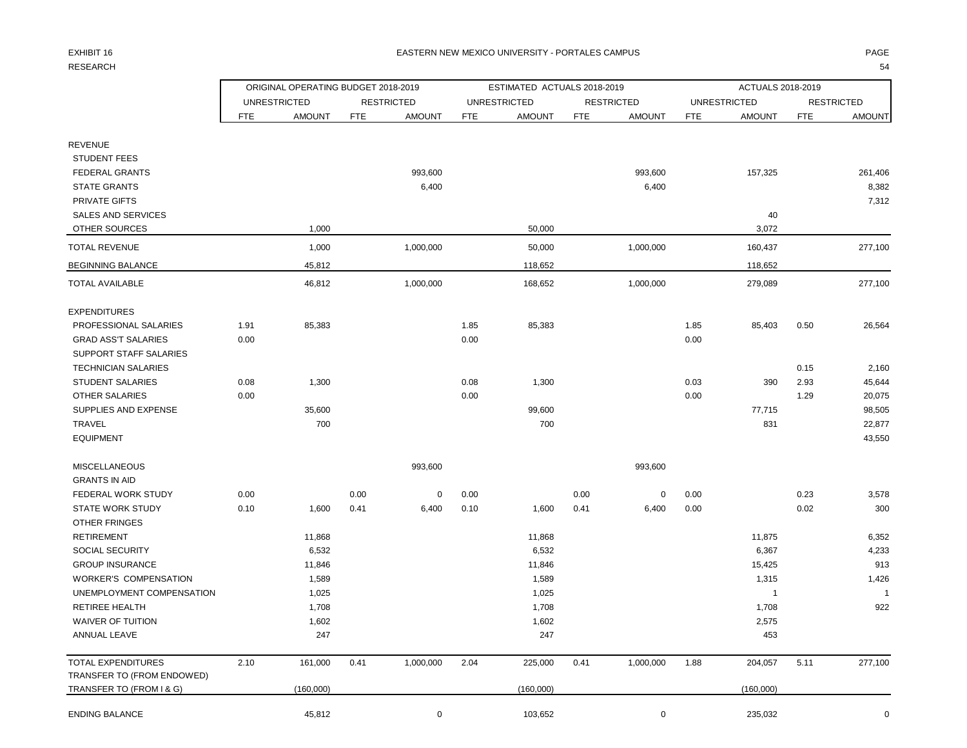## RESEARCH 1999 - SAN 1999 - SAN 1999 - SAN 1999 - SAN 1999 - SAN 1999 - SAN 1999 - SAN 1999 - SAN 1999 - SAN 1999 - SA

### EXHIBIT 16 PAGE PAGE IN THE RESTRIAL MEXICO UNIVERSITY - PORTALES CAMPUS PAGE IN THE RESTRIAL OF PAGE IN THE RESTRIAL OF PAGE IN THE RESTRIAL OF PAGE IN THE RESTRIAL OF PAGE IN THE RESTRIAL OF PAGE IN THE RESTRIAL OF PAGE

|                                                        |      | ORIGINAL OPERATING BUDGET 2018-2019 |            |                   |            | ESTIMATED ACTUALS 2018-2019 |            |                   |            | ACTUALS 2018-2019   |            |                   |
|--------------------------------------------------------|------|-------------------------------------|------------|-------------------|------------|-----------------------------|------------|-------------------|------------|---------------------|------------|-------------------|
|                                                        |      | <b>UNRESTRICTED</b>                 |            | <b>RESTRICTED</b> |            | <b>UNRESTRICTED</b>         |            | <b>RESTRICTED</b> |            | <b>UNRESTRICTED</b> |            | <b>RESTRICTED</b> |
|                                                        | FTE  | <b>AMOUNT</b>                       | <b>FTE</b> | <b>AMOUNT</b>     | <b>FTE</b> | <b>AMOUNT</b>               | <b>FTE</b> | <b>AMOUNT</b>     | <b>FTE</b> | <b>AMOUNT</b>       | <b>FTE</b> | <b>AMOUNT</b>     |
| <b>REVENUE</b>                                         |      |                                     |            |                   |            |                             |            |                   |            |                     |            |                   |
| <b>STUDENT FEES</b>                                    |      |                                     |            |                   |            |                             |            |                   |            |                     |            |                   |
| <b>FEDERAL GRANTS</b>                                  |      |                                     |            | 993,600           |            |                             |            | 993,600           |            | 157,325             |            | 261,406           |
| <b>STATE GRANTS</b>                                    |      |                                     |            | 6,400             |            |                             |            | 6,400             |            |                     |            | 8,382             |
| PRIVATE GIFTS                                          |      |                                     |            |                   |            |                             |            |                   |            |                     |            | 7,312             |
| SALES AND SERVICES                                     |      |                                     |            |                   |            |                             |            |                   |            | 40                  |            |                   |
| OTHER SOURCES                                          |      | 1,000                               |            |                   |            | 50,000                      |            |                   |            | 3,072               |            |                   |
| <b>TOTAL REVENUE</b>                                   |      | 1,000                               |            | 1,000,000         |            | 50,000                      |            | 1,000,000         |            | 160,437             |            | 277,100           |
| <b>BEGINNING BALANCE</b>                               |      | 45,812                              |            |                   |            | 118,652                     |            |                   |            | 118,652             |            |                   |
| <b>TOTAL AVAILABLE</b>                                 |      | 46,812                              |            | 1,000,000         |            | 168,652                     |            | 1,000,000         |            | 279,089             |            | 277,100           |
| <b>EXPENDITURES</b>                                    |      |                                     |            |                   |            |                             |            |                   |            |                     |            |                   |
| PROFESSIONAL SALARIES                                  | 1.91 | 85,383                              |            |                   | 1.85       | 85,383                      |            |                   | 1.85       | 85,403              | 0.50       | 26,564            |
| <b>GRAD ASS'T SALARIES</b>                             | 0.00 |                                     |            |                   | 0.00       |                             |            |                   | 0.00       |                     |            |                   |
| <b>SUPPORT STAFF SALARIES</b>                          |      |                                     |            |                   |            |                             |            |                   |            |                     |            |                   |
| <b>TECHNICIAN SALARIES</b>                             |      |                                     |            |                   |            |                             |            |                   |            |                     | 0.15       | 2,160             |
| <b>STUDENT SALARIES</b>                                | 0.08 | 1,300                               |            |                   | 0.08       | 1,300                       |            |                   | 0.03       | 390                 | 2.93       | 45,644            |
| OTHER SALARIES                                         | 0.00 |                                     |            |                   | 0.00       |                             |            |                   | 0.00       |                     | 1.29       | 20,075            |
| SUPPLIES AND EXPENSE                                   |      | 35,600                              |            |                   |            | 99,600                      |            |                   |            | 77,715              |            | 98,505            |
| TRAVEL                                                 |      | 700                                 |            |                   |            | 700                         |            |                   |            | 831                 |            | 22,877            |
| <b>EQUIPMENT</b>                                       |      |                                     |            |                   |            |                             |            |                   |            |                     |            | 43,550            |
| <b>MISCELLANEOUS</b>                                   |      |                                     |            | 993,600           |            |                             |            | 993,600           |            |                     |            |                   |
| <b>GRANTS IN AID</b>                                   |      |                                     |            |                   |            |                             |            |                   |            |                     |            |                   |
| FEDERAL WORK STUDY                                     | 0.00 |                                     | 0.00       | 0                 | 0.00       |                             | 0.00       | 0                 | 0.00       |                     | 0.23       | 3,578             |
| <b>STATE WORK STUDY</b>                                | 0.10 | 1,600                               | 0.41       | 6,400             | 0.10       | 1,600                       | 0.41       | 6,400             | 0.00       |                     | 0.02       | 300               |
| OTHER FRINGES<br><b>RETIREMENT</b>                     |      |                                     |            |                   |            |                             |            |                   |            |                     |            |                   |
| SOCIAL SECURITY                                        |      | 11,868<br>6,532                     |            |                   |            | 11,868<br>6,532             |            |                   |            | 11,875<br>6,367     |            | 6,352<br>4,233    |
| <b>GROUP INSURANCE</b>                                 |      | 11,846                              |            |                   |            | 11,846                      |            |                   |            | 15,425              |            | 913               |
| <b>WORKER'S COMPENSATION</b>                           |      | 1,589                               |            |                   |            | 1,589                       |            |                   |            | 1,315               |            | 1,426             |
| UNEMPLOYMENT COMPENSATION                              |      | 1,025                               |            |                   |            | 1,025                       |            |                   |            | $\mathbf{1}$        |            | $\overline{1}$    |
| <b>RETIREE HEALTH</b>                                  |      | 1,708                               |            |                   |            | 1,708                       |            |                   |            | 1,708               |            | 922               |
| WAIVER OF TUITION                                      |      | 1,602                               |            |                   |            | 1,602                       |            |                   |            | 2,575               |            |                   |
| ANNUAL LEAVE                                           |      | 247                                 |            |                   |            | 247                         |            |                   |            | 453                 |            |                   |
| TOTAL EXPENDITURES                                     | 2.10 | 161,000                             | 0.41       | 1,000,000         | 2.04       | 225,000                     | 0.41       | 1,000,000         | 1.88       | 204,057             | 5.11       | 277,100           |
| TRANSFER TO (FROM ENDOWED)<br>TRANSFER TO (FROM I & G) |      | (160,000)                           |            |                   |            | (160,000)                   |            |                   |            | (160,000)           |            |                   |
| ENDING BALANCE                                         |      | 45,812                              |            | 0                 |            | 103,652                     |            | 0                 |            | 235,032             |            | $\overline{0}$    |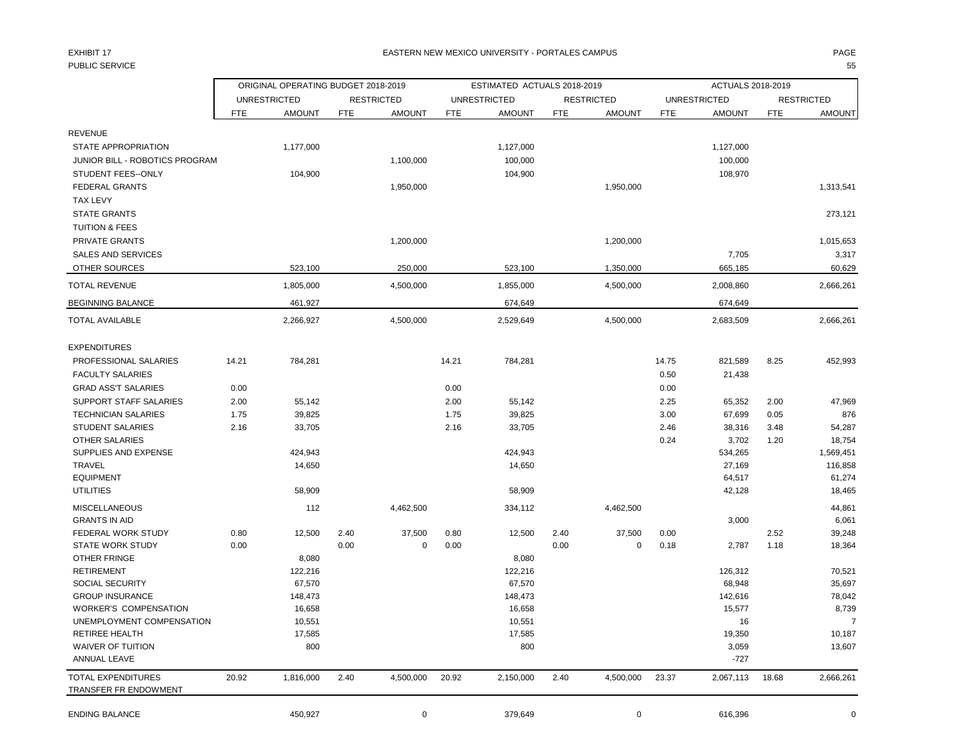## PUBLIC SERVICE 55

|                                             |            | ORIGINAL OPERATING BUDGET 2018-2019 |      |                   |            | ESTIMATED ACTUALS 2018-2019 |            |                   |            | ACTUALS 2018-2019   |            |                   |
|---------------------------------------------|------------|-------------------------------------|------|-------------------|------------|-----------------------------|------------|-------------------|------------|---------------------|------------|-------------------|
|                                             |            | <b>UNRESTRICTED</b>                 |      | <b>RESTRICTED</b> |            | <b>UNRESTRICTED</b>         |            | <b>RESTRICTED</b> |            | <b>UNRESTRICTED</b> |            | <b>RESTRICTED</b> |
|                                             | <b>FTE</b> | <b>AMOUNT</b>                       | FTE  | <b>AMOUNT</b>     | <b>FTE</b> | <b>AMOUNT</b>               | <b>FTE</b> | <b>AMOUNT</b>     | <b>FTE</b> | <b>AMOUNT</b>       | <b>FTE</b> | <b>AMOUNT</b>     |
| <b>REVENUE</b>                              |            |                                     |      |                   |            |                             |            |                   |            |                     |            |                   |
| STATE APPROPRIATION                         |            | 1,177,000                           |      |                   |            | 1,127,000                   |            |                   |            | 1,127,000           |            |                   |
| JUNIOR BILL - ROBOTICS PROGRAM              |            |                                     |      | 1,100,000         |            | 100,000                     |            |                   |            | 100,000             |            |                   |
| STUDENT FEES--ONLY                          |            | 104,900                             |      |                   |            | 104,900                     |            |                   |            | 108,970             |            |                   |
| <b>FEDERAL GRANTS</b>                       |            |                                     |      | 1,950,000         |            |                             |            | 1,950,000         |            |                     |            | 1,313,541         |
| <b>TAX LEVY</b>                             |            |                                     |      |                   |            |                             |            |                   |            |                     |            |                   |
| <b>STATE GRANTS</b>                         |            |                                     |      |                   |            |                             |            |                   |            |                     |            | 273,121           |
| <b>TUITION &amp; FEES</b>                   |            |                                     |      |                   |            |                             |            |                   |            |                     |            |                   |
| PRIVATE GRANTS                              |            |                                     |      | 1,200,000         |            |                             |            |                   |            |                     |            |                   |
| <b>SALES AND SERVICES</b>                   |            |                                     |      |                   |            |                             |            | 1,200,000         |            |                     |            | 1,015,653         |
|                                             |            |                                     |      |                   |            |                             |            |                   |            | 7,705               |            | 3,317             |
| OTHER SOURCES                               |            | 523,100                             |      | 250,000           |            | 523,100                     |            | 1,350,000         |            | 665,185             |            | 60,629            |
| <b>TOTAL REVENUE</b>                        |            | 1,805,000                           |      | 4,500,000         |            | 1,855,000                   |            | 4,500,000         |            | 2,008,860           |            | 2,666,261         |
| <b>BEGINNING BALANCE</b>                    |            | 461,927                             |      |                   |            | 674,649                     |            |                   |            | 674,649             |            |                   |
| <b>TOTAL AVAILABLE</b>                      |            | 2,266,927                           |      | 4,500,000         |            | 2,529,649                   |            | 4,500,000         |            | 2,683,509           |            | 2,666,261         |
| <b>EXPENDITURES</b>                         |            |                                     |      |                   |            |                             |            |                   |            |                     |            |                   |
| PROFESSIONAL SALARIES                       | 14.21      | 784,281                             |      |                   | 14.21      | 784,281                     |            |                   | 14.75      | 821,589             | 8.25       | 452,993           |
| <b>FACULTY SALARIES</b>                     |            |                                     |      |                   |            |                             |            |                   | 0.50       | 21,438              |            |                   |
| <b>GRAD ASS'T SALARIES</b>                  | 0.00       |                                     |      |                   | 0.00       |                             |            |                   | 0.00       |                     |            |                   |
| SUPPORT STAFF SALARIES                      | 2.00       | 55,142                              |      |                   | 2.00       | 55,142                      |            |                   | 2.25       | 65,352              | 2.00       | 47,969            |
| <b>TECHNICIAN SALARIES</b>                  | 1.75       | 39,825                              |      |                   | 1.75       | 39,825                      |            |                   | 3.00       | 67,699              | 0.05       | 876               |
| STUDENT SALARIES                            | 2.16       | 33,705                              |      |                   | 2.16       | 33,705                      |            |                   | 2.46       | 38,316              | 3.48       | 54,287            |
| <b>OTHER SALARIES</b>                       |            |                                     |      |                   |            |                             |            |                   | 0.24       | 3,702               | 1.20       | 18,754            |
| SUPPLIES AND EXPENSE                        |            | 424,943                             |      |                   |            | 424,943                     |            |                   |            | 534,265             |            | 1,569,451         |
| <b>TRAVEL</b>                               |            | 14,650                              |      |                   |            | 14,650                      |            |                   |            | 27,169              |            | 116,858           |
| <b>EQUIPMENT</b>                            |            |                                     |      |                   |            |                             |            |                   |            | 64,517              |            | 61,274            |
| <b>UTILITIES</b>                            |            | 58,909                              |      |                   |            | 58,909                      |            |                   |            | 42,128              |            | 18,465            |
| <b>MISCELLANEOUS</b>                        |            | 112                                 |      | 4,462,500         |            | 334,112                     |            | 4,462,500         |            |                     |            | 44,861            |
| <b>GRANTS IN AID</b>                        |            |                                     |      |                   |            |                             |            |                   |            | 3,000               |            | 6,061             |
| FEDERAL WORK STUDY                          | 0.80       | 12,500                              | 2.40 | 37,500            | 0.80       | 12,500                      | 2.40       | 37,500            | 0.00       |                     | 2.52       | 39,248            |
| <b>STATE WORK STUDY</b>                     | 0.00       |                                     | 0.00 | 0                 | 0.00       |                             | 0.00       | 0                 | 0.18       | 2,787               | 1.18       | 18,364            |
| <b>OTHER FRINGE</b>                         |            | 8,080                               |      |                   |            | 8,080                       |            |                   |            |                     |            |                   |
| <b>RETIREMENT</b>                           |            | 122,216                             |      |                   |            | 122,216                     |            |                   |            | 126,312             |            | 70,521            |
| <b>SOCIAL SECURITY</b>                      |            | 67,570                              |      |                   |            | 67,570                      |            |                   |            | 68,948              |            | 35,697            |
| <b>GROUP INSURANCE</b>                      |            | 148,473                             |      |                   |            | 148,473                     |            |                   |            | 142,616             |            | 78,042            |
| <b>WORKER'S COMPENSATION</b>                |            | 16,658                              |      |                   |            | 16,658                      |            |                   |            | 15,577              |            | 8,739             |
| UNEMPLOYMENT COMPENSATION                   |            | 10,551                              |      |                   |            | 10,551                      |            |                   |            | 16                  |            | $\overline{7}$    |
| RETIREE HEALTH                              |            | 17,585                              |      |                   |            | 17,585                      |            |                   |            | 19,350              |            | 10,187            |
| WAIVER OF TUITION                           |            | 800                                 |      |                   |            | 800                         |            |                   |            | 3,059               |            | 13,607            |
| ANNUAL LEAVE                                |            |                                     |      |                   |            |                             |            |                   |            | $-727$              |            |                   |
| TOTAL EXPENDITURES<br>TRANSFER FR ENDOWMENT | 20.92      | 1,816,000                           | 2.40 | 4,500,000         | 20.92      | 2,150,000                   | 2.40       | 4,500,000         | 23.37      | 2,067,113           | 18.68      | 2,666,261         |
| <b>ENDING BALANCE</b>                       |            | 450,927                             |      | 0                 |            | 379,649                     |            | 0                 |            | 616,396             |            | 0                 |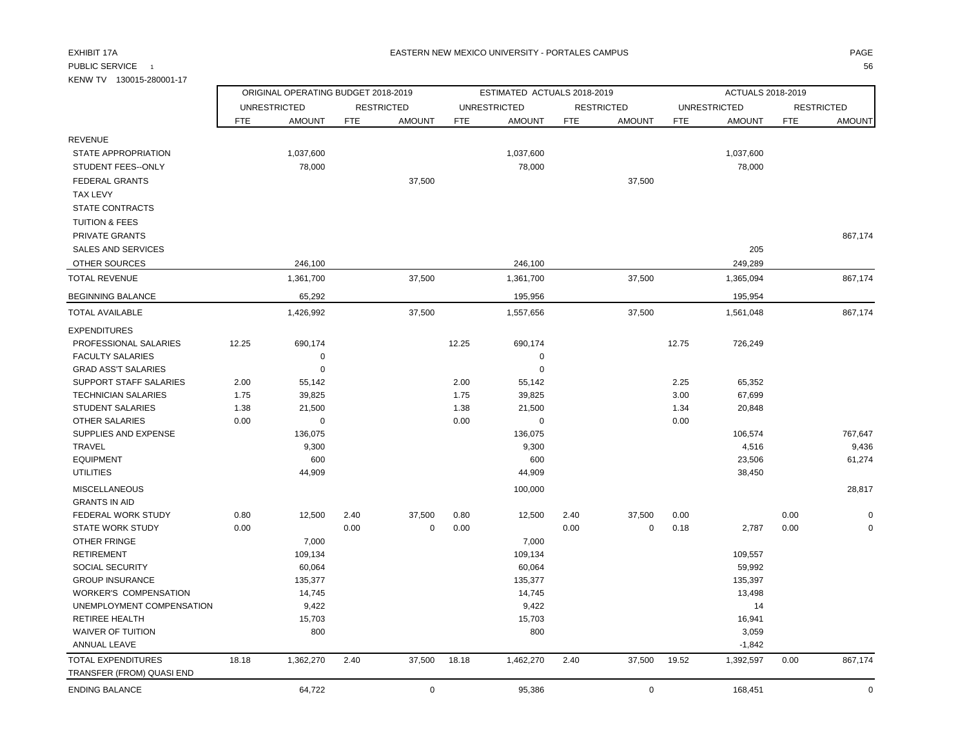KENW TV 130015-280001-17

### EXHIBIT 17A PAGE EASTERN NEW MEXICO UNIVERSITY - PORTALES CAMPUS

PUBLIC SERVICE 1

|                                                           |            | ORIGINAL OPERATING BUDGET 2018-2019 |            |                   |            | ESTIMATED ACTUALS 2018-2019 |            |                   |            | ACTUALS 2018-2019   |            |                   |
|-----------------------------------------------------------|------------|-------------------------------------|------------|-------------------|------------|-----------------------------|------------|-------------------|------------|---------------------|------------|-------------------|
|                                                           |            | <b>UNRESTRICTED</b>                 |            | <b>RESTRICTED</b> |            | <b>UNRESTRICTED</b>         |            | <b>RESTRICTED</b> |            | <b>UNRESTRICTED</b> |            | <b>RESTRICTED</b> |
|                                                           | <b>FTE</b> | <b>AMOUNT</b>                       | <b>FTE</b> | <b>AMOUNT</b>     | <b>FTE</b> | <b>AMOUNT</b>               | <b>FTE</b> | <b>AMOUNT</b>     | <b>FTE</b> | <b>AMOUNT</b>       | <b>FTE</b> | <b>AMOUNT</b>     |
| <b>REVENUE</b>                                            |            |                                     |            |                   |            |                             |            |                   |            |                     |            |                   |
| STATE APPROPRIATION                                       |            | 1,037,600                           |            |                   |            | 1,037,600                   |            |                   |            | 1,037,600           |            |                   |
| STUDENT FEES--ONLY                                        |            | 78,000                              |            |                   |            | 78,000                      |            |                   |            | 78,000              |            |                   |
| <b>FEDERAL GRANTS</b>                                     |            |                                     |            | 37,500            |            |                             |            | 37,500            |            |                     |            |                   |
| <b>TAX LEVY</b>                                           |            |                                     |            |                   |            |                             |            |                   |            |                     |            |                   |
| STATE CONTRACTS                                           |            |                                     |            |                   |            |                             |            |                   |            |                     |            |                   |
| <b>TUITION &amp; FEES</b>                                 |            |                                     |            |                   |            |                             |            |                   |            |                     |            |                   |
| PRIVATE GRANTS                                            |            |                                     |            |                   |            |                             |            |                   |            |                     |            | 867,174           |
| <b>SALES AND SERVICES</b>                                 |            |                                     |            |                   |            |                             |            |                   |            | 205                 |            |                   |
| OTHER SOURCES                                             |            | 246,100                             |            |                   |            | 246,100                     |            |                   |            | 249,289             |            |                   |
| <b>TOTAL REVENUE</b>                                      |            | 1,361,700                           |            | 37,500            |            | 1,361,700                   |            | 37,500            |            | 1,365,094           |            | 867,174           |
| <b>BEGINNING BALANCE</b>                                  |            | 65,292                              |            |                   |            | 195,956                     |            |                   |            | 195,954             |            |                   |
| <b>TOTAL AVAILABLE</b>                                    |            | 1,426,992                           |            | 37,500            |            | 1,557,656                   |            | 37,500            |            | 1,561,048           |            | 867,174           |
| <b>EXPENDITURES</b>                                       |            |                                     |            |                   |            |                             |            |                   |            |                     |            |                   |
| PROFESSIONAL SALARIES                                     | 12.25      | 690,174                             |            |                   | 12.25      | 690,174                     |            |                   | 12.75      | 726,249             |            |                   |
| <b>FACULTY SALARIES</b>                                   |            | $\mathbf 0$                         |            |                   |            | $\mathbf 0$                 |            |                   |            |                     |            |                   |
| <b>GRAD ASS'T SALARIES</b>                                |            | $\mathbf 0$                         |            |                   |            | $\mathbf 0$                 |            |                   |            |                     |            |                   |
| SUPPORT STAFF SALARIES                                    | 2.00       | 55,142                              |            |                   | 2.00       | 55,142                      |            |                   | 2.25       | 65,352              |            |                   |
| <b>TECHNICIAN SALARIES</b>                                | 1.75       | 39,825                              |            |                   | 1.75       | 39,825                      |            |                   | 3.00       | 67,699              |            |                   |
| <b>STUDENT SALARIES</b>                                   | 1.38       | 21,500                              |            |                   | 1.38       | 21,500                      |            |                   | 1.34       | 20,848              |            |                   |
| OTHER SALARIES                                            | 0.00       | $\mathbf 0$                         |            |                   | 0.00       | $\mathbf 0$                 |            |                   | 0.00       |                     |            |                   |
| SUPPLIES AND EXPENSE                                      |            | 136,075                             |            |                   |            | 136,075                     |            |                   |            | 106,574             |            | 767,647           |
| <b>TRAVEL</b>                                             |            | 9,300                               |            |                   |            | 9,300                       |            |                   |            | 4,516               |            | 9,436             |
| <b>EQUIPMENT</b>                                          |            | 600                                 |            |                   |            | 600                         |            |                   |            | 23,506              |            | 61,274            |
| <b>UTILITIES</b>                                          |            | 44,909                              |            |                   |            | 44,909                      |            |                   |            | 38,450              |            |                   |
| <b>MISCELLANEOUS</b>                                      |            |                                     |            |                   |            | 100,000                     |            |                   |            |                     |            | 28,817            |
| <b>GRANTS IN AID</b>                                      |            |                                     |            |                   |            |                             |            |                   |            |                     |            |                   |
| FEDERAL WORK STUDY                                        | 0.80       | 12,500                              | 2.40       | 37,500            | 0.80       | 12,500                      | 2.40       | 37,500            | 0.00       |                     | 0.00       | $\mathbf 0$       |
| <b>STATE WORK STUDY</b>                                   | 0.00       |                                     | 0.00       | $\mathbf 0$       | 0.00       |                             | 0.00       | 0                 | 0.18       | 2,787               | 0.00       | $\mathbf 0$       |
| OTHER FRINGE                                              |            | 7,000                               |            |                   |            | 7,000                       |            |                   |            |                     |            |                   |
| <b>RETIREMENT</b>                                         |            | 109,134                             |            |                   |            | 109,134                     |            |                   |            | 109,557             |            |                   |
| SOCIAL SECURITY                                           |            | 60,064                              |            |                   |            | 60,064                      |            |                   |            | 59,992              |            |                   |
| <b>GROUP INSURANCE</b>                                    |            | 135,377                             |            |                   |            | 135,377                     |            |                   |            | 135,397             |            |                   |
| <b>WORKER'S COMPENSATION</b><br>UNEMPLOYMENT COMPENSATION |            | 14,745<br>9,422                     |            |                   |            | 14,745<br>9,422             |            |                   |            | 13,498<br>14        |            |                   |
| <b>RETIREE HEALTH</b>                                     |            | 15,703                              |            |                   |            | 15,703                      |            |                   |            | 16,941              |            |                   |
| WAIVER OF TUITION                                         |            | 800                                 |            |                   |            | 800                         |            |                   |            | 3,059               |            |                   |
| <b>ANNUAL LEAVE</b>                                       |            |                                     |            |                   |            |                             |            |                   |            | $-1,842$            |            |                   |
| <b>TOTAL EXPENDITURES</b>                                 | 18.18      | 1,362,270                           | 2.40       | 37,500            | 18.18      | 1,462,270                   | 2.40       | 37,500            | 19.52      | 1,392,597           | 0.00       | 867,174           |
| TRANSFER (FROM) QUASI END                                 |            |                                     |            |                   |            |                             |            |                   |            |                     |            |                   |
| <b>ENDING BALANCE</b>                                     |            | 64,722                              |            | $\mathbf 0$       |            | 95,386                      |            | $\mathsf 0$       |            | 168,451             |            | $\mathbf 0$       |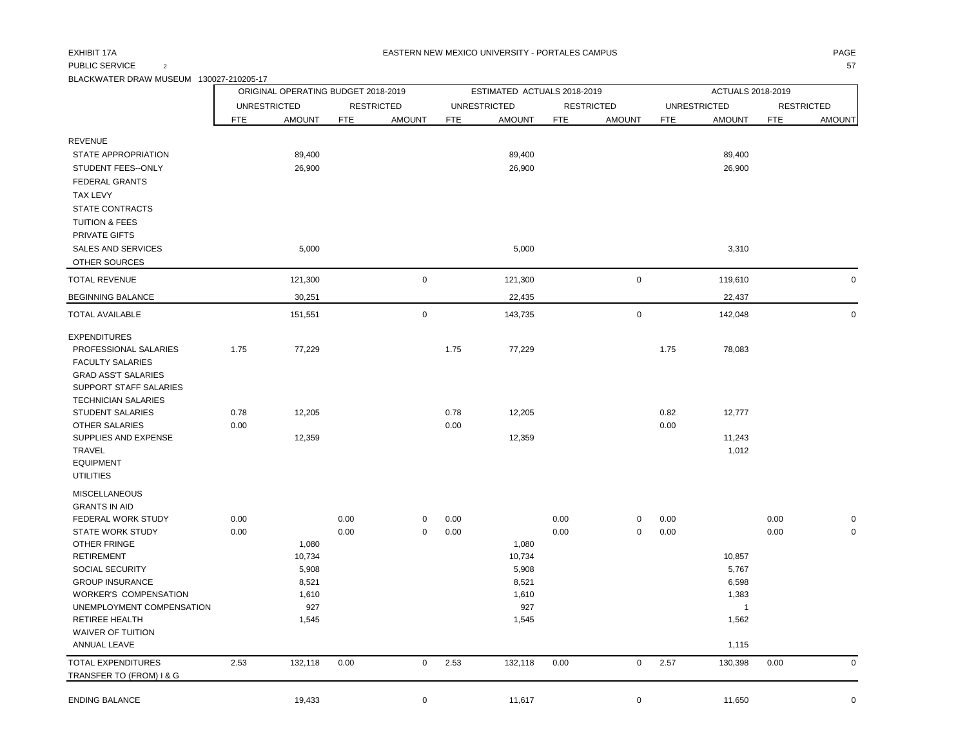## PUBLIC SERVICE  $\qquad \qquad 2$  57

BLACKWATER DRAW MUSEUM 130027-210205-17

|                                                                                                                                                                                                                                                                                                                   |              | ORIGINAL OPERATING BUDGET 2018-2019                        |              |                   |              | ESTIMATED ACTUALS 2018-2019                                |              |                   |              | ACTUALS 2018-2019                                                     |              |                            |
|-------------------------------------------------------------------------------------------------------------------------------------------------------------------------------------------------------------------------------------------------------------------------------------------------------------------|--------------|------------------------------------------------------------|--------------|-------------------|--------------|------------------------------------------------------------|--------------|-------------------|--------------|-----------------------------------------------------------------------|--------------|----------------------------|
|                                                                                                                                                                                                                                                                                                                   |              | <b>UNRESTRICTED</b>                                        |              | <b>RESTRICTED</b> |              | <b>UNRESTRICTED</b>                                        |              | <b>RESTRICTED</b> |              | <b>UNRESTRICTED</b>                                                   |              | <b>RESTRICTED</b>          |
|                                                                                                                                                                                                                                                                                                                   | <b>FTE</b>   | <b>AMOUNT</b>                                              | <b>FTE</b>   | <b>AMOUNT</b>     | <b>FTE</b>   | <b>AMOUNT</b>                                              | <b>FTE</b>   | <b>AMOUNT</b>     | <b>FTE</b>   | <b>AMOUNT</b>                                                         | <b>FTE</b>   | <b>AMOUNT</b>              |
| <b>REVENUE</b><br>STATE APPROPRIATION                                                                                                                                                                                                                                                                             |              | 89,400                                                     |              |                   |              | 89,400                                                     |              |                   |              | 89,400                                                                |              |                            |
| STUDENT FEES--ONLY<br><b>FEDERAL GRANTS</b><br><b>TAX LEVY</b><br><b>STATE CONTRACTS</b><br><b>TUITION &amp; FEES</b><br>PRIVATE GIFTS                                                                                                                                                                            |              | 26,900                                                     |              |                   |              | 26,900                                                     |              |                   |              | 26,900                                                                |              |                            |
| <b>SALES AND SERVICES</b><br>OTHER SOURCES                                                                                                                                                                                                                                                                        |              | 5,000                                                      |              |                   |              | 5,000                                                      |              |                   |              | 3,310                                                                 |              |                            |
| <b>TOTAL REVENUE</b>                                                                                                                                                                                                                                                                                              |              | 121,300                                                    |              | $\pmb{0}$         |              | 121,300                                                    |              | $\mathbf 0$       |              | 119,610                                                               |              | $\mathbf 0$                |
| <b>BEGINNING BALANCE</b>                                                                                                                                                                                                                                                                                          |              | 30,251                                                     |              |                   |              | 22,435                                                     |              |                   |              | 22,437                                                                |              |                            |
| <b>TOTAL AVAILABLE</b>                                                                                                                                                                                                                                                                                            |              | 151,551                                                    |              | $\pmb{0}$         |              | 143,735                                                    |              | $\mathbf 0$       |              | 142,048                                                               |              | $\mathsf 0$                |
| <b>EXPENDITURES</b><br>PROFESSIONAL SALARIES<br><b>FACULTY SALARIES</b><br><b>GRAD ASS'T SALARIES</b><br>SUPPORT STAFF SALARIES                                                                                                                                                                                   | 1.75         | 77,229                                                     |              |                   | 1.75         | 77,229                                                     |              |                   | 1.75         | 78,083                                                                |              |                            |
| <b>TECHNICIAN SALARIES</b><br><b>STUDENT SALARIES</b><br>OTHER SALARIES<br>SUPPLIES AND EXPENSE<br><b>TRAVEL</b><br><b>EQUIPMENT</b><br><b>UTILITIES</b>                                                                                                                                                          | 0.78<br>0.00 | 12,205<br>12,359                                           |              |                   | 0.78<br>0.00 | 12,205<br>12,359                                           |              |                   | 0.82<br>0.00 | 12,777<br>11,243<br>1,012                                             |              |                            |
| <b>MISCELLANEOUS</b><br><b>GRANTS IN AID</b><br>FEDERAL WORK STUDY<br><b>STATE WORK STUDY</b><br>OTHER FRINGE<br><b>RETIREMENT</b><br>SOCIAL SECURITY<br><b>GROUP INSURANCE</b><br><b>WORKER'S COMPENSATION</b><br>UNEMPLOYMENT COMPENSATION<br><b>RETIREE HEALTH</b><br><b>WAIVER OF TUITION</b><br>ANNUAL LEAVE | 0.00<br>0.00 | 1,080<br>10,734<br>5,908<br>8,521<br>1,610<br>927<br>1,545 | 0.00<br>0.00 | 0<br>$\mathbf 0$  | 0.00<br>0.00 | 1,080<br>10,734<br>5,908<br>8,521<br>1,610<br>927<br>1,545 | 0.00<br>0.00 | 0<br>$\mathbf 0$  | 0.00<br>0.00 | 10,857<br>5,767<br>6,598<br>1,383<br>$\overline{1}$<br>1,562<br>1,115 | 0.00<br>0.00 | $\mathbf 0$<br>$\mathbf 0$ |
| TOTAL EXPENDITURES<br>TRANSFER TO (FROM) I & G                                                                                                                                                                                                                                                                    | 2.53         | 132,118                                                    | 0.00         | $\pmb{0}$         | 2.53         | 132,118                                                    | 0.00         | $\mathbf 0$       | 2.57         | 130,398                                                               | 0.00         | $\mathbf 0$                |
| <b>ENDING BALANCE</b>                                                                                                                                                                                                                                                                                             |              | 19,433                                                     |              | 0                 |              | 11,617                                                     |              | $\mathbf 0$       |              | 11,650                                                                |              | $\mathbf 0$                |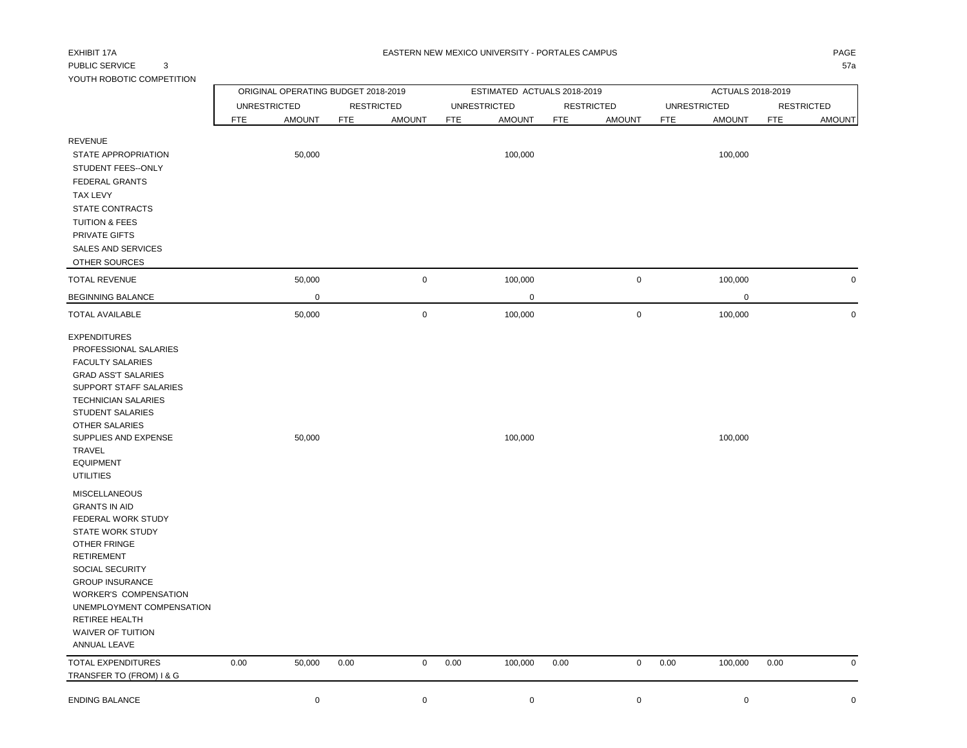# PUBLIC SERVICE 3 57a

| YOUTH ROBOTIC COMPETITION                                                                                                                                                                                                                                                                           |                            |                                     |            |                                    |            |                                      |            |                                    |            |                                      |      |                                    |
|-----------------------------------------------------------------------------------------------------------------------------------------------------------------------------------------------------------------------------------------------------------------------------------------------------|----------------------------|-------------------------------------|------------|------------------------------------|------------|--------------------------------------|------------|------------------------------------|------------|--------------------------------------|------|------------------------------------|
|                                                                                                                                                                                                                                                                                                     |                            | ORIGINAL OPERATING BUDGET 2018-2019 |            |                                    |            | ESTIMATED ACTUALS 2018-2019          |            |                                    |            | ACTUALS 2018-2019                    |      |                                    |
|                                                                                                                                                                                                                                                                                                     | <b>UNRESTRICTED</b><br>FTE | <b>AMOUNT</b>                       | <b>FTE</b> | <b>RESTRICTED</b><br><b>AMOUNT</b> | <b>FTE</b> | <b>UNRESTRICTED</b><br><b>AMOUNT</b> | <b>FTE</b> | <b>RESTRICTED</b><br><b>AMOUNT</b> | <b>FTE</b> | <b>UNRESTRICTED</b><br><b>AMOUNT</b> | FTE  | <b>RESTRICTED</b><br><b>AMOUNT</b> |
| <b>REVENUE</b><br>STATE APPROPRIATION<br>STUDENT FEES--ONLY<br><b>FEDERAL GRANTS</b><br>TAX LEVY<br><b>STATE CONTRACTS</b><br><b>TUITION &amp; FEES</b><br><b>PRIVATE GIFTS</b><br><b>SALES AND SERVICES</b><br><b>OTHER SOURCES</b>                                                                |                            | 50,000                              |            |                                    |            | 100,000                              |            |                                    |            | 100,000                              |      |                                    |
| <b>TOTAL REVENUE</b>                                                                                                                                                                                                                                                                                |                            | 50,000                              |            | $\pmb{0}$                          |            | 100,000                              |            | 0                                  |            | 100,000                              |      | $\mathbf 0$                        |
| <b>BEGINNING BALANCE</b>                                                                                                                                                                                                                                                                            |                            | $\mathbf 0$                         |            |                                    |            | $\mathbf 0$                          |            |                                    |            | $\pmb{0}$                            |      |                                    |
| TOTAL AVAILABLE                                                                                                                                                                                                                                                                                     |                            | 50,000                              |            | $\mathbf 0$                        |            | 100,000                              |            | $\mathbf 0$                        |            | 100,000                              |      | $\mathbf 0$                        |
| <b>EXPENDITURES</b><br>PROFESSIONAL SALARIES<br><b>FACULTY SALARIES</b><br><b>GRAD ASS'T SALARIES</b><br>SUPPORT STAFF SALARIES<br><b>TECHNICIAN SALARIES</b><br><b>STUDENT SALARIES</b><br><b>OTHER SALARIES</b><br>SUPPLIES AND EXPENSE<br>TRAVEL<br><b>EQUIPMENT</b><br><b>UTILITIES</b>         |                            | 50,000                              |            |                                    |            | 100,000                              |            |                                    |            | 100,000                              |      |                                    |
| <b>MISCELLANEOUS</b><br><b>GRANTS IN AID</b><br>FEDERAL WORK STUDY<br>STATE WORK STUDY<br>OTHER FRINGE<br><b>RETIREMENT</b><br>SOCIAL SECURITY<br><b>GROUP INSURANCE</b><br><b>WORKER'S COMPENSATION</b><br>UNEMPLOYMENT COMPENSATION<br>RETIREE HEALTH<br><b>WAIVER OF TUITION</b><br>ANNUAL LEAVE |                            |                                     |            |                                    |            |                                      |            |                                    |            |                                      |      |                                    |
| <b>TOTAL EXPENDITURES</b><br>TRANSFER TO (FROM) I & G                                                                                                                                                                                                                                               | 0.00                       | 50,000                              | 0.00       | $\mathbf 0$                        | 0.00       | 100,000                              | 0.00       | 0                                  | 0.00       | 100,000                              | 0.00 | $\mathbf 0$                        |
| <b>ENDING BALANCE</b>                                                                                                                                                                                                                                                                               |                            | $\mathbf 0$                         |            | $\mathbf 0$                        |            | $\mathsf 0$                          |            | 0                                  |            | $\mathbf 0$                          |      | $\mathbf 0$                        |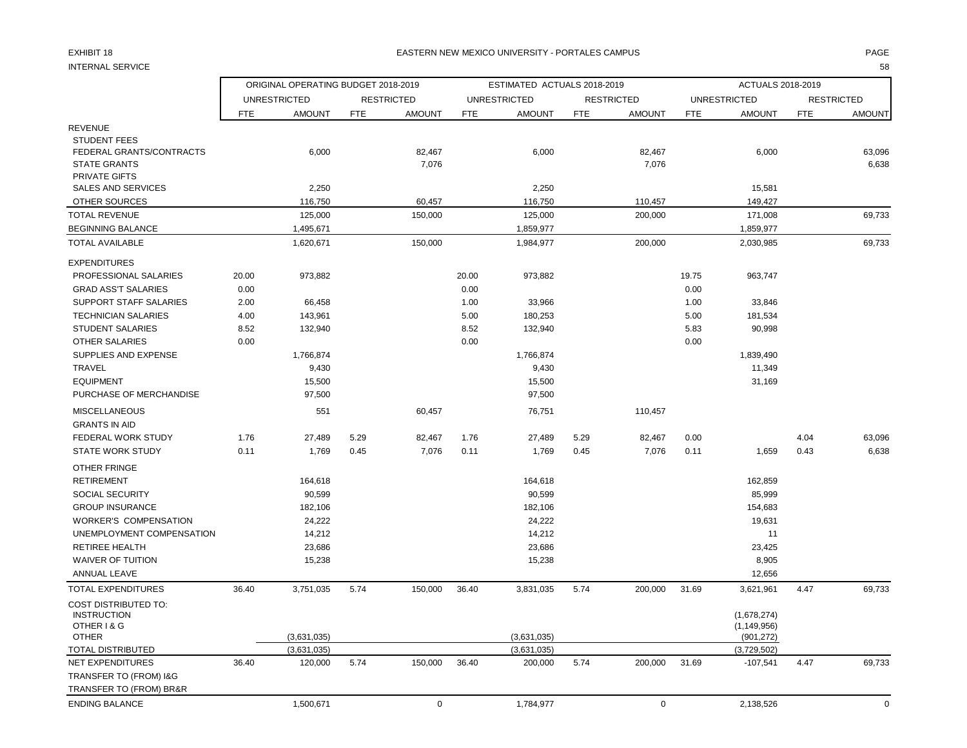### EXHIBIT 18 PAGE NATION OF THE RESTRIAL MEXICO UNIVERSITY - PORTALES CAMPUS AND THE RESTRIAL OF PAGE AND THE RESTRIAL OF THE RESTRIAL OF THE RESTRIAL OF THE RESTRIAL OF THE RESTRIAL OF THE RESTRIAL OF THE RESTRIAL OF THE RE

INTERNAL SERVICE 58

|                                                                                                |            | ORIGINAL OPERATING BUDGET 2018-2019 |            |                   |            | ESTIMATED ACTUALS 2018-2019 |            |                   |            | ACTUALS 2018-2019                          |            |                   |
|------------------------------------------------------------------------------------------------|------------|-------------------------------------|------------|-------------------|------------|-----------------------------|------------|-------------------|------------|--------------------------------------------|------------|-------------------|
|                                                                                                |            | <b>UNRESTRICTED</b>                 |            | <b>RESTRICTED</b> |            | <b>UNRESTRICTED</b>         |            | <b>RESTRICTED</b> |            | <b>UNRESTRICTED</b>                        |            | <b>RESTRICTED</b> |
|                                                                                                | <b>FTE</b> | <b>AMOUNT</b>                       | <b>FTE</b> | <b>AMOUNT</b>     | <b>FTE</b> | <b>AMOUNT</b>               | <b>FTE</b> | <b>AMOUNT</b>     | <b>FTE</b> | <b>AMOUNT</b>                              | <b>FTE</b> | <b>AMOUNT</b>     |
| <b>REVENUE</b>                                                                                 |            |                                     |            |                   |            |                             |            |                   |            |                                            |            |                   |
| <b>STUDENT FEES</b><br>FEDERAL GRANTS/CONTRACTS<br><b>STATE GRANTS</b><br><b>PRIVATE GIFTS</b> |            | 6,000                               |            | 82,467<br>7,076   |            | 6,000                       |            | 82,467<br>7,076   |            | 6,000                                      |            | 63,096<br>6,638   |
| <b>SALES AND SERVICES</b>                                                                      |            | 2,250                               |            |                   |            | 2,250                       |            |                   |            | 15,581                                     |            |                   |
| OTHER SOURCES                                                                                  |            | 116,750                             |            | 60,457            |            | 116,750                     |            | 110,457           |            | 149,427                                    |            |                   |
| <b>TOTAL REVENUE</b>                                                                           |            | 125,000                             |            | 150,000           |            | 125,000                     |            | 200,000           |            | 171,008                                    |            | 69,733            |
| <b>BEGINNING BALANCE</b>                                                                       |            | 1,495,671                           |            |                   |            | 1,859,977                   |            |                   |            | 1,859,977                                  |            |                   |
| <b>TOTAL AVAILABLE</b>                                                                         |            | 1,620,671                           |            | 150,000           |            | 1,984,977                   |            | 200,000           |            | 2,030,985                                  |            | 69,733            |
| <b>EXPENDITURES</b>                                                                            |            |                                     |            |                   |            |                             |            |                   |            |                                            |            |                   |
| PROFESSIONAL SALARIES                                                                          | 20.00      | 973,882                             |            |                   | 20.00      | 973,882                     |            |                   | 19.75      | 963,747                                    |            |                   |
| <b>GRAD ASS'T SALARIES</b>                                                                     | 0.00       |                                     |            |                   | 0.00       |                             |            |                   | 0.00       |                                            |            |                   |
| <b>SUPPORT STAFF SALARIES</b>                                                                  | 2.00       | 66,458                              |            |                   | 1.00       | 33,966                      |            |                   | 1.00       | 33,846                                     |            |                   |
| <b>TECHNICIAN SALARIES</b>                                                                     | 4.00       | 143,961                             |            |                   | 5.00       | 180,253                     |            |                   | 5.00       | 181,534                                    |            |                   |
| <b>STUDENT SALARIES</b>                                                                        | 8.52       | 132,940                             |            |                   | 8.52       | 132,940                     |            |                   | 5.83       | 90,998                                     |            |                   |
| <b>OTHER SALARIES</b>                                                                          | 0.00       |                                     |            |                   | 0.00       |                             |            |                   | 0.00       |                                            |            |                   |
| <b>SUPPLIES AND EXPENSE</b>                                                                    |            | 1,766,874                           |            |                   |            | 1,766,874                   |            |                   |            | 1,839,490                                  |            |                   |
| <b>TRAVEL</b>                                                                                  |            | 9,430                               |            |                   |            | 9,430                       |            |                   |            | 11,349                                     |            |                   |
| <b>EQUIPMENT</b><br>PURCHASE OF MERCHANDISE                                                    |            | 15,500<br>97,500                    |            |                   |            | 15,500<br>97,500            |            |                   |            | 31,169                                     |            |                   |
| <b>MISCELLANEOUS</b>                                                                           |            | 551                                 |            | 60,457            |            | 76,751                      |            | 110,457           |            |                                            |            |                   |
| <b>GRANTS IN AID</b>                                                                           |            |                                     |            |                   |            |                             |            |                   |            |                                            |            |                   |
| FEDERAL WORK STUDY                                                                             | 1.76       | 27,489                              | 5.29       | 82,467            | 1.76       | 27,489                      | 5.29       | 82,467            | 0.00       |                                            | 4.04       | 63,096            |
| <b>STATE WORK STUDY</b>                                                                        | 0.11       | 1,769                               | 0.45       | 7,076             | 0.11       | 1,769                       | 0.45       | 7,076             | 0.11       | 1,659                                      | 0.43       | 6,638             |
| OTHER FRINGE                                                                                   |            |                                     |            |                   |            |                             |            |                   |            |                                            |            |                   |
| <b>RETIREMENT</b>                                                                              |            | 164,618                             |            |                   |            | 164,618                     |            |                   |            | 162,859                                    |            |                   |
| <b>SOCIAL SECURITY</b>                                                                         |            | 90,599                              |            |                   |            | 90,599                      |            |                   |            | 85,999                                     |            |                   |
| <b>GROUP INSURANCE</b>                                                                         |            | 182,106                             |            |                   |            | 182,106                     |            |                   |            | 154,683                                    |            |                   |
| <b>WORKER'S COMPENSATION</b>                                                                   |            | 24,222                              |            |                   |            | 24,222                      |            |                   |            | 19,631                                     |            |                   |
| UNEMPLOYMENT COMPENSATION                                                                      |            | 14,212                              |            |                   |            | 14,212                      |            |                   |            | 11                                         |            |                   |
| <b>RETIREE HEALTH</b>                                                                          |            | 23,686                              |            |                   |            | 23,686                      |            |                   |            | 23,425                                     |            |                   |
| <b>WAIVER OF TUITION</b>                                                                       |            | 15,238                              |            |                   |            | 15,238                      |            |                   |            | 8,905                                      |            |                   |
| ANNUAL LEAVE                                                                                   |            |                                     |            |                   |            |                             |            |                   |            | 12,656                                     |            |                   |
| <b>TOTAL EXPENDITURES</b>                                                                      | 36.40      | 3,751,035                           | 5.74       | 150,000           | 36.40      | 3,831,035                   | 5.74       | 200,000           | 31.69      | 3,621,961                                  | 4.47       | 69,733            |
| <b>COST DISTRIBUTED TO:</b><br><b>INSTRUCTION</b><br>OTHER I & G<br><b>OTHER</b>               |            | (3,631,035)                         |            |                   |            | (3,631,035)                 |            |                   |            | (1,678,274)<br>(1, 149, 956)<br>(901, 272) |            |                   |
| <b>TOTAL DISTRIBUTED</b>                                                                       |            | (3,631,035)                         |            |                   |            | (3,631,035)                 |            |                   |            | (3,729,502)                                |            |                   |
| <b>NET EXPENDITURES</b>                                                                        | 36.40      | 120,000                             | 5.74       | 150,000           | 36.40      | 200,000                     | 5.74       | 200,000           | 31.69      | $-107,541$                                 | 4.47       | 69,733            |
| TRANSFER TO (FROM) I&G                                                                         |            |                                     |            |                   |            |                             |            |                   |            |                                            |            |                   |
| TRANSFER TO (FROM) BR&R                                                                        |            |                                     |            |                   |            |                             |            |                   |            |                                            |            |                   |
| <b>ENDING BALANCE</b>                                                                          |            | 1,500,671                           |            | $\mathbf 0$       |            | 1,784,977                   |            | $\mathbf 0$       |            | 2,138,526                                  |            | $\mathbf 0$       |
|                                                                                                |            |                                     |            |                   |            |                             |            |                   |            |                                            |            |                   |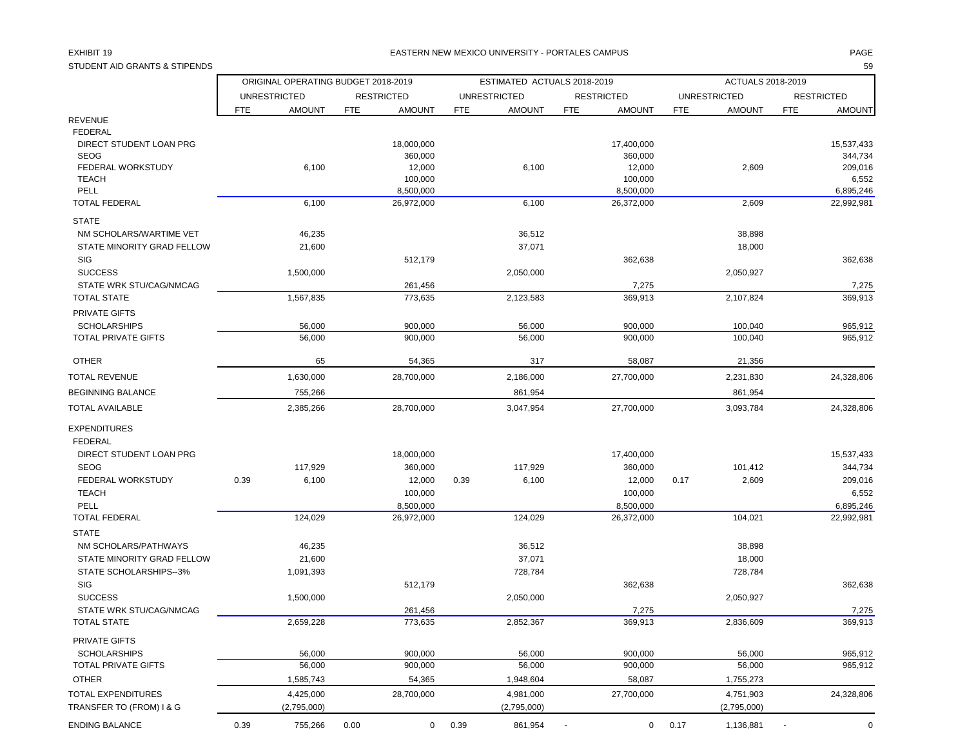STUDENT AID GRANTS & STIPENDS 59

|                                               |      | ORIGINAL OPERATING BUDGET 2018-2019 |      |                    |            | ESTIMATED ACTUALS 2018-2019 |            |                   |            | ACTUALS 2018-2019   |            |                   |
|-----------------------------------------------|------|-------------------------------------|------|--------------------|------------|-----------------------------|------------|-------------------|------------|---------------------|------------|-------------------|
|                                               |      | <b>UNRESTRICTED</b>                 |      | <b>RESTRICTED</b>  |            | <b>UNRESTRICTED</b>         |            | <b>RESTRICTED</b> |            | <b>UNRESTRICTED</b> |            | <b>RESTRICTED</b> |
|                                               | FTE. | <b>AMOUNT</b>                       | FTE  | <b>AMOUNT</b>      | <b>FTE</b> | <b>AMOUNT</b>               | <b>FTE</b> | <b>AMOUNT</b>     | <b>FTE</b> | <b>AMOUNT</b>       | <b>FTE</b> | <b>AMOUNT</b>     |
| REVENUE                                       |      |                                     |      |                    |            |                             |            |                   |            |                     |            |                   |
| <b>FEDERAL</b>                                |      |                                     |      |                    |            |                             |            |                   |            |                     |            |                   |
| DIRECT STUDENT LOAN PRG                       |      |                                     |      | 18,000,000         |            |                             |            | 17,400,000        |            |                     |            | 15,537,433        |
| <b>SEOG</b>                                   |      |                                     |      | 360,000            |            |                             |            | 360,000           |            |                     |            | 344,734           |
| FEDERAL WORKSTUDY<br><b>TEACH</b>             |      | 6,100                               |      | 12,000<br>100,000  |            | 6,100                       |            | 12,000<br>100,000 |            | 2,609               |            | 209,016<br>6,552  |
| PELL                                          |      |                                     |      | 8,500,000          |            |                             |            | 8,500,000         |            |                     |            | 6,895,246         |
| <b>TOTAL FEDERAL</b>                          |      | 6,100                               |      | 26,972,000         |            | 6,100                       |            | 26,372,000        |            | 2,609               |            | 22,992,981        |
| <b>STATE</b>                                  |      |                                     |      |                    |            |                             |            |                   |            |                     |            |                   |
| NM SCHOLARS/WARTIME VET                       |      | 46,235                              |      |                    |            | 36,512                      |            |                   |            | 38,898              |            |                   |
| STATE MINORITY GRAD FELLOW                    |      | 21,600                              |      |                    |            | 37,071                      |            |                   |            | 18,000              |            |                   |
| <b>SIG</b>                                    |      |                                     |      | 512,179            |            |                             |            | 362,638           |            |                     |            | 362,638           |
| <b>SUCCESS</b>                                |      | 1,500,000                           |      |                    |            | 2,050,000                   |            |                   |            | 2,050,927           |            |                   |
| STATE WRK STU/CAG/NMCAG                       |      |                                     |      | 261,456            |            |                             |            | 7,275             |            |                     |            | 7,275             |
| <b>TOTAL STATE</b>                            |      | 1,567,835                           |      | 773,635            |            | 2,123,583                   |            | 369,913           |            | 2,107,824           |            | 369,913           |
| PRIVATE GIFTS                                 |      |                                     |      |                    |            |                             |            |                   |            |                     |            |                   |
| <b>SCHOLARSHIPS</b>                           |      | 56,000                              |      | 900,000            |            | 56,000                      |            | 900,000           |            | 100,040             |            | 965,912           |
| <b>TOTAL PRIVATE GIFTS</b>                    |      | 56,000                              |      | 900,000            |            | 56,000                      |            | 900,000           |            | 100,040             |            | 965,912           |
| <b>OTHER</b>                                  |      | 65                                  |      | 54,365             |            | 317                         |            | 58,087            |            | 21,356              |            |                   |
| TOTAL REVENUE                                 |      | 1,630,000                           |      | 28,700,000         |            | 2,186,000                   |            | 27,700,000        |            | 2,231,830           |            | 24,328,806        |
| BEGINNING BALANCE                             |      | 755,266                             |      |                    |            | 861,954                     |            |                   |            | 861,954             |            |                   |
| TOTAL AVAILABLE                               |      | 2,385,266                           |      | 28,700,000         |            | 3,047,954                   |            | 27,700,000        |            | 3,093,784           |            | 24,328,806        |
|                                               |      |                                     |      |                    |            |                             |            |                   |            |                     |            |                   |
| EXPENDITURES                                  |      |                                     |      |                    |            |                             |            |                   |            |                     |            |                   |
| <b>FEDERAL</b>                                |      |                                     |      |                    |            |                             |            |                   |            |                     |            |                   |
| DIRECT STUDENT LOAN PRG                       |      |                                     |      | 18,000,000         |            |                             |            | 17,400,000        |            |                     |            | 15,537,433        |
| <b>SEOG</b>                                   |      | 117,929                             |      | 360,000            |            | 117,929                     |            | 360,000           |            | 101,412             |            | 344,734           |
| FEDERAL WORKSTUDY                             | 0.39 | 6,100                               |      | 12,000             | 0.39       | 6,100                       |            | 12,000            | 0.17       | 2,609               |            | 209,016           |
| <b>TEACH</b>                                  |      |                                     |      | 100,000            |            |                             |            | 100,000           |            |                     |            | 6,552             |
| PELL                                          |      |                                     |      | 8,500,000          |            |                             |            | 8,500,000         |            |                     |            | 6,895,246         |
| <b>TOTAL FEDERAL</b>                          |      | 124,029                             |      | 26,972,000         |            | 124,029                     |            | 26,372,000        |            | 104,021             |            | 22,992,981        |
| <b>STATE</b>                                  |      |                                     |      |                    |            |                             |            |                   |            |                     |            |                   |
| NM SCHOLARS/PATHWAYS                          |      | 46,235                              |      |                    |            | 36,512                      |            |                   |            | 38,898              |            |                   |
| STATE MINORITY GRAD FELLOW                    |      | 21,600                              |      |                    |            | 37,071                      |            |                   |            | 18,000              |            |                   |
| STATE SCHOLARSHIPS--3%                        |      | 1,091,393                           |      |                    |            | 728,784                     |            |                   |            | 728,784             |            |                   |
| SIG                                           |      |                                     |      | 512,179            |            |                             |            | 362,638           |            |                     |            | 362,638           |
| <b>SUCCESS</b>                                |      | 1,500,000                           |      |                    |            | 2,050,000                   |            |                   |            | 2,050,927           |            |                   |
| STATE WRK STU/CAG/NMCAG<br><b>TOTAL STATE</b> |      | 2,659,228                           |      | 261,456<br>773,635 |            | 2,852,367                   |            | 7,275<br>369,913  |            | 2,836,609           |            | 7,275<br>369,913  |
| PRIVATE GIFTS                                 |      |                                     |      |                    |            |                             |            |                   |            |                     |            |                   |
| <b>SCHOLARSHIPS</b>                           |      | 56,000                              |      | 900,000            |            | 56,000                      |            | 900,000           |            | 56,000              |            | 965,912           |
| TOTAL PRIVATE GIFTS                           |      | 56,000                              |      | 900,000            |            | 56,000                      |            | 900,000           |            | 56,000              |            | 965,912           |
| <b>OTHER</b>                                  |      | 1,585,743                           |      | 54,365             |            | 1,948,604                   |            | 58,087            |            | 1,755,273           |            |                   |
| TOTAL EXPENDITURES                            |      | 4,425,000                           |      | 28,700,000         |            | 4,981,000                   |            | 27,700,000        |            | 4,751,903           |            | 24,328,806        |
| TRANSFER TO (FROM) I & G                      |      | (2,795,000)                         |      |                    |            | (2,795,000)                 |            |                   |            | (2,795,000)         |            |                   |
| ENDING BALANCE                                | 0.39 | 755,266                             | 0.00 | 0                  | 0.39       | 861,954                     | $\sim$     | $\mathbf{0}$      | 0.17       | 1,136,881           | $\sim$     | 0                 |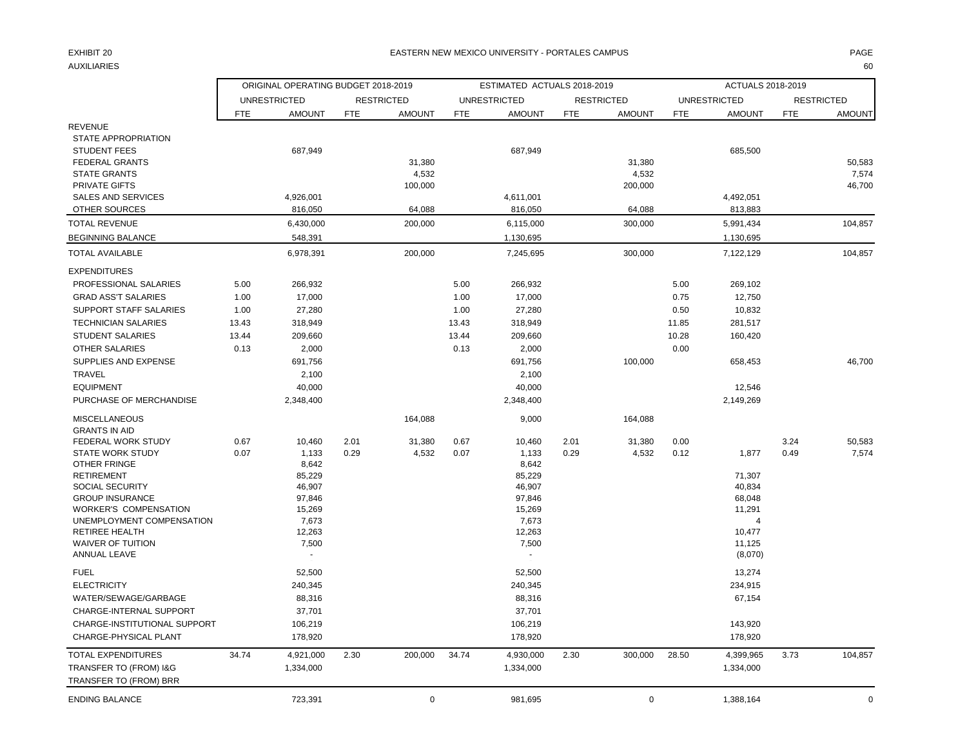### EXHIBIT 20 PAGE PAGE IN THE SERVICE OF THE SERVICE OF THE SERVICE OF THE SERVICE OF THE SERVICE OF THE SERVICE OF THE SERVICE OF THE SERVICE OF THE SERVICE OF THE SERVICE OF THE SERVICE OF THE SERVICE OF THE SERVICE OF THE

AUXILIARIES 60

|                                          | ORIGINAL OPERATING BUDGET 2018-2019 |                 |            |                   |            | ESTIMATED ACTUALS 2018-2019 |            |                   | ACTUALS 2018-2019 |                     |            |                   |  |
|------------------------------------------|-------------------------------------|-----------------|------------|-------------------|------------|-----------------------------|------------|-------------------|-------------------|---------------------|------------|-------------------|--|
|                                          | <b>UNRESTRICTED</b>                 |                 |            | <b>RESTRICTED</b> |            | <b>UNRESTRICTED</b>         |            | <b>RESTRICTED</b> |                   | <b>UNRESTRICTED</b> |            | <b>RESTRICTED</b> |  |
|                                          | FTE                                 | <b>AMOUNT</b>   | <b>FTE</b> | <b>AMOUNT</b>     | <b>FTE</b> | <b>AMOUNT</b>               | <b>FTE</b> | <b>AMOUNT</b>     | <b>FTE</b>        | <b>AMOUNT</b>       | <b>FTE</b> | <b>AMOUNT</b>     |  |
| <b>REVENUE</b>                           |                                     |                 |            |                   |            |                             |            |                   |                   |                     |            |                   |  |
| STATE APPROPRIATION                      |                                     |                 |            |                   |            |                             |            |                   |                   |                     |            |                   |  |
| <b>STUDENT FEES</b>                      |                                     | 687,949         |            |                   |            | 687,949                     |            |                   |                   | 685,500             |            |                   |  |
| <b>FEDERAL GRANTS</b>                    |                                     |                 |            | 31,380            |            |                             |            | 31,380            |                   |                     |            | 50,583            |  |
| <b>STATE GRANTS</b>                      |                                     |                 |            | 4,532             |            |                             |            | 4,532             |                   |                     |            | 7,574             |  |
| PRIVATE GIFTS                            |                                     |                 |            | 100,000           |            |                             |            | 200,000           |                   |                     |            | 46,700            |  |
| SALES AND SERVICES                       |                                     | 4,926,001       |            |                   |            | 4,611,001                   |            |                   |                   | 4,492,051           |            |                   |  |
| OTHER SOURCES                            |                                     | 816,050         |            | 64,088            |            | 816,050                     |            | 64,088            |                   | 813,883             |            |                   |  |
| <b>TOTAL REVENUE</b>                     |                                     | 6,430,000       |            | 200,000           |            | 6,115,000                   |            | 300,000           |                   | 5,991,434           |            | 104,857           |  |
| <b>BEGINNING BALANCE</b>                 |                                     | 548,391         |            |                   |            | 1,130,695                   |            |                   |                   | 1,130,695           |            |                   |  |
| <b>TOTAL AVAILABLE</b>                   |                                     | 6,978,391       |            | 200,000           |            | 7,245,695                   |            | 300,000           |                   | 7,122,129           |            | 104,857           |  |
| <b>EXPENDITURES</b>                      |                                     |                 |            |                   |            |                             |            |                   |                   |                     |            |                   |  |
| PROFESSIONAL SALARIES                    | 5.00                                | 266,932         |            |                   | 5.00       | 266,932                     |            |                   | 5.00              | 269,102             |            |                   |  |
| <b>GRAD ASS'T SALARIES</b>               | 1.00                                | 17,000          |            |                   | 1.00       | 17,000                      |            |                   | 0.75              | 12,750              |            |                   |  |
| SUPPORT STAFF SALARIES                   | 1.00                                | 27,280          |            |                   | 1.00       | 27,280                      |            |                   | 0.50              | 10,832              |            |                   |  |
| <b>TECHNICIAN SALARIES</b>               | 13.43                               | 318,949         |            |                   | 13.43      | 318,949                     |            |                   | 11.85             | 281,517             |            |                   |  |
| <b>STUDENT SALARIES</b>                  | 13.44                               | 209,660         |            |                   | 13.44      | 209,660                     |            |                   | 10.28             | 160,420             |            |                   |  |
| <b>OTHER SALARIES</b>                    | 0.13                                | 2,000           |            |                   | 0.13       | 2,000                       |            |                   | 0.00              |                     |            |                   |  |
| SUPPLIES AND EXPENSE                     |                                     | 691,756         |            |                   |            | 691,756                     |            | 100,000           |                   | 658,453             |            | 46,700            |  |
| <b>TRAVEL</b>                            |                                     | 2,100           |            |                   |            | 2,100                       |            |                   |                   |                     |            |                   |  |
| <b>EQUIPMENT</b>                         |                                     | 40,000          |            |                   |            | 40,000                      |            |                   |                   | 12,546              |            |                   |  |
| PURCHASE OF MERCHANDISE                  |                                     | 2,348,400       |            |                   |            | 2,348,400                   |            |                   |                   | 2,149,269           |            |                   |  |
| <b>MISCELLANEOUS</b>                     |                                     |                 |            | 164,088           |            | 9,000                       |            | 164,088           |                   |                     |            |                   |  |
| <b>GRANTS IN AID</b>                     |                                     |                 |            |                   |            |                             |            |                   |                   |                     |            |                   |  |
| FEDERAL WORK STUDY                       | 0.67                                | 10,460          | 2.01       | 31,380            | 0.67       | 10,460                      | 2.01       | 31,380            | 0.00              |                     | 3.24       | 50,583            |  |
| <b>STATE WORK STUDY</b>                  | 0.07                                | 1,133           | 0.29       | 4,532             | 0.07       | 1,133                       | 0.29       | 4,532             | 0.12              | 1,877               | 0.49       | 7,574             |  |
| <b>OTHER FRINGE</b><br><b>RETIREMENT</b> |                                     | 8,642<br>85,229 |            |                   |            | 8,642<br>85,229             |            |                   |                   | 71,307              |            |                   |  |
| SOCIAL SECURITY                          |                                     | 46,907          |            |                   |            | 46,907                      |            |                   |                   | 40,834              |            |                   |  |
| <b>GROUP INSURANCE</b>                   |                                     | 97,846          |            |                   |            | 97,846                      |            |                   |                   | 68,048              |            |                   |  |
| <b>WORKER'S COMPENSATION</b>             |                                     | 15,269          |            |                   |            | 15,269                      |            |                   |                   | 11,291              |            |                   |  |
| UNEMPLOYMENT COMPENSATION                |                                     | 7,673           |            |                   |            | 7,673                       |            |                   |                   | $\overline{4}$      |            |                   |  |
| <b>RETIREE HEALTH</b>                    |                                     | 12,263          |            |                   |            | 12,263                      |            |                   |                   | 10,477              |            |                   |  |
| <b>WAIVER OF TUITION</b>                 |                                     | 7,500           |            |                   |            | 7,500                       |            |                   |                   | 11,125              |            |                   |  |
| ANNUAL LEAVE                             |                                     |                 |            |                   |            |                             |            |                   |                   | (8,070)             |            |                   |  |
| <b>FUEL</b>                              |                                     | 52,500          |            |                   |            | 52,500                      |            |                   |                   | 13,274              |            |                   |  |
| <b>ELECTRICITY</b>                       |                                     | 240,345         |            |                   |            | 240,345                     |            |                   |                   | 234,915             |            |                   |  |
| WATER/SEWAGE/GARBAGE                     |                                     | 88,316          |            |                   |            | 88,316                      |            |                   |                   | 67,154              |            |                   |  |
| CHARGE-INTERNAL SUPPORT                  |                                     | 37,701          |            |                   |            | 37,701                      |            |                   |                   |                     |            |                   |  |
| CHARGE-INSTITUTIONAL SUPPORT             |                                     | 106,219         |            |                   |            | 106,219                     |            |                   |                   | 143,920             |            |                   |  |
| CHARGE-PHYSICAL PLANT                    |                                     | 178,920         |            |                   |            | 178,920                     |            |                   |                   | 178,920             |            |                   |  |
| <b>TOTAL EXPENDITURES</b>                | 34.74                               | 4,921,000       | 2.30       | 200,000           | 34.74      | 4,930,000                   | 2.30       | 300,000           | 28.50             | 4,399,965           | 3.73       | 104,857           |  |
| TRANSFER TO (FROM) I&G                   |                                     | 1,334,000       |            |                   |            | 1,334,000                   |            |                   |                   | 1,334,000           |            |                   |  |
| TRANSFER TO (FROM) BRR                   |                                     |                 |            |                   |            |                             |            |                   |                   |                     |            |                   |  |
| <b>ENDING BALANCE</b>                    |                                     | 723,391         |            | $\mathbf 0$       |            | 981,695                     |            | $\mathbf 0$       |                   | 1,388,164           |            | $\Omega$          |  |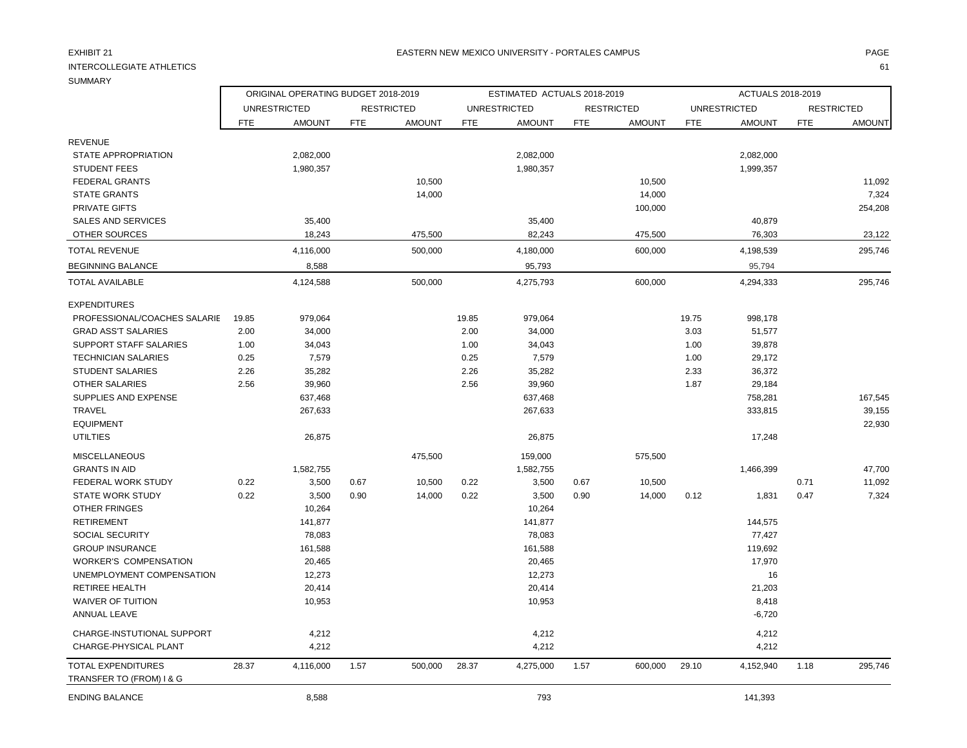## INTERCOLLEGIATE ATHLETICS 61

REVENUE

ORIGINAL OPERATING BUDGET 2018-2019 **ESTIMATED ACTUALS 2018-2019** ACTUALS 2018-2019

UNRESTRICTED RESTRICTED UNRESTRICTED RESTRICTED UNRESTRICTED RESTRICTED FTE AMOUNT FTE AMOUNT FTE AMOUNT FTE AMOUNT FTE AMOUNT FTE AMOUNT

| <b>STUDENT FEES</b>           |       | 1,980,357 |         | 1,980,357 |         | 1,999,357      |         |
|-------------------------------|-------|-----------|---------|-----------|---------|----------------|---------|
| <b>FEDERAL GRANTS</b>         |       |           | 10,500  |           | 10,500  |                | 11,092  |
| <b>STATE GRANTS</b>           |       |           | 14,000  |           | 14,000  |                | 7,324   |
| <b>PRIVATE GIFTS</b>          |       |           |         |           | 100,000 |                | 254,208 |
| <b>SALES AND SERVICES</b>     |       | 35,400    |         | 35,400    |         | 40,879         |         |
| OTHER SOURCES                 |       | 18,243    | 475,500 | 82,243    | 475,500 | 76,303         | 23,122  |
| TOTAL REVENUE                 |       | 4,116,000 | 500,000 | 4,180,000 | 600,000 | 4,198,539      | 295,746 |
| BEGINNING BALANCE             |       | 8,588     |         | 95,793    |         | 95,794         |         |
| TOTAL AVAILABLE               |       | 4,124,588 | 500,000 | 4,275,793 | 600,000 | 4,294,333      | 295,746 |
| <b>EXPENDITURES</b>           |       |           |         |           |         |                |         |
| PROFESSIONAL/COACHES SALARIE  | 19.85 | 979,064   | 19.85   | 979,064   | 19.75   | 998,178        |         |
| <b>GRAD ASS'T SALARIES</b>    | 2.00  | 34,000    | 2.00    | 34,000    |         | 3.03<br>51,577 |         |
| <b>SUPPORT STAFF SALARIES</b> | 1.00  | 34,043    | 1.00    | 34,043    |         | 39,878<br>1.00 |         |
| <b>TECHNICIAN SALARIES</b>    | 0.25  | 7,579     | 0.25    | 7,579     |         | 29,172<br>1.00 |         |
| <b>STUDENT SALARIES</b>       | 2.26  | 35,282    | 2.26    | 35,282    |         | 2.33<br>36,372 |         |
| <b>OTHER SALARIES</b>         | 2.56  | 39,960    | 2.56    | 39,960    |         | 1.87<br>29,184 |         |
| SUPPLIES AND EXPENSE          |       | 637,468   |         | 637,468   |         | 758,281        | 167,545 |
| <b>TRAVEL</b>                 |       | 267,633   |         | 267,633   |         | 333,815        | 39,155  |
| <b>EQUIPMENT</b>              |       |           |         |           |         |                | 22,930  |
| <b>UTILTIES</b>               |       | 26,875    |         | 26,875    |         | 17,248         |         |
| <b>MISCELLANEOUS</b>          |       |           | 475,500 | 159,000   | 575,500 |                |         |
|                               |       |           |         |           |         |                |         |

| TOTAL AVAILABLE               |       | 4,124,588 |      | 500,000 |       | 4,275,793 |      | 600,000 |       | 4,294,333 |      | 295,746 |
|-------------------------------|-------|-----------|------|---------|-------|-----------|------|---------|-------|-----------|------|---------|
| <b>EXPENDITURES</b>           |       |           |      |         |       |           |      |         |       |           |      |         |
| PROFESSIONAL/COACHES SALARIE  | 19.85 | 979,064   |      |         | 19.85 | 979,064   |      |         | 19.75 | 998,178   |      |         |
| <b>GRAD ASS'T SALARIES</b>    | 2.00  | 34,000    |      |         | 2.00  | 34,000    |      |         | 3.03  | 51,577    |      |         |
| <b>SUPPORT STAFF SALARIES</b> | 1.00  | 34,043    |      |         | 1.00  | 34,043    |      |         | 1.00  | 39,878    |      |         |
| <b>TECHNICIAN SALARIES</b>    | 0.25  | 7,579     |      |         | 0.25  | 7,579     |      |         | 1.00  | 29,172    |      |         |
| <b>STUDENT SALARIES</b>       | 2.26  | 35,282    |      |         | 2.26  | 35,282    |      |         | 2.33  | 36,372    |      |         |
| <b>OTHER SALARIES</b>         | 2.56  | 39,960    |      |         | 2.56  | 39,960    |      |         | 1.87  | 29,184    |      |         |
| SUPPLIES AND EXPENSE          |       | 637,468   |      |         |       | 637,468   |      |         |       | 758,281   |      | 167,545 |
| <b>TRAVEL</b>                 |       | 267,633   |      |         |       | 267,633   |      |         |       | 333,815   |      | 39,155  |
| <b>EQUIPMENT</b>              |       |           |      |         |       |           |      |         |       |           |      | 22,930  |
| <b>UTILTIES</b>               |       | 26,875    |      |         |       | 26,875    |      |         |       | 17,248    |      |         |
| <b>MISCELLANEOUS</b>          |       |           |      | 475,500 |       | 159,000   |      | 575,500 |       |           |      |         |
| <b>GRANTS IN AID</b>          |       | 1,582,755 |      |         |       | 1,582,755 |      |         |       | 1,466,399 |      | 47,700  |
| <b>FEDERAL WORK STUDY</b>     | 0.22  | 3,500     | 0.67 | 10,500  | 0.22  | 3,500     | 0.67 | 10,500  |       |           | 0.71 | 11,092  |
| <b>STATE WORK STUDY</b>       | 0.22  | 3,500     | 0.90 | 14,000  | 0.22  | 3,500     | 0.90 | 14,000  | 0.12  | 1,831     | 0.47 | 7,324   |
| <b>OTHER FRINGES</b>          |       | 10,264    |      |         |       | 10,264    |      |         |       |           |      |         |
| <b>RETIREMENT</b>             |       | 141,877   |      |         |       | 141,877   |      |         |       | 144,575   |      |         |
| <b>SOCIAL SECURITY</b>        |       | 78,083    |      |         |       | 78,083    |      |         |       | 77,427    |      |         |
| <b>GROUP INSURANCE</b>        |       | 161,588   |      |         |       | 161,588   |      |         |       | 119,692   |      |         |
| <b>WORKER'S COMPENSATION</b>  |       | 20,465    |      |         |       | 20,465    |      |         |       | 17,970    |      |         |
| UNEMPLOYMENT COMPENSATION     |       | 12,273    |      |         |       | 12,273    |      |         |       | 16        |      |         |
| <b>RETIREE HEALTH</b>         |       | 20,414    |      |         |       | 20,414    |      |         |       | 21,203    |      |         |
| <b>WAIVER OF TUITION</b>      |       | 10,953    |      |         |       | 10,953    |      |         |       | 8,418     |      |         |
| ANNUAL LEAVE                  |       |           |      |         |       |           |      |         |       | $-6,720$  |      |         |
| CHARGE-INSTUTIONAL SUPPORT    |       | 4,212     |      |         |       | 4,212     |      |         |       | 4,212     |      |         |
| CHARGE-PHYSICAL PLANT         |       | 4,212     |      |         |       | 4,212     |      |         |       | 4,212     |      |         |
| <b>TOTAL EXPENDITURES</b>     | 28.37 | 4,116,000 | 1.57 | 500,000 | 28.37 | 4,275,000 | 1.57 | 600,000 | 29.10 | 4,152,940 | 1.18 | 295,746 |

STATE APPROPRIATION 2,082,000 2,082,000 2,082,000

TRANSFER TO (FROM) I & G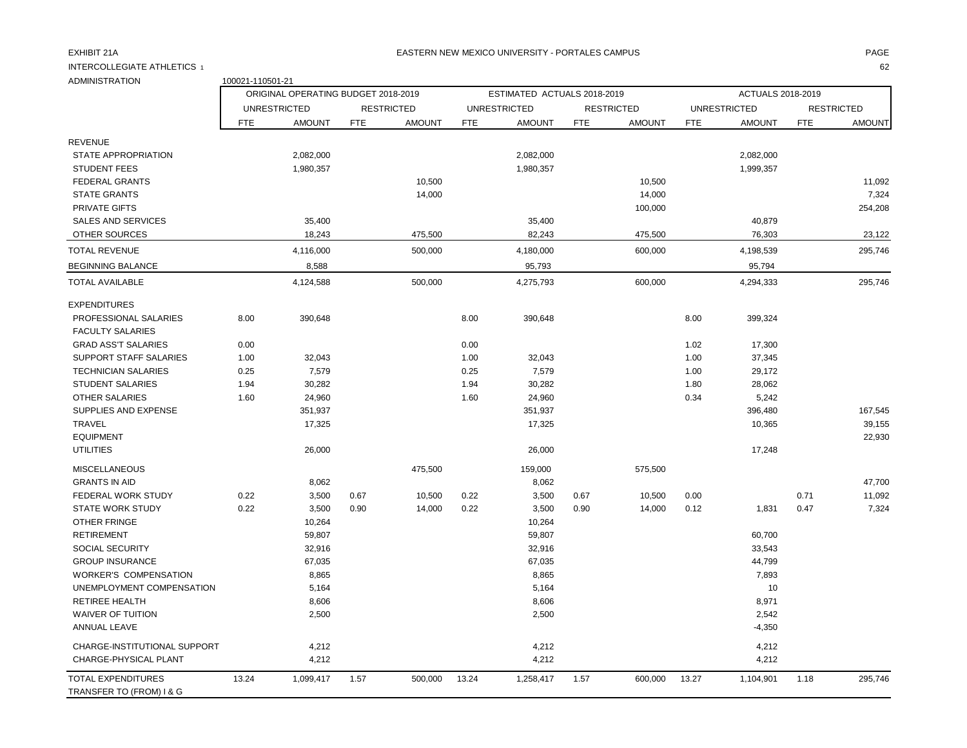### EXHIBIT 21A PAGE EASTERN NEW MEXICO UNIVERSITY - PORTALES CAMPUS

INTERCOLLEGIATE ATHLETICS 1 62

| <b>ADMINISTRATION</b>                                 | 100021-110501-21 |                                     |            |                   |            |                             |            |                   |                   |                     |            |                   |  |
|-------------------------------------------------------|------------------|-------------------------------------|------------|-------------------|------------|-----------------------------|------------|-------------------|-------------------|---------------------|------------|-------------------|--|
|                                                       |                  | ORIGINAL OPERATING BUDGET 2018-2019 |            |                   |            | ESTIMATED ACTUALS 2018-2019 |            |                   | ACTUALS 2018-2019 |                     |            |                   |  |
|                                                       |                  | <b>UNRESTRICTED</b>                 |            | <b>RESTRICTED</b> |            | <b>UNRESTRICTED</b>         |            | <b>RESTRICTED</b> |                   | <b>UNRESTRICTED</b> |            | <b>RESTRICTED</b> |  |
|                                                       | <b>FTE</b>       | <b>AMOUNT</b>                       | <b>FTE</b> | <b>AMOUNT</b>     | <b>FTE</b> | <b>AMOUNT</b>               | <b>FTE</b> | <b>AMOUNT</b>     | <b>FTE</b>        | <b>AMOUNT</b>       | <b>FTE</b> | <b>AMOUNT</b>     |  |
| <b>REVENUE</b>                                        |                  |                                     |            |                   |            |                             |            |                   |                   |                     |            |                   |  |
| STATE APPROPRIATION                                   |                  | 2,082,000                           |            |                   |            | 2,082,000                   |            |                   |                   | 2,082,000           |            |                   |  |
| <b>STUDENT FEES</b>                                   |                  | 1,980,357                           |            |                   |            | 1,980,357                   |            |                   |                   | 1,999,357           |            |                   |  |
| <b>FEDERAL GRANTS</b>                                 |                  |                                     |            | 10,500            |            |                             |            | 10,500            |                   |                     |            | 11,092            |  |
| <b>STATE GRANTS</b>                                   |                  |                                     |            | 14,000            |            |                             |            | 14,000            |                   |                     |            | 7,324             |  |
| <b>PRIVATE GIFTS</b>                                  |                  |                                     |            |                   |            |                             |            | 100,000           |                   |                     |            | 254,208           |  |
| SALES AND SERVICES                                    |                  | 35,400                              |            |                   |            | 35,400                      |            |                   |                   | 40,879              |            |                   |  |
| OTHER SOURCES                                         |                  | 18,243                              |            | 475,500           |            | 82,243                      |            | 475,500           |                   | 76,303              |            | 23,122            |  |
| <b>TOTAL REVENUE</b>                                  |                  | 4,116,000                           |            | 500,000           |            | 4,180,000                   |            | 600,000           |                   | 4,198,539           |            | 295,746           |  |
| <b>BEGINNING BALANCE</b>                              |                  | 8,588                               |            |                   |            | 95,793                      |            |                   |                   | 95,794              |            |                   |  |
| <b>TOTAL AVAILABLE</b>                                |                  | 4,124,588                           |            | 500,000           |            | 4,275,793                   |            | 600,000           |                   | 4,294,333           |            | 295,746           |  |
| <b>EXPENDITURES</b>                                   |                  |                                     |            |                   |            |                             |            |                   |                   |                     |            |                   |  |
| PROFESSIONAL SALARIES                                 | 8.00             | 390,648                             |            |                   | 8.00       | 390,648                     |            |                   | 8.00              | 399,324             |            |                   |  |
| <b>FACULTY SALARIES</b>                               |                  |                                     |            |                   |            |                             |            |                   |                   |                     |            |                   |  |
| <b>GRAD ASS'T SALARIES</b>                            | 0.00             |                                     |            |                   | 0.00       |                             |            |                   | 1.02              | 17,300              |            |                   |  |
| <b>SUPPORT STAFF SALARIES</b>                         | 1.00             | 32,043                              |            |                   | 1.00       | 32,043                      |            |                   | 1.00              | 37,345              |            |                   |  |
| <b>TECHNICIAN SALARIES</b>                            | 0.25             | 7,579                               |            |                   | 0.25       | 7,579                       |            |                   | 1.00              | 29,172              |            |                   |  |
| <b>STUDENT SALARIES</b>                               | 1.94             | 30,282                              |            |                   | 1.94       | 30,282                      |            |                   | 1.80              | 28,062              |            |                   |  |
| <b>OTHER SALARIES</b>                                 | 1.60             | 24,960                              |            |                   | 1.60       | 24,960                      |            |                   | 0.34              | 5,242               |            |                   |  |
| SUPPLIES AND EXPENSE                                  |                  | 351,937                             |            |                   |            | 351,937                     |            |                   |                   | 396,480             |            | 167,545           |  |
| <b>TRAVEL</b>                                         |                  | 17,325                              |            |                   |            | 17,325                      |            |                   |                   | 10,365              |            | 39,155            |  |
| <b>EQUIPMENT</b>                                      |                  |                                     |            |                   |            |                             |            |                   |                   |                     |            | 22,930            |  |
| <b>UTILITIES</b>                                      |                  | 26,000                              |            |                   |            | 26,000                      |            |                   |                   | 17,248              |            |                   |  |
| <b>MISCELLANEOUS</b>                                  |                  |                                     |            | 475,500           |            | 159,000                     |            | 575,500           |                   |                     |            |                   |  |
| <b>GRANTS IN AID</b>                                  |                  | 8,062                               |            |                   |            | 8,062                       |            |                   |                   |                     |            | 47,700            |  |
| FEDERAL WORK STUDY                                    | 0.22             | 3,500                               | 0.67       | 10,500            | 0.22       | 3,500                       | 0.67       | 10,500            | 0.00              |                     | 0.71       | 11,092            |  |
| <b>STATE WORK STUDY</b>                               | 0.22             | 3,500                               | 0.90       | 14,000            | 0.22       | 3,500                       | 0.90       | 14,000            | 0.12              | 1,831               | 0.47       | 7,324             |  |
| OTHER FRINGE                                          |                  | 10,264                              |            |                   |            | 10,264                      |            |                   |                   |                     |            |                   |  |
| <b>RETIREMENT</b>                                     |                  | 59,807                              |            |                   |            | 59,807                      |            |                   |                   | 60,700              |            |                   |  |
| SOCIAL SECURITY                                       |                  | 32,916                              |            |                   |            | 32,916                      |            |                   |                   | 33,543              |            |                   |  |
| <b>GROUP INSURANCE</b>                                |                  | 67,035                              |            |                   |            | 67,035                      |            |                   |                   | 44,799              |            |                   |  |
| <b>WORKER'S COMPENSATION</b>                          |                  | 8,865                               |            |                   |            | 8,865                       |            |                   |                   | 7,893               |            |                   |  |
| UNEMPLOYMENT COMPENSATION                             |                  | 5,164                               |            |                   |            | 5,164                       |            |                   |                   | 10                  |            |                   |  |
| <b>RETIREE HEALTH</b>                                 |                  | 8,606                               |            |                   |            | 8,606                       |            |                   |                   | 8,971               |            |                   |  |
| <b>WAIVER OF TUITION</b><br><b>ANNUAL LEAVE</b>       |                  | 2,500                               |            |                   |            | 2,500                       |            |                   |                   | 2,542<br>$-4,350$   |            |                   |  |
|                                                       |                  |                                     |            |                   |            |                             |            |                   |                   |                     |            |                   |  |
| CHARGE-INSTITUTIONAL SUPPORT                          |                  | 4,212                               |            |                   |            | 4,212                       |            |                   |                   | 4,212               |            |                   |  |
| CHARGE-PHYSICAL PLANT                                 |                  | 4,212                               |            |                   |            | 4,212                       |            |                   |                   | 4,212               |            |                   |  |
| <b>TOTAL EXPENDITURES</b><br>TRANSFER TO (FROM) I & G | 13.24            | 1,099,417                           | 1.57       | 500,000           | 13.24      | 1,258,417                   | 1.57       | 600,000           | 13.27             | 1,104,901           | 1.18       | 295,746           |  |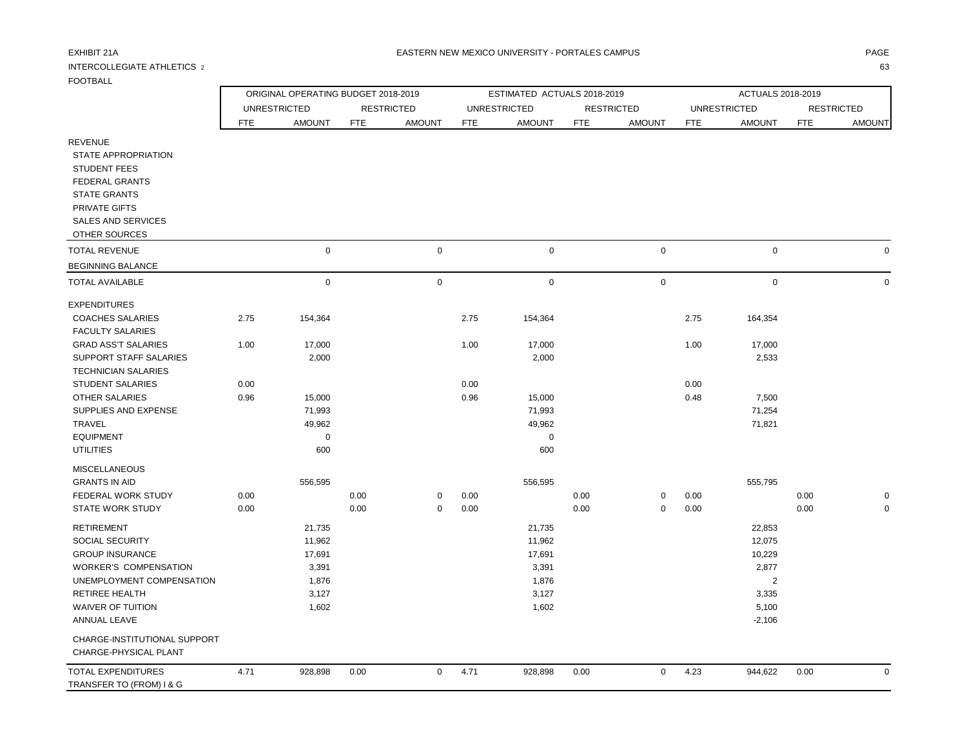## INTERCOLLEGIATE ATHLETICS 2 63

F

|                                                                                                                     |      | ORIGINAL OPERATING BUDGET 2018-2019 |            |                   |            | ESTIMATED ACTUALS 2018-2019 |            | ACTUALS 2018-2019 |            |                     |            |                   |
|---------------------------------------------------------------------------------------------------------------------|------|-------------------------------------|------------|-------------------|------------|-----------------------------|------------|-------------------|------------|---------------------|------------|-------------------|
|                                                                                                                     |      | <b>UNRESTRICTED</b>                 |            | <b>RESTRICTED</b> |            | <b>UNRESTRICTED</b>         |            | <b>RESTRICTED</b> |            | <b>UNRESTRICTED</b> |            | <b>RESTRICTED</b> |
|                                                                                                                     | FTE  | <b>AMOUNT</b>                       | <b>FTE</b> | <b>AMOUNT</b>     | <b>FTE</b> | <b>AMOUNT</b>               | <b>FTE</b> | <b>AMOUNT</b>     | <b>FTE</b> | <b>AMOUNT</b>       | <b>FTE</b> | <b>AMOUNT</b>     |
| <b>REVENUE</b><br><b>STATE APPROPRIATION</b><br><b>STUDENT FEES</b><br><b>FEDERAL GRANTS</b><br><b>STATE GRANTS</b> |      |                                     |            |                   |            |                             |            |                   |            |                     |            |                   |
| PRIVATE GIFTS<br><b>SALES AND SERVICES</b>                                                                          |      |                                     |            |                   |            |                             |            |                   |            |                     |            |                   |
| OTHER SOURCES                                                                                                       |      |                                     |            |                   |            |                             |            |                   |            |                     |            |                   |
| <b>TOTAL REVENUE</b>                                                                                                |      | $\mathbf 0$                         |            | $\mathbf 0$       |            | $\mathbf 0$                 |            | $\pmb{0}$         |            | $\mathsf 0$         |            | $\Omega$          |
| <b>BEGINNING BALANCE</b>                                                                                            |      |                                     |            |                   |            |                             |            |                   |            |                     |            |                   |
| <b>TOTAL AVAILABLE</b>                                                                                              |      | $\mathbf 0$                         |            | $\mathbf 0$       |            | 0                           |            | $\pmb{0}$         |            | $\mathsf 0$         |            | $\mathbf 0$       |
| <b>EXPENDITURES</b>                                                                                                 |      |                                     |            |                   |            |                             |            |                   |            |                     |            |                   |
| <b>COACHES SALARIES</b><br><b>FACULTY SALARIES</b>                                                                  | 2.75 | 154,364                             |            |                   | 2.75       | 154,364                     |            |                   | 2.75       | 164,354             |            |                   |
| <b>GRAD ASS'T SALARIES</b>                                                                                          | 1.00 | 17,000                              |            |                   | 1.00       | 17,000                      |            |                   | 1.00       | 17,000              |            |                   |
| <b>SUPPORT STAFF SALARIES</b><br><b>TECHNICIAN SALARIES</b>                                                         |      | 2,000                               |            |                   |            | 2,000                       |            |                   |            | 2,533               |            |                   |
| <b>STUDENT SALARIES</b>                                                                                             | 0.00 |                                     |            |                   | 0.00       |                             |            |                   | 0.00       |                     |            |                   |
| OTHER SALARIES                                                                                                      | 0.96 | 15,000                              |            |                   | 0.96       | 15,000                      |            |                   | 0.48       | 7,500               |            |                   |
| SUPPLIES AND EXPENSE                                                                                                |      | 71,993                              |            |                   |            | 71,993                      |            |                   |            | 71,254              |            |                   |
| <b>TRAVEL</b>                                                                                                       |      | 49,962                              |            |                   |            | 49,962                      |            |                   |            | 71,821              |            |                   |
| <b>EQUIPMENT</b>                                                                                                    |      | $\mathbf 0$                         |            |                   |            | 0                           |            |                   |            |                     |            |                   |
| <b>UTILITIES</b>                                                                                                    |      | 600                                 |            |                   |            | 600                         |            |                   |            |                     |            |                   |
| <b>MISCELLANEOUS</b><br><b>GRANTS IN AID</b>                                                                        |      | 556,595                             |            |                   |            | 556,595                     |            |                   |            | 555,795             |            |                   |
| <b>FEDERAL WORK STUDY</b>                                                                                           | 0.00 |                                     | 0.00       | $\mathbf 0$       | 0.00       |                             | 0.00       | 0                 | 0.00       |                     | 0.00       | $\mathbf 0$       |
| STATE WORK STUDY                                                                                                    | 0.00 |                                     | 0.00       | $\mathbf 0$       | 0.00       |                             | 0.00       | $\mathbf 0$       | 0.00       |                     | 0.00       | $\mathbf 0$       |
| <b>RETIREMENT</b>                                                                                                   |      | 21,735                              |            |                   |            | 21,735                      |            |                   |            | 22,853              |            |                   |
| <b>SOCIAL SECURITY</b>                                                                                              |      | 11,962                              |            |                   |            | 11,962                      |            |                   |            | 12,075              |            |                   |
| <b>GROUP INSURANCE</b>                                                                                              |      | 17,691                              |            |                   |            | 17,691                      |            |                   |            | 10,229              |            |                   |
| <b>WORKER'S COMPENSATION</b>                                                                                        |      | 3,391                               |            |                   |            | 3,391                       |            |                   |            | 2,877               |            |                   |
| UNEMPLOYMENT COMPENSATION                                                                                           |      | 1,876                               |            |                   |            | 1,876                       |            |                   |            | 2                   |            |                   |
| <b>RETIREE HEALTH</b>                                                                                               |      | 3,127                               |            |                   |            | 3,127                       |            |                   |            | 3,335               |            |                   |
| WAIVER OF TUITION                                                                                                   |      | 1,602                               |            |                   |            | 1,602                       |            |                   |            | 5,100               |            |                   |

| CHARGE-INSTITUTIONAL SUPPORT |
|------------------------------|
| CHADCE DHVCICAL DI ANT       |

| ___________________________________<br>CHARGE-PHYSICAL PLANT |      |         |      |      |         |      |      |         |      |  |
|--------------------------------------------------------------|------|---------|------|------|---------|------|------|---------|------|--|
| <b>TOTAL EXPENDITURES</b>                                    | 4.71 | 928,898 | 0.00 | 4.7' | 928,898 | 0.00 | 4.23 | 944.622 | 0.00 |  |
| TRANSFER TO (FROM) I & G                                     |      |         |      |      |         |      |      |         |      |  |

ANNUAL LEAVE -2,106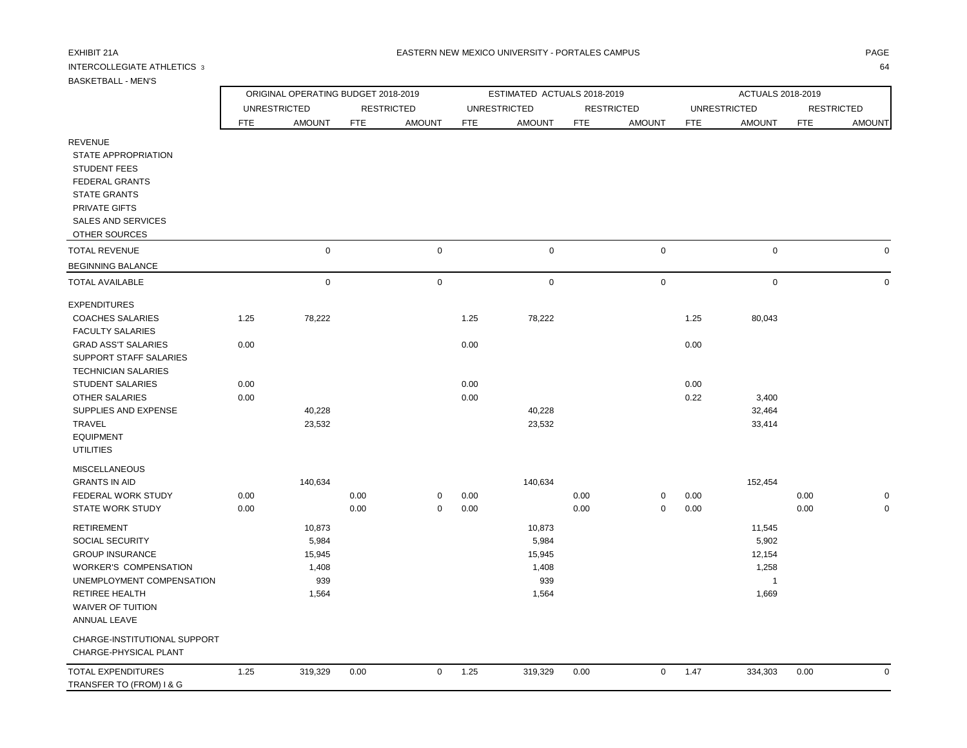## INTERCOLLEGIATE ATHLETICS 3 64

|                               | ORIGINAL OPERATING BUDGET 2018-2019 |                     |            |                   |            | ESTIMATED ACTUALS 2018-2019 |            |                   | ACTUALS 2018-2019 |                     |            |                   |
|-------------------------------|-------------------------------------|---------------------|------------|-------------------|------------|-----------------------------|------------|-------------------|-------------------|---------------------|------------|-------------------|
|                               |                                     | <b>UNRESTRICTED</b> |            | <b>RESTRICTED</b> |            | <b>UNRESTRICTED</b>         |            | <b>RESTRICTED</b> |                   | <b>UNRESTRICTED</b> |            | <b>RESTRICTED</b> |
|                               | <b>FTE</b>                          | <b>AMOUNT</b>       | <b>FTE</b> | <b>AMOUNT</b>     | <b>FTE</b> | <b>AMOUNT</b>               | <b>FTE</b> | <b>AMOUNT</b>     | <b>FTE</b>        | <b>AMOUNT</b>       | <b>FTE</b> | <b>AMOUNT</b>     |
| <b>REVENUE</b>                |                                     |                     |            |                   |            |                             |            |                   |                   |                     |            |                   |
| STATE APPROPRIATION           |                                     |                     |            |                   |            |                             |            |                   |                   |                     |            |                   |
| <b>STUDENT FEES</b>           |                                     |                     |            |                   |            |                             |            |                   |                   |                     |            |                   |
| <b>FEDERAL GRANTS</b>         |                                     |                     |            |                   |            |                             |            |                   |                   |                     |            |                   |
| <b>STATE GRANTS</b>           |                                     |                     |            |                   |            |                             |            |                   |                   |                     |            |                   |
| PRIVATE GIFTS                 |                                     |                     |            |                   |            |                             |            |                   |                   |                     |            |                   |
| SALES AND SERVICES            |                                     |                     |            |                   |            |                             |            |                   |                   |                     |            |                   |
| OTHER SOURCES                 |                                     |                     |            |                   |            |                             |            |                   |                   |                     |            |                   |
| <b>TOTAL REVENUE</b>          |                                     | $\mathbf 0$         |            | $\mathbf 0$       |            | $\mathbf 0$                 |            | $\mathbf 0$       |                   | $\mathbf 0$         |            | $\mathbf 0$       |
| <b>BEGINNING BALANCE</b>      |                                     |                     |            |                   |            |                             |            |                   |                   |                     |            |                   |
| <b>TOTAL AVAILABLE</b>        |                                     | 0                   |            | $\mathbf 0$       |            | $\mathbf 0$                 |            | $\mathbf 0$       |                   | $\mathbf 0$         |            | 0                 |
| <b>EXPENDITURES</b>           |                                     |                     |            |                   |            |                             |            |                   |                   |                     |            |                   |
| <b>COACHES SALARIES</b>       | 1.25                                | 78,222              |            |                   | 1.25       | 78,222                      |            |                   | 1.25              | 80,043              |            |                   |
| <b>FACULTY SALARIES</b>       |                                     |                     |            |                   |            |                             |            |                   |                   |                     |            |                   |
| <b>GRAD ASS'T SALARIES</b>    | 0.00                                |                     |            |                   | 0.00       |                             |            |                   | 0.00              |                     |            |                   |
| <b>SUPPORT STAFF SALARIES</b> |                                     |                     |            |                   |            |                             |            |                   |                   |                     |            |                   |
| <b>TECHNICIAN SALARIES</b>    |                                     |                     |            |                   |            |                             |            |                   |                   |                     |            |                   |
| <b>STUDENT SALARIES</b>       | 0.00                                |                     |            |                   | 0.00       |                             |            |                   | 0.00              |                     |            |                   |
| <b>OTHER SALARIES</b>         | 0.00                                |                     |            |                   | 0.00       |                             |            |                   | 0.22              | 3,400               |            |                   |
| SUPPLIES AND EXPENSE          |                                     | 40,228              |            |                   |            | 40,228                      |            |                   |                   | 32,464              |            |                   |
| TRAVEL                        |                                     | 23,532              |            |                   |            | 23,532                      |            |                   |                   | 33,414              |            |                   |
| <b>EQUIPMENT</b>              |                                     |                     |            |                   |            |                             |            |                   |                   |                     |            |                   |
| <b>UTILITIES</b>              |                                     |                     |            |                   |            |                             |            |                   |                   |                     |            |                   |
| <b>MISCELLANEOUS</b>          |                                     |                     |            |                   |            |                             |            |                   |                   |                     |            |                   |
| <b>GRANTS IN AID</b>          |                                     | 140,634             |            |                   |            | 140,634                     |            |                   |                   | 152,454             |            |                   |
| FEDERAL WORK STUDY            | 0.00                                |                     | 0.00       | $\mathbf{0}$      | 0.00       |                             | 0.00       | $\mathbf 0$       | 0.00              |                     | 0.00       | $\mathbf 0$       |

| CHARGE-INSTITUTIONAL SUPPORT |
|------------------------------|
| CHADCE DHVOICAL DI ANT       |

 WAIVER OF TUITION ANNUAL LEAVE

| CHARGE-PHYSICAL PLANT    |      |         |      |      |         |      |      |         |      |  |
|--------------------------|------|---------|------|------|---------|------|------|---------|------|--|
| TOTAL EXPENDITURES       | 1.25 | 319.329 | 0.00 | 1.25 | 319.329 | 0.00 | 1.47 | 334.303 | 0.00 |  |
| TRANSFER TO (FROM) I & G |      |         |      |      |         |      |      |         |      |  |

STATE WORK STUDY 0.00 0.00 0 0.00 0.00 0 0.00 0.00 0

 RETIREMENT 10,873 10,873 11,545 SOCIAL SECURITY 5,984 5,984 5,902 GROUP INSURANCE 12.154 15,945 15,945 15,945 15,945 15,945 15,945 15,945 15,945 15,945 15,945 15,945 15,945 15,945 WORKER'S COMPENSATION 1,408 1,408 1,258 UNEMPLOYMENT COMPENSATION 939 939 1 RETIREE HEALTH 1,564 1,564 1,669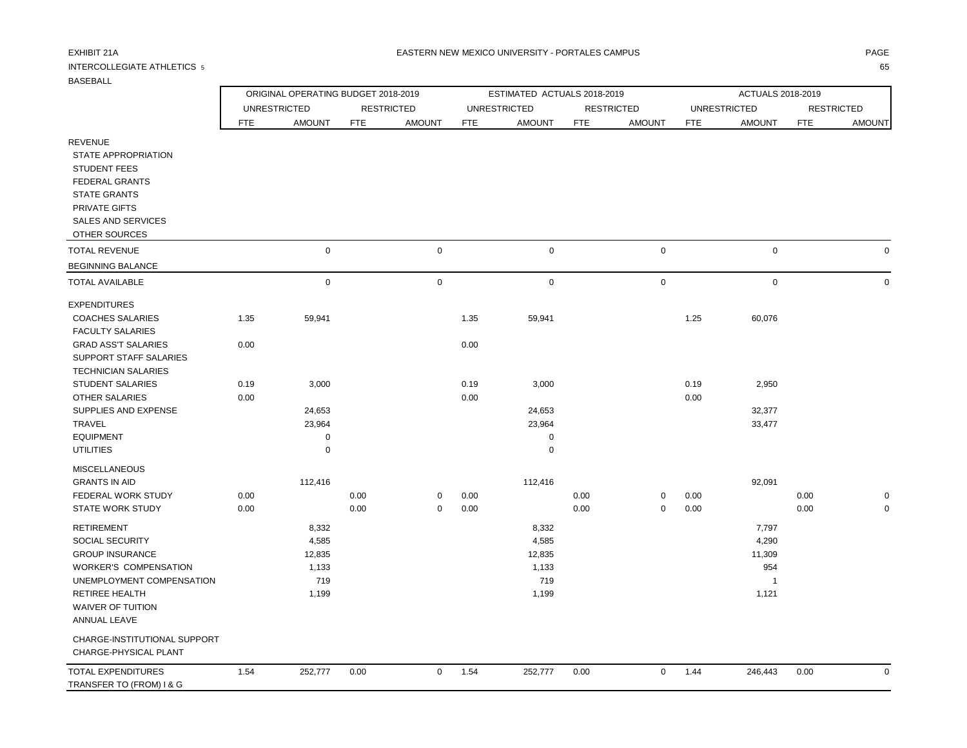WAIVER OF TUITION ANNUAL LEAVE

CHARGE-INSTITUTIONAL SUPPORT

## INTERCOLLEGIATE ATHLETICS 5 65

ORIGINAL OPERATING BUDGET 2018-2019 **ESTIMATED ACTUALS 2018-2019** ACTUALS 2018-2019

|                            |            | UNRESTRICTED  |            | <b>RESTRICTED</b> |            | UNRESTRICTED  |            | <b>RESTRICTED</b> |            | UNRESTRICTED  |            | <b>RESTRICTED</b> |
|----------------------------|------------|---------------|------------|-------------------|------------|---------------|------------|-------------------|------------|---------------|------------|-------------------|
|                            | <b>FTE</b> | <b>AMOUNT</b> | <b>FTE</b> | <b>AMOUNT</b>     | <b>FTE</b> | <b>AMOUNT</b> | <b>FTE</b> | <b>AMOUNT</b>     | <b>FTE</b> | <b>AMOUNT</b> | <b>FTE</b> | <b>AMOUNT</b>     |
| REVENUE                    |            |               |            |                   |            |               |            |                   |            |               |            |                   |
| STATE APPROPRIATION        |            |               |            |                   |            |               |            |                   |            |               |            |                   |
| <b>STUDENT FEES</b>        |            |               |            |                   |            |               |            |                   |            |               |            |                   |
| <b>FEDERAL GRANTS</b>      |            |               |            |                   |            |               |            |                   |            |               |            |                   |
| <b>STATE GRANTS</b>        |            |               |            |                   |            |               |            |                   |            |               |            |                   |
| PRIVATE GIFTS              |            |               |            |                   |            |               |            |                   |            |               |            |                   |
| <b>SALES AND SERVICES</b>  |            |               |            |                   |            |               |            |                   |            |               |            |                   |
| OTHER SOURCES              |            |               |            |                   |            |               |            |                   |            |               |            |                   |
| <b>TOTAL REVENUE</b>       |            | $\mathsf 0$   |            | $\mathsf 0$       |            | $\mathsf 0$   |            | $\boldsymbol{0}$  |            | $\mathsf 0$   |            |                   |
| <b>BEGINNING BALANCE</b>   |            |               |            |                   |            |               |            |                   |            |               |            |                   |
| <b>TOTAL AVAILABLE</b>     |            | $\mathbf 0$   |            | $\mathbf 0$       |            | $\mathbf 0$   |            | $\mathbf 0$       |            | $\mathbf 0$   |            |                   |
| <b>EXPENDITURES</b>        |            |               |            |                   |            |               |            |                   |            |               |            |                   |
| <b>COACHES SALARIES</b>    | 1.35       | 59,941        |            |                   | 1.35       | 59,941        |            |                   | 1.25       | 60,076        |            |                   |
| <b>FACULTY SALARIES</b>    |            |               |            |                   |            |               |            |                   |            |               |            |                   |
| <b>GRAD ASS'T SALARIES</b> | 0.00       |               |            |                   | 0.00       |               |            |                   |            |               |            |                   |
| SUPPORT STAFF SALARIES     |            |               |            |                   |            |               |            |                   |            |               |            |                   |
| <b>TECHNICIAN SALARIES</b> |            |               |            |                   |            |               |            |                   |            |               |            |                   |
| <b>STUDENT SALARIES</b>    | 0.19       | 3,000         |            |                   | 0.19       | 3,000         |            |                   | 0.19       | 2,950         |            |                   |
| OTHER SALARIES             | 0.00       |               |            |                   | 0.00       |               |            |                   | 0.00       |               |            |                   |
| SUPPLIES AND EXPENSE       |            | 24,653        |            |                   |            | 24,653        |            |                   |            | 32,377        |            |                   |
| TRAVEL                     |            | 23,964        |            |                   |            | 23,964        |            |                   |            | 33,477        |            |                   |
| <b>EQUIPMENT</b>           |            | 0             |            |                   |            | 0             |            |                   |            |               |            |                   |
| <b>UTILITIES</b>           |            | $\mathbf 0$   |            |                   |            | $\mathbf 0$   |            |                   |            |               |            |                   |
| <b>MISCELLANEOUS</b>       |            |               |            |                   |            |               |            |                   |            |               |            |                   |
| <b>GRANTS IN AID</b>       |            | 112,416       |            |                   |            | 112,416       |            |                   |            | 92,091        |            |                   |
| FEDERAL WORK STUDY         | 0.00       |               | 0.00       | $\mathbf 0$       | 0.00       |               | 0.00       | 0                 | 0.00       |               | 0.00       |                   |
| <b>STATE WORK STUDY</b>    | 0.00       |               | 0.00       | $\mathbf 0$       | 0.00       |               | 0.00       | $\mathbf 0$       | 0.00       |               | 0.00       |                   |
| <b>RETIREMENT</b>          |            | 8,332         |            |                   |            | 8,332         |            |                   |            | 7,797         |            |                   |
| <b>SOCIAL SECURITY</b>     |            | 4,585         |            |                   |            | 4,585         |            |                   |            | 4,290         |            |                   |
| <b>GROUP INSURANCE</b>     |            | 12,835        |            |                   |            | 12,835        |            |                   |            | 11,309        |            |                   |

WORKER'S COMPENSATION 654 (1,133 1) 1,133 954 UNEMPLOYMENT COMPENSATION 719 719 1 RETIREE HEALTH 1,121 1,121 1,121 1,121 1,121 1,121 1,121 1,121 1,121 1,121 1,121 1,121 1,121 1,121 1,121 1,121

| CHARGE-PHYSICAL PLANT    |      |         |      |     |         |      |      |         |      |  |
|--------------------------|------|---------|------|-----|---------|------|------|---------|------|--|
| TOTAL EXPENDITURES       | 1.54 | 252,777 | 0.00 | 5٠، | 252,777 | 0.00 | 1.44 | 246.443 | 0.00 |  |
| TRANSFER TO (FROM) I & G |      |         |      |     |         |      |      |         |      |  |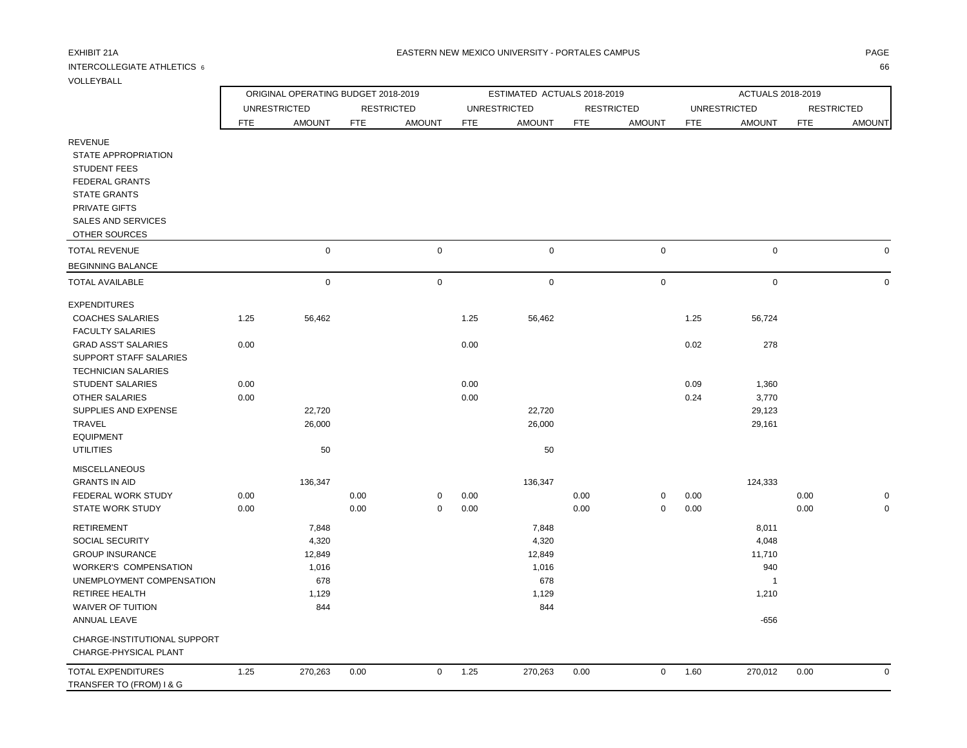## INTERCOLLEGIATE ATHLETICS  $\,$  6  $\,$  666  $\,$  666  $\,$  666  $\,$  666  $\,$  666  $\,$  666  $\,$  666  $\,$  666  $\,$  666  $\,$  666  $\,$  665  $\,$  667  $\,$  67  $\,$  67  $\,$  67  $\,$  67  $\,$  67  $\,$  67  $\,$  67  $\,$  67  $\,$  67  $\,$  67

VOLLEYBALL

|                            |            | ORIGINAL OPERATING BUDGET 2018-2019 |            |                   |            | ESTIMATED ACTUALS 2018-2019 |            |                   |            | ACTUALS 2018-2019   |            |                   |
|----------------------------|------------|-------------------------------------|------------|-------------------|------------|-----------------------------|------------|-------------------|------------|---------------------|------------|-------------------|
|                            |            | <b>UNRESTRICTED</b>                 |            | <b>RESTRICTED</b> |            | <b>UNRESTRICTED</b>         |            | <b>RESTRICTED</b> |            | <b>UNRESTRICTED</b> |            | <b>RESTRICTED</b> |
|                            | <b>FTE</b> | <b>AMOUNT</b>                       | <b>FTE</b> | <b>AMOUNT</b>     | <b>FTE</b> | <b>AMOUNT</b>               | <b>FTE</b> | <b>AMOUNT</b>     | <b>FTE</b> | <b>AMOUNT</b>       | <b>FTE</b> | <b>AMOUNT</b>     |
| <b>REVENUE</b>             |            |                                     |            |                   |            |                             |            |                   |            |                     |            |                   |
| STATE APPROPRIATION        |            |                                     |            |                   |            |                             |            |                   |            |                     |            |                   |
| <b>STUDENT FEES</b>        |            |                                     |            |                   |            |                             |            |                   |            |                     |            |                   |
| <b>FEDERAL GRANTS</b>      |            |                                     |            |                   |            |                             |            |                   |            |                     |            |                   |
| <b>STATE GRANTS</b>        |            |                                     |            |                   |            |                             |            |                   |            |                     |            |                   |
| PRIVATE GIFTS              |            |                                     |            |                   |            |                             |            |                   |            |                     |            |                   |
| <b>SALES AND SERVICES</b>  |            |                                     |            |                   |            |                             |            |                   |            |                     |            |                   |
| OTHER SOURCES              |            |                                     |            |                   |            |                             |            |                   |            |                     |            |                   |
| <b>TOTAL REVENUE</b>       |            | $\mathbf 0$                         |            | $\mathbf 0$       |            | $\mathbf 0$                 |            | $\mathbf 0$       |            | $\mathbf 0$         |            |                   |
| <b>BEGINNING BALANCE</b>   |            |                                     |            |                   |            |                             |            |                   |            |                     |            |                   |
| <b>TOTAL AVAILABLE</b>     |            | $\mathbf 0$                         |            | 0                 |            | $\mathbf 0$                 |            | $\mathbf 0$       |            | $\mathbf 0$         |            |                   |
| <b>EXPENDITURES</b>        |            |                                     |            |                   |            |                             |            |                   |            |                     |            |                   |
| <b>COACHES SALARIES</b>    | 1.25       | 56,462                              |            |                   | 1.25       | 56,462                      |            |                   | 1.25       | 56,724              |            |                   |
| <b>FACULTY SALARIES</b>    |            |                                     |            |                   |            |                             |            |                   |            |                     |            |                   |
| <b>GRAD ASS'T SALARIES</b> | 0.00       |                                     |            |                   | 0.00       |                             |            |                   | 0.02       | 278                 |            |                   |
| SUPPORT STAFF SALARIES     |            |                                     |            |                   |            |                             |            |                   |            |                     |            |                   |
| <b>TECHNICIAN SALARIES</b> |            |                                     |            |                   |            |                             |            |                   |            |                     |            |                   |
| <b>STUDENT SALARIES</b>    | 0.00       |                                     |            |                   | 0.00       |                             |            |                   | 0.09       | 1,360               |            |                   |
| <b>OTHER SALARIES</b>      | 0.00       |                                     |            |                   | 0.00       |                             |            |                   | 0.24       | 3,770               |            |                   |
| SUPPLIES AND EXPENSE       |            | 22,720                              |            |                   |            | 22,720                      |            |                   |            | 29,123              |            |                   |
| TRAVEL                     |            | 26,000                              |            |                   |            | 26,000                      |            |                   |            | 29,161              |            |                   |
| <b>EQUIPMENT</b>           |            |                                     |            |                   |            |                             |            |                   |            |                     |            |                   |
| <b>UTILITIES</b>           |            | 50                                  |            |                   |            | 50                          |            |                   |            |                     |            |                   |
| <b>MISCELLANEOUS</b>       |            |                                     |            |                   |            |                             |            |                   |            |                     |            |                   |
| <b>GRANTS IN AID</b>       |            | 136,347                             |            |                   |            | 136,347                     |            |                   |            | 124,333             |            |                   |
| FEDERAL WORK STUDY         | 0.00       |                                     | 0.00       | 0                 | 0.00       |                             | 0.00       | 0                 | 0.00       |                     | 0.00       |                   |
| <b>STATE WORK STUDY</b>    | 0.00       |                                     | 0.00       | $\mathbf 0$       | 0.00       |                             | 0.00       | $\mathbf 0$       | 0.00       |                     | 0.00       | 0                 |
| <b>RETIREMENT</b>          |            | 7,848                               |            |                   |            | 7,848                       |            |                   |            | 8,011               |            |                   |

|                              |      | $\cdot$ , $\cdot$ . $\cdot$ |      |              |      | $\cdot$ , $\cdot$ . $\cdot$ |      |   |      | $-$ , $  -$ |      |  |
|------------------------------|------|-----------------------------|------|--------------|------|-----------------------------|------|---|------|-------------|------|--|
| <b>SOCIAL SECURITY</b>       |      | 4,320                       |      |              |      | 4,320                       |      |   |      | 4,048       |      |  |
| <b>GROUP INSURANCE</b>       |      | 12,849                      |      |              |      | 12,849                      |      |   |      | 11,710      |      |  |
| <b>WORKER'S COMPENSATION</b> |      | 1,016                       |      |              |      | 1,016                       |      |   |      | 940         |      |  |
| UNEMPLOYMENT COMPENSATION    |      | 678                         |      |              |      | 678                         |      |   |      |             |      |  |
| RETIREE HEALTH               |      | 1,129                       |      |              |      | 1,129                       |      |   |      | 1,210       |      |  |
| WAIVER OF TUITION            |      | 844                         |      |              |      | 844                         |      |   |      |             |      |  |
| ANNUAL LEAVE                 |      |                             |      |              |      |                             |      |   |      | -656        |      |  |
| CHARGE-INSTITUTIONAL SUPPORT |      |                             |      |              |      |                             |      |   |      |             |      |  |
| CHARGE-PHYSICAL PLANT        |      |                             |      |              |      |                             |      |   |      |             |      |  |
| TOTAL EXPENDITURES           | 1.25 | 270,263                     | 0.00 | $\mathbf{0}$ | 1.25 | 270,263                     | 0.00 | 0 | 1.60 | 270,012     | 0.00 |  |
| TRANSFER TO (FROM) I & G     |      |                             |      |              |      |                             |      |   |      |             |      |  |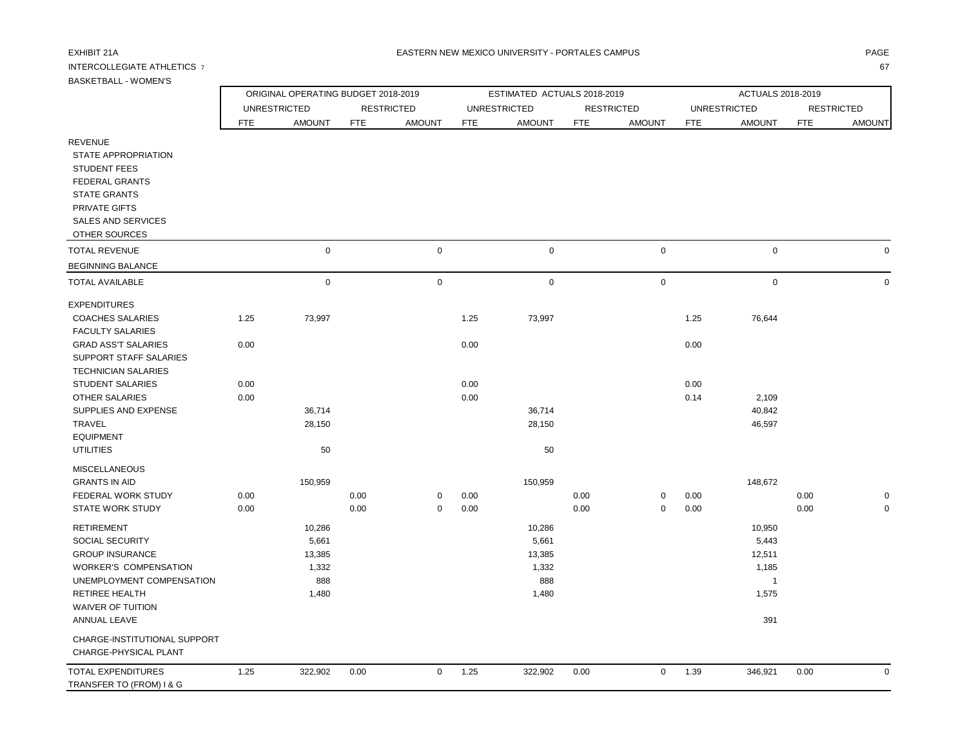## INTERCOLLEGIATE ATHLETICS 7 67

BASKETBALL - WOMEN'S

ORIGINAL OPERATING BUDGET 2018-2019 **ESTIMATED ACTUALS 2018-2019** ACTUALS 2018-2019

|                            |            | <b>UNRESTRICTED</b> |            | <b>RESTRICTED</b> |            | <b>UNRESTRICTED</b> |            | <b>RESTRICTED</b> |            | <b>UNRESTRICTED</b> |            | <b>RESTRICTED</b> |
|----------------------------|------------|---------------------|------------|-------------------|------------|---------------------|------------|-------------------|------------|---------------------|------------|-------------------|
|                            | <b>FTE</b> | <b>AMOUNT</b>       | <b>FTE</b> | <b>AMOUNT</b>     | <b>FTE</b> | <b>AMOUNT</b>       | <b>FTE</b> | <b>AMOUNT</b>     | <b>FTE</b> | <b>AMOUNT</b>       | <b>FTE</b> | <b>AMOUNT</b>     |
| <b>REVENUE</b>             |            |                     |            |                   |            |                     |            |                   |            |                     |            |                   |
| STATE APPROPRIATION        |            |                     |            |                   |            |                     |            |                   |            |                     |            |                   |
| <b>STUDENT FEES</b>        |            |                     |            |                   |            |                     |            |                   |            |                     |            |                   |
| <b>FEDERAL GRANTS</b>      |            |                     |            |                   |            |                     |            |                   |            |                     |            |                   |
| <b>STATE GRANTS</b>        |            |                     |            |                   |            |                     |            |                   |            |                     |            |                   |
| PRIVATE GIFTS              |            |                     |            |                   |            |                     |            |                   |            |                     |            |                   |
| <b>SALES AND SERVICES</b>  |            |                     |            |                   |            |                     |            |                   |            |                     |            |                   |
| OTHER SOURCES              |            |                     |            |                   |            |                     |            |                   |            |                     |            |                   |
| <b>TOTAL REVENUE</b>       |            | $\mathbf 0$         |            | $\mathbf 0$       |            | $\mathbf 0$         |            | $\mathbf 0$       |            | $\mathbf 0$         |            | 0                 |
| <b>BEGINNING BALANCE</b>   |            |                     |            |                   |            |                     |            |                   |            |                     |            |                   |
| <b>TOTAL AVAILABLE</b>     |            | $\mathbf 0$         |            | $\mathbf 0$       |            | $\mathbf 0$         |            | $\mathsf 0$       |            | $\mathsf 0$         |            | 0                 |
| <b>EXPENDITURES</b>        |            |                     |            |                   |            |                     |            |                   |            |                     |            |                   |
| <b>COACHES SALARIES</b>    | 1.25       | 73,997              |            |                   | 1.25       | 73,997              |            |                   | 1.25       | 76,644              |            |                   |
| <b>FACULTY SALARIES</b>    |            |                     |            |                   |            |                     |            |                   |            |                     |            |                   |
| <b>GRAD ASS'T SALARIES</b> | 0.00       |                     |            |                   | 0.00       |                     |            |                   | 0.00       |                     |            |                   |
| SUPPORT STAFF SALARIES     |            |                     |            |                   |            |                     |            |                   |            |                     |            |                   |
| <b>TECHNICIAN SALARIES</b> |            |                     |            |                   |            |                     |            |                   |            |                     |            |                   |
| <b>STUDENT SALARIES</b>    | 0.00       |                     |            |                   | 0.00       |                     |            |                   | 0.00       |                     |            |                   |
| <b>OTHER SALARIES</b>      | 0.00       |                     |            |                   | 0.00       |                     |            |                   | 0.14       | 2,109               |            |                   |
| SUPPLIES AND EXPENSE       |            | 36,714              |            |                   |            | 36,714              |            |                   |            | 40,842              |            |                   |
| <b>TRAVEL</b>              |            | 28,150              |            |                   |            | 28,150              |            |                   |            | 46,597              |            |                   |
| <b>EQUIPMENT</b>           |            |                     |            |                   |            |                     |            |                   |            |                     |            |                   |
| <b>UTILITIES</b>           |            | 50                  |            |                   |            | 50                  |            |                   |            |                     |            |                   |
| <b>MISCELLANEOUS</b>       |            |                     |            |                   |            |                     |            |                   |            |                     |            |                   |
| <b>GRANTS IN AID</b>       |            | 150,959             |            |                   |            | 150,959             |            |                   |            | 148,672             |            |                   |
| FEDERAL WORK STUDY         | 0.00       |                     | 0.00       | 0                 | 0.00       |                     | 0.00       | 0                 | 0.00       |                     | 0.00       | 0                 |
| <b>STATE WORK STUDY</b>    | 0.00       |                     | 0.00       | 0                 | 0.00       |                     | 0.00       | 0                 | 0.00       |                     | 0.00       | 0                 |

CHARGE-INSTITUTIONAL SUPPORT

WAIVER OF TUITION

| CHARGE-PHYSICAL PLANT    |     |         |      |      |         |      |      |         |      |   |
|--------------------------|-----|---------|------|------|---------|------|------|---------|------|---|
| TOTAL EXPENDITURES       | .25 | 322,902 | 0.00 | 1.25 | 322,902 | 0.00 | 1.39 | 346.921 | 0.00 | 0 |
| TRANSFER TO (FROM) I & G |     |         |      |      |         |      |      |         |      |   |

 RETIREMENT 10,286 10,286 10,950 SOCIAL SECURITY 6.643 (1991) 5,661 5,661 5,661 5,661 5,661 5,661 5,661 5,661 5,661 5,443 GROUP INSURANCE 13,385 13,385 13,385 12,511 WORKER'S COMPENSATION 1,332 1,185 UNEMPLOYMENT COMPENSATION 888 888 1 2 2 3 3 3 3 4 3 3 3 3 4 3 3 4 3 4 3 3 4 3 4 3 4 3 4 3 4 3 4 3 4 3 4 3 4 3 4 3 4 3 4 3 4 3 4 3 4 3 4 3 4 3 4 3 4 3 4 3 4 3 4 3 4 3 4 3 4 3 4 3 4 3 4 3 4 3 4 3 4 3 4 3 4 3 4 3 4 3 4 3 4 3 RETIREE HEALTH 1,480 1,480 1,575

ANNUAL LEAVE 391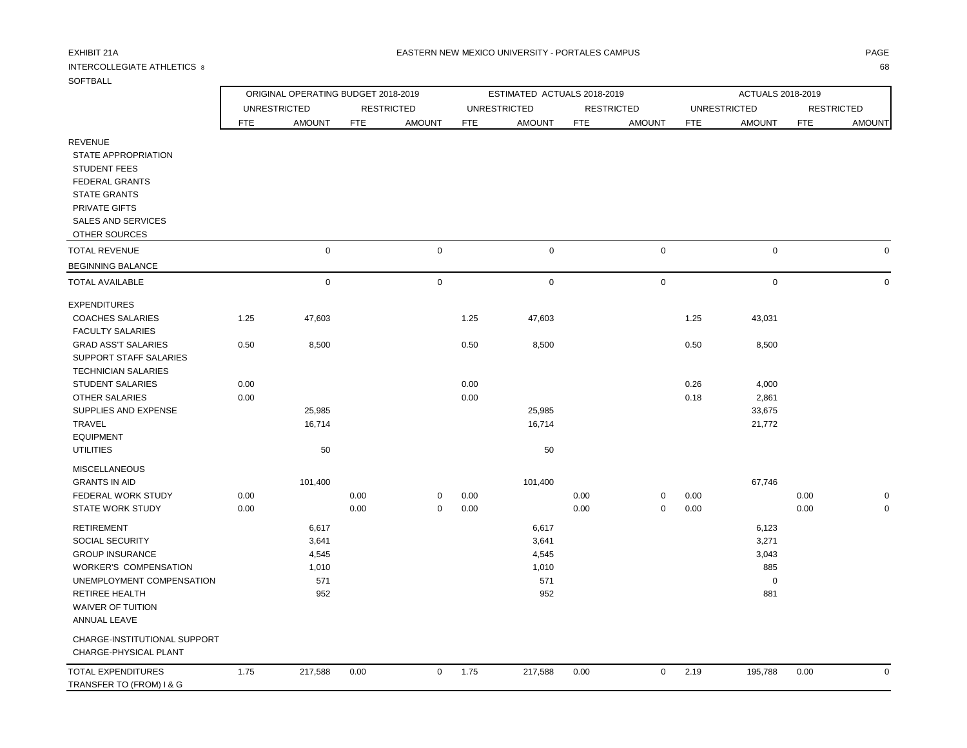## INTERCOLLEGIATE ATHLETICS 8

| $\sim$<br>۰.<br>v |  |
|-------------------|--|
|                   |  |

| <b>SOFTBALL</b>                                                                                                                                                                                  |                                                    |                                                |              |                         |              |                                                |              |                   |              |                                                      |              |                   |
|--------------------------------------------------------------------------------------------------------------------------------------------------------------------------------------------------|----------------------------------------------------|------------------------------------------------|--------------|-------------------------|--------------|------------------------------------------------|--------------|-------------------|--------------|------------------------------------------------------|--------------|-------------------|
|                                                                                                                                                                                                  |                                                    | ORIGINAL OPERATING BUDGET 2018-2019            |              |                         |              | ESTIMATED ACTUALS 2018-2019                    |              |                   |              | ACTUALS 2018-2019                                    |              |                   |
|                                                                                                                                                                                                  | <b>UNRESTRICTED</b><br><b>FTE</b><br><b>AMOUNT</b> |                                                |              | <b>RESTRICTED</b>       |              | <b>UNRESTRICTED</b>                            |              | <b>RESTRICTED</b> |              | <b>UNRESTRICTED</b>                                  |              | <b>RESTRICTED</b> |
|                                                                                                                                                                                                  |                                                    |                                                | <b>FTE</b>   | <b>AMOUNT</b>           | <b>FTE</b>   | <b>AMOUNT</b>                                  | <b>FTE</b>   | <b>AMOUNT</b>     | <b>FTE</b>   | <b>AMOUNT</b>                                        | <b>FTE</b>   | <b>AMOUNT</b>     |
| <b>REVENUE</b><br><b>STATE APPROPRIATION</b><br><b>STUDENT FEES</b><br><b>FEDERAL GRANTS</b><br><b>STATE GRANTS</b><br>PRIVATE GIFTS<br><b>SALES AND SERVICES</b><br><b>OTHER SOURCES</b>        |                                                    |                                                |              |                         |              |                                                |              |                   |              |                                                      |              |                   |
| <b>TOTAL REVENUE</b>                                                                                                                                                                             |                                                    | $\mathsf 0$                                    |              | $\mathbf 0$             |              | $\mathbf 0$                                    |              | $\mathbf 0$       |              | $\mathbf 0$                                          |              | $\mathbf 0$       |
| <b>BEGINNING BALANCE</b>                                                                                                                                                                         |                                                    |                                                |              |                         |              |                                                |              |                   |              |                                                      |              |                   |
| <b>TOTAL AVAILABLE</b>                                                                                                                                                                           |                                                    | $\mathbf 0$                                    |              | $\mathbf 0$             |              | $\mathbf 0$                                    |              | $\mathbf 0$       |              | $\mathbf 0$                                          |              | $\mathbf 0$       |
| <b>EXPENDITURES</b><br><b>COACHES SALARIES</b><br><b>FACULTY SALARIES</b>                                                                                                                        | 1.25                                               | 47,603                                         |              |                         | 1.25         | 47,603                                         |              |                   | 1.25         | 43,031                                               |              |                   |
| <b>GRAD ASS'T SALARIES</b><br><b>SUPPORT STAFF SALARIES</b><br><b>TECHNICIAN SALARIES</b>                                                                                                        | 0.50                                               | 8,500                                          |              |                         | 0.50         | 8,500                                          |              |                   | 0.50         | 8,500                                                |              |                   |
| <b>STUDENT SALARIES</b><br><b>OTHER SALARIES</b><br>SUPPLIES AND EXPENSE<br><b>TRAVEL</b><br><b>EQUIPMENT</b>                                                                                    | 0.00<br>0.00                                       | 25,985<br>16,714                               |              |                         | 0.00<br>0.00 | 25,985<br>16,714                               |              |                   | 0.26<br>0.18 | 4,000<br>2,861<br>33,675<br>21,772                   |              |                   |
| <b>UTILITIES</b><br><b>MISCELLANEOUS</b>                                                                                                                                                         |                                                    | 50                                             |              |                         |              | 50                                             |              |                   |              |                                                      |              |                   |
| <b>GRANTS IN AID</b><br>FEDERAL WORK STUDY<br><b>STATE WORK STUDY</b>                                                                                                                            | 0.00<br>0.00                                       | 101,400                                        | 0.00<br>0.00 | $\mathbf 0$<br>$\Omega$ | 0.00<br>0.00 | 101,400                                        | 0.00<br>0.00 | 0<br>$\mathbf 0$  | 0.00<br>0.00 | 67,746                                               | 0.00<br>0.00 |                   |
| <b>RETIREMENT</b><br>SOCIAL SECURITY<br><b>GROUP INSURANCE</b><br><b>WORKER'S COMPENSATION</b><br>UNEMPLOYMENT COMPENSATION<br><b>RETIREE HEALTH</b><br><b>WAIVER OF TUITION</b><br>ANNUAL LEAVE |                                                    | 6,617<br>3,641<br>4,545<br>1,010<br>571<br>952 |              |                         |              | 6,617<br>3,641<br>4,545<br>1,010<br>571<br>952 |              |                   |              | 6,123<br>3,271<br>3,043<br>885<br>$\mathbf 0$<br>881 |              |                   |
| CHARGE-INSTITUTIONAL SUPPORT<br>CHARGE-PHYSICAL PLANT                                                                                                                                            |                                                    |                                                |              |                         |              |                                                |              |                   |              |                                                      |              |                   |
| TOTAL EXPENDITURES<br>TRANSFER TO (FROM) I & G                                                                                                                                                   | 1.75                                               | 217,588                                        | 0.00         | $\mathbf 0$             | 1.75         | 217,588                                        | 0.00         | $\mathbf 0$       | 2.19         | 195,788                                              | 0.00         | $\Omega$          |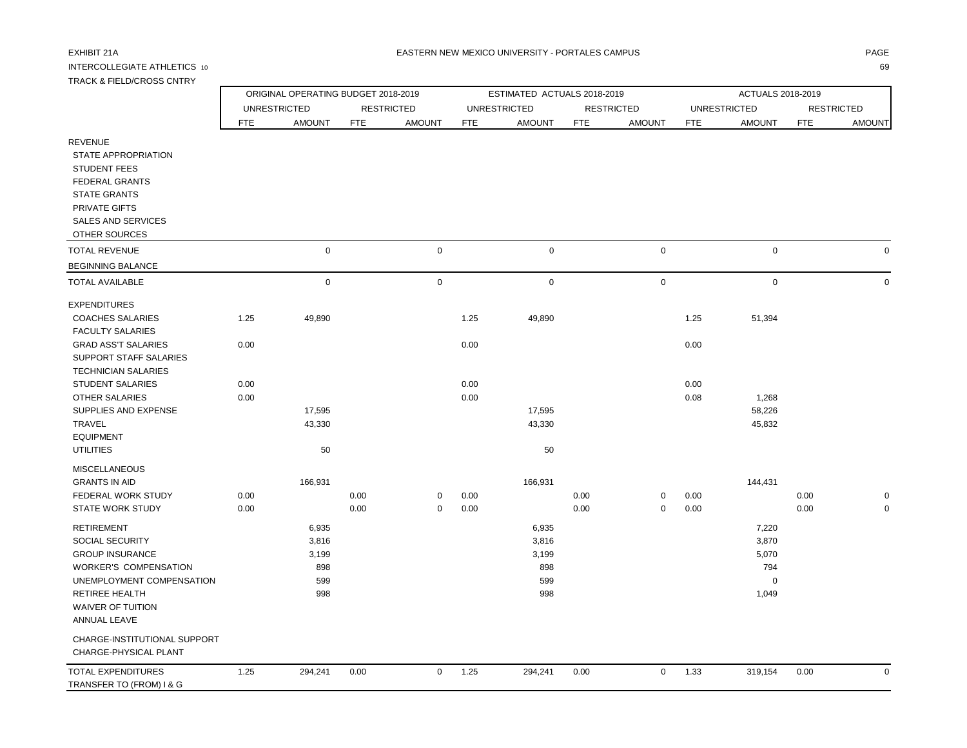## INTERCOLLEGIATE ATHLETICS 10 69 TRACK & FIELD/CROSS CNTRY

| TRACK & FIELD/CROSS CNTRY |            |                                     |            |                   |            |                             |     |                   |     |                   |            |                   |
|---------------------------|------------|-------------------------------------|------------|-------------------|------------|-----------------------------|-----|-------------------|-----|-------------------|------------|-------------------|
|                           |            | ORIGINAL OPERATING BUDGET 2018-2019 |            |                   |            | ESTIMATED ACTUALS 2018-2019 |     |                   |     | ACTUALS 2018-2019 |            |                   |
|                           |            | <b>UNRESTRICTED</b>                 |            | <b>RESTRICTED</b> |            | <b>UNRESTRICTED</b>         |     | <b>RESTRICTED</b> |     | UNRESTRICTED      |            | <b>RESTRICTED</b> |
|                           | <b>FTE</b> | <b>AMOUNT</b>                       | <b>FTE</b> | AMOUNT            | <b>FTE</b> | AMOUNT                      | FTE | <b>AMOUNT</b>     | FTE | <b>AMOUNT</b>     | <b>FTE</b> | <b>AMOUNT</b>     |
| <b>REVENUE</b>            |            |                                     |            |                   |            |                             |     |                   |     |                   |            |                   |
| STATE APPROPRIATION       |            |                                     |            |                   |            |                             |     |                   |     |                   |            |                   |
| <b>STUDENT FEES</b>       |            |                                     |            |                   |            |                             |     |                   |     |                   |            |                   |
| <b>FEDERAL GRANTS</b>     |            |                                     |            |                   |            |                             |     |                   |     |                   |            |                   |
| <b>STATE GRANTS</b>       |            |                                     |            |                   |            |                             |     |                   |     |                   |            |                   |
| <b>PRIVATE GIFTS</b>      |            |                                     |            |                   |            |                             |     |                   |     |                   |            |                   |
| SALES AND SERVICES        |            |                                     |            |                   |            |                             |     |                   |     |                   |            |                   |
| OTHER SOURCES             |            |                                     |            |                   |            |                             |     |                   |     |                   |            |                   |
| TOTAL REVENUE             |            | $\Omega$                            |            | $\Omega$          |            | $\Omega$                    |     | 0                 |     | $\mathbf 0$       |            |                   |
| BEGINNING BALANCE         |            |                                     |            |                   |            |                             |     |                   |     |                   |            |                   |
| TOTAL AVAILABLE           |            | 0                                   |            | $\mathbf 0$       |            | 0                           |     | 0                 |     | $\Omega$          |            |                   |
|                           |            |                                     |            |                   |            |                             |     |                   |     |                   |            |                   |

| <b>BEGINNING BALANCE</b>     |      |             |      |             |      |             |      |   |      |             |      |             |
|------------------------------|------|-------------|------|-------------|------|-------------|------|---|------|-------------|------|-------------|
| <b>TOTAL AVAILABLE</b>       |      | $\mathbf 0$ |      | $\mathbf 0$ |      | $\mathbf 0$ |      | 0 |      | 0           |      | $\mathbf 0$ |
| <b>EXPENDITURES</b>          |      |             |      |             |      |             |      |   |      |             |      |             |
| <b>COACHES SALARIES</b>      | 1.25 | 49,890      |      |             | 1.25 | 49,890      |      |   | 1.25 | 51,394      |      |             |
| <b>FACULTY SALARIES</b>      |      |             |      |             |      |             |      |   |      |             |      |             |
| <b>GRAD ASS'T SALARIES</b>   | 0.00 |             |      |             | 0.00 |             |      |   | 0.00 |             |      |             |
| SUPPORT STAFF SALARIES       |      |             |      |             |      |             |      |   |      |             |      |             |
| <b>TECHNICIAN SALARIES</b>   |      |             |      |             |      |             |      |   |      |             |      |             |
| <b>STUDENT SALARIES</b>      | 0.00 |             |      |             | 0.00 |             |      |   | 0.00 |             |      |             |
| <b>OTHER SALARIES</b>        | 0.00 |             |      |             | 0.00 |             |      |   | 0.08 | 1,268       |      |             |
| SUPPLIES AND EXPENSE         |      | 17,595      |      |             |      | 17,595      |      |   |      | 58,226      |      |             |
| TRAVEL                       |      | 43,330      |      |             |      | 43,330      |      |   |      | 45,832      |      |             |
| <b>EQUIPMENT</b>             |      |             |      |             |      |             |      |   |      |             |      |             |
| <b>UTILITIES</b>             |      | 50          |      |             |      | 50          |      |   |      |             |      |             |
| <b>MISCELLANEOUS</b>         |      |             |      |             |      |             |      |   |      |             |      |             |
| <b>GRANTS IN AID</b>         |      | 166,931     |      |             |      | 166,931     |      |   |      | 144,431     |      |             |
| FEDERAL WORK STUDY           | 0.00 |             | 0.00 | 0           | 0.00 |             | 0.00 | 0 | 0.00 |             | 0.00 | 0           |
| <b>STATE WORK STUDY</b>      | 0.00 |             | 0.00 | 0           | 0.00 |             | 0.00 | 0 | 0.00 |             | 0.00 | $\mathbf 0$ |
| <b>RETIREMENT</b>            |      | 6,935       |      |             |      | 6,935       |      |   |      | 7,220       |      |             |
| <b>SOCIAL SECURITY</b>       |      | 3,816       |      |             |      | 3,816       |      |   |      | 3,870       |      |             |
| <b>GROUP INSURANCE</b>       |      | 3,199       |      |             |      | 3,199       |      |   |      | 5,070       |      |             |
| <b>WORKER'S COMPENSATION</b> |      | 898         |      |             |      | 898         |      |   |      | 794         |      |             |
| UNEMPLOYMENT COMPENSATION    |      | 599         |      |             |      | 599         |      |   |      | $\mathbf 0$ |      |             |
| <b>RETIREE HEALTH</b>        |      | 998         |      |             |      | 998         |      |   |      | 1,049       |      |             |
| <b>WAIVER OF TUITION</b>     |      |             |      |             |      |             |      |   |      |             |      |             |
| <b>ANNUAL LEAVE</b>          |      |             |      |             |      |             |      |   |      |             |      |             |
| CHARGE-INSTITUTIONAL SUPPORT |      |             |      |             |      |             |      |   |      |             |      |             |
| CHARGE-PHYSICAL PLANT        |      |             |      |             |      |             |      |   |      |             |      |             |
| TOTAL EXPENDITURES           | 1.25 | 294,241     | 0.00 | 0           | 1.25 | 294,241     | 0.00 | 0 | 1.33 | 319,154     | 0.00 | 0           |
| TRANSFER TO (FROM) I & G     |      |             |      |             |      |             |      |   |      |             |      |             |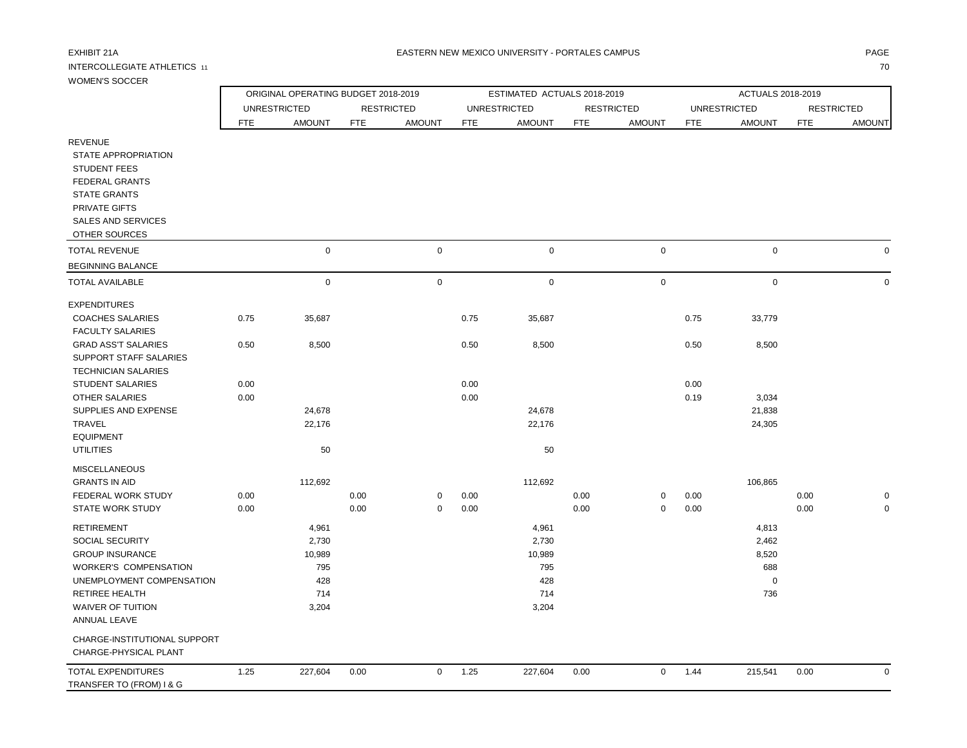## INTERCOLLEGIATE ATHLETICS 11 70

| WOMEN'S SOCCER                                                                                        |            |                                     |            |                   |            |                             |            |                     |            |                     |            |                   |
|-------------------------------------------------------------------------------------------------------|------------|-------------------------------------|------------|-------------------|------------|-----------------------------|------------|---------------------|------------|---------------------|------------|-------------------|
|                                                                                                       |            | ORIGINAL OPERATING BUDGET 2018-2019 |            |                   |            | ESTIMATED ACTUALS 2018-2019 |            |                     |            | ACTUALS 2018-2019   |            |                   |
|                                                                                                       |            | <b>UNRESTRICTED</b>                 |            | <b>RESTRICTED</b> |            | <b>UNRESTRICTED</b>         |            | <b>RESTRICTED</b>   |            | <b>UNRESTRICTED</b> |            | <b>RESTRICTED</b> |
|                                                                                                       | <b>FTE</b> | <b>AMOUNT</b>                       | <b>FTE</b> | <b>AMOUNT</b>     | <b>FTE</b> | <b>AMOUNT</b>               | <b>FTE</b> | <b>AMOUNT</b>       | <b>FTE</b> | <b>AMOUNT</b>       | <b>FTE</b> | <b>AMOUNT</b>     |
| <b>REVENUE</b><br>STATE APPROPRIATION<br><b>STUDENT FEES</b><br>FEDERAL GRANTS<br><b>STATE GRANTS</b> |            |                                     |            |                   |            |                             |            |                     |            |                     |            |                   |
| <b>PRIVATE GIFTS</b><br><b>SALES AND SERVICES</b>                                                     |            |                                     |            |                   |            |                             |            |                     |            |                     |            |                   |
| OTHER SOURCES                                                                                         |            |                                     |            |                   |            |                             |            |                     |            |                     |            |                   |
| <b>TOTAL REVENUE</b>                                                                                  |            | $\mathbf 0$                         |            | $\mathbf 0$       |            | $\mathbf 0$                 |            | $\mathsf 0$         |            | $\mathbf 0$         |            |                   |
|                                                                                                       |            |                                     |            |                   |            |                             |            |                     |            |                     |            |                   |
| <b>BEGINNING BALANCE</b>                                                                              |            |                                     |            |                   |            |                             |            |                     |            |                     |            |                   |
| <b>TOTAL AVAILABLE</b>                                                                                |            | $\mathbf 0$                         |            | $\mathbf 0$       |            | 0                           |            | $\mathsf{O}\xspace$ |            | $\mathbf 0$         |            | $\Omega$          |
| <b>EXPENDITURES</b>                                                                                   |            |                                     |            |                   |            |                             |            |                     |            |                     |            |                   |
| <b>COACHES SALARIES</b>                                                                               | 0.75       | 35,687                              |            |                   | 0.75       | 35,687                      |            |                     | 0.75       | 33,779              |            |                   |
| <b>FACULTY SALARIES</b>                                                                               |            |                                     |            |                   |            |                             |            |                     |            |                     |            |                   |
| <b>GRAD ASS'T SALARIES</b>                                                                            | 0.50       | 8,500                               |            |                   | 0.50       | 8,500                       |            |                     | 0.50       | 8,500               |            |                   |
| SUPPORT STAFF SALARIES                                                                                |            |                                     |            |                   |            |                             |            |                     |            |                     |            |                   |
| <b>TECHNICIAN SALARIES</b>                                                                            |            |                                     |            |                   |            |                             |            |                     |            |                     |            |                   |
| <b>STUDENT SALARIES</b>                                                                               | 0.00       |                                     |            |                   | 0.00       |                             |            |                     | 0.00       |                     |            |                   |
| <b>OTHER SALARIES</b>                                                                                 | 0.00       |                                     |            |                   | 0.00       |                             |            |                     | 0.19       | 3,034               |            |                   |
| SUPPLIES AND EXPENSE                                                                                  |            | 24,678                              |            |                   |            | 24,678                      |            |                     |            | 21,838              |            |                   |
| TRAVEL                                                                                                |            | 22,176                              |            |                   |            | 22,176                      |            |                     |            | 24,305              |            |                   |
| <b>EQUIPMENT</b>                                                                                      |            |                                     |            |                   |            |                             |            |                     |            |                     |            |                   |
| <b>UTILITIES</b>                                                                                      |            | 50                                  |            |                   |            | 50                          |            |                     |            |                     |            |                   |
| <b>MISCELLANEOUS</b>                                                                                  |            |                                     |            |                   |            |                             |            |                     |            |                     |            |                   |
| <b>GRANTS IN AID</b>                                                                                  |            | 112,692                             |            |                   |            | 112,692                     |            |                     |            | 106,865             |            |                   |
| FEDERAL WORK STUDY                                                                                    | 0.00       |                                     | 0.00       | $\mathbf 0$       | 0.00       |                             | 0.00       | 0                   | 0.00       |                     | 0.00       |                   |
| <b>STATE WORK STUDY</b>                                                                               | 0.00       |                                     | 0.00       | $\Omega$          | 0.00       |                             | 0.00       | $\mathbf 0$         | 0.00       |                     | 0.00       |                   |
| <b>RETIREMENT</b>                                                                                     |            | 4,961                               |            |                   |            | 4,961                       |            |                     |            | 4,813               |            |                   |
| <b>SOCIAL SECURITY</b>                                                                                |            | 2,730                               |            |                   |            | 2,730                       |            |                     |            | 2,462               |            |                   |
| <b>GROUP INSURANCE</b>                                                                                |            | 10,989                              |            |                   |            | 10,989                      |            |                     |            | 8,520               |            |                   |
| <b>WORKER'S COMPENSATION</b>                                                                          |            | 795                                 |            |                   |            | 795                         |            |                     |            | 688                 |            |                   |
| UNEMPLOYMENT COMPENSATION                                                                             |            | 428                                 |            |                   |            | 428                         |            |                     |            | $\mathbf 0$         |            |                   |
| <b>RETIREE HEALTH</b>                                                                                 |            | 714                                 |            |                   |            | 714                         |            |                     |            | 736                 |            |                   |
| <b>WAIVER OF TUITION</b>                                                                              |            | 3,204                               |            |                   |            | 3,204                       |            |                     |            |                     |            |                   |
| <b>ANNUAL LEAVE</b>                                                                                   |            |                                     |            |                   |            |                             |            |                     |            |                     |            |                   |
| CHARGE-INSTITUTIONAL SUPPORT<br>CHARGE-PHYSICAL PLANT                                                 |            |                                     |            |                   |            |                             |            |                     |            |                     |            |                   |
| <b>TOTAL EXPENDITURES</b><br>TRANSFER TO (FROM) I & G                                                 | 1.25       | 227,604                             | 0.00       | $\mathbf 0$       | 1.25       | 227,604                     | 0.00       | $\mathsf{O}$        | 1.44       | 215,541             | $0.00\,$   | $\mathbf 0$       |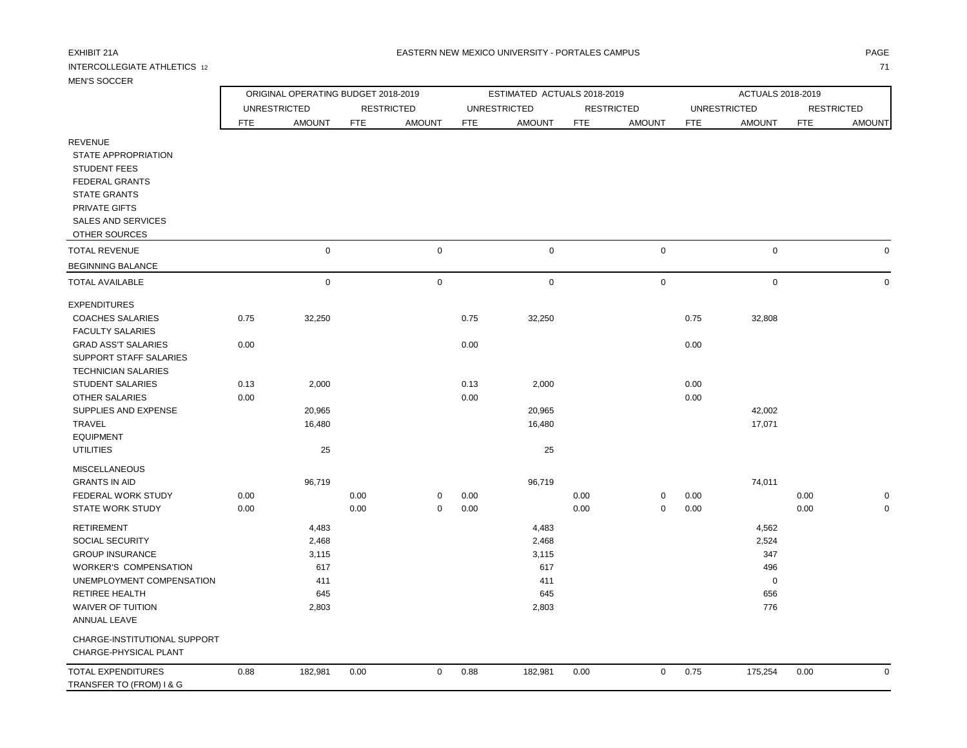## INTERCOLLEGIATE ATHLETICS 12 71

ANNUAL LEAVE

 CHARGE-INSTITUTIONAL SUPPORT CHARGE-PHYSICAL PLANT

TRANSFER TO (FROM) I & G

|                                                                                                                                                                             |      | ORIGINAL OPERATING BUDGET 2018-2019 |            |                     |            | ESTIMATED ACTUALS 2018-2019 |            |                   |            | ACTUALS 2018-2019   |                   |               |
|-----------------------------------------------------------------------------------------------------------------------------------------------------------------------------|------|-------------------------------------|------------|---------------------|------------|-----------------------------|------------|-------------------|------------|---------------------|-------------------|---------------|
|                                                                                                                                                                             |      | <b>UNRESTRICTED</b>                 |            | <b>RESTRICTED</b>   |            | <b>UNRESTRICTED</b>         |            | <b>RESTRICTED</b> |            | <b>UNRESTRICTED</b> | <b>RESTRICTED</b> |               |
|                                                                                                                                                                             | FTE  | <b>AMOUNT</b>                       | <b>FTE</b> | <b>AMOUNT</b>       | <b>FTE</b> | <b>AMOUNT</b>               | <b>FTE</b> | <b>AMOUNT</b>     | <b>FTE</b> | <b>AMOUNT</b>       | <b>FTE</b>        | <b>AMOUNT</b> |
| <b>REVENUE</b><br>STATE APPROPRIATION<br><b>STUDENT FEES</b><br><b>FEDERAL GRANTS</b><br><b>STATE GRANTS</b><br>PRIVATE GIFTS<br><b>SALES AND SERVICES</b><br>OTHER SOURCES |      |                                     |            |                     |            |                             |            |                   |            |                     |                   |               |
| <b>TOTAL REVENUE</b>                                                                                                                                                        |      | $\pmb{0}$                           |            | $\mathsf{O}\xspace$ |            | $\mathsf 0$                 |            | $\mathbf 0$       |            | $\mathbf 0$         |                   | 0             |
| <b>BEGINNING BALANCE</b>                                                                                                                                                    |      |                                     |            |                     |            |                             |            |                   |            |                     |                   |               |
| <b>TOTAL AVAILABLE</b>                                                                                                                                                      |      | $\mathbf 0$                         |            | $\mathsf{O}\xspace$ |            | $\mathbf 0$                 |            | $\mathbf 0$       |            | $\mathbf 0$         |                   | $\mathbf 0$   |
| <b>EXPENDITURES</b>                                                                                                                                                         |      |                                     |            |                     |            |                             |            |                   |            |                     |                   |               |
| <b>COACHES SALARIES</b><br><b>FACULTY SALARIES</b>                                                                                                                          | 0.75 | 32,250                              |            |                     | 0.75       | 32,250                      |            |                   | 0.75       | 32,808              |                   |               |
| <b>GRAD ASS'T SALARIES</b><br>SUPPORT STAFF SALARIES<br><b>TECHNICIAN SALARIES</b>                                                                                          | 0.00 |                                     |            |                     | 0.00       |                             |            |                   | 0.00       |                     |                   |               |
| STUDENT SALARIES                                                                                                                                                            | 0.13 | 2,000                               |            |                     | 0.13       | 2,000                       |            |                   | 0.00       |                     |                   |               |
| <b>OTHER SALARIES</b>                                                                                                                                                       | 0.00 |                                     |            |                     | 0.00       |                             |            |                   | 0.00       |                     |                   |               |
| SUPPLIES AND EXPENSE                                                                                                                                                        |      | 20,965                              |            |                     |            | 20,965                      |            |                   |            | 42,002              |                   |               |
| TRAVEL                                                                                                                                                                      |      | 16,480                              |            |                     |            | 16,480                      |            |                   |            | 17,071              |                   |               |
| <b>EQUIPMENT</b><br><b>UTILITIES</b>                                                                                                                                        |      | 25                                  |            |                     |            | 25                          |            |                   |            |                     |                   |               |
| <b>MISCELLANEOUS</b>                                                                                                                                                        |      |                                     |            |                     |            |                             |            |                   |            |                     |                   |               |
| <b>GRANTS IN AID</b>                                                                                                                                                        |      | 96,719                              |            |                     |            | 96,719                      |            |                   |            | 74,011              |                   |               |
| FEDERAL WORK STUDY                                                                                                                                                          | 0.00 |                                     | 0.00       | $\mathbf 0$         | 0.00       |                             | 0.00       | 0                 | 0.00       |                     | 0.00              | 0             |
| <b>STATE WORK STUDY</b>                                                                                                                                                     | 0.00 |                                     | 0.00       | $\mathbf 0$         | 0.00       |                             | 0.00       | $\Omega$          | 0.00       |                     | 0.00              | $\mathbf 0$   |
| <b>RETIREMENT</b>                                                                                                                                                           |      | 4,483                               |            |                     |            | 4,483                       |            |                   |            | 4,562               |                   |               |
| SOCIAL SECURITY                                                                                                                                                             |      | 2,468                               |            |                     |            | 2,468                       |            |                   |            | 2,524               |                   |               |
| <b>GROUP INSURANCE</b>                                                                                                                                                      |      | 3,115                               |            |                     |            | 3,115                       |            |                   |            | 347                 |                   |               |

 WORKER'S COMPENSATION 617 617 496 UNEMPLOYMENT COMPENSATION 411 411 0 RETIREE HEALTH 645 645 656 WAIVER OF TUITION 2,803 2,803 2,803 2,803 2,803 2,803 2,803 2,803 2,803 2,803 2,803 2,803 2,803 2,803 2,803 2,504 2,803 2,803 2,504 2,504 2,803 2,504 2,803 2,803 2,504 2,803 2,803 2,504 2,803 2,803 2,504 2,803 2,803 2,504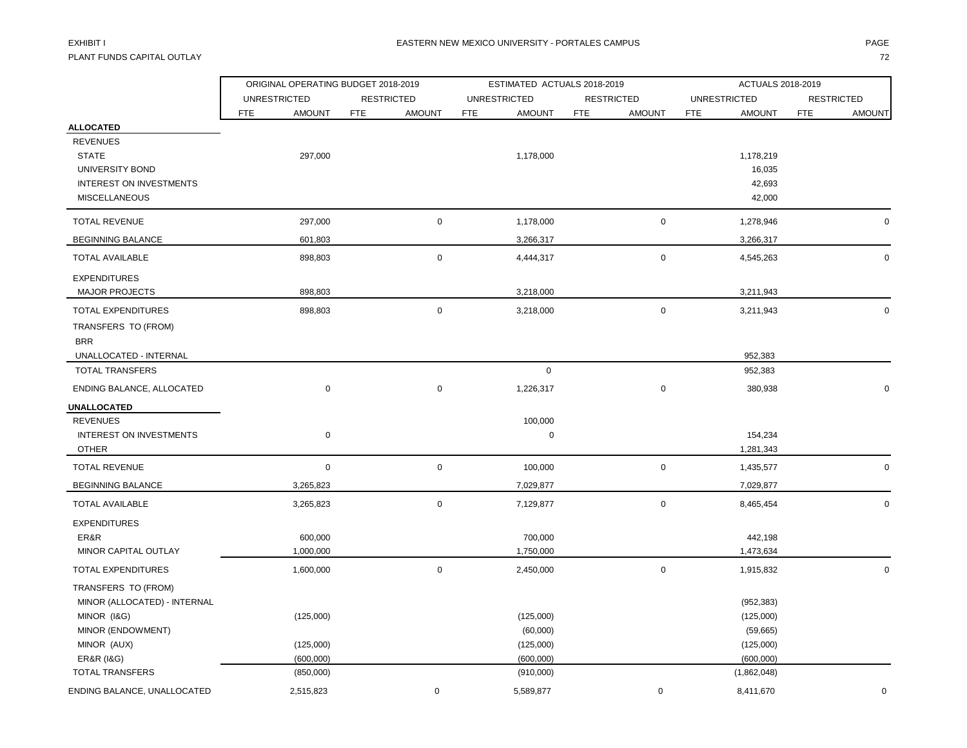PLANT FUNDS CAPITAL OUTLAY THE STATE OF THE STATE OF THE STATE OF THE STATE OF THE STATE OF THE STATE OF THE STA

|                                                                                                        | ORIGINAL OPERATING BUDGET 2018-2019 |                             | ESTIMATED ACTUALS 2018-2019        |                             | ACTUALS 2018-2019                                |                             |  |  |
|--------------------------------------------------------------------------------------------------------|-------------------------------------|-----------------------------|------------------------------------|-----------------------------|--------------------------------------------------|-----------------------------|--|--|
|                                                                                                        | <b>UNRESTRICTED</b>                 | <b>RESTRICTED</b>           | <b>UNRESTRICTED</b>                | <b>RESTRICTED</b>           | <b>UNRESTRICTED</b>                              | <b>RESTRICTED</b>           |  |  |
|                                                                                                        | <b>FTE</b><br><b>AMOUNT</b>         | <b>FTE</b><br><b>AMOUNT</b> | <b>FTE</b><br><b>AMOUNT</b>        | <b>FTE</b><br><b>AMOUNT</b> | FTE<br><b>AMOUNT</b>                             | <b>FTE</b><br><b>AMOUNT</b> |  |  |
| <b>ALLOCATED</b><br><b>REVENUES</b><br><b>STATE</b><br>UNIVERSITY BOND<br>INTEREST ON INVESTMENTS      | 297,000                             |                             | 1,178,000                          |                             | 1,178,219<br>16,035<br>42,693                    |                             |  |  |
| <b>MISCELLANEOUS</b>                                                                                   |                                     |                             |                                    |                             | 42,000                                           |                             |  |  |
| <b>TOTAL REVENUE</b>                                                                                   | 297,000                             | $\pmb{0}$                   | 1,178,000                          | $\mathsf{O}\xspace$         | 1,278,946                                        | $\mathbf 0$                 |  |  |
| <b>BEGINNING BALANCE</b>                                                                               | 601,803                             |                             | 3,266,317                          |                             | 3,266,317                                        |                             |  |  |
| <b>TOTAL AVAILABLE</b>                                                                                 | 898,803                             | 0                           | 4,444,317                          | $\mathsf 0$                 | 4,545,263                                        | 0                           |  |  |
| <b>EXPENDITURES</b><br><b>MAJOR PROJECTS</b>                                                           | 898,803                             |                             | 3,218,000                          |                             | 3,211,943                                        |                             |  |  |
| TOTAL EXPENDITURES<br>TRANSFERS TO (FROM)                                                              | 898,803                             | $\mathbf 0$                 | 3,218,000                          | $\mathbf 0$                 | 3,211,943                                        | 0                           |  |  |
| <b>BRR</b><br>UNALLOCATED - INTERNAL                                                                   |                                     |                             |                                    |                             | 952,383                                          |                             |  |  |
| <b>TOTAL TRANSFERS</b>                                                                                 |                                     |                             | $\mathbf 0$                        |                             | 952,383                                          |                             |  |  |
| ENDING BALANCE, ALLOCATED                                                                              | $\pmb{0}$                           | 0                           | 1,226,317                          | 0                           | 380,938                                          | U                           |  |  |
| UNALLOCATED                                                                                            |                                     |                             |                                    |                             |                                                  |                             |  |  |
| <b>REVENUES</b><br><b>INTEREST ON INVESTMENTS</b><br><b>OTHER</b>                                      | $\mathbf 0$                         |                             | 100,000<br>0                       |                             | 154,234<br>1,281,343                             |                             |  |  |
| <b>TOTAL REVENUE</b>                                                                                   | $\mathbf 0$                         | $\mathbf 0$                 | 100,000                            | $\mathsf 0$                 | 1,435,577                                        | 0                           |  |  |
| <b>BEGINNING BALANCE</b>                                                                               | 3,265,823                           |                             | 7,029,877                          |                             | 7,029,877                                        |                             |  |  |
| <b>TOTAL AVAILABLE</b>                                                                                 | 3,265,823                           | 0                           | 7,129,877                          | $\mathbf 0$                 | 8,465,454                                        | $\mathbf 0$                 |  |  |
| <b>EXPENDITURES</b><br>ER&R<br>MINOR CAPITAL OUTLAY                                                    | 600,000<br>1,000,000                |                             | 700,000<br>1,750,000               |                             | 442,198<br>1,473,634                             |                             |  |  |
| <b>TOTAL EXPENDITURES</b>                                                                              | 1,600,000                           | 0                           | 2,450,000                          | $\mathsf{O}\xspace$         | 1,915,832                                        | 0                           |  |  |
| TRANSFERS TO (FROM)<br>MINOR (ALLOCATED) - INTERNAL<br>MINOR (I&G)<br>MINOR (ENDOWMENT)<br>MINOR (AUX) | (125,000)<br>(125,000)              |                             | (125,000)<br>(60,000)<br>(125,000) |                             | (952, 383)<br>(125,000)<br>(59,665)<br>(125,000) |                             |  |  |
| <b>ER&amp;R (I&amp;G)</b>                                                                              | (600,000)                           |                             | (600,000)                          |                             | (600,000)                                        |                             |  |  |
| <b>TOTAL TRANSFERS</b>                                                                                 | (850,000)                           |                             | (910,000)                          |                             | (1,862,048)                                      |                             |  |  |
| ENDING BALANCE, UNALLOCATED                                                                            | 2,515,823                           | 0                           | 5,589,877                          | $\mathbf 0$                 | 8,411,670                                        | $\mathbf 0$                 |  |  |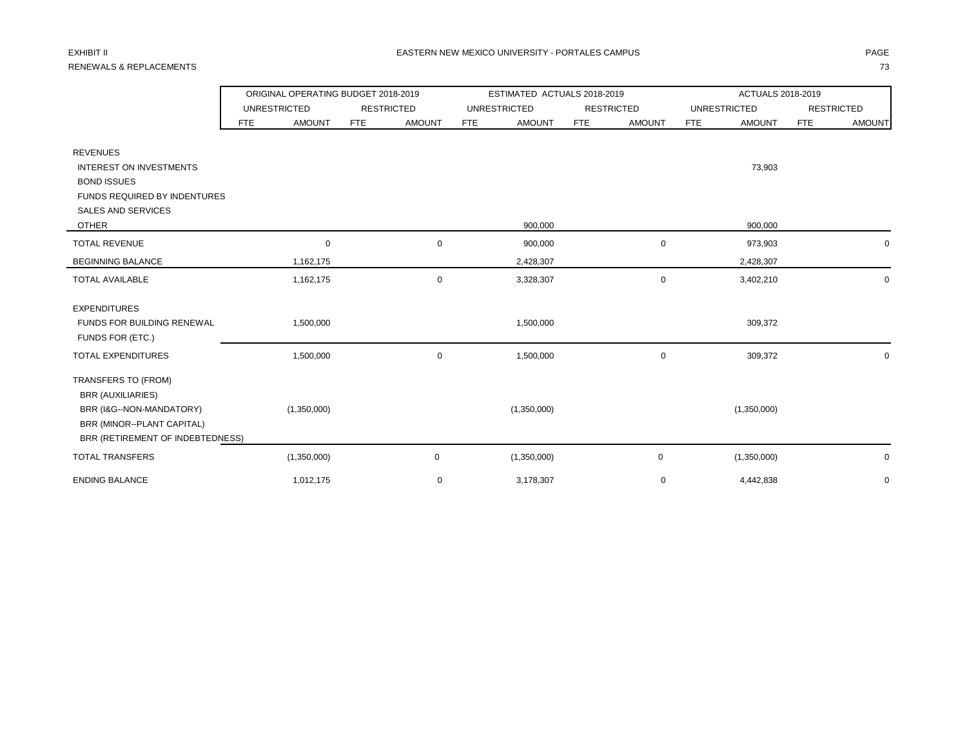# RENEWALS & REPLACEMENTS **For a state of the contract of the contract of the contract of the contract of the contract of the contract of the contract of the contract of the contract of the contract of the contract of the co**

|                                                                                                                                               |                      | ORIGINAL OPERATING BUDGET 2018-2019 | ESTIMATED ACTUALS 2018-2019 |                             | ACTUALS 2018-2019           |                             |  |  |
|-----------------------------------------------------------------------------------------------------------------------------------------------|----------------------|-------------------------------------|-----------------------------|-----------------------------|-----------------------------|-----------------------------|--|--|
|                                                                                                                                               | <b>UNRESTRICTED</b>  | <b>RESTRICTED</b>                   | <b>UNRESTRICTED</b>         | <b>RESTRICTED</b>           | <b>UNRESTRICTED</b>         | <b>RESTRICTED</b>           |  |  |
|                                                                                                                                               | <b>AMOUNT</b><br>FTE | <b>AMOUNT</b><br><b>FTE</b>         | <b>AMOUNT</b><br><b>FTE</b> | <b>AMOUNT</b><br><b>FTE</b> | <b>FTE</b><br><b>AMOUNT</b> | <b>FTE</b><br><b>AMOUNT</b> |  |  |
| <b>REVENUES</b><br><b>INTEREST ON INVESTMENTS</b><br><b>BOND ISSUES</b><br>FUNDS REQUIRED BY INDENTURES                                       |                      |                                     |                             |                             | 73,903                      |                             |  |  |
| <b>SALES AND SERVICES</b><br><b>OTHER</b>                                                                                                     |                      |                                     | 900,000                     |                             | 900,000                     |                             |  |  |
| <b>TOTAL REVENUE</b>                                                                                                                          | $\mathbf 0$          | $\mathbf 0$                         | 900,000                     | 0                           | 973,903                     | 0                           |  |  |
| <b>BEGINNING BALANCE</b>                                                                                                                      | 1,162,175            |                                     | 2,428,307                   |                             | 2,428,307                   |                             |  |  |
| <b>TOTAL AVAILABLE</b>                                                                                                                        | 1,162,175            | $\mathbf 0$                         | 3,328,307                   | $\mathbf 0$                 | 3,402,210                   | $\mathbf 0$                 |  |  |
| <b>EXPENDITURES</b><br>FUNDS FOR BUILDING RENEWAL<br>FUNDS FOR (ETC.)                                                                         | 1,500,000            |                                     | 1,500,000                   |                             | 309,372                     |                             |  |  |
| <b>TOTAL EXPENDITURES</b>                                                                                                                     | 1,500,000            | $\mathbf 0$                         | 1,500,000                   | $\mathbf 0$                 | 309,372                     | $\mathbf 0$                 |  |  |
| TRANSFERS TO (FROM)<br><b>BRR (AUXILIARIES)</b><br>BRR (I&G--NON-MANDATORY)<br>BRR (MINOR--PLANT CAPITAL)<br>BRR (RETIREMENT OF INDEBTEDNESS) | (1,350,000)          |                                     | (1,350,000)                 |                             | (1,350,000)                 |                             |  |  |
| <b>TOTAL TRANSFERS</b>                                                                                                                        | (1,350,000)          | $\mathbf 0$                         | (1,350,000)                 | $\mathbf 0$                 | (1,350,000)                 | 0                           |  |  |
| <b>ENDING BALANCE</b>                                                                                                                         | 1,012,175            | 0                                   | 3,178,307                   | 0                           | 4,442,838                   | $\mathbf 0$                 |  |  |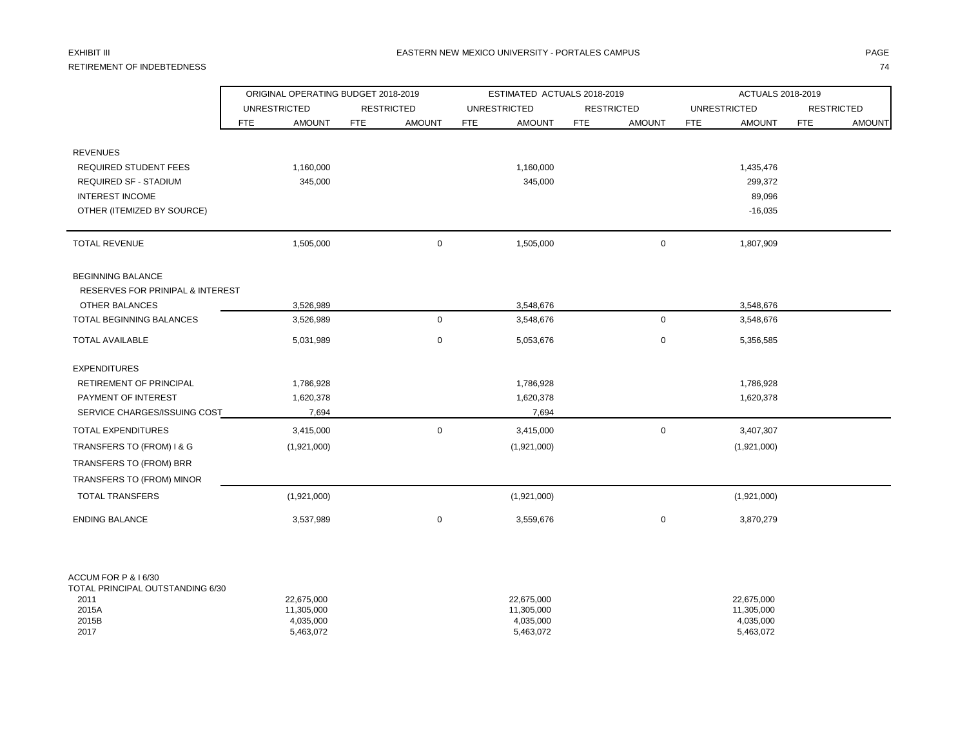# RETIREMENT OF INDEBTEDNESS 74

|                                                          |                             | ORIGINAL OPERATING BUDGET 2018-2019 |            |                         | ESTIMATED ACTUALS 2018-2019 |               |            |                         | ACTUALS 2018-2019 |               |  |  |
|----------------------------------------------------------|-----------------------------|-------------------------------------|------------|-------------------------|-----------------------------|---------------|------------|-------------------------|-------------------|---------------|--|--|
|                                                          | <b>UNRESTRICTED</b>         | <b>RESTRICTED</b>                   |            | <b>UNRESTRICTED</b>     | <b>RESTRICTED</b>           |               |            | <b>UNRESTRICTED</b>     | <b>RESTRICTED</b> |               |  |  |
|                                                          | <b>FTE</b><br><b>AMOUNT</b> | <b>FTE</b><br><b>AMOUNT</b>         | <b>FTE</b> | <b>AMOUNT</b>           | <b>FTE</b>                  | <b>AMOUNT</b> | <b>FTE</b> | <b>AMOUNT</b>           | <b>FTE</b>        | <b>AMOUNT</b> |  |  |
|                                                          |                             |                                     |            |                         |                             |               |            |                         |                   |               |  |  |
| <b>REVENUES</b>                                          |                             |                                     |            |                         |                             |               |            |                         |                   |               |  |  |
| REQUIRED STUDENT FEES                                    | 1,160,000                   |                                     |            | 1,160,000               |                             |               |            | 1,435,476               |                   |               |  |  |
| <b>REQUIRED SF - STADIUM</b>                             | 345,000                     |                                     |            | 345,000                 |                             |               |            | 299,372                 |                   |               |  |  |
| <b>INTEREST INCOME</b>                                   |                             |                                     |            |                         |                             |               |            | 89,096                  |                   |               |  |  |
| OTHER (ITEMIZED BY SOURCE)                               |                             |                                     |            |                         |                             |               |            | $-16,035$               |                   |               |  |  |
| <b>TOTAL REVENUE</b>                                     | 1,505,000                   |                                     | 0          | 1,505,000               |                             | $\mathbf 0$   |            | 1,807,909               |                   |               |  |  |
| <b>BEGINNING BALANCE</b>                                 |                             |                                     |            |                         |                             |               |            |                         |                   |               |  |  |
| <b>RESERVES FOR PRINIPAL &amp; INTEREST</b>              |                             |                                     |            |                         |                             |               |            |                         |                   |               |  |  |
| OTHER BALANCES                                           | 3,526,989                   |                                     |            | 3,548,676               |                             |               |            | 3,548,676               |                   |               |  |  |
| TOTAL BEGINNING BALANCES                                 | 3,526,989                   |                                     | 0          | 3,548,676               |                             | $\mathbf 0$   |            | 3,548,676               |                   |               |  |  |
| <b>TOTAL AVAILABLE</b>                                   | 5,031,989                   |                                     | 0          | 5,053,676               |                             | $\mathbf 0$   |            | 5,356,585               |                   |               |  |  |
| <b>EXPENDITURES</b>                                      |                             |                                     |            |                         |                             |               |            |                         |                   |               |  |  |
| RETIREMENT OF PRINCIPAL                                  | 1,786,928                   |                                     |            | 1,786,928               |                             |               |            | 1,786,928               |                   |               |  |  |
| PAYMENT OF INTEREST                                      | 1,620,378                   |                                     |            | 1,620,378               |                             |               |            | 1,620,378               |                   |               |  |  |
| SERVICE CHARGES/ISSUING COST                             | 7,694                       |                                     |            | 7,694                   |                             |               |            |                         |                   |               |  |  |
| TOTAL EXPENDITURES                                       | 3,415,000                   |                                     | 0          | 3,415,000               |                             | $\mathsf 0$   |            | 3,407,307               |                   |               |  |  |
| TRANSFERS TO (FROM) I & G                                | (1,921,000)                 |                                     |            | (1,921,000)             |                             |               |            | (1,921,000)             |                   |               |  |  |
| TRANSFERS TO (FROM) BRR                                  |                             |                                     |            |                         |                             |               |            |                         |                   |               |  |  |
| TRANSFERS TO (FROM) MINOR                                |                             |                                     |            |                         |                             |               |            |                         |                   |               |  |  |
| <b>TOTAL TRANSFERS</b>                                   | (1,921,000)                 |                                     |            | (1,921,000)             |                             |               |            | (1,921,000)             |                   |               |  |  |
| <b>ENDING BALANCE</b>                                    | 3,537,989                   |                                     | 0          | 3,559,676               |                             | 0             |            | 3,870,279               |                   |               |  |  |
|                                                          |                             |                                     |            |                         |                             |               |            |                         |                   |               |  |  |
| ACCUM FOR P & I 6/30<br>TOTAL PRINCIPAL OUTSTANDING 6/30 |                             |                                     |            |                         |                             |               |            |                         |                   |               |  |  |
| 2011                                                     | 22,675,000                  |                                     |            | 22,675,000              |                             |               |            | 22,675,000              |                   |               |  |  |
| 2015A<br>2015B                                           | 11,305,000<br>4,035,000     |                                     |            | 11,305,000<br>4,035,000 |                             |               |            | 11,305,000<br>4,035,000 |                   |               |  |  |

2017 5,463,072 5,463,072 5,463,072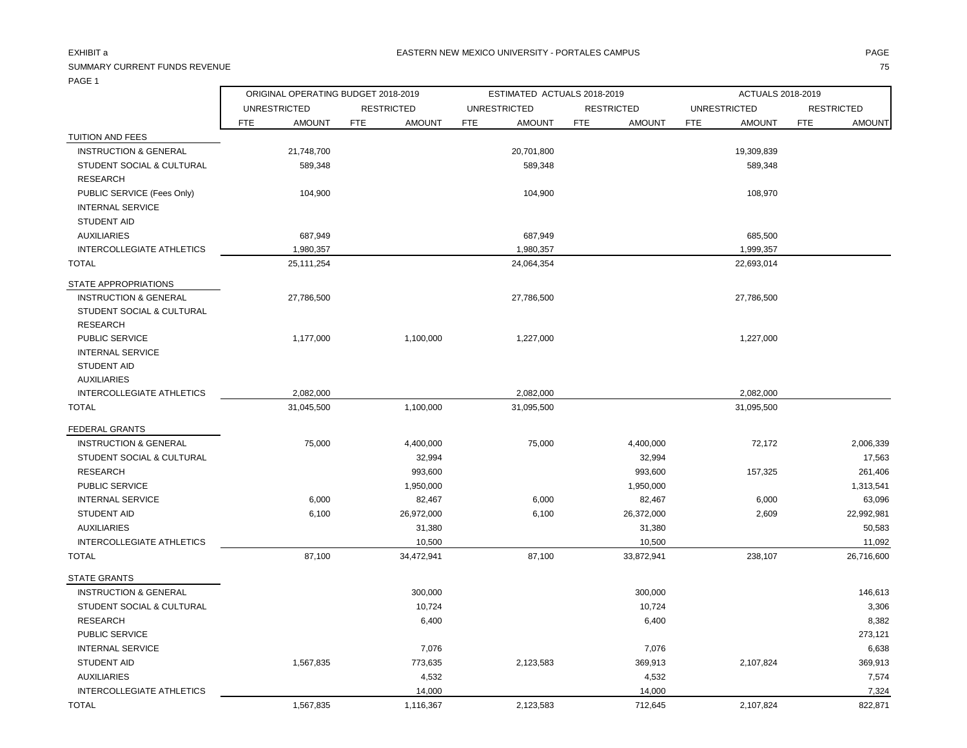FEDERAL GRANTS

## SUMMARY CURRENT FUNDS REVENUE THE SERVENUE TO SERVER THE SERVER OF SERVER THE SERVER OF SERVER THE SERVER OF S

ORIGINAL OPERATING BUDGET 2018-2019 ESTIMATED ACTUALS 2018-2019 ACTUALS 2018-2019

|                                      |            | UNRESTRICTED  |            | <b>RESTRICTED</b> |            | UNRESTRICTED  |            | <b>RESTRICTED</b> |            | UNRESTRICTED  |            | <b>RESTRICTED</b> |
|--------------------------------------|------------|---------------|------------|-------------------|------------|---------------|------------|-------------------|------------|---------------|------------|-------------------|
|                                      | <b>FTE</b> | <b>AMOUNT</b> | <b>FTE</b> | <b>AMOUNT</b>     | <b>FTE</b> | <b>AMOUNT</b> | <b>FTE</b> | <b>AMOUNT</b>     | <b>FTE</b> | <b>AMOUNT</b> | <b>FTE</b> | <b>AMOUNT</b>     |
| TUITION AND FEES                     |            |               |            |                   |            |               |            |                   |            |               |            |                   |
| <b>INSTRUCTION &amp; GENERAL</b>     |            | 21,748,700    |            |                   |            | 20,701,800    |            |                   |            | 19,309,839    |            |                   |
| STUDENT SOCIAL & CULTURAL            |            | 589,348       |            |                   |            | 589,348       |            |                   |            | 589,348       |            |                   |
| <b>RESEARCH</b>                      |            |               |            |                   |            |               |            |                   |            |               |            |                   |
| PUBLIC SERVICE (Fees Only)           |            | 104,900       |            |                   |            | 104,900       |            |                   |            | 108,970       |            |                   |
| <b>INTERNAL SERVICE</b>              |            |               |            |                   |            |               |            |                   |            |               |            |                   |
| <b>STUDENT AID</b>                   |            |               |            |                   |            |               |            |                   |            |               |            |                   |
| <b>AUXILIARIES</b>                   |            | 687,949       |            |                   |            | 687,949       |            |                   |            | 685,500       |            |                   |
| INTERCOLLEGIATE ATHLETICS            |            | 1,980,357     |            |                   |            | 1,980,357     |            |                   |            | 1,999,357     |            |                   |
| TOTAL                                |            | 25,111,254    |            |                   |            | 24,064,354    |            |                   |            | 22,693,014    |            |                   |
| STATE APPROPRIATIONS                 |            |               |            |                   |            |               |            |                   |            |               |            |                   |
| <b>INSTRUCTION &amp; GENERAL</b>     |            | 27,786,500    |            |                   |            | 27,786,500    |            |                   |            | 27,786,500    |            |                   |
| <b>STUDENT SOCIAL &amp; CULTURAL</b> |            |               |            |                   |            |               |            |                   |            |               |            |                   |
| <b>RESEARCH</b>                      |            |               |            |                   |            |               |            |                   |            |               |            |                   |
| PUBLIC SERVICE                       |            | 1,177,000     |            | 1,100,000         |            | 1,227,000     |            |                   |            | 1,227,000     |            |                   |
| <b>INTERNAL SERVICE</b>              |            |               |            |                   |            |               |            |                   |            |               |            |                   |
| <b>STUDENT AID</b>                   |            |               |            |                   |            |               |            |                   |            |               |            |                   |
| AUXILIARIES                          |            |               |            |                   |            |               |            |                   |            |               |            |                   |
| <b>INTERCOLLEGIATE ATHLETICS</b>     |            | 2,082,000     |            |                   |            | 2,082,000     |            |                   |            | 2,082,000     |            |                   |
| <b>TOTAL</b>                         |            | 31,045,500    |            | 1,100,000         |            | 31,095,500    |            |                   |            | 31,095,500    |            |                   |
| EENEDAI CDANTS                       |            |               |            |                   |            |               |            |                   |            |               |            |                   |

| <b>INSTRUCTION &amp; GENERAL</b>     | 75,000    | 4,400,000  | 75,000    | 4,400,000  | 72,172    | 2,006,339  |
|--------------------------------------|-----------|------------|-----------|------------|-----------|------------|
| <b>STUDENT SOCIAL &amp; CULTURAL</b> |           | 32,994     |           | 32,994     |           | 17,563     |
| <b>RESEARCH</b>                      |           | 993,600    |           | 993,600    | 157,325   | 261,406    |
| PUBLIC SERVICE                       |           | 1,950,000  |           | 1,950,000  |           | 1,313,541  |
| <b>INTERNAL SERVICE</b>              | 6,000     | 82,467     | 6,000     | 82,467     | 6,000     | 63,096     |
| <b>STUDENT AID</b>                   | 6,100     | 26,972,000 | 6,100     | 26,372,000 | 2,609     | 22,992,981 |
| <b>AUXILIARIES</b>                   |           | 31,380     |           | 31,380     |           | 50,583     |
| INTERCOLLEGIATE ATHLETICS            |           | 10,500     |           | 10,500     |           | 11,092     |
| <b>TOTAL</b>                         | 87,100    | 34,472,941 | 87,100    | 33,872,941 | 238,107   | 26,716,600 |
| <b>STATE GRANTS</b>                  |           |            |           |            |           |            |
| <b>INSTRUCTION &amp; GENERAL</b>     |           | 300,000    |           | 300,000    |           | 146,613    |
| <b>STUDENT SOCIAL &amp; CULTURAL</b> |           | 10,724     |           | 10,724     |           | 3,306      |
| <b>RESEARCH</b>                      |           | 6,400      |           | 6,400      |           | 8,382      |
| PUBLIC SERVICE                       |           |            |           |            |           | 273,121    |
| <b>INTERNAL SERVICE</b>              |           | 7,076      |           | 7,076      |           | 6,638      |
| <b>STUDENT AID</b>                   | 1,567,835 | 773,635    | 2,123,583 | 369,913    | 2,107,824 | 369,913    |
| AUXILIARIES                          |           | 4,532      |           | 4,532      |           | 7,574      |
| INTERCOLLEGIATE ATHLETICS            |           | 14,000     |           | 14,000     |           | 7,324      |
| <b>TOTAL</b>                         | 1,567,835 | 1,116,367  | 2,123,583 | 712,645    | 2,107,824 | 822,871    |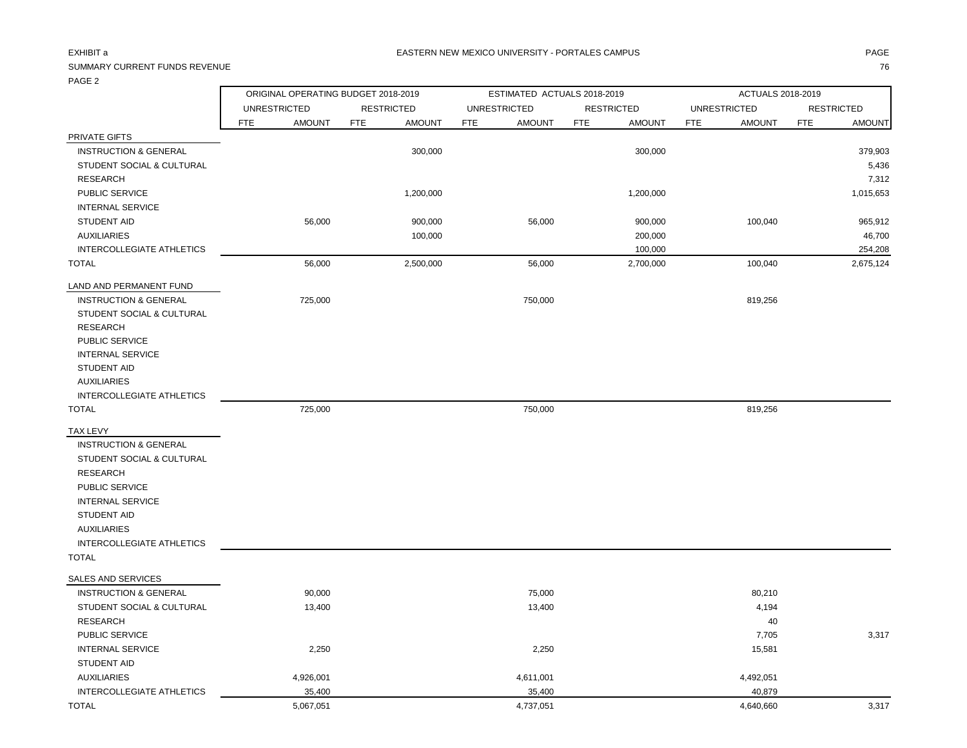### EXHIBIT a PAGE IN THE SERVICE OF THE SERVICE OF THE SERVICE OF THE SERVICE OF THE SERVICE OF THE SERVICE OF THE SERVICE OF THE SERVICE OF THE SERVICE OF THE SERVICE OF THE SERVICE OF THE SERVICE OF THE SERVICE OF THE SERVI

## SUMMARY CURRENT FUNDS REVENUE THE SERVENUE TO A SUMMARY CURRENT FUNDS REVENUE TO THE STATE OF STATE STATE STATES TO THE STATE STATE OF STATES OF STATES OF STATES OF STATES OF STATES OF STATES OF STATES OF STATES OF STATES

|                                  |                     | ORIGINAL OPERATING BUDGET 2018-2019 |                   |               |            | ESTIMATED ACTUALS 2018-2019 |                   |               |            | ACTUALS 2018-2019   |            |                   |  |
|----------------------------------|---------------------|-------------------------------------|-------------------|---------------|------------|-----------------------------|-------------------|---------------|------------|---------------------|------------|-------------------|--|
|                                  | <b>UNRESTRICTED</b> |                                     | <b>RESTRICTED</b> |               |            | <b>UNRESTRICTED</b>         | <b>RESTRICTED</b> |               |            | <b>UNRESTRICTED</b> |            | <b>RESTRICTED</b> |  |
|                                  | <b>FTE</b>          | <b>AMOUNT</b>                       | <b>FTE</b>        | <b>AMOUNT</b> | <b>FTE</b> | <b>AMOUNT</b>               | <b>FTE</b>        | <b>AMOUNT</b> | <b>FTE</b> | <b>AMOUNT</b>       | <b>FTE</b> | <b>AMOUNT</b>     |  |
| PRIVATE GIFTS                    |                     |                                     |                   |               |            |                             |                   |               |            |                     |            |                   |  |
| <b>INSTRUCTION &amp; GENERAL</b> |                     |                                     |                   | 300,000       |            |                             |                   | 300,000       |            |                     |            | 379,903           |  |
| STUDENT SOCIAL & CULTURAL        |                     |                                     |                   |               |            |                             |                   |               |            |                     |            | 5,436             |  |
| <b>RESEARCH</b>                  |                     |                                     |                   |               |            |                             |                   |               |            |                     |            | 7,312             |  |
| PUBLIC SERVICE                   |                     |                                     |                   | 1,200,000     |            |                             |                   | 1,200,000     |            |                     |            | 1,015,653         |  |
| <b>INTERNAL SERVICE</b>          |                     |                                     |                   |               |            |                             |                   |               |            |                     |            |                   |  |
| STUDENT AID                      |                     | 56,000                              |                   | 900,000       |            | 56,000                      |                   | 900,000       |            | 100,040             |            | 965,912           |  |
| <b>AUXILIARIES</b>               |                     |                                     |                   | 100,000       |            |                             |                   | 200,000       |            |                     |            | 46,700            |  |
| INTERCOLLEGIATE ATHLETICS        |                     |                                     |                   |               |            |                             |                   | 100,000       |            |                     |            | 254,208           |  |
| <b>TOTAL</b>                     |                     | 56,000                              |                   | 2,500,000     |            | 56,000                      |                   | 2,700,000     |            | 100,040             |            | 2,675,124         |  |
| LAND AND PERMANENT FUND          |                     |                                     |                   |               |            |                             |                   |               |            |                     |            |                   |  |
| <b>INSTRUCTION &amp; GENERAL</b> |                     | 725,000                             |                   |               |            | 750,000                     |                   |               |            | 819,256             |            |                   |  |
| STUDENT SOCIAL & CULTURAL        |                     |                                     |                   |               |            |                             |                   |               |            |                     |            |                   |  |
| <b>RESEARCH</b>                  |                     |                                     |                   |               |            |                             |                   |               |            |                     |            |                   |  |
| PUBLIC SERVICE                   |                     |                                     |                   |               |            |                             |                   |               |            |                     |            |                   |  |
| <b>INTERNAL SERVICE</b>          |                     |                                     |                   |               |            |                             |                   |               |            |                     |            |                   |  |
| STUDENT AID                      |                     |                                     |                   |               |            |                             |                   |               |            |                     |            |                   |  |
| <b>AUXILIARIES</b>               |                     |                                     |                   |               |            |                             |                   |               |            |                     |            |                   |  |
| <b>INTERCOLLEGIATE ATHLETICS</b> |                     |                                     |                   |               |            |                             |                   |               |            |                     |            |                   |  |
| <b>TOTAL</b>                     |                     | 725,000                             |                   |               |            | 750,000                     |                   |               |            | 819,256             |            |                   |  |
| <b>TAX LEVY</b>                  |                     |                                     |                   |               |            |                             |                   |               |            |                     |            |                   |  |
| <b>INSTRUCTION &amp; GENERAL</b> |                     |                                     |                   |               |            |                             |                   |               |            |                     |            |                   |  |
| STUDENT SOCIAL & CULTURAL        |                     |                                     |                   |               |            |                             |                   |               |            |                     |            |                   |  |
| <b>RESEARCH</b>                  |                     |                                     |                   |               |            |                             |                   |               |            |                     |            |                   |  |
| PUBLIC SERVICE                   |                     |                                     |                   |               |            |                             |                   |               |            |                     |            |                   |  |
| <b>INTERNAL SERVICE</b>          |                     |                                     |                   |               |            |                             |                   |               |            |                     |            |                   |  |
| STUDENT AID                      |                     |                                     |                   |               |            |                             |                   |               |            |                     |            |                   |  |
| <b>AUXILIARIES</b>               |                     |                                     |                   |               |            |                             |                   |               |            |                     |            |                   |  |
| <b>INTERCOLLEGIATE ATHLETICS</b> |                     |                                     |                   |               |            |                             |                   |               |            |                     |            |                   |  |
| <b>TOTAL</b>                     |                     |                                     |                   |               |            |                             |                   |               |            |                     |            |                   |  |
| SALES AND SERVICES               |                     |                                     |                   |               |            |                             |                   |               |            |                     |            |                   |  |
| <b>INSTRUCTION &amp; GENERAL</b> |                     | 90,000                              |                   |               |            | 75,000                      |                   |               |            | 80,210              |            |                   |  |
| STUDENT SOCIAL & CULTURAL        |                     | 13,400                              |                   |               |            | 13,400                      |                   |               |            | 4,194               |            |                   |  |
| <b>RESEARCH</b>                  |                     |                                     |                   |               |            |                             |                   |               |            | 40                  |            |                   |  |
| PUBLIC SERVICE                   |                     |                                     |                   |               |            |                             |                   |               |            | 7,705               |            | 3,317             |  |
| <b>INTERNAL SERVICE</b>          |                     | 2,250                               |                   |               |            | 2,250                       |                   |               |            | 15,581              |            |                   |  |
| STUDENT AID                      |                     |                                     |                   |               |            |                             |                   |               |            |                     |            |                   |  |
| <b>AUXILIARIES</b>               |                     | 4,926,001                           |                   |               |            | 4,611,001                   |                   |               |            | 4,492,051           |            |                   |  |
| <b>INTERCOLLEGIATE ATHLETICS</b> |                     | 35,400                              |                   |               |            | 35,400                      |                   |               |            | 40,879              |            |                   |  |
| <b>TOTAL</b>                     |                     | 5,067,051                           |                   |               |            | 4,737,051                   |                   |               |            | 4,640,660           |            | 3,317             |  |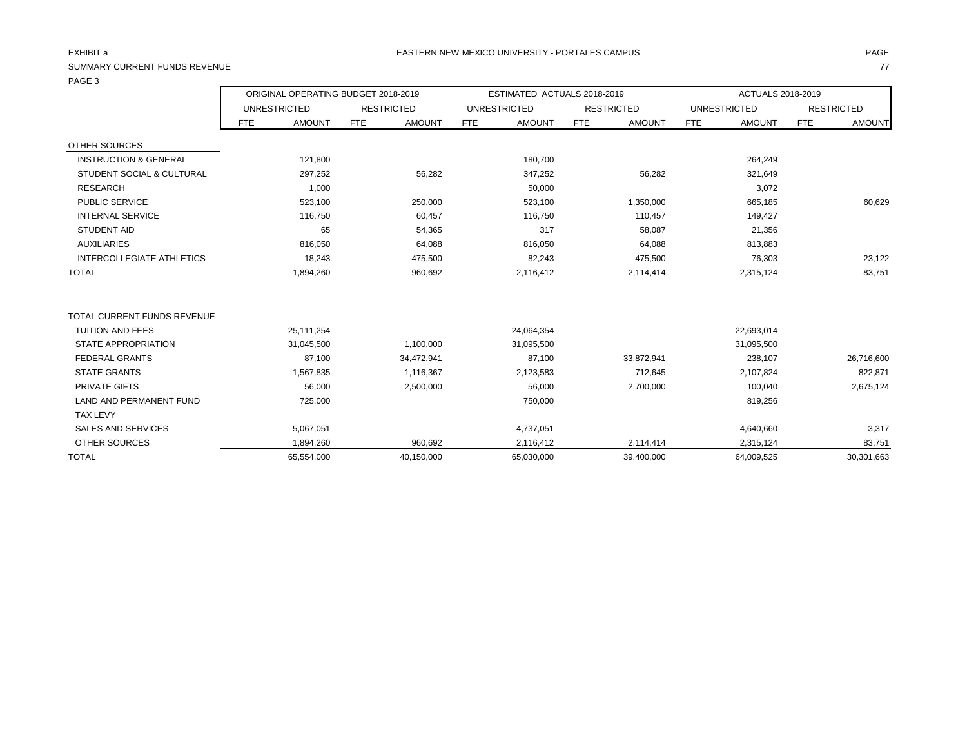## SUMMARY CURRENT FUNDS REVENUE

| , ט איי י                        |                                     |                             |                             |                             | ACTUALS 2018-2019           |                             |  |  |
|----------------------------------|-------------------------------------|-----------------------------|-----------------------------|-----------------------------|-----------------------------|-----------------------------|--|--|
|                                  | ORIGINAL OPERATING BUDGET 2018-2019 |                             | ESTIMATED ACTUALS 2018-2019 |                             |                             |                             |  |  |
|                                  | <b>UNRESTRICTED</b>                 | <b>RESTRICTED</b>           | <b>UNRESTRICTED</b>         | <b>RESTRICTED</b>           | <b>UNRESTRICTED</b>         | <b>RESTRICTED</b>           |  |  |
|                                  | <b>FTE</b><br><b>AMOUNT</b>         | <b>AMOUNT</b><br><b>FTE</b> | <b>AMOUNT</b><br><b>FTE</b> | <b>FTE</b><br><b>AMOUNT</b> | <b>FTE</b><br><b>AMOUNT</b> | <b>FTE</b><br><b>AMOUNT</b> |  |  |
| <b>OTHER SOURCES</b>             |                                     |                             |                             |                             |                             |                             |  |  |
| <b>INSTRUCTION &amp; GENERAL</b> | 121,800                             |                             | 180,700                     |                             | 264,249                     |                             |  |  |
| STUDENT SOCIAL & CULTURAL        | 297,252                             | 56,282                      | 347,252                     | 56,282                      | 321,649                     |                             |  |  |
| <b>RESEARCH</b>                  | 1,000                               |                             | 50,000                      |                             | 3,072                       |                             |  |  |
| PUBLIC SERVICE                   | 523,100                             | 250,000                     | 523,100                     | 1,350,000                   | 665,185                     | 60,629                      |  |  |
| <b>INTERNAL SERVICE</b>          | 116,750                             | 60,457                      | 116,750                     | 110,457                     | 149,427                     |                             |  |  |
| <b>STUDENT AID</b>               | 65                                  | 54,365                      | 317                         | 58,087                      | 21,356                      |                             |  |  |
| <b>AUXILIARIES</b>               | 816,050                             | 64,088                      | 816,050                     | 64,088                      | 813,883                     |                             |  |  |
| <b>INTERCOLLEGIATE ATHLETICS</b> | 18,243                              | 475,500                     | 82,243                      | 475,500                     | 76,303                      | 23,122                      |  |  |
| <b>TOTAL</b>                     | 1,894,260                           | 960,692                     | 2,116,412                   | 2,114,414                   | 2,315,124                   | 83,751                      |  |  |
|                                  |                                     |                             |                             |                             |                             |                             |  |  |
| TOTAL CURRENT FUNDS REVENUE      |                                     |                             |                             |                             |                             |                             |  |  |
| <b>TUITION AND FEES</b>          | 25,111,254                          |                             | 24,064,354                  |                             | 22,693,014                  |                             |  |  |
| <b>STATE APPROPRIATION</b>       | 31,045,500                          | 1,100,000                   | 31,095,500                  |                             | 31,095,500                  |                             |  |  |
| <b>FEDERAL GRANTS</b>            | 87,100                              | 34,472,941                  | 87,100                      | 33,872,941                  | 238,107                     | 26,716,600                  |  |  |
| <b>STATE GRANTS</b>              | 1,567,835                           | 1,116,367                   | 2,123,583                   | 712,645                     | 2,107,824                   | 822,871                     |  |  |
| PRIVATE GIFTS                    | 56,000                              | 2,500,000                   | 56,000                      | 2,700,000                   | 100,040                     | 2,675,124                   |  |  |
| LAND AND PERMANENT FUND          | 725,000                             |                             | 750,000                     |                             | 819,256                     |                             |  |  |
| <b>TAX LEVY</b>                  |                                     |                             |                             |                             |                             |                             |  |  |
| <b>SALES AND SERVICES</b>        | 5,067,051                           |                             | 4,737,051                   |                             | 4,640,660                   | 3,317                       |  |  |
| <b>OTHER SOURCES</b>             | 1,894,260                           | 960,692                     | 2,116,412                   | 2,114,414                   | 2,315,124                   | 83,751                      |  |  |
| <b>TOTAL</b>                     | 65,554,000                          | 40,150,000                  | 65,030,000                  | 39,400,000                  | 64,009,525                  | 30,301,663                  |  |  |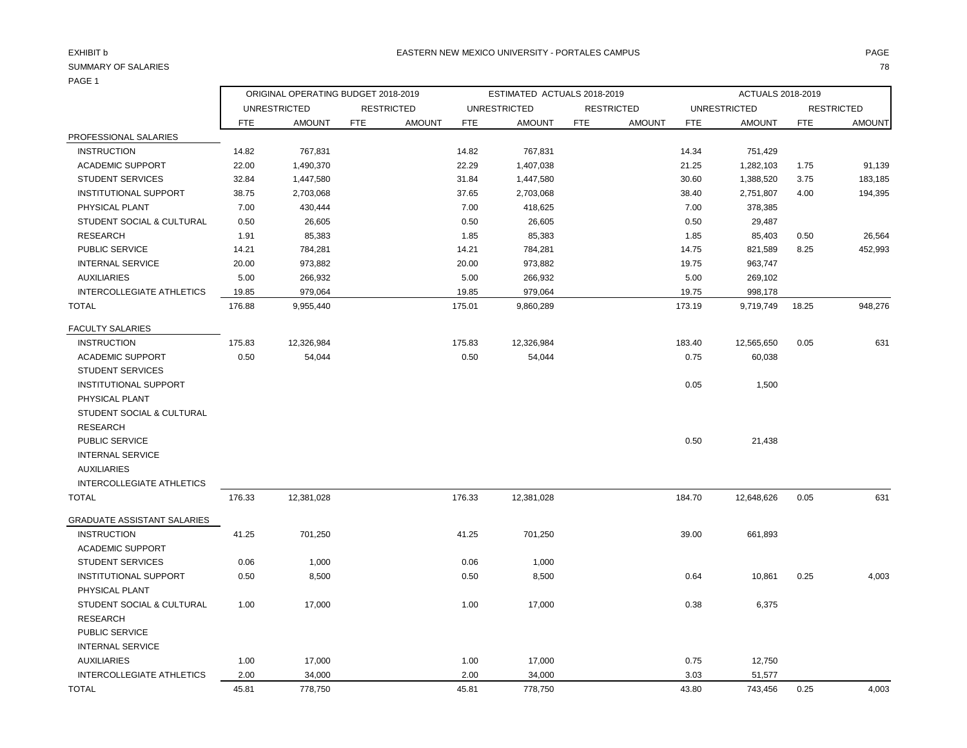AUXILIARIES

|                              |            | ORIGINAL OPERATING BUDGET 2018-2019 |     |                   |            | ESTIMATED ACTUALS 2018-2019 |            |                   |        | ACTUALS 2018-2019   |            |                   |  |
|------------------------------|------------|-------------------------------------|-----|-------------------|------------|-----------------------------|------------|-------------------|--------|---------------------|------------|-------------------|--|
|                              |            | <b>UNRESTRICTED</b>                 |     | <b>RESTRICTED</b> |            | <b>UNRESTRICTED</b>         |            | <b>RESTRICTED</b> |        | <b>UNRESTRICTED</b> |            | <b>RESTRICTED</b> |  |
|                              | <b>FTE</b> | <b>AMOUNT</b>                       | FTE | <b>AMOUNT</b>     | <b>FTE</b> | <b>AMOUNT</b>               | <b>FTE</b> | <b>AMOUNT</b>     | FTE    | <b>AMOUNT</b>       | <b>FTE</b> | <b>AMOUNT</b>     |  |
| PROFESSIONAL SALARIES        |            |                                     |     |                   |            |                             |            |                   |        |                     |            |                   |  |
| <b>INSTRUCTION</b>           | 14.82      | 767,831                             |     |                   | 14.82      | 767,831                     |            |                   | 14.34  | 751,429             |            |                   |  |
| <b>ACADEMIC SUPPORT</b>      | 22.00      | 1,490,370                           |     |                   | 22.29      | 1,407,038                   |            |                   | 21.25  | 1,282,103           | 1.75       | 91,139            |  |
| <b>STUDENT SERVICES</b>      | 32.84      | 1,447,580                           |     |                   | 31.84      | 1,447,580                   |            |                   | 30.60  | 1,388,520           | 3.75       | 183,185           |  |
| <b>INSTITUTIONAL SUPPORT</b> | 38.75      | 2,703,068                           |     |                   | 37.65      | 2,703,068                   |            |                   | 38.40  | 2,751,807           | 4.00       | 194,395           |  |
| PHYSICAL PLANT               | 7.00       | 430,444                             |     |                   | 7.00       | 418,625                     |            |                   | 7.00   | 378,385             |            |                   |  |
| STUDENT SOCIAL & CULTURAL    | 0.50       | 26,605                              |     |                   | 0.50       | 26,605                      |            |                   | 0.50   | 29,487              |            |                   |  |
| <b>RESEARCH</b>              | 1.91       | 85,383                              |     |                   | 1.85       | 85,383                      |            |                   | 1.85   | 85,403              | 0.50       | 26,564            |  |
| <b>PUBLIC SERVICE</b>        | 14.21      | 784,281                             |     |                   | 14.21      | 784,281                     |            |                   | 14.75  | 821,589             | 8.25       | 452,993           |  |
| <b>INTERNAL SERVICE</b>      | 20.00      | 973,882                             |     |                   | 20.00      | 973,882                     |            |                   | 19.75  | 963,747             |            |                   |  |
| <b>AUXILIARIES</b>           | 5.00       | 266,932                             |     |                   | 5.00       | 266,932                     |            |                   | 5.00   | 269,102             |            |                   |  |
| INTERCOLLEGIATE ATHLETICS    | 19.85      | 979,064                             |     |                   | 19.85      | 979,064                     |            |                   | 19.75  | 998,178             |            |                   |  |
| <b>TOTAL</b>                 | 176.88     | 9,955,440                           |     |                   | 175.01     | 9,860,289                   |            |                   | 173.19 | 9,719,749           | 18.25      | 948,276           |  |
| <b>FACULTY SALARIES</b>      |            |                                     |     |                   |            |                             |            |                   |        |                     |            |                   |  |
| <b>INSTRUCTION</b>           | 175.83     | 12,326,984                          |     |                   | 175.83     | 12,326,984                  |            |                   | 183.40 | 12,565,650          | 0.05       | 631               |  |
| <b>ACADEMIC SUPPORT</b>      | 0.50       | 54,044                              |     |                   | 0.50       | 54,044                      |            |                   | 0.75   | 60,038              |            |                   |  |
| <b>STUDENT SERVICES</b>      |            |                                     |     |                   |            |                             |            |                   |        |                     |            |                   |  |
| <b>INSTITUTIONAL SUPPORT</b> |            |                                     |     |                   |            |                             |            |                   | 0.05   | 1,500               |            |                   |  |
| PHYSICAL PLANT               |            |                                     |     |                   |            |                             |            |                   |        |                     |            |                   |  |
| STUDENT SOCIAL & CULTURAL    |            |                                     |     |                   |            |                             |            |                   |        |                     |            |                   |  |
| <b>RESEARCH</b>              |            |                                     |     |                   |            |                             |            |                   |        |                     |            |                   |  |
| PUBLIC SERVICE               |            |                                     |     |                   |            |                             |            |                   | 0.50   | 21,438              |            |                   |  |
| <b>INTERNAL SERVICE</b>      |            |                                     |     |                   |            |                             |            |                   |        |                     |            |                   |  |

| INTERCOLLEGIATE ATHLETICS          |        |            |        |            |        |            |      |       |
|------------------------------------|--------|------------|--------|------------|--------|------------|------|-------|
| <b>TOTAL</b>                       | 176.33 | 12,381,028 | 176.33 | 12,381,028 | 184.70 | 12,648,626 | 0.05 | 631   |
| <b>GRADUATE ASSISTANT SALARIES</b> |        |            |        |            |        |            |      |       |
| <b>INSTRUCTION</b>                 | 41.25  | 701,250    | 41.25  | 701,250    | 39.00  | 661,893    |      |       |
| <b>ACADEMIC SUPPORT</b>            |        |            |        |            |        |            |      |       |
| <b>STUDENT SERVICES</b>            | 0.06   | 1,000      | 0.06   | 1,000      |        |            |      |       |
| INSTITUTIONAL SUPPORT              | 0.50   | 8,500      | 0.50   | 8,500      | 0.64   | 10,861     | 0.25 | 4,003 |
| PHYSICAL PLANT                     |        |            |        |            |        |            |      |       |
| STUDENT SOCIAL & CULTURAL          | 1.00   | 17,000     | 1.00   | 17,000     | 0.38   | 6,375      |      |       |
| RESEARCH                           |        |            |        |            |        |            |      |       |
| <b>PUBLIC SERVICE</b>              |        |            |        |            |        |            |      |       |
| <b>INTERNAL SERVICE</b>            |        |            |        |            |        |            |      |       |
| <b>AUXILIARIES</b>                 | 1.00   | 17,000     | 1.00   | 17,000     | 0.75   | 12,750     |      |       |
| INTERCOLLEGIATE ATHLETICS          | 2.00   | 34,000     | 2.00   | 34,000     | 3.03   | 51,577     |      |       |
| <b>TOTAL</b>                       | 45.81  | 778,750    | 45.81  | 778,750    | 43.80  | 743,456    | 0.25 | 4,003 |
|                                    |        |            |        |            |        |            |      |       |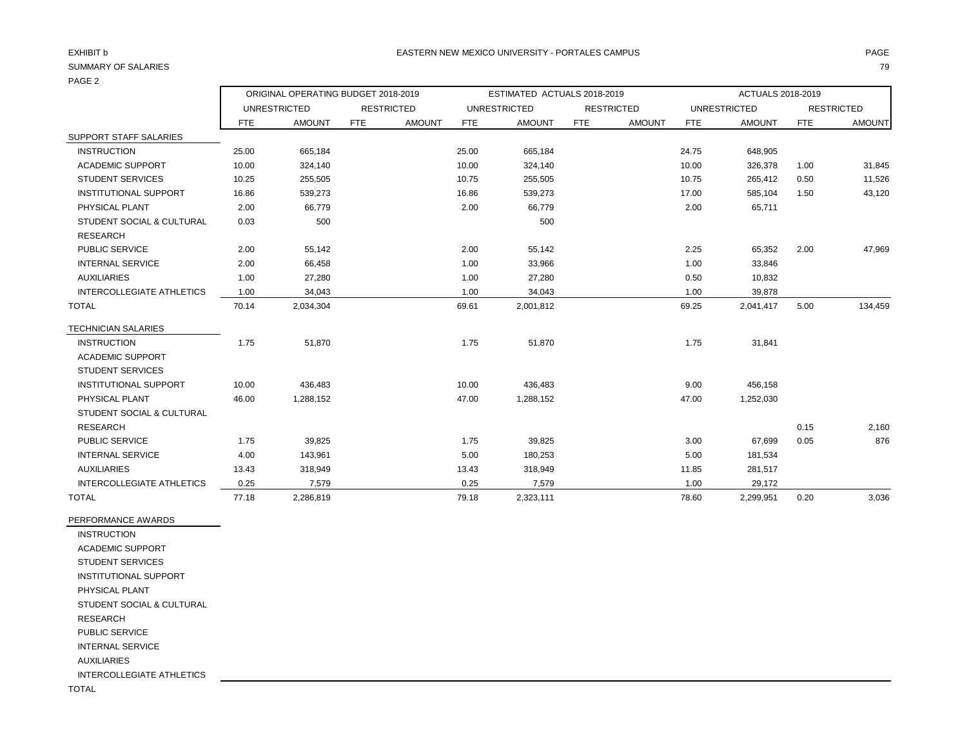## PAGE 2

|                              |       | ORIGINAL OPERATING BUDGET 2018-2019 |      |                   | ESTIMATED ACTUALS 2018-2019 |                     |      |                   | ACTUALS 2018-2019 |                     |      |                   |
|------------------------------|-------|-------------------------------------|------|-------------------|-----------------------------|---------------------|------|-------------------|-------------------|---------------------|------|-------------------|
|                              |       | <b>UNRESTRICTED</b>                 |      | <b>RESTRICTED</b> |                             | <b>UNRESTRICTED</b> |      | <b>RESTRICTED</b> |                   | <b>UNRESTRICTED</b> |      | <b>RESTRICTED</b> |
|                              | FTE   | <b>AMOUNT</b>                       | FTE. | <b>AMOUNT</b>     | FTE.                        | <b>AMOUNT</b>       | FTE. | <b>AMOUNT</b>     | FTE               | <b>AMOUNT</b>       | FTE  | <b>AMOUNT</b>     |
| SUPPORT STAFF SALARIES       |       |                                     |      |                   |                             |                     |      |                   |                   |                     |      |                   |
| <b>INSTRUCTION</b>           | 25.00 | 665.184                             |      |                   | 25.00                       | 665.184             |      |                   | 24.75             | 648,905             |      |                   |
| <b>ACADEMIC SUPPORT</b>      | 10.00 | 324,140                             |      |                   | 10.00                       | 324,140             |      |                   | 10.00             | 326,378             | 1.00 | 31,845            |
| <b>STUDENT SERVICES</b>      | 10.25 | 255,505                             |      |                   | 10.75                       | 255,505             |      |                   | 10.75             | 265,412             | 0.50 | 11,526            |
| <b>INSTITUTIONAL SUPPORT</b> | 16.86 | 539,273                             |      |                   | 16.86                       | 539,273             |      |                   | 17.00             | 585,104             | 1.50 | 43,120            |
| PHYSICAL PLANT               | 2.00  | 66,779                              |      |                   | 2.00                        | 66,779              |      |                   | 2.00              | 65,711              |      |                   |
| STUDENT SOCIAL & CULTURAL    | 0.03  | 500                                 |      |                   |                             | 500                 |      |                   |                   |                     |      |                   |
| <b>RESEARCH</b>              |       |                                     |      |                   |                             |                     |      |                   |                   |                     |      |                   |
| <b>PUBLIC SERVICE</b>        | 2.00  | 55,142                              |      |                   | 2.00                        | 55,142              |      |                   | 2.25              | 65,352              | 2.00 | 47,969            |
| <b>INTERNAL SERVICE</b>      | 2.00  | 66,458                              |      |                   | 1.00                        | 33,966              |      |                   | 1.00              | 33,846              |      |                   |

| STUDENT SOCIAL & CULTURAL    | 0.03  | 500       |       | 500       |       |           |      |         |
|------------------------------|-------|-----------|-------|-----------|-------|-----------|------|---------|
| <b>RESEARCH</b>              |       |           |       |           |       |           |      |         |
| PUBLIC SERVICE               | 2.00  | 55,142    | 2.00  | 55,142    | 2.25  | 65,352    | 2.00 | 47,969  |
| <b>INTERNAL SERVICE</b>      | 2.00  | 66,458    | 1.00  | 33,966    | 1.00  | 33,846    |      |         |
| <b>AUXILIARIES</b>           | 1.00  | 27,280    | 1.00  | 27,280    | 0.50  | 10,832    |      |         |
| INTERCOLLEGIATE ATHLETICS    | 1.00  | 34,043    | 1.00  | 34,043    | 1.00  | 39,878    |      |         |
| <b>TOTAL</b>                 | 70.14 | 2,034,304 | 69.61 | 2,001,812 | 69.25 | 2,041,417 | 5.00 | 134,459 |
| <b>TECHNICIAN SALARIES</b>   |       |           |       |           |       |           |      |         |
| <b>INSTRUCTION</b>           | 1.75  | 51,870    | 1.75  | 51,870    | 1.75  | 31,841    |      |         |
| <b>ACADEMIC SUPPORT</b>      |       |           |       |           |       |           |      |         |
| <b>STUDENT SERVICES</b>      |       |           |       |           |       |           |      |         |
| <b>INSTITUTIONAL SUPPORT</b> | 10.00 | 436,483   | 10.00 | 436,483   | 9.00  | 456,158   |      |         |
| PHYSICAL PLANT               | 46.00 | 1,288,152 | 47.00 | 1,288,152 | 47.00 | 1,252,030 |      |         |
| STUDENT SOCIAL & CULTURAL    |       |           |       |           |       |           |      |         |
| RESEARCH                     |       |           |       |           |       |           | 0.15 | 2,160   |
| PUBLIC SERVICE               | 1.75  | 39,825    | 1.75  | 39,825    | 3.00  | 67,699    | 0.05 | 876     |
| <b>INTERNAL SERVICE</b>      | 4.00  | 143,961   | 5.00  | 180,253   | 5.00  | 181,534   |      |         |
| <b>AUXILIARIES</b>           | 13.43 | 318,949   | 13.43 | 318,949   | 11.85 | 281,517   |      |         |
| INTERCOLLEGIATE ATHLETICS    | 0.25  | 7,579     | 0.25  | 7,579     | 1.00  | 29,172    |      |         |
| <b>TOTAL</b>                 | 77.18 | 2,286,819 | 79.18 | 2,323,111 | 78.60 | 2,299,951 | 0.20 | 3,036   |

PERFORMANCE AWARDS INSTRUCTION ACADEMIC SUPPORT STUDENT SERVICES INSTITUTIONAL SUPPORT PHYSICAL PLANT STUDENT SOCIAL & CULTURAL RESEARCH PUBLIC SERVICE

INTERNAL SERVICE

AUXILIARIES

INTERCOLLEGIATE ATHLETICS

TOTAL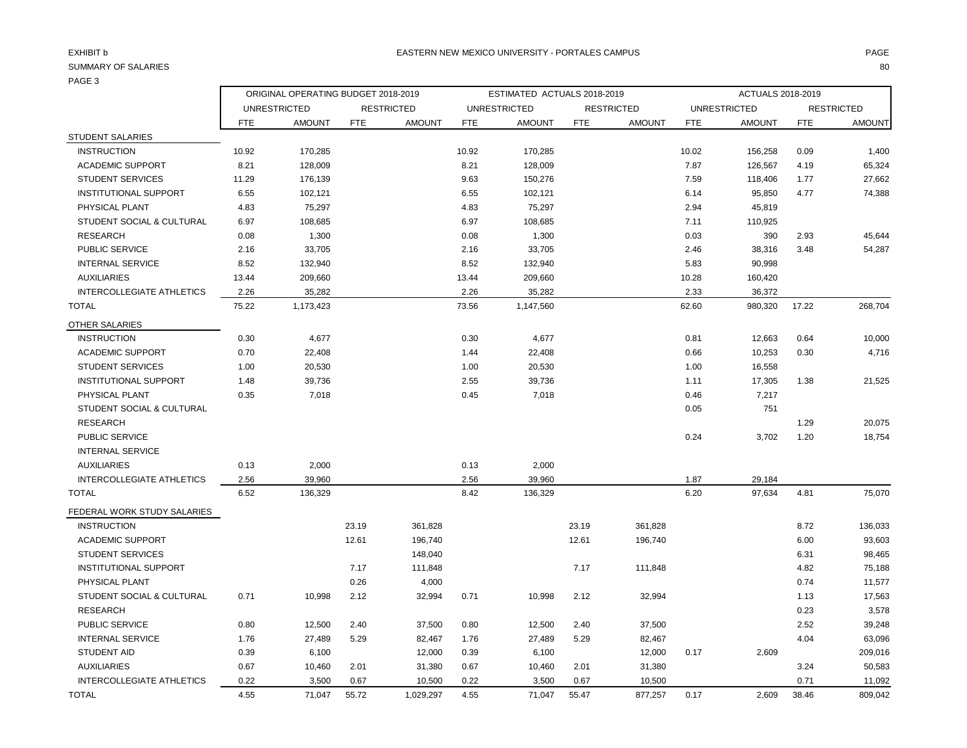|                                  | ORIGINAL OPERATING BUDGET 2018-2019 |               |       |                   | ESTIMATED ACTUALS 2018-2019 |                     |            |                   | ACTUALS 2018-2019 |                     |            |                   |
|----------------------------------|-------------------------------------|---------------|-------|-------------------|-----------------------------|---------------------|------------|-------------------|-------------------|---------------------|------------|-------------------|
|                                  | <b>UNRESTRICTED</b>                 |               |       | <b>RESTRICTED</b> |                             | <b>UNRESTRICTED</b> |            | <b>RESTRICTED</b> |                   | <b>UNRESTRICTED</b> |            | <b>RESTRICTED</b> |
|                                  | <b>FTE</b>                          | <b>AMOUNT</b> | FTE   | <b>AMOUNT</b>     | <b>FTE</b>                  | <b>AMOUNT</b>       | <b>FTE</b> | <b>AMOUNT</b>     | <b>FTE</b>        | <b>AMOUNT</b>       | <b>FTE</b> | <b>AMOUNT</b>     |
| <b>STUDENT SALARIES</b>          |                                     |               |       |                   |                             |                     |            |                   |                   |                     |            |                   |
| <b>INSTRUCTION</b>               | 10.92                               | 170,285       |       |                   | 10.92                       | 170,285             |            |                   | 10.02             | 156,258             | 0.09       | 1,400             |
| <b>ACADEMIC SUPPORT</b>          | 8.21                                | 128,009       |       |                   | 8.21                        | 128,009             |            |                   | 7.87              | 126,567             | 4.19       | 65,324            |
| <b>STUDENT SERVICES</b>          | 11.29                               | 176,139       |       |                   | 9.63                        | 150,276             |            |                   | 7.59              | 118,406             | 1.77       | 27,662            |
| INSTITUTIONAL SUPPORT            | 6.55                                | 102,121       |       |                   | 6.55                        | 102,121             |            |                   | 6.14              | 95,850              | 4.77       | 74,388            |
| PHYSICAL PLANT                   | 4.83                                | 75,297        |       |                   | 4.83                        | 75,297              |            |                   | 2.94              | 45,819              |            |                   |
| STUDENT SOCIAL & CULTURAL        | 6.97                                | 108,685       |       |                   | 6.97                        | 108,685             |            |                   | 7.11              | 110,925             |            |                   |
| <b>RESEARCH</b>                  | 0.08                                | 1,300         |       |                   | 0.08                        | 1,300               |            |                   | 0.03              | 390                 | 2.93       | 45,644            |
| PUBLIC SERVICE                   | 2.16                                | 33,705        |       |                   | 2.16                        | 33,705              |            |                   | 2.46              | 38,316              | 3.48       | 54,287            |
| <b>INTERNAL SERVICE</b>          | 8.52                                | 132,940       |       |                   | 8.52                        | 132,940             |            |                   | 5.83              | 90,998              |            |                   |
| <b>AUXILIARIES</b>               | 13.44                               | 209,660       |       |                   | 13.44                       | 209,660             |            |                   | 10.28             | 160,420             |            |                   |
| INTERCOLLEGIATE ATHLETICS        | 2.26                                | 35,282        |       |                   | 2.26                        | 35,282              |            |                   | 2.33              | 36,372              |            |                   |
| <b>TOTAL</b>                     | 75.22                               | 1,173,423     |       |                   | 73.56                       | 1,147,560           |            |                   | 62.60             | 980,320             | 17.22      | 268,704           |
| <b>OTHER SALARIES</b>            |                                     |               |       |                   |                             |                     |            |                   |                   |                     |            |                   |
| <b>INSTRUCTION</b>               | 0.30                                | 4,677         |       |                   | 0.30                        | 4,677               |            |                   | 0.81              | 12,663              | 0.64       | 10,000            |
| <b>ACADEMIC SUPPORT</b>          | 0.70                                | 22,408        |       |                   | 1.44                        | 22,408              |            |                   | 0.66              | 10,253              | 0.30       | 4,716             |
| <b>STUDENT SERVICES</b>          | 1.00                                | 20,530        |       |                   | 1.00                        | 20,530              |            |                   | 1.00              | 16,558              |            |                   |
| INSTITUTIONAL SUPPORT            | 1.48                                | 39,736        |       |                   | 2.55                        | 39,736              |            |                   | 1.11              | 17,305              | 1.38       | 21,525            |
| PHYSICAL PLANT                   | 0.35                                | 7,018         |       |                   | 0.45                        | 7,018               |            |                   | 0.46              | 7,217               |            |                   |
| STUDENT SOCIAL & CULTURAL        |                                     |               |       |                   |                             |                     |            |                   | 0.05              | 751                 |            |                   |
| <b>RESEARCH</b>                  |                                     |               |       |                   |                             |                     |            |                   |                   |                     | 1.29       | 20,075            |
| PUBLIC SERVICE                   |                                     |               |       |                   |                             |                     |            |                   | 0.24              | 3,702               | 1.20       | 18,754            |
| <b>INTERNAL SERVICE</b>          |                                     |               |       |                   |                             |                     |            |                   |                   |                     |            |                   |
| <b>AUXILIARIES</b>               | 0.13                                | 2,000         |       |                   | 0.13                        | 2,000               |            |                   |                   |                     |            |                   |
| INTERCOLLEGIATE ATHLETICS        | 2.56                                | 39.960        |       |                   | 2.56                        | 39,960              |            |                   | 1.87              | 29,184              |            |                   |
| <b>TOTAL</b>                     | 6.52                                | 136,329       |       |                   | 8.42                        | 136,329             |            |                   | 6.20              | 97,634              | 4.81       | 75,070            |
| FEDERAL WORK STUDY SALARIES      |                                     |               |       |                   |                             |                     |            |                   |                   |                     |            |                   |
| <b>INSTRUCTION</b>               |                                     |               | 23.19 | 361,828           |                             |                     | 23.19      | 361,828           |                   |                     | 8.72       | 136,033           |
| <b>ACADEMIC SUPPORT</b>          |                                     |               | 12.61 | 196,740           |                             |                     | 12.61      | 196,740           |                   |                     | 6.00       | 93,603            |
| <b>STUDENT SERVICES</b>          |                                     |               |       | 148,040           |                             |                     |            |                   |                   |                     | 6.31       | 98,465            |
| <b>INSTITUTIONAL SUPPORT</b>     |                                     |               | 7.17  | 111,848           |                             |                     | 7.17       | 111,848           |                   |                     | 4.82       | 75,188            |
| PHYSICAL PLANT                   |                                     |               | 0.26  | 4,000             |                             |                     |            |                   |                   |                     | 0.74       | 11,577            |
| STUDENT SOCIAL & CULTURAL        | 0.71                                | 10,998        | 2.12  | 32,994            | 0.71                        | 10,998              | 2.12       | 32,994            |                   |                     | 1.13       | 17,563            |
| <b>RESEARCH</b>                  |                                     |               |       |                   |                             |                     |            |                   |                   |                     | 0.23       | 3,578             |
| PUBLIC SERVICE                   | 0.80                                | 12,500        | 2.40  | 37,500            | 0.80                        | 12,500              | 2.40       | 37,500            |                   |                     | 2.52       | 39,248            |
| <b>INTERNAL SERVICE</b>          | 1.76                                | 27,489        | 5.29  | 82,467            | 1.76                        | 27,489              | 5.29       | 82,467            |                   |                     | 4.04       | 63,096            |
| <b>STUDENT AID</b>               | 0.39                                | 6,100         |       | 12,000            | 0.39                        | 6,100               |            | 12,000            | 0.17              | 2,609               |            | 209,016           |
| <b>AUXILIARIES</b>               | 0.67                                | 10,460        | 2.01  | 31,380            | 0.67                        | 10,460              | 2.01       | 31,380            |                   |                     | 3.24       | 50,583            |
| <b>INTERCOLLEGIATE ATHLETICS</b> | 0.22                                | 3,500         | 0.67  | 10,500            | 0.22                        | 3,500               | 0.67       | 10,500            |                   |                     | 0.71       | 11,092            |
| <b>TOTAL</b>                     | 4.55                                | 71,047        | 55.72 | 1,029,297         | 4.55                        | 71,047              | 55.47      | 877,257           | 0.17              | 2,609               | 38.46      | 809,042           |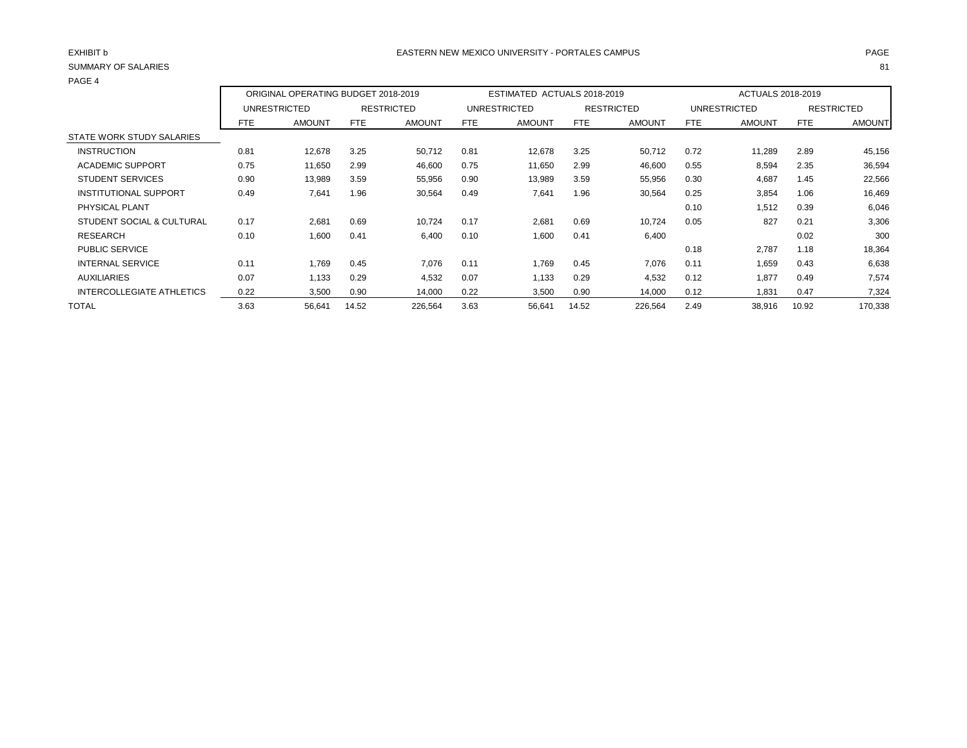| PAGE 4                       |                                     |               |       |                   |                             |               |       |                   |      |               |       |                   |
|------------------------------|-------------------------------------|---------------|-------|-------------------|-----------------------------|---------------|-------|-------------------|------|---------------|-------|-------------------|
|                              | ORIGINAL OPERATING BUDGET 2018-2019 |               |       |                   | ESTIMATED ACTUALS 2018-2019 |               |       | ACTUALS 2018-2019 |      |               |       |                   |
|                              |                                     | UNRESTRICTED  |       | <b>RESTRICTED</b> |                             | UNRESTRICTED  |       | <b>RESTRICTED</b> |      | UNRESTRICTED  |       | <b>RESTRICTED</b> |
|                              | FTE                                 | <b>AMOUNT</b> | FTE   | <b>AMOUNT</b>     | FTE.                        | <b>AMOUNT</b> | FTE   | <b>AMOUNT</b>     | FTE  | <b>AMOUNT</b> | FTE   | <b>AMOUNT</b>     |
| STATE WORK STUDY SALARIES    |                                     |               |       |                   |                             |               |       |                   |      |               |       |                   |
| <b>INSTRUCTION</b>           | 0.81                                | 12,678        | 3.25  | 50,712            | 0.81                        | 12,678        | 3.25  | 50,712            | 0.72 | 11,289        | 2.89  | 45,156            |
| <b>ACADEMIC SUPPORT</b>      | 0.75                                | 11,650        | 2.99  | 46,600            | 0.75                        | 11,650        | 2.99  | 46,600            | 0.55 | 8,594         | 2.35  | 36,594            |
| <b>STUDENT SERVICES</b>      | 0.90                                | 13,989        | 3.59  | 55,956            | 0.90                        | 13,989        | 3.59  | 55,956            | 0.30 | 4,687         | 1.45  | 22,566            |
| <b>INSTITUTIONAL SUPPORT</b> | 0.49                                | 7,641         | 1.96  | 30,564            | 0.49                        | 7,641         | 1.96  | 30,564            | 0.25 | 3,854         | 1.06  | 16,469            |
| PHYSICAL PLANT               |                                     |               |       |                   |                             |               |       |                   | 0.10 | 1,512         | 0.39  | 6,046             |
| STUDENT SOCIAL & CULTURAL    | 0.17                                | 2,681         | 0.69  | 10,724            | 0.17                        | 2,681         | 0.69  | 10,724            | 0.05 | 827           | 0.21  | 3,306             |
| <b>RESEARCH</b>              | 0.10                                | 1,600         | 0.41  | 6,400             | 0.10                        | 1,600         | 0.41  | 6,400             |      |               | 0.02  | 300               |
| <b>PUBLIC SERVICE</b>        |                                     |               |       |                   |                             |               |       |                   | 0.18 | 2,787         | 1.18  | 18,364            |
| <b>INTERNAL SERVICE</b>      | 0.11                                | 1,769         | 0.45  | 7,076             | 0.11                        | 1,769         | 0.45  | 7,076             | 0.11 | 1,659         | 0.43  | 6,638             |
| <b>AUXILIARIES</b>           | 0.07                                | 1,133         | 0.29  | 4,532             | 0.07                        | 1,133         | 0.29  | 4,532             | 0.12 | 1,877         | 0.49  | 7,574             |
| INTERCOLLEGIATE ATHLETICS    | 0.22                                | 3,500         | 0.90  | 14,000            | 0.22                        | 3,500         | 0.90  | 14,000            | 0.12 | 1,831         | 0.47  | 7,324             |
| <b>TOTAL</b>                 | 3.63                                | 56,641        | 14.52 | 226,564           | 3.63                        | 56,641        | 14.52 | 226,564           | 2.49 | 38,916        | 10.92 | 170,338           |
|                              |                                     |               |       |                   |                             |               |       |                   |      |               |       |                   |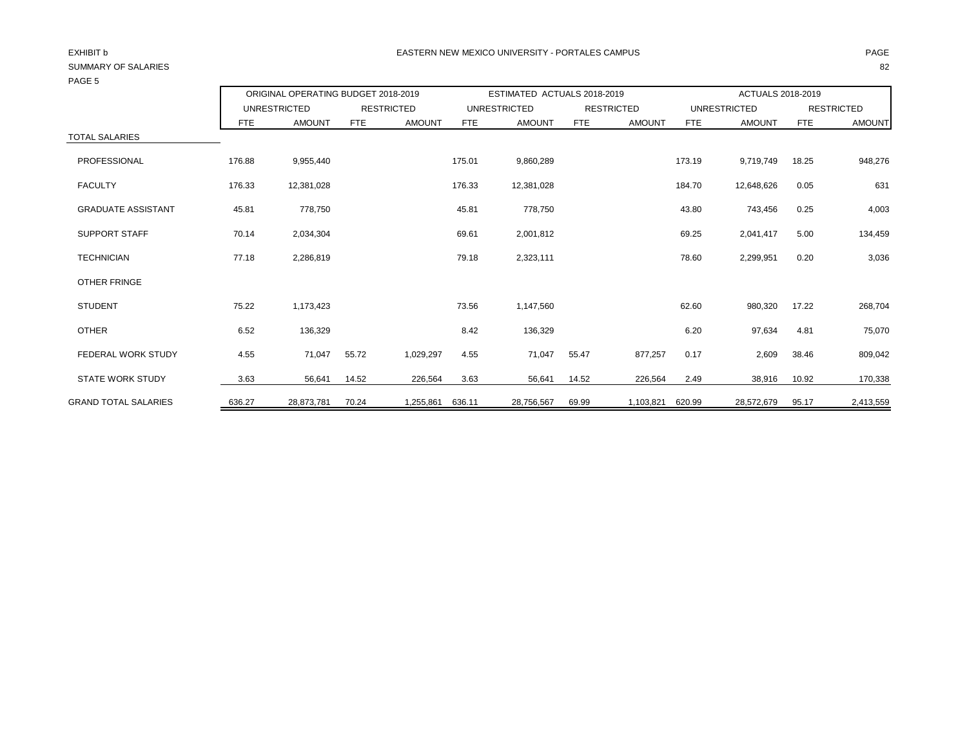| PAGE 5                      |        |                                     |                   |               |            |                             |            |                   |                   |                     |            |                   |
|-----------------------------|--------|-------------------------------------|-------------------|---------------|------------|-----------------------------|------------|-------------------|-------------------|---------------------|------------|-------------------|
|                             |        | ORIGINAL OPERATING BUDGET 2018-2019 |                   |               |            | ESTIMATED ACTUALS 2018-2019 |            |                   | ACTUALS 2018-2019 |                     |            |                   |
|                             |        | <b>UNRESTRICTED</b>                 | <b>RESTRICTED</b> |               |            | <b>UNRESTRICTED</b>         |            | <b>RESTRICTED</b> |                   | <b>UNRESTRICTED</b> |            | <b>RESTRICTED</b> |
|                             | FTE    | <b>AMOUNT</b>                       | <b>FTE</b>        | <b>AMOUNT</b> | <b>FTE</b> | <b>AMOUNT</b>               | <b>FTE</b> | <b>AMOUNT</b>     | <b>FTE</b>        | <b>AMOUNT</b>       | <b>FTE</b> | <b>AMOUNT</b>     |
| <b>TOTAL SALARIES</b>       |        |                                     |                   |               |            |                             |            |                   |                   |                     |            |                   |
| PROFESSIONAL                | 176.88 | 9,955,440                           |                   |               | 175.01     | 9,860,289                   |            |                   | 173.19            | 9,719,749           | 18.25      | 948,276           |
| <b>FACULTY</b>              | 176.33 | 12,381,028                          |                   |               | 176.33     | 12,381,028                  |            |                   | 184.70            | 12,648,626          | 0.05       | 631               |
| <b>GRADUATE ASSISTANT</b>   | 45.81  | 778,750                             |                   |               | 45.81      | 778,750                     |            |                   | 43.80             | 743,456             | 0.25       | 4,003             |
| <b>SUPPORT STAFF</b>        | 70.14  | 2,034,304                           |                   |               | 69.61      | 2,001,812                   |            |                   | 69.25             | 2,041,417           | 5.00       | 134,459           |
| <b>TECHNICIAN</b>           | 77.18  | 2,286,819                           |                   |               | 79.18      | 2,323,111                   |            |                   | 78.60             | 2,299,951           | 0.20       | 3,036             |
| <b>OTHER FRINGE</b>         |        |                                     |                   |               |            |                             |            |                   |                   |                     |            |                   |
| <b>STUDENT</b>              | 75.22  | 1,173,423                           |                   |               | 73.56      | 1,147,560                   |            |                   | 62.60             | 980,320             | 17.22      | 268,704           |
| <b>OTHER</b>                | 6.52   | 136,329                             |                   |               | 8.42       | 136,329                     |            |                   | 6.20              | 97,634              | 4.81       | 75,070            |
| FEDERAL WORK STUDY          | 4.55   | 71,047                              | 55.72             | 1,029,297     | 4.55       | 71,047                      | 55.47      | 877,257           | 0.17              | 2,609               | 38.46      | 809,042           |
| <b>STATE WORK STUDY</b>     | 3.63   | 56,641                              | 14.52             | 226,564       | 3.63       | 56,641                      | 14.52      | 226,564           | 2.49              | 38,916              | 10.92      | 170,338           |
| <b>GRAND TOTAL SALARIES</b> | 636.27 | 28,873,781                          | 70.24             | 1,255,861     | 636.11     | 28,756,567                  | 69.99      | 1,103,821         | 620.99            | 28,572,679          | 95.17      | 2,413,559         |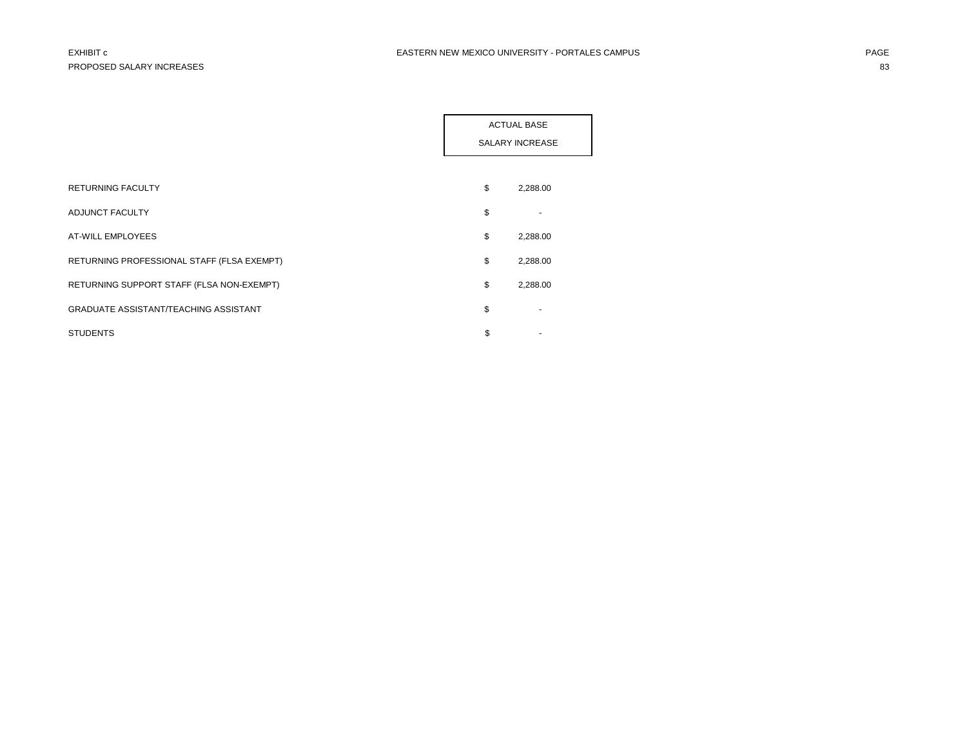|                                              | <b>ACTUAL BASE</b><br><b>SALARY INCREASE</b> |
|----------------------------------------------|----------------------------------------------|
| <b>RETURNING FACULTY</b>                     | \$<br>2,288.00                               |
| ADJUNCT FACULTY                              | \$                                           |
| AT-WILL EMPLOYEES                            | \$<br>2,288.00                               |
| RETURNING PROFESSIONAL STAFF (FLSA EXEMPT)   | \$<br>2,288.00                               |
| RETURNING SUPPORT STAFF (FLSA NON-EXEMPT)    | \$<br>2,288.00                               |
| <b>GRADUATE ASSISTANT/TEACHING ASSISTANT</b> | \$                                           |
| <b>STUDENTS</b>                              | \$                                           |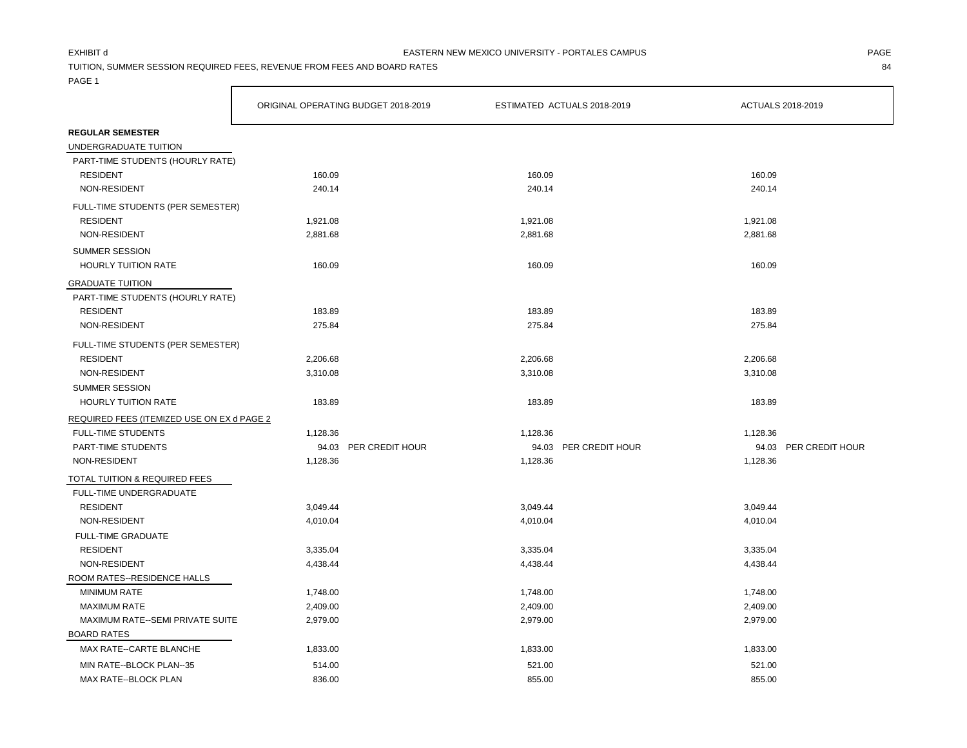TUITION, SUMMER SESSION REQUIRED FEES, REVENUE FROM FEES AND BOARD RATES 84

|                                            | ORIGINAL OPERATING BUDGET 2018-2019 |                       |          | ESTIMATED ACTUALS 2018-2019 |          | ACTUALS 2018-2019     |
|--------------------------------------------|-------------------------------------|-----------------------|----------|-----------------------------|----------|-----------------------|
| <b>REGULAR SEMESTER</b>                    |                                     |                       |          |                             |          |                       |
| UNDERGRADUATE TUITION                      |                                     |                       |          |                             |          |                       |
| PART-TIME STUDENTS (HOURLY RATE)           |                                     |                       |          |                             |          |                       |
| <b>RESIDENT</b>                            | 160.09                              |                       | 160.09   |                             | 160.09   |                       |
| NON-RESIDENT                               | 240.14                              |                       | 240.14   |                             | 240.14   |                       |
| FULL-TIME STUDENTS (PER SEMESTER)          |                                     |                       |          |                             |          |                       |
| <b>RESIDENT</b>                            | 1,921.08                            |                       | 1,921.08 |                             | 1,921.08 |                       |
| NON-RESIDENT                               | 2,881.68                            |                       | 2,881.68 |                             | 2,881.68 |                       |
| <b>SUMMER SESSION</b>                      |                                     |                       |          |                             |          |                       |
| <b>HOURLY TUITION RATE</b>                 | 160.09                              |                       | 160.09   |                             | 160.09   |                       |
| <b>GRADUATE TUITION</b>                    |                                     |                       |          |                             |          |                       |
| PART-TIME STUDENTS (HOURLY RATE)           |                                     |                       |          |                             |          |                       |
| <b>RESIDENT</b>                            | 183.89                              |                       | 183.89   |                             | 183.89   |                       |
| NON-RESIDENT                               | 275.84                              |                       | 275.84   |                             | 275.84   |                       |
| FULL-TIME STUDENTS (PER SEMESTER)          |                                     |                       |          |                             |          |                       |
| <b>RESIDENT</b>                            | 2,206.68                            |                       | 2,206.68 |                             | 2,206.68 |                       |
| NON-RESIDENT                               | 3,310.08                            |                       | 3,310.08 |                             | 3,310.08 |                       |
| <b>SUMMER SESSION</b>                      |                                     |                       |          |                             |          |                       |
| <b>HOURLY TUITION RATE</b>                 | 183.89                              |                       | 183.89   |                             | 183.89   |                       |
| REQUIRED FEES (ITEMIZED USE ON EX d PAGE 2 |                                     |                       |          |                             |          |                       |
| <b>FULL-TIME STUDENTS</b>                  | 1,128.36                            |                       | 1,128.36 |                             | 1,128.36 |                       |
| PART-TIME STUDENTS                         |                                     | 94.03 PER CREDIT HOUR |          | 94.03 PER CREDIT HOUR       |          | 94.03 PER CREDIT HOUR |
| NON-RESIDENT                               | 1,128.36                            |                       | 1,128.36 |                             | 1,128.36 |                       |
| TOTAL TUITION & REQUIRED FEES              |                                     |                       |          |                             |          |                       |
| FULL-TIME UNDERGRADUATE                    |                                     |                       |          |                             |          |                       |
| <b>RESIDENT</b>                            | 3,049.44                            |                       | 3,049.44 |                             | 3,049.44 |                       |
| NON-RESIDENT                               | 4,010.04                            |                       | 4,010.04 |                             | 4,010.04 |                       |
| <b>FULL-TIME GRADUATE</b>                  |                                     |                       |          |                             |          |                       |
| <b>RESIDENT</b>                            | 3,335.04                            |                       | 3,335.04 |                             | 3,335.04 |                       |
| NON-RESIDENT                               | 4,438.44                            |                       | 4,438.44 |                             | 4,438.44 |                       |
| ROOM RATES--RESIDENCE HALLS                |                                     |                       |          |                             |          |                       |
| <b>MINIMUM RATE</b>                        | 1,748.00                            |                       | 1,748.00 |                             | 1,748.00 |                       |
| <b>MAXIMUM RATE</b>                        | 2,409.00                            |                       | 2,409.00 |                             | 2,409.00 |                       |
| MAXIMUM RATE--SEMI PRIVATE SUITE           | 2,979.00                            |                       | 2,979.00 |                             | 2,979.00 |                       |
| <b>BOARD RATES</b>                         |                                     |                       |          |                             |          |                       |
| MAX RATE--CARTE BLANCHE                    | 1,833.00                            |                       | 1,833.00 |                             | 1,833.00 |                       |
| MIN RATE--BLOCK PLAN--35                   | 514.00                              |                       | 521.00   |                             | 521.00   |                       |
| MAX RATE--BLOCK PLAN                       | 836.00                              |                       | 855.00   |                             | 855.00   |                       |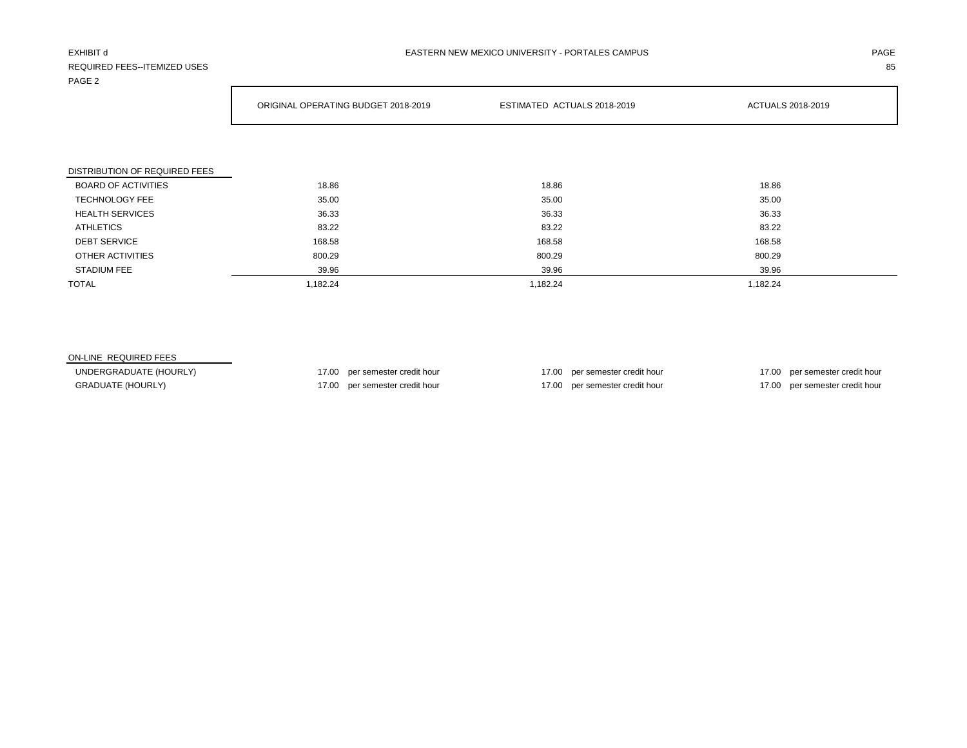## REQUIRED FEES--ITEMIZED USES 85 PAGE 2

Г

|                               | ORIGINAL OPERATING BUDGET 2018-2019 | ESTIMATED ACTUALS 2018-2019 | <b>ACTUALS 2018-2019</b> |
|-------------------------------|-------------------------------------|-----------------------------|--------------------------|
|                               |                                     |                             |                          |
| DISTRIBUTION OF REQUIRED FEES |                                     |                             |                          |
| <b>BOARD OF ACTIVITIES</b>    | 18.86                               | 18.86                       | 18.86                    |
| <b>TECHNOLOGY FEE</b>         | 35.00                               | 35.00                       | 35.00                    |
| <b>HEALTH SERVICES</b>        | 36.33                               | 36.33                       | 36.33                    |
| <b>ATHLETICS</b>              | 83.22                               | 83.22                       | 83.22                    |
| <b>DEBT SERVICE</b>           | 168.58                              | 168.58                      | 168.58                   |
| OTHER ACTIVITIES              | 800.29                              | 800.29                      | 800.29                   |
| <b>STADIUM FEE</b>            | 39.96                               | 39.96                       | 39.96                    |
| <b>TOTAL</b>                  | 1,182.24                            | 1,182.24                    | 1,182.24                 |

## ON-LINE REQUIRED FEES

UNDERGRADUATE (HOURLY) 17.00 per semester credit hour 17.00 per semester credit hour 17.00 per semester credit hour 17.00 per semester credit hour GRADUATE (HOURLY) 17.00 per semester credit hour 17.00 per semester credit hour 17.00 per semester credit hour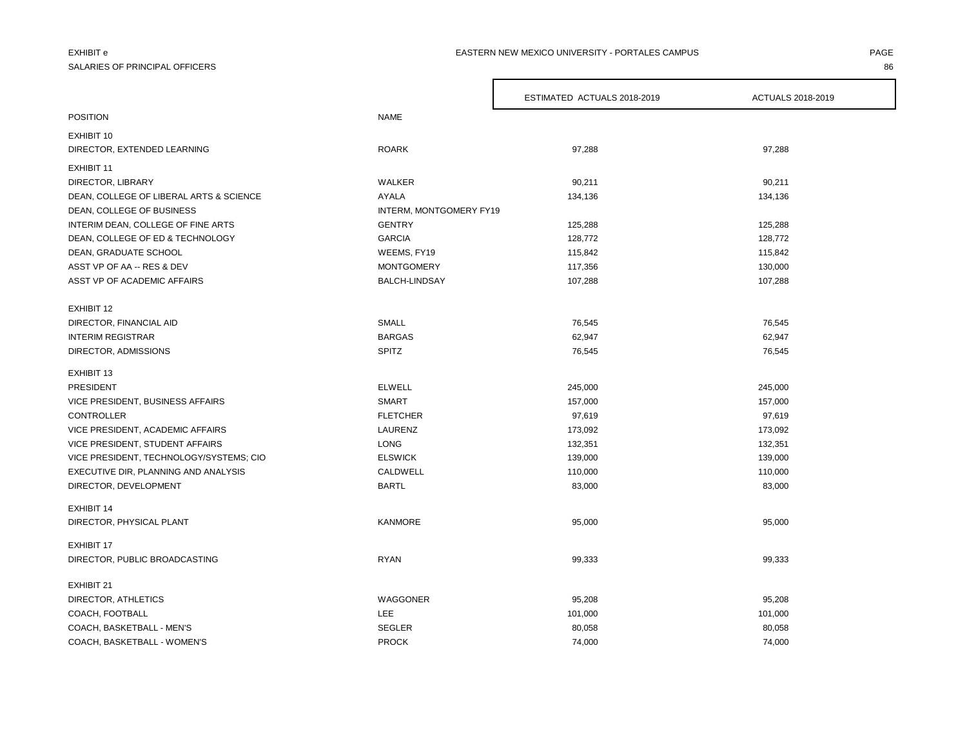# SALARIES OF PRINCIPAL OFFICERS 86

### EXHIBIT e PAGE PAGE IN THE SERVICE OF PAGE IN THE SERVICE ON THE SERVICE ON THE SERVICE OF PAGE IN THE SERVICE ONLY ERGENTLES CAMPUS AND RESIDENT OF PAGE IN THE SERVICE ON THE SERVICE ONLY A SERVICE ONLY A SERVICE ONLY A S

|                                                           |                         | ESTIMATED ACTUALS 2018-2019 | ACTUALS 2018-2019  |
|-----------------------------------------------------------|-------------------------|-----------------------------|--------------------|
| <b>POSITION</b>                                           | <b>NAME</b>             |                             |                    |
| EXHIBIT 10                                                |                         |                             |                    |
| DIRECTOR, EXTENDED LEARNING                               | <b>ROARK</b>            | 97,288                      | 97,288             |
| EXHIBIT 11                                                |                         |                             |                    |
| DIRECTOR, LIBRARY                                         | WALKER                  | 90,211                      | 90,211             |
| DEAN, COLLEGE OF LIBERAL ARTS & SCIENCE                   | <b>AYALA</b>            | 134,136                     | 134,136            |
| DEAN, COLLEGE OF BUSINESS                                 | INTERM, MONTGOMERY FY19 |                             |                    |
| INTERIM DEAN, COLLEGE OF FINE ARTS                        | <b>GENTRY</b>           | 125,288                     | 125,288            |
|                                                           | <b>GARCIA</b>           |                             |                    |
| DEAN, COLLEGE OF ED & TECHNOLOGY<br>DEAN, GRADUATE SCHOOL | WEEMS, FY19             | 128,772                     | 128,772            |
| ASST VP OF AA -- RES & DEV                                | <b>MONTGOMERY</b>       | 115,842<br>117,356          | 115,842            |
| ASST VP OF ACADEMIC AFFAIRS                               | <b>BALCH-LINDSAY</b>    | 107,288                     | 130,000<br>107,288 |
|                                                           |                         |                             |                    |
| EXHIBIT 12                                                |                         |                             |                    |
| DIRECTOR, FINANCIAL AID                                   | SMALL                   | 76,545                      | 76,545             |
| <b>INTERIM REGISTRAR</b>                                  | <b>BARGAS</b>           | 62,947                      | 62,947             |
| DIRECTOR, ADMISSIONS                                      | SPITZ                   | 76,545                      | 76,545             |
| EXHIBIT 13                                                |                         |                             |                    |
| PRESIDENT                                                 | <b>ELWELL</b>           | 245,000                     | 245,000            |
| VICE PRESIDENT, BUSINESS AFFAIRS                          | <b>SMART</b>            | 157,000                     | 157,000            |
| <b>CONTROLLER</b>                                         | <b>FLETCHER</b>         | 97,619                      | 97,619             |
| VICE PRESIDENT, ACADEMIC AFFAIRS                          | LAURENZ                 | 173,092                     | 173,092            |
| VICE PRESIDENT, STUDENT AFFAIRS                           | <b>LONG</b>             | 132,351                     | 132,351            |
| VICE PRESIDENT, TECHNOLOGY/SYSTEMS; CIO                   | <b>ELSWICK</b>          | 139,000                     | 139,000            |
| EXECUTIVE DIR, PLANNING AND ANALYSIS                      | CALDWELL                | 110,000                     | 110,000            |
| DIRECTOR, DEVELOPMENT                                     | <b>BARTL</b>            | 83,000                      | 83,000             |
| <b>EXHIBIT 14</b>                                         |                         |                             |                    |
| DIRECTOR, PHYSICAL PLANT                                  | <b>KANMORE</b>          | 95,000                      | 95,000             |
| <b>EXHIBIT 17</b>                                         |                         |                             |                    |
| DIRECTOR, PUBLIC BROADCASTING                             | <b>RYAN</b>             | 99,333                      | 99,333             |
| EXHIBIT 21                                                |                         |                             |                    |
| DIRECTOR, ATHLETICS                                       | WAGGONER                | 95,208                      | 95,208             |
| COACH, FOOTBALL                                           | <b>LEE</b>              | 101,000                     | 101,000            |
| COACH, BASKETBALL - MEN'S                                 | <b>SEGLER</b>           | 80,058                      | 80,058             |
| COACH, BASKETBALL - WOMEN'S                               | <b>PROCK</b>            | 74,000                      | 74,000             |

 $\mathsf{r}$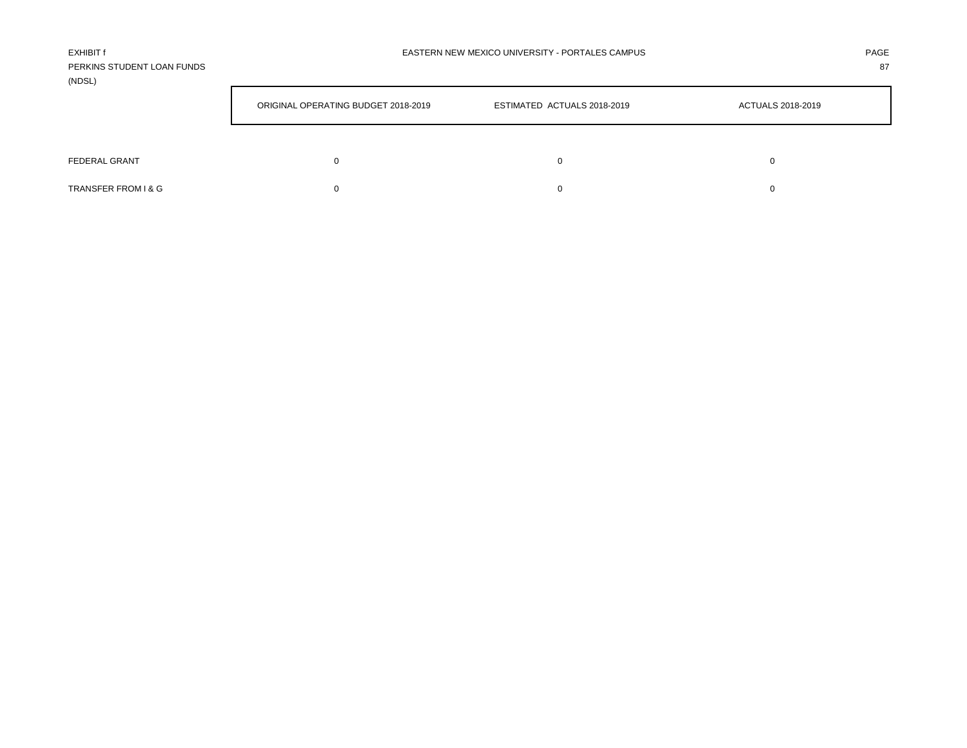| <b>EXHIBIT f</b>           | EASTERN NEW MEXICO UNIVERSITY - PORTALES CAMPUS | PAGE |
|----------------------------|-------------------------------------------------|------|
| PERKINS STUDENT LOAN FUNDS |                                                 | 87   |
| (NDSL)                     |                                                 |      |

|                      | ORIGINAL OPERATING BUDGET 2018-2019 | ESTIMATED ACTUALS 2018-2019 | ACTUALS 2018-2019 |  |  |
|----------------------|-------------------------------------|-----------------------------|-------------------|--|--|
| <b>FEDERAL GRANT</b> | 0                                   |                             | 0                 |  |  |
| TRANSFER FROM I & G  |                                     |                             |                   |  |  |